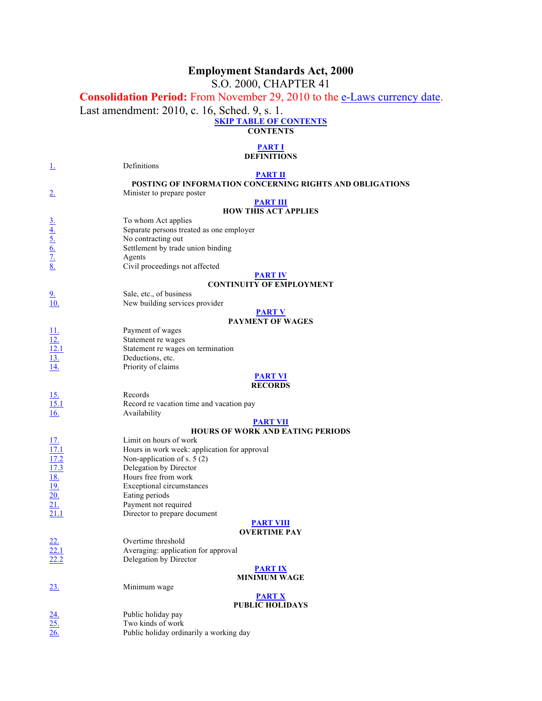# **Employment Standards Act, 2000**

S.O. 2000, CHAPTER 41

# **Consolidation Period:** From November 29, 2010 to the e-Laws currency date.

Last amendment: 2010, c. 16, Sched. 9, s. 1.

#### **SKIP TABLE OF CONTENTS**

**CONTENTS**

#### **PART I**

#### **DEFINITIONS**

| $\perp$                                                 | Definitions                                                    |
|---------------------------------------------------------|----------------------------------------------------------------|
|                                                         | <b>PART II</b>                                                 |
|                                                         | POSTING OF INFORMATION CONCERNING RIGHTS AND OBLIGATIONS       |
| 2.                                                      | Minister to prepare poster                                     |
|                                                         | <b>PART III</b><br><b>HOW THIS ACT APPLIES</b>                 |
|                                                         |                                                                |
|                                                         | To whom Act applies                                            |
|                                                         | Separate persons treated as one employer<br>No contracting out |
|                                                         | Settlement by trade union binding                              |
|                                                         | Agents                                                         |
| $\frac{3.4}{4.5.6}$<br>$\frac{6.7}{8.8}$                | Civil proceedings not affected                                 |
|                                                         | <b>PART IV</b>                                                 |
|                                                         | <b>CONTINUITY OF EMPLOYMENT</b>                                |
| 2.                                                      | Sale, etc., of business                                        |
| <u>10.</u>                                              | New building services provider                                 |
|                                                         | <b>PART V</b>                                                  |
|                                                         | <b>PAYMENT OF WAGES</b>                                        |
| $\frac{11}{12}$<br>$\frac{12}{13}$                      | Payment of wages                                               |
|                                                         | Statement re wages                                             |
|                                                         | Statement re wages on termination                              |
|                                                         | Deductions, etc.                                               |
| 14.                                                     | Priority of claims                                             |
|                                                         | <b>PART VI</b>                                                 |
|                                                         | <b>RECORDS</b>                                                 |
| $\frac{15}{15.1}$                                       | Records                                                        |
|                                                         | Record re vacation time and vacation pay                       |
| 16.                                                     | Availability                                                   |
|                                                         | <b>PART VII</b><br><b>HOURS OF WORK AND EATING PERIODS</b>     |
|                                                         | Limit on hours of work                                         |
| <u>17.</u><br>17.1                                      | Hours in work week: application for approval                   |
|                                                         | Non-application of s. $5(2)$                                   |
| $\frac{17.2}{17.3}$ $\frac{18.}{19.}$ $\frac{19.}{20.}$ | Delegation by Director                                         |
|                                                         | Hours free from work                                           |
|                                                         | <b>Exceptional circumstances</b>                               |
|                                                         | Eating periods                                                 |
| 21.                                                     | Payment not required                                           |
| 21.1                                                    | Director to prepare document                                   |
|                                                         | <b>PART VIII</b>                                               |
|                                                         | <b>OVERTIME PAY</b>                                            |
|                                                         | Overtime threshold                                             |
| $\overline{22.1}$                                       | Averaging: application for approval                            |
|                                                         | Delegation by Director                                         |
|                                                         | <b>PART IX</b>                                                 |
|                                                         | <b>MINIMUM WAGE</b>                                            |
| 23.                                                     | Minimum wage                                                   |
|                                                         | <b>PART X</b>                                                  |
|                                                         | <b>PUBLIC HOLIDAYS</b>                                         |
| $\frac{24}{25}$<br>$\frac{25}{26}$                      | Public holiday pay                                             |
|                                                         | Two kinds of work                                              |
|                                                         | Public holiday ordinarily a working day                        |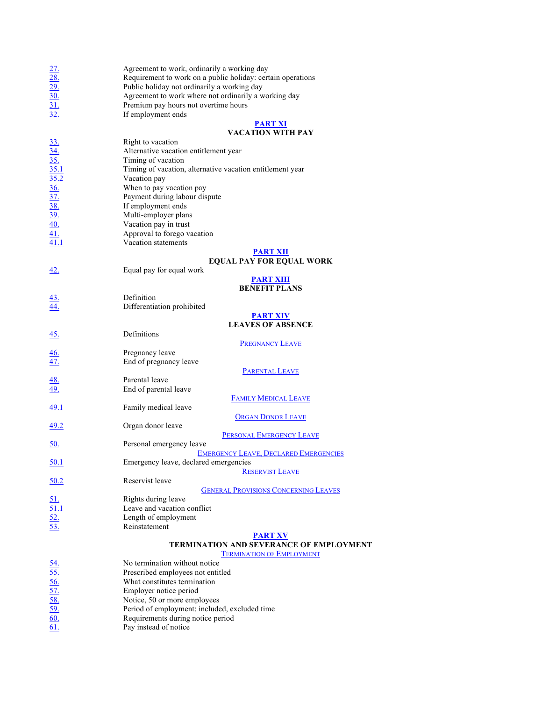|                                                                                                                                                                                                                                                                                 | Agreement to work, ordinarily a working day                              |
|---------------------------------------------------------------------------------------------------------------------------------------------------------------------------------------------------------------------------------------------------------------------------------|--------------------------------------------------------------------------|
| $\frac{27}{28}$<br>$\frac{29}{30}$<br>$\frac{30}{31}$<br>$\frac{31}{32}$                                                                                                                                                                                                        | Requirement to work on a public holiday: certain operations              |
|                                                                                                                                                                                                                                                                                 | Public holiday not ordinarily a working day                              |
|                                                                                                                                                                                                                                                                                 | Agreement to work where not ordinarily a working day                     |
|                                                                                                                                                                                                                                                                                 | Premium pay hours not overtime hours                                     |
|                                                                                                                                                                                                                                                                                 | If employment ends                                                       |
|                                                                                                                                                                                                                                                                                 | <b>PART XI</b>                                                           |
|                                                                                                                                                                                                                                                                                 | <b>VACATION WITH PAY</b>                                                 |
| $\frac{33}{\underline{34.}}\n \frac{34}{\underline{35.1}}\n \frac{35}{\underline{35.2}}\n \frac{35.1}{\underline{36.}}\n \frac{35}{\underline{37.}}\n \frac{36}{\underline{39.}}\n \frac{40}{\underline{41.1}}\n \frac{41.1}{\underline{41.1}}\n \frac{41.1}{\underline{41.1}}$ | Right to vacation                                                        |
|                                                                                                                                                                                                                                                                                 | Alternative vacation entitlement year                                    |
|                                                                                                                                                                                                                                                                                 | Timing of vacation                                                       |
|                                                                                                                                                                                                                                                                                 | Timing of vacation, alternative vacation entitlement year                |
|                                                                                                                                                                                                                                                                                 | Vacation pay                                                             |
|                                                                                                                                                                                                                                                                                 | When to pay vacation pay                                                 |
|                                                                                                                                                                                                                                                                                 | Payment during labour dispute                                            |
|                                                                                                                                                                                                                                                                                 | If employment ends                                                       |
|                                                                                                                                                                                                                                                                                 | Multi-employer plans                                                     |
|                                                                                                                                                                                                                                                                                 | Vacation pay in trust                                                    |
|                                                                                                                                                                                                                                                                                 | Approval to forego vacation                                              |
|                                                                                                                                                                                                                                                                                 | Vacation statements                                                      |
|                                                                                                                                                                                                                                                                                 | <b>PART XII</b>                                                          |
|                                                                                                                                                                                                                                                                                 | <b>EQUAL PAY FOR EQUAL WORK</b>                                          |
| <u>42.</u>                                                                                                                                                                                                                                                                      | Equal pay for equal work                                                 |
|                                                                                                                                                                                                                                                                                 | <b>PART XIII</b>                                                         |
|                                                                                                                                                                                                                                                                                 | <b>BENEFIT PLANS</b>                                                     |
| $\frac{43}{44}$                                                                                                                                                                                                                                                                 | Definition                                                               |
|                                                                                                                                                                                                                                                                                 | Differentiation prohibited                                               |
|                                                                                                                                                                                                                                                                                 | <b>PART XIV</b>                                                          |
|                                                                                                                                                                                                                                                                                 | <b>LEAVES OF ABSENCE</b>                                                 |
| <u>45.</u>                                                                                                                                                                                                                                                                      | Definitions                                                              |
|                                                                                                                                                                                                                                                                                 | <b>PREGNANCY LEAVE</b>                                                   |
| <u>46.</u>                                                                                                                                                                                                                                                                      | Pregnancy leave                                                          |
| <u>47.</u>                                                                                                                                                                                                                                                                      | End of pregnancy leave                                                   |
|                                                                                                                                                                                                                                                                                 | <b>PARENTAL LEAVE</b>                                                    |
| $\frac{48}{49}$                                                                                                                                                                                                                                                                 | Parental leave                                                           |
|                                                                                                                                                                                                                                                                                 | End of parental leave                                                    |
|                                                                                                                                                                                                                                                                                 | <b>FAMILY MEDICAL LEAVE</b>                                              |
| <u>49.1</u>                                                                                                                                                                                                                                                                     | Family medical leave                                                     |
|                                                                                                                                                                                                                                                                                 | <b>ORGAN DONOR LEAVE</b>                                                 |
| <u>49.2</u>                                                                                                                                                                                                                                                                     | Organ donor leave                                                        |
|                                                                                                                                                                                                                                                                                 | PERSONAL EMERGENCY LEAVE                                                 |
| <u>50.</u>                                                                                                                                                                                                                                                                      | Personal emergency leave<br><b>EMERGENCY LEAVE, DECLARED EMERGENCIES</b> |
| <u>50.1</u>                                                                                                                                                                                                                                                                     | Emergency leave, declared emergencies                                    |
|                                                                                                                                                                                                                                                                                 | <b>RESERVIST LEAVE</b>                                                   |
| 50.2                                                                                                                                                                                                                                                                            | Reservist leave                                                          |
|                                                                                                                                                                                                                                                                                 | <b>GENERAL PROVISIONS CONCERNING LEAVES</b>                              |
|                                                                                                                                                                                                                                                                                 | Rights during leave                                                      |
|                                                                                                                                                                                                                                                                                 | Leave and vacation conflict                                              |
|                                                                                                                                                                                                                                                                                 | Length of employment                                                     |
| $\frac{51}{51.1}$<br>$\frac{52}{53.}$                                                                                                                                                                                                                                           | Reinstatement                                                            |
|                                                                                                                                                                                                                                                                                 | <b>PART XV</b>                                                           |
|                                                                                                                                                                                                                                                                                 | TERMINATION AND SEVERANCE OF EMPLOYMENT                                  |
|                                                                                                                                                                                                                                                                                 | <b>TERMINATION OF EMPLOYMENT</b>                                         |
|                                                                                                                                                                                                                                                                                 | No termination without notice                                            |
|                                                                                                                                                                                                                                                                                 | Prescribed employees not entitled                                        |
|                                                                                                                                                                                                                                                                                 | What constitutes termination                                             |
|                                                                                                                                                                                                                                                                                 | Employer notice period                                                   |
|                                                                                                                                                                                                                                                                                 | Notice, 50 or more employees                                             |
|                                                                                                                                                                                                                                                                                 | Period of employment: included, excluded time                            |
| $\frac{54}{55}$ .<br>$\frac{56}{57}$ .<br>$\frac{57}{58}$ .<br>$\frac{59}{60}$ .                                                                                                                                                                                                | Requirements during notice period                                        |
|                                                                                                                                                                                                                                                                                 |                                                                          |

 $\overline{61}$ . Pay instead of notice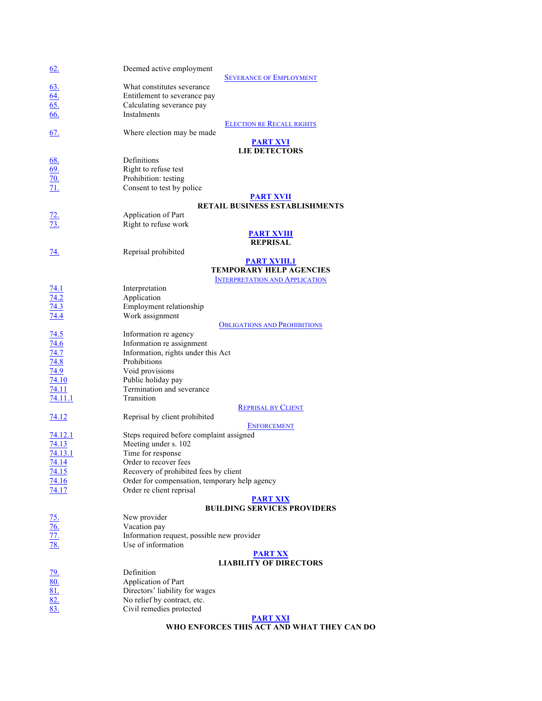| 62.                                                         | Deemed active employment                              |
|-------------------------------------------------------------|-------------------------------------------------------|
|                                                             | <b>SEVERANCE OF EMPLOYMENT</b>                        |
|                                                             | What constitutes severance                            |
|                                                             | Entitlement to severance pay                          |
|                                                             | Calculating severance pay                             |
| $\frac{63}{64}$<br>$\frac{64}{65}$                          | Instalments                                           |
|                                                             | <b>ELECTION RE RECALL RIGHTS</b>                      |
| 67.                                                         | Where election may be made                            |
|                                                             | <b>PART XVI</b>                                       |
|                                                             | <b>LIE DETECTORS</b>                                  |
|                                                             | Definitions                                           |
|                                                             | Right to refuse test                                  |
|                                                             | Prohibition: testing                                  |
| $\frac{68}{69}$<br>$\frac{69}{70}$<br>$\frac{71}{11}$       | Consent to test by police                             |
|                                                             | <b>PART XVII</b>                                      |
|                                                             | RETAIL BUSINESS ESTABLISHMENTS                        |
|                                                             | Application of Part                                   |
| $\frac{72}{73}$                                             | Right to refuse work                                  |
|                                                             | <b>PART XVIII</b>                                     |
|                                                             | <b>REPRISAL</b>                                       |
|                                                             | Reprisal prohibited                                   |
| <u>74.</u>                                                  |                                                       |
|                                                             | <b>PART XVIII.1</b><br><b>TEMPORARY HELP AGENCIES</b> |
|                                                             |                                                       |
|                                                             | <b>INTERPRETATION AND APPLICATION</b>                 |
| <u>74.1</u>                                                 | Interpretation                                        |
| 74.2                                                        | Application                                           |
| 74.3                                                        | Employment relationship                               |
| 74.4                                                        | Work assignment                                       |
|                                                             | <b>OBLIGATIONS AND PROHIBITIONS</b>                   |
| <u>74.5</u>                                                 | Information re agency                                 |
| 74.6                                                        | Information re assignment                             |
| 74.7                                                        | Information, rights under this Act                    |
| 74.8                                                        | Prohibitions                                          |
| 74.9                                                        | Void provisions                                       |
| 74.10                                                       | Public holiday pay                                    |
| 74.11                                                       | Termination and severance                             |
| 74.11.1                                                     | Transition                                            |
|                                                             | <b>REPRISAL BY CLIENT</b>                             |
| 74.12                                                       | Reprisal by client prohibited                         |
|                                                             | <b>ENFORCEMENT</b>                                    |
| 74.12.1                                                     | Steps required before complaint assigned              |
| 74.13                                                       | Meeting under s. 102                                  |
| 74.13.1                                                     | Time for response                                     |
| 74.14                                                       | Order to recover fees                                 |
| 74.15                                                       | Recovery of prohibited fees by client                 |
| 74.16                                                       | Order for compensation, temporary help agency         |
| 74.17                                                       | Order re client reprisal                              |
|                                                             | <b>PART XIX</b>                                       |
|                                                             | <b>BUILDING SERVICES PROVIDERS</b>                    |
|                                                             | New provider                                          |
| <u>75.<br/>76.<br/>77.</u><br>78.                           | Vacation pay                                          |
|                                                             | Information request, possible new provider            |
|                                                             | Use of information                                    |
|                                                             |                                                       |
|                                                             | <b>PART XX</b>                                        |
|                                                             | <b>LIABILITY OF DIRECTORS</b>                         |
|                                                             | Definition                                            |
|                                                             | Application of Part                                   |
|                                                             | Directors' liability for wages                        |
| $\frac{79.}{80.}$<br>$\frac{81.}{82.}$<br>$\frac{83.}{83.}$ | No relief by contract, etc.                           |
|                                                             | Civil remedies protected                              |
|                                                             | <b>PART XXI</b>                                       |

#### **WHO ENFORCES THIS ACT AND WHAT THEY CAN DO**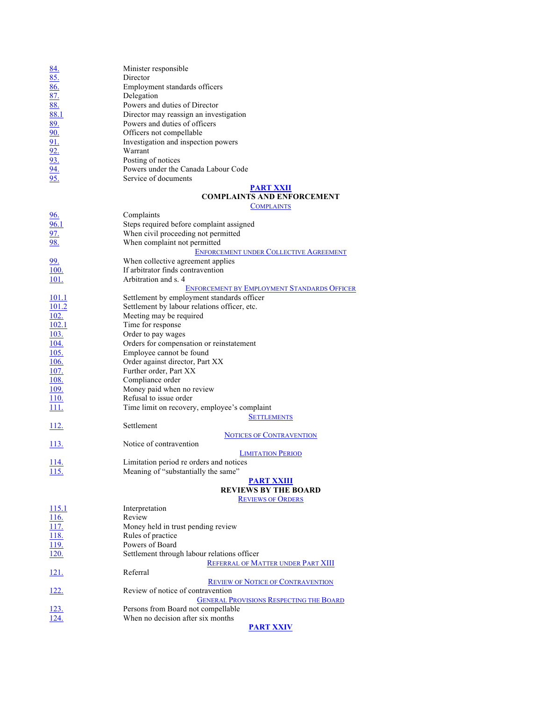|                                                             | Minister responsible                               |
|-------------------------------------------------------------|----------------------------------------------------|
| $\frac{84.}{85.}$<br>$\frac{86.}{87.}$<br>$\frac{87.}{88.}$ | Director                                           |
|                                                             | Employment standards officers                      |
|                                                             | Delegation                                         |
|                                                             | Powers and duties of Director                      |
| 88.1                                                        | Director may reassign an investigation             |
| 89.                                                         | Powers and duties of officers                      |
| 90.                                                         | Officers not compellable                           |
|                                                             | Investigation and inspection powers                |
|                                                             | Warrant                                            |
|                                                             | Posting of notices                                 |
| $\frac{91}{92}$<br>$\frac{92}{93}$<br>$\frac{94}{95}$       | Powers under the Canada Labour Code                |
|                                                             | Service of documents                               |
|                                                             | <b>PART XXII</b>                                   |
|                                                             | <b>COMPLAINTS AND ENFORCEMENT</b>                  |
|                                                             | <b>COMPLAINTS</b>                                  |
| 96.                                                         | Complaints                                         |
| 96.1                                                        | Steps required before complaint assigned           |
| <u>97.</u>                                                  | When civil proceeding not permitted                |
| <u>98.</u>                                                  | When complaint not permitted                       |
|                                                             | <b>ENFORCEMENT UNDER COLLECTIVE AGREEMENT</b>      |
| 99.                                                         | When collective agreement applies                  |
| 100.                                                        | If arbitrator finds contravention                  |
| <u>101.</u>                                                 | Arbitration and s. 4                               |
|                                                             | <b>ENFORCEMENT BY EMPLOYMENT STANDARDS OFFICER</b> |
| 101.1                                                       | Settlement by employment standards officer         |
| 101.2                                                       | Settlement by labour relations officer, etc.       |
| <u>102.</u>                                                 | Meeting may be required                            |
| 102.1                                                       | Time for response                                  |
| <u>103.</u>                                                 | Order to pay wages                                 |
| 104.                                                        | Orders for compensation or reinstatement           |
| 105.                                                        | Employee cannot be found                           |
| 106.                                                        | Order against director, Part XX                    |
| 107.                                                        | Further order, Part XX                             |
| <u>108.</u>                                                 | Compliance order                                   |
| 109.                                                        | Money paid when no review                          |
| 110.                                                        | Refusal to issue order                             |
| <u>111.</u>                                                 | Time limit on recovery, employee's complaint       |
|                                                             | <b>SETTLEMENTS</b>                                 |
| <u>112.</u>                                                 | Settlement                                         |
|                                                             | <b>NOTICES OF CONTRAVENTION</b>                    |
| 113.                                                        | Notice of contravention                            |
|                                                             | <b>LIMITATION PERIOD</b>                           |
| 114.                                                        | Limitation period re orders and notices            |
| 115.                                                        | Meaning of "substantially the same"                |
|                                                             | <b>PART XXIII</b>                                  |
|                                                             | <b>REVIEWS BY THE BOARD</b>                        |
|                                                             | <b>REVIEWS OF ORDERS</b>                           |
| <u>115.1</u>                                                | Interpretation                                     |
| <u>116.</u>                                                 | Review                                             |
| 117.                                                        | Money held in trust pending review                 |
| 118.                                                        | Rules of practice                                  |
| 119.                                                        | Powers of Board                                    |
| 120.                                                        | Settlement through labour relations officer        |
|                                                             | REFERRAL OF MATTER UNDER PART XIII                 |
| <u> 121.</u>                                                | Referral                                           |
|                                                             | <b>REVIEW OF NOTICE OF CONTRAVENTION</b>           |
| <u>122.</u>                                                 | Review of notice of contravention                  |
|                                                             | <b>GENERAL PROVISIONS RESPECTING THE BOARD</b>     |
| <u>123.</u>                                                 | Persons from Board not compellable                 |
| 124.                                                        | When no decision after six months                  |
|                                                             | <b>PART XXIV</b>                                   |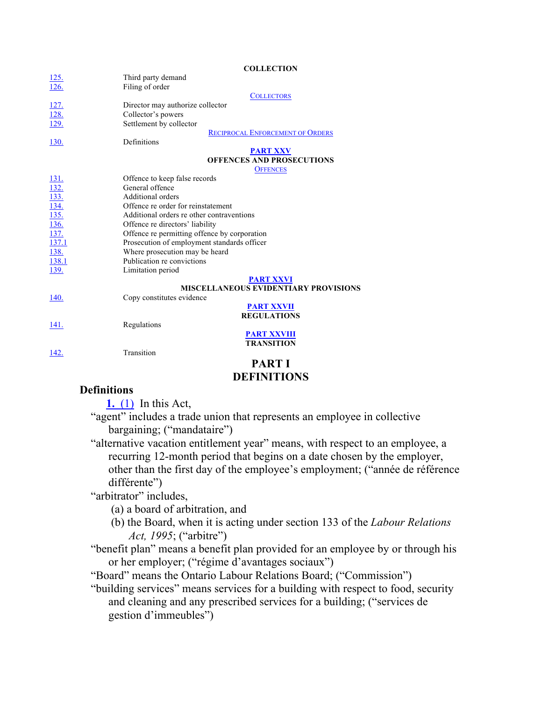**COLLECTION**

| <u>125.</u><br>$\overline{126}$ .                                       | Third party demand<br>Filing of order        |
|-------------------------------------------------------------------------|----------------------------------------------|
|                                                                         |                                              |
|                                                                         | <b>COLLECTORS</b>                            |
| $\frac{127}{128}$ $\frac{129}{129}$                                     | Director may authorize collector             |
|                                                                         | Collector's powers                           |
|                                                                         | Settlement by collector                      |
|                                                                         | <b>RECIPROCAL ENFORCEMENT OF ORDERS</b>      |
| 130.                                                                    | Definitions                                  |
|                                                                         | <b>PART XXV</b>                              |
|                                                                         | <b>OFFENCES AND PROSECUTIONS</b>             |
|                                                                         | <b>OFFENCES</b>                              |
| $\frac{131}{132}$ $\frac{133}{134}$ $\frac{134}{135}$ $\frac{136}{137}$ | Offence to keep false records                |
|                                                                         | General offence                              |
|                                                                         | Additional orders                            |
|                                                                         | Offence re order for reinstatement           |
|                                                                         | Additional orders re other contraventions    |
|                                                                         | Offence re directors' liability              |
|                                                                         | Offence re permitting offence by corporation |
| 137.1                                                                   | Prosecution of employment standards officer  |
| 138.                                                                    | Where prosecution may be heard               |
| 138.1                                                                   | Publication re convictions                   |
| 139.                                                                    | Limitation period                            |
|                                                                         | <b>PART XXVI</b>                             |
|                                                                         | <b>MISCELLANEOUS EVIDENTIARY PROVISIONS</b>  |
| 140.                                                                    | Copy constitutes evidence                    |
|                                                                         | <b>PART XXVII</b>                            |
|                                                                         | <b>REGULATIONS</b>                           |
| 141.                                                                    | Regulations                                  |
|                                                                         | <b>PART XXVIII</b>                           |
|                                                                         | <b>TRANSITION</b>                            |
| 142.                                                                    | Transition                                   |
|                                                                         | <b>DIDET</b>                                 |

#### **PART I DEFINITIONS**

#### **Definitions**

**1.** (1) In this Act,

"agent" includes a trade union that represents an employee in collective bargaining; ("mandataire")

"alternative vacation entitlement year" means, with respect to an employee, a recurring 12-month period that begins on a date chosen by the employer, other than the first day of the employee's employment; ("année de référence différente")

"arbitrator" includes,

(a) a board of arbitration, and

(b) the Board, when it is acting under section 133 of the *Labour Relations Act, 1995*; ("arbitre")

"benefit plan" means a benefit plan provided for an employee by or through his or her employer; ("régime d'avantages sociaux")

"Board" means the Ontario Labour Relations Board; ("Commission")

"building services" means services for a building with respect to food, security and cleaning and any prescribed services for a building; ("services de gestion d'immeubles")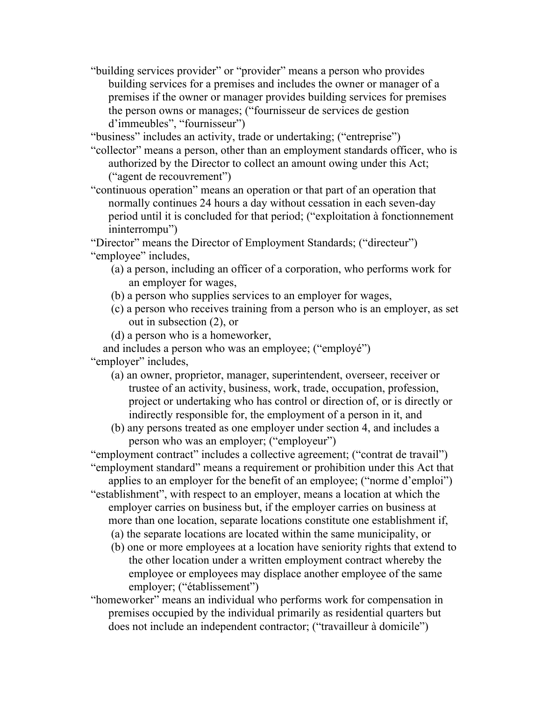"building services provider" or "provider" means a person who provides building services for a premises and includes the owner or manager of a premises if the owner or manager provides building services for premises the person owns or manages; ("fournisseur de services de gestion d'immeubles", "fournisseur")

"business" includes an activity, trade or undertaking; ("entreprise")

- "collector" means a person, other than an employment standards officer, who is authorized by the Director to collect an amount owing under this Act; ("agent de recouvrement")
- "continuous operation" means an operation or that part of an operation that normally continues 24 hours a day without cessation in each seven-day period until it is concluded for that period; ("exploitation à fonctionnement ininterrompu")

"Director" means the Director of Employment Standards; ("directeur") "employee" includes,

- (a) a person, including an officer of a corporation, who performs work for an employer for wages,
- (b) a person who supplies services to an employer for wages,
- (c) a person who receives training from a person who is an employer, as set out in subsection (2), or
- (d) a person who is a homeworker,

and includes a person who was an employee; ("employé") "employer" includes,

- (a) an owner, proprietor, manager, superintendent, overseer, receiver or trustee of an activity, business, work, trade, occupation, profession, project or undertaking who has control or direction of, or is directly or indirectly responsible for, the employment of a person in it, and
- (b) any persons treated as one employer under section 4, and includes a person who was an employer; ("employeur")

"employment contract" includes a collective agreement; ("contrat de travail") "employment standard" means a requirement or prohibition under this Act that

applies to an employer for the benefit of an employee; ("norme d'emploi")

- "establishment", with respect to an employer, means a location at which the employer carries on business but, if the employer carries on business at more than one location, separate locations constitute one establishment if, (a) the separate locations are located within the same municipality, or
	- (b) one or more employees at a location have seniority rights that extend to the other location under a written employment contract whereby the employee or employees may displace another employee of the same employer; ("établissement")
- "homeworker" means an individual who performs work for compensation in premises occupied by the individual primarily as residential quarters but does not include an independent contractor; ("travailleur à domicile")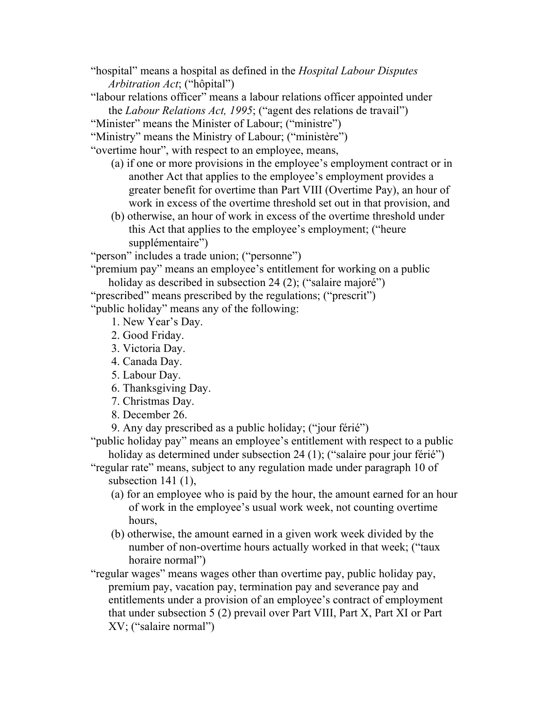"hospital" means a hospital as defined in the *Hospital Labour Disputes Arbitration Act*; ("hôpital")

"labour relations officer" means a labour relations officer appointed under the *Labour Relations Act, 1995*; ("agent des relations de travail")

"Minister" means the Minister of Labour; ("ministre")

"Ministry" means the Ministry of Labour; ("ministère")

"overtime hour", with respect to an employee, means,

- (a) if one or more provisions in the employee's employment contract or in another Act that applies to the employee's employment provides a greater benefit for overtime than Part VIII (Overtime Pay), an hour of work in excess of the overtime threshold set out in that provision, and
- (b) otherwise, an hour of work in excess of the overtime threshold under this Act that applies to the employee's employment; ("heure supplémentaire")

"person" includes a trade union; ("personne")

"premium pay" means an employee's entitlement for working on a public holiday as described in subsection 24 (2); ("salaire majoré")

"prescribed" means prescribed by the regulations; ("prescrit")

"public holiday" means any of the following:

1. New Year's Day.

- 2. Good Friday.
- 3. Victoria Day.
- 4. Canada Day.
- 5. Labour Day.
- 6. Thanksgiving Day.
- 7. Christmas Day.
- 8. December 26.

9. Any day prescribed as a public holiday; ("jour férié")

"public holiday pay" means an employee's entitlement with respect to a public holiday as determined under subsection 24 (1); ("salaire pour jour férié")

"regular rate" means, subject to any regulation made under paragraph 10 of subsection 141 (1),

- (a) for an employee who is paid by the hour, the amount earned for an hour of work in the employee's usual work week, not counting overtime hours,
- (b) otherwise, the amount earned in a given work week divided by the number of non-overtime hours actually worked in that week; ("taux horaire normal")

"regular wages" means wages other than overtime pay, public holiday pay, premium pay, vacation pay, termination pay and severance pay and entitlements under a provision of an employee's contract of employment that under subsection 5 (2) prevail over Part VIII, Part X, Part XI or Part XV; ("salaire normal")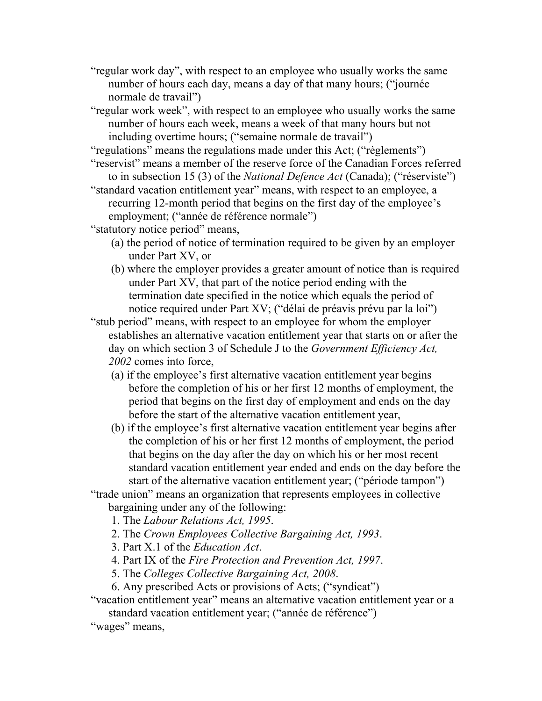"regular work day", with respect to an employee who usually works the same number of hours each day, means a day of that many hours; ("journée normale de travail")

"regular work week", with respect to an employee who usually works the same number of hours each week, means a week of that many hours but not including overtime hours; ("semaine normale de travail")

"regulations" means the regulations made under this Act; ("règlements")

"reservist" means a member of the reserve force of the Canadian Forces referred to in subsection 15 (3) of the *National Defence Act* (Canada); ("réserviste")

"standard vacation entitlement year" means, with respect to an employee, a recurring 12-month period that begins on the first day of the employee's employment; ("année de référence normale")

"statutory notice period" means,

- (a) the period of notice of termination required to be given by an employer under Part XV, or
- (b) where the employer provides a greater amount of notice than is required under Part XV, that part of the notice period ending with the termination date specified in the notice which equals the period of notice required under Part XV; ("délai de préavis prévu par la loi")

"stub period" means, with respect to an employee for whom the employer establishes an alternative vacation entitlement year that starts on or after the day on which section 3 of Schedule J to the *Government Efficiency Act, 2002* comes into force,

- (a) if the employee's first alternative vacation entitlement year begins before the completion of his or her first 12 months of employment, the period that begins on the first day of employment and ends on the day before the start of the alternative vacation entitlement year,
- (b) if the employee's first alternative vacation entitlement year begins after the completion of his or her first 12 months of employment, the period that begins on the day after the day on which his or her most recent standard vacation entitlement year ended and ends on the day before the start of the alternative vacation entitlement year; ("période tampon")

"trade union" means an organization that represents employees in collective bargaining under any of the following:

- 1. The *Labour Relations Act, 1995*.
- 2. The *Crown Employees Collective Bargaining Act, 1993*.
- 3. Part X.1 of the *Education Act*.
- 4. Part IX of the *Fire Protection and Prevention Act, 1997*.
- 5. The *Colleges Collective Bargaining Act, 2008*.
- 6. Any prescribed Acts or provisions of Acts; ("syndicat")

"vacation entitlement year" means an alternative vacation entitlement year or a standard vacation entitlement year; ("année de référence")

"wages" means,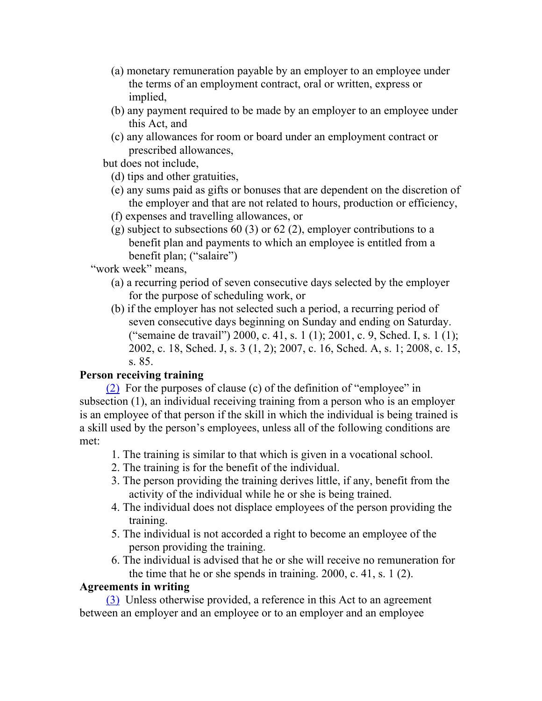- (a) monetary remuneration payable by an employer to an employee under the terms of an employment contract, oral or written, express or implied,
- (b) any payment required to be made by an employer to an employee under this Act, and
- (c) any allowances for room or board under an employment contract or prescribed allowances,

but does not include,

- (d) tips and other gratuities,
- (e) any sums paid as gifts or bonuses that are dependent on the discretion of the employer and that are not related to hours, production or efficiency,
- (f) expenses and travelling allowances, or
- (g) subject to subsections 60 (3) or 62 (2), employer contributions to a benefit plan and payments to which an employee is entitled from a benefit plan; ("salaire")

"work week" means,

- (a) a recurring period of seven consecutive days selected by the employer for the purpose of scheduling work, or
- (b) if the employer has not selected such a period, a recurring period of seven consecutive days beginning on Sunday and ending on Saturday. ("semaine de travail") 2000, c. 41, s. 1 (1); 2001, c. 9, Sched. I, s. 1 (1); 2002, c. 18, Sched. J, s. 3 (1, 2); 2007, c. 16, Sched. A, s. 1; 2008, c. 15, s. 85.

# **Person receiving training**

(2) For the purposes of clause (c) of the definition of "employee" in subsection (1), an individual receiving training from a person who is an employer is an employee of that person if the skill in which the individual is being trained is a skill used by the person's employees, unless all of the following conditions are met:

- 1. The training is similar to that which is given in a vocational school.
- 2. The training is for the benefit of the individual.
- 3. The person providing the training derives little, if any, benefit from the activity of the individual while he or she is being trained.
- 4. The individual does not displace employees of the person providing the training.
- 5. The individual is not accorded a right to become an employee of the person providing the training.
- 6. The individual is advised that he or she will receive no remuneration for the time that he or she spends in training. 2000, c. 41, s. 1 (2).

# **Agreements in writing**

(3) Unless otherwise provided, a reference in this Act to an agreement between an employer and an employee or to an employer and an employee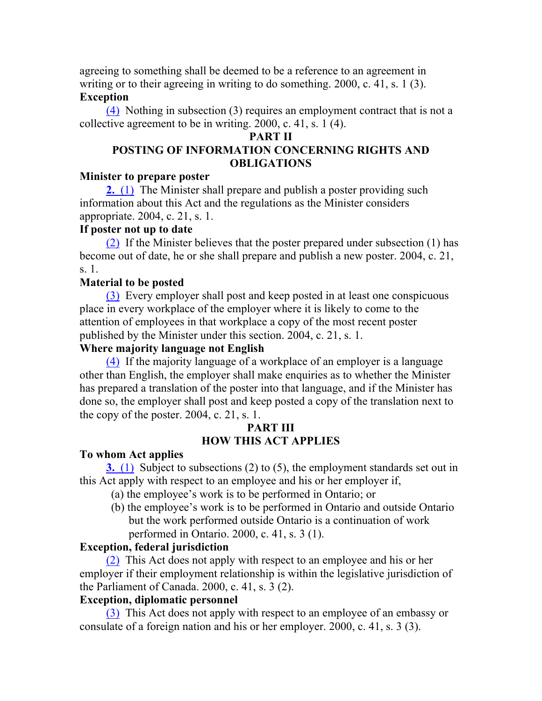agreeing to something shall be deemed to be a reference to an agreement in writing or to their agreeing in writing to do something. 2000, c. 41, s. 1 (3).

#### **Exception**

(4) Nothing in subsection (3) requires an employment contract that is not a collective agreement to be in writing. 2000, c. 41, s. 1 (4).

#### **PART II**

# **POSTING OF INFORMATION CONCERNING RIGHTS AND OBLIGATIONS**

#### **Minister to prepare poster**

**2.** (1) The Minister shall prepare and publish a poster providing such information about this Act and the regulations as the Minister considers appropriate. 2004, c. 21, s. 1.

#### **If poster not up to date**

(2) If the Minister believes that the poster prepared under subsection (1) has become out of date, he or she shall prepare and publish a new poster. 2004, c. 21, s. 1.

# **Material to be posted**

(3) Every employer shall post and keep posted in at least one conspicuous place in every workplace of the employer where it is likely to come to the attention of employees in that workplace a copy of the most recent poster published by the Minister under this section. 2004, c. 21, s. 1.

# **Where majority language not English**

(4) If the majority language of a workplace of an employer is a language other than English, the employer shall make enquiries as to whether the Minister has prepared a translation of the poster into that language, and if the Minister has done so, the employer shall post and keep posted a copy of the translation next to the copy of the poster.  $2004$ , c. 21, s. 1.

#### **PART III HOW THIS ACT APPLIES**

# **To whom Act applies**

**3.** (1) Subject to subsections (2) to (5), the employment standards set out in this Act apply with respect to an employee and his or her employer if,

- (a) the employee's work is to be performed in Ontario; or
- (b) the employee's work is to be performed in Ontario and outside Ontario but the work performed outside Ontario is a continuation of work performed in Ontario. 2000, c. 41, s. 3 (1).

# **Exception, federal jurisdiction**

(2) This Act does not apply with respect to an employee and his or her employer if their employment relationship is within the legislative jurisdiction of the Parliament of Canada. 2000, c. 41, s. 3 (2).

# **Exception, diplomatic personnel**

(3) This Act does not apply with respect to an employee of an embassy or consulate of a foreign nation and his or her employer. 2000, c. 41, s. 3 (3).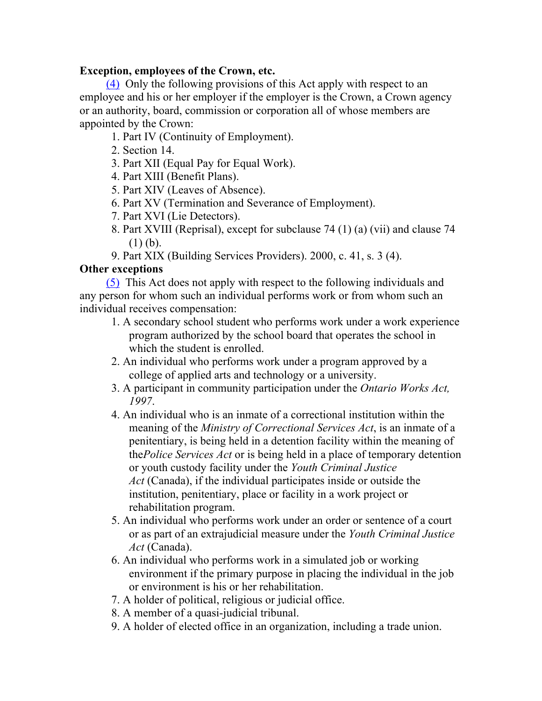# **Exception, employees of the Crown, etc.**

(4) Only the following provisions of this Act apply with respect to an employee and his or her employer if the employer is the Crown, a Crown agency or an authority, board, commission or corporation all of whose members are appointed by the Crown:

- 1. Part IV (Continuity of Employment).
- 2. Section 14.
- 3. Part XII (Equal Pay for Equal Work).
- 4. Part XIII (Benefit Plans).
- 5. Part XIV (Leaves of Absence).
- 6. Part XV (Termination and Severance of Employment).
- 7. Part XVI (Lie Detectors).
- 8. Part XVIII (Reprisal), except for subclause 74 (1) (a) (vii) and clause 74 (1) (b).
- 9. Part XIX (Building Services Providers). 2000, c. 41, s. 3 (4).

# **Other exceptions**

(5) This Act does not apply with respect to the following individuals and any person for whom such an individual performs work or from whom such an individual receives compensation:

- 1. A secondary school student who performs work under a work experience program authorized by the school board that operates the school in which the student is enrolled.
- 2. An individual who performs work under a program approved by a college of applied arts and technology or a university.
- 3. A participant in community participation under the *Ontario Works Act, 1997*.
- 4. An individual who is an inmate of a correctional institution within the meaning of the *Ministry of Correctional Services Act*, is an inmate of a penitentiary, is being held in a detention facility within the meaning of the*Police Services Act* or is being held in a place of temporary detention or youth custody facility under the *Youth Criminal Justice Act* (Canada), if the individual participates inside or outside the institution, penitentiary, place or facility in a work project or rehabilitation program.
- 5. An individual who performs work under an order or sentence of a court or as part of an extrajudicial measure under the *Youth Criminal Justice Act* (Canada).
- 6. An individual who performs work in a simulated job or working environment if the primary purpose in placing the individual in the job or environment is his or her rehabilitation.
- 7. A holder of political, religious or judicial office.
- 8. A member of a quasi-judicial tribunal.
- 9. A holder of elected office in an organization, including a trade union.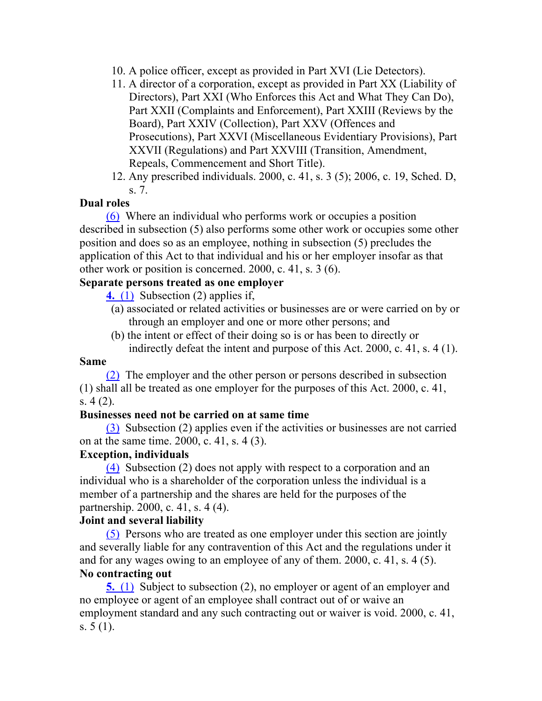- 10. A police officer, except as provided in Part XVI (Lie Detectors).
- 11. A director of a corporation, except as provided in Part XX (Liability of Directors), Part XXI (Who Enforces this Act and What They Can Do), Part XXII (Complaints and Enforcement), Part XXIII (Reviews by the Board), Part XXIV (Collection), Part XXV (Offences and Prosecutions), Part XXVI (Miscellaneous Evidentiary Provisions), Part XXVII (Regulations) and Part XXVIII (Transition, Amendment, Repeals, Commencement and Short Title).
- 12. Any prescribed individuals. 2000, c. 41, s. 3 (5); 2006, c. 19, Sched. D, s. 7.

#### **Dual roles**

(6) Where an individual who performs work or occupies a position described in subsection (5) also performs some other work or occupies some other position and does so as an employee, nothing in subsection (5) precludes the application of this Act to that individual and his or her employer insofar as that other work or position is concerned. 2000, c. 41, s. 3 (6).

#### **Separate persons treated as one employer**

**4.** (1) Subsection (2) applies if,

- (a) associated or related activities or businesses are or were carried on by or through an employer and one or more other persons; and
- (b) the intent or effect of their doing so is or has been to directly or indirectly defeat the intent and purpose of this Act. 2000, c. 41, s. 4 (1).

#### **Same**

(2) The employer and the other person or persons described in subsection (1) shall all be treated as one employer for the purposes of this Act. 2000, c. 41, s. 4 (2).

#### **Businesses need not be carried on at same time**

(3) Subsection (2) applies even if the activities or businesses are not carried on at the same time. 2000, c. 41, s. 4 (3).

#### **Exception, individuals**

(4) Subsection (2) does not apply with respect to a corporation and an individual who is a shareholder of the corporation unless the individual is a member of a partnership and the shares are held for the purposes of the partnership. 2000, c. 41, s. 4 (4).

#### **Joint and several liability**

(5) Persons who are treated as one employer under this section are jointly and severally liable for any contravention of this Act and the regulations under it and for any wages owing to an employee of any of them. 2000, c. 41, s. 4 (5). **No contracting out**

**5.** (1) Subject to subsection (2), no employer or agent of an employer and no employee or agent of an employee shall contract out of or waive an employment standard and any such contracting out or waiver is void. 2000, c. 41, s. 5 (1).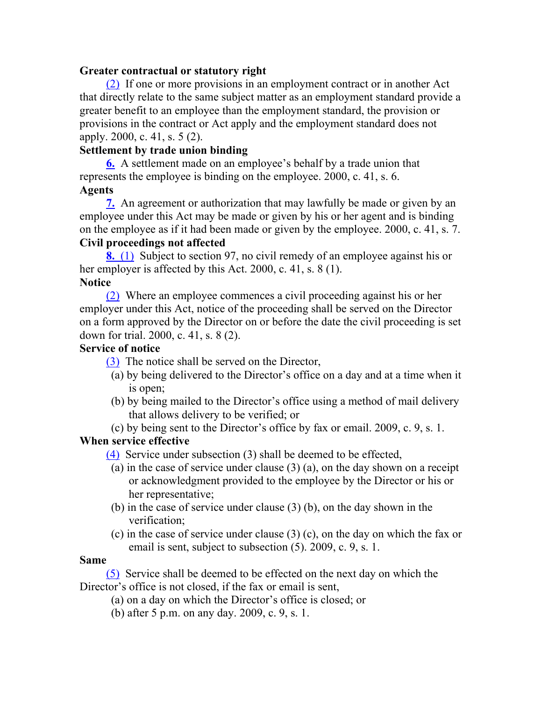#### **Greater contractual or statutory right**

(2) If one or more provisions in an employment contract or in another Act that directly relate to the same subject matter as an employment standard provide a greater benefit to an employee than the employment standard, the provision or provisions in the contract or Act apply and the employment standard does not apply. 2000, c. 41, s. 5 (2).

# **Settlement by trade union binding**

**6.** A settlement made on an employee's behalf by a trade union that represents the employee is binding on the employee. 2000, c. 41, s. 6. **Agents**

**7.** An agreement or authorization that may lawfully be made or given by an employee under this Act may be made or given by his or her agent and is binding on the employee as if it had been made or given by the employee. 2000, c. 41, s. 7.

# **Civil proceedings not affected**

**8.** (1) Subject to section 97, no civil remedy of an employee against his or her employer is affected by this Act. 2000, c. 41, s. 8 (1). **Notice**

(2) Where an employee commences a civil proceeding against his or her employer under this Act, notice of the proceeding shall be served on the Director on a form approved by the Director on or before the date the civil proceeding is set down for trial. 2000, c. 41, s. 8 (2).

# **Service of notice**

(3) The notice shall be served on the Director,

- (a) by being delivered to the Director's office on a day and at a time when it is open;
- (b) by being mailed to the Director's office using a method of mail delivery that allows delivery to be verified; or
- (c) by being sent to the Director's office by fax or email. 2009, c. 9, s. 1.

# **When service effective**

(4) Service under subsection (3) shall be deemed to be effected,

- (a) in the case of service under clause (3) (a), on the day shown on a receipt or acknowledgment provided to the employee by the Director or his or her representative;
- (b) in the case of service under clause (3) (b), on the day shown in the verification;
- (c) in the case of service under clause (3) (c), on the day on which the fax or email is sent, subject to subsection (5). 2009, c. 9, s. 1.

# **Same**

(5) Service shall be deemed to be effected on the next day on which the Director's office is not closed, if the fax or email is sent,

- (a) on a day on which the Director's office is closed; or
- (b) after 5 p.m. on any day. 2009, c. 9, s. 1.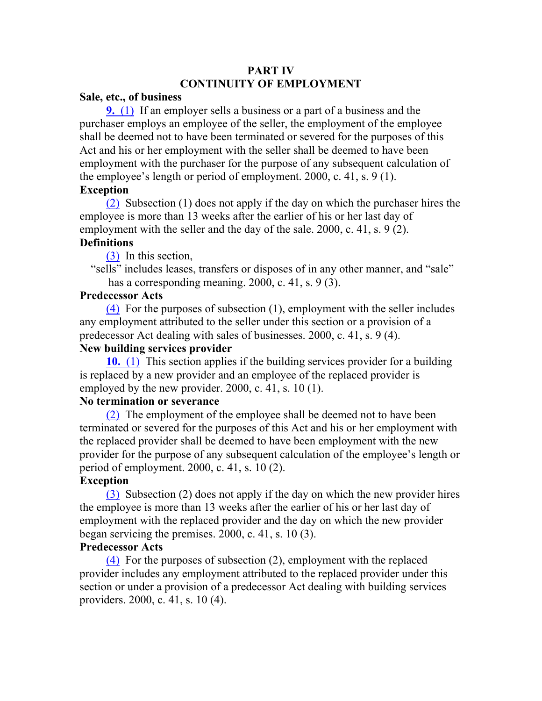# **PART IV CONTINUITY OF EMPLOYMENT**

#### **Sale, etc., of business**

**9.** (1) If an employer sells a business or a part of a business and the purchaser employs an employee of the seller, the employment of the employee shall be deemed not to have been terminated or severed for the purposes of this Act and his or her employment with the seller shall be deemed to have been employment with the purchaser for the purpose of any subsequent calculation of the employee's length or period of employment. 2000, c. 41, s. 9 (1).

# **Exception**

(2) Subsection (1) does not apply if the day on which the purchaser hires the employee is more than 13 weeks after the earlier of his or her last day of employment with the seller and the day of the sale. 2000, c. 41, s. 9 (2).

#### **Definitions**

(3) In this section,

"sells" includes leases, transfers or disposes of in any other manner, and "sale" has a corresponding meaning. 2000, c. 41, s. 9 (3).

#### **Predecessor Acts**

(4) For the purposes of subsection (1), employment with the seller includes any employment attributed to the seller under this section or a provision of a predecessor Act dealing with sales of businesses. 2000, c. 41, s. 9 (4).

#### **New building services provider**

**10.** (1) This section applies if the building services provider for a building is replaced by a new provider and an employee of the replaced provider is employed by the new provider. 2000, c. 41, s. 10 (1).

#### **No termination or severance**

(2) The employment of the employee shall be deemed not to have been terminated or severed for the purposes of this Act and his or her employment with the replaced provider shall be deemed to have been employment with the new provider for the purpose of any subsequent calculation of the employee's length or period of employment. 2000, c. 41, s. 10 (2).

#### **Exception**

(3) Subsection (2) does not apply if the day on which the new provider hires the employee is more than 13 weeks after the earlier of his or her last day of employment with the replaced provider and the day on which the new provider began servicing the premises. 2000, c. 41, s. 10 (3).

#### **Predecessor Acts**

(4) For the purposes of subsection (2), employment with the replaced provider includes any employment attributed to the replaced provider under this section or under a provision of a predecessor Act dealing with building services providers. 2000, c. 41, s. 10 (4).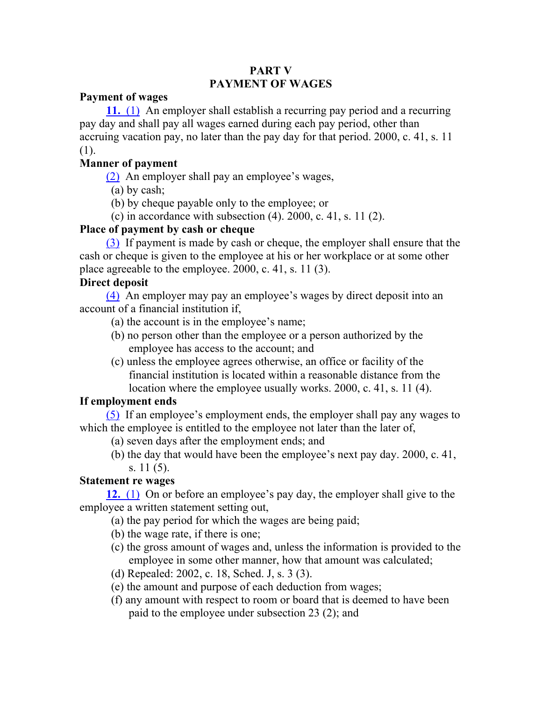# **PART V PAYMENT OF WAGES**

#### **Payment of wages**

**11.** (1) An employer shall establish a recurring pay period and a recurring pay day and shall pay all wages earned during each pay period, other than accruing vacation pay, no later than the pay day for that period. 2000, c. 41, s. 11 (1).

# **Manner of payment**

(2) An employer shall pay an employee's wages,

- (a) by cash;
- (b) by cheque payable only to the employee; or
- (c) in accordance with subsection  $(4)$ . 2000, c. 41, s. 11 $(2)$ .

# **Place of payment by cash or cheque**

(3) If payment is made by cash or cheque, the employer shall ensure that the cash or cheque is given to the employee at his or her workplace or at some other place agreeable to the employee. 2000, c. 41, s. 11 (3).

# **Direct deposit**

(4) An employer may pay an employee's wages by direct deposit into an account of a financial institution if,

- (a) the account is in the employee's name;
- (b) no person other than the employee or a person authorized by the employee has access to the account; and
- (c) unless the employee agrees otherwise, an office or facility of the financial institution is located within a reasonable distance from the location where the employee usually works. 2000, c. 41, s. 11 (4).

# **If employment ends**

(5) If an employee's employment ends, the employer shall pay any wages to which the employee is entitled to the employee not later than the later of,

- (a) seven days after the employment ends; and
- (b) the day that would have been the employee's next pay day. 2000, c. 41, s. 11 (5).

# **Statement re wages**

**12.** (1) On or before an employee's pay day, the employer shall give to the employee a written statement setting out,

- (a) the pay period for which the wages are being paid;
- (b) the wage rate, if there is one;
- (c) the gross amount of wages and, unless the information is provided to the employee in some other manner, how that amount was calculated;
- (d) Repealed: 2002, c. 18, Sched. J, s. 3 (3).
- (e) the amount and purpose of each deduction from wages;
- (f) any amount with respect to room or board that is deemed to have been paid to the employee under subsection 23 (2); and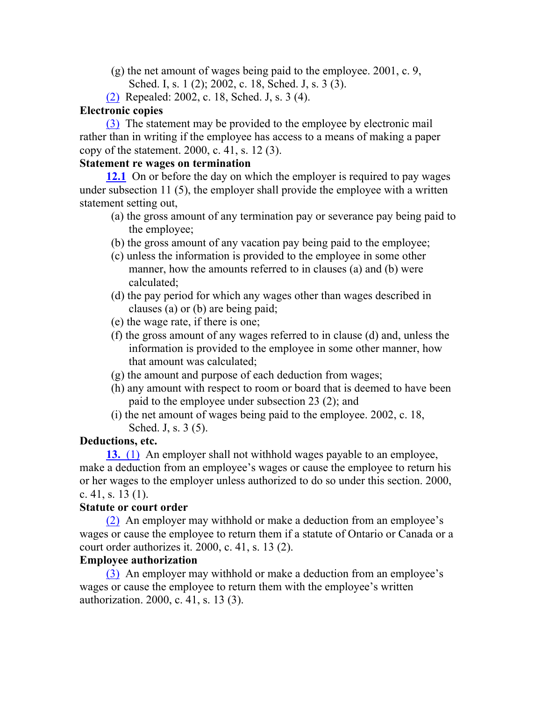- (g) the net amount of wages being paid to the employee. 2001, c. 9,
	- Sched. I, s. 1 (2); 2002, c. 18, Sched. J, s. 3 (3).
- (2) Repealed: 2002, c. 18, Sched. J, s. 3 (4).

#### **Electronic copies**

(3) The statement may be provided to the employee by electronic mail rather than in writing if the employee has access to a means of making a paper copy of the statement. 2000, c. 41, s. 12 (3).

#### **Statement re wages on termination**

**12.1** On or before the day on which the employer is required to pay wages under subsection 11 (5), the employer shall provide the employee with a written statement setting out,

- (a) the gross amount of any termination pay or severance pay being paid to the employee;
- (b) the gross amount of any vacation pay being paid to the employee;
- (c) unless the information is provided to the employee in some other manner, how the amounts referred to in clauses (a) and (b) were calculated;
- (d) the pay period for which any wages other than wages described in clauses (a) or (b) are being paid;
- (e) the wage rate, if there is one;
- (f) the gross amount of any wages referred to in clause (d) and, unless the information is provided to the employee in some other manner, how that amount was calculated;
- (g) the amount and purpose of each deduction from wages;
- (h) any amount with respect to room or board that is deemed to have been paid to the employee under subsection 23 (2); and
- (i) the net amount of wages being paid to the employee. 2002, c. 18, Sched. J, s. 3 (5).

# **Deductions, etc.**

**13.** (1) An employer shall not withhold wages payable to an employee, make a deduction from an employee's wages or cause the employee to return his or her wages to the employer unless authorized to do so under this section. 2000, c. 41, s. 13 $(1)$ .

# **Statute or court order**

(2) An employer may withhold or make a deduction from an employee's wages or cause the employee to return them if a statute of Ontario or Canada or a court order authorizes it. 2000, c. 41, s. 13 (2).

# **Employee authorization**

(3) An employer may withhold or make a deduction from an employee's wages or cause the employee to return them with the employee's written authorization. 2000, c. 41, s. 13 (3).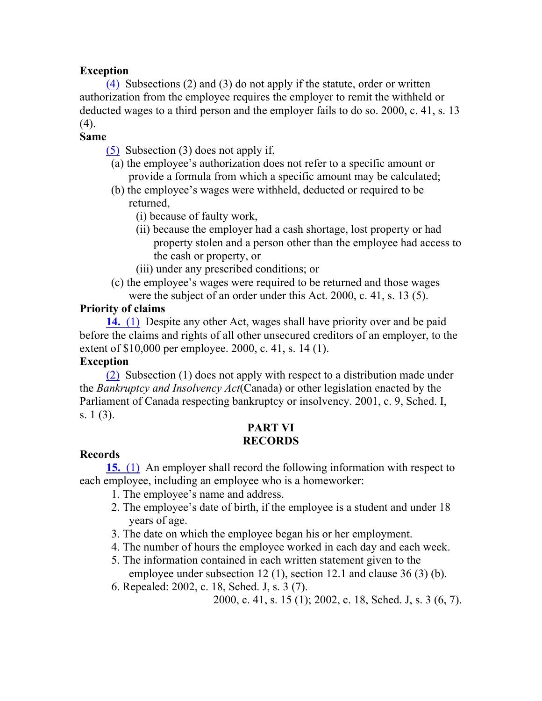# **Exception**

(4) Subsections (2) and (3) do not apply if the statute, order or written authorization from the employee requires the employer to remit the withheld or deducted wages to a third person and the employer fails to do so. 2000, c. 41, s. 13 (4).

#### **Same**

(5) Subsection (3) does not apply if,

- (a) the employee's authorization does not refer to a specific amount or provide a formula from which a specific amount may be calculated;
- (b) the employee's wages were withheld, deducted or required to be returned,
	- (i) because of faulty work,
	- (ii) because the employer had a cash shortage, lost property or had property stolen and a person other than the employee had access to the cash or property, or
	- (iii) under any prescribed conditions; or
- (c) the employee's wages were required to be returned and those wages were the subject of an order under this Act. 2000, c. 41, s. 13 (5).

# **Priority of claims**

**14.** (1) Despite any other Act, wages shall have priority over and be paid before the claims and rights of all other unsecured creditors of an employer, to the extent of \$10,000 per employee. 2000, c. 41, s. 14 (1).

#### **Exception**

(2) Subsection (1) does not apply with respect to a distribution made under the *Bankruptcy and Insolvency Act*(Canada) or other legislation enacted by the Parliament of Canada respecting bankruptcy or insolvency. 2001, c. 9, Sched. I, s. 1 (3).

#### **PART VI RECORDS**

# **Records**

**15.** (1) An employer shall record the following information with respect to each employee, including an employee who is a homeworker:

- 1. The employee's name and address.
- 2. The employee's date of birth, if the employee is a student and under 18 years of age.
- 3. The date on which the employee began his or her employment.
- 4. The number of hours the employee worked in each day and each week.
- 5. The information contained in each written statement given to the employee under subsection 12 (1), section 12.1 and clause 36 (3) (b).
- 6. Repealed: 2002, c. 18, Sched. J, s. 3 (7).

2000, c. 41, s. 15 (1); 2002, c. 18, Sched. J, s. 3 (6, 7).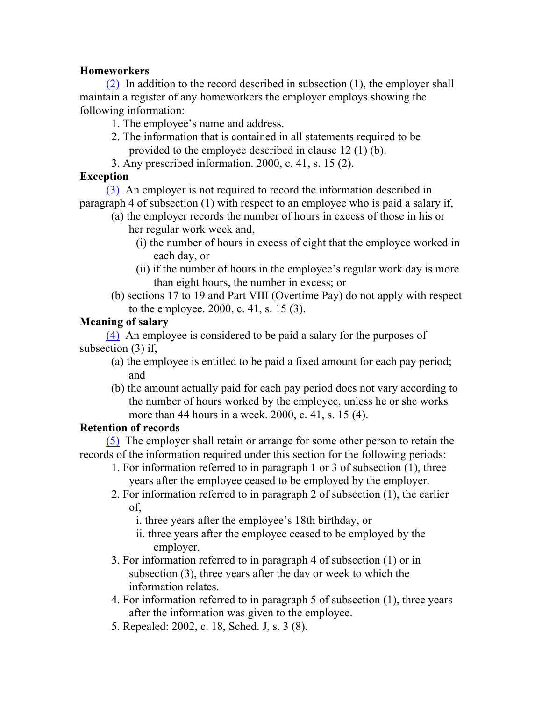# **Homeworkers**

(2) In addition to the record described in subsection (1), the employer shall maintain a register of any homeworkers the employer employs showing the following information:

- 1. The employee's name and address.
- 2. The information that is contained in all statements required to be provided to the employee described in clause 12 (1) (b).
- 3. Any prescribed information. 2000, c. 41, s. 15 (2).

# **Exception**

(3) An employer is not required to record the information described in paragraph 4 of subsection (1) with respect to an employee who is paid a salary if,

- (a) the employer records the number of hours in excess of those in his or her regular work week and,
	- (i) the number of hours in excess of eight that the employee worked in each day, or
	- (ii) if the number of hours in the employee's regular work day is more than eight hours, the number in excess; or
- (b) sections 17 to 19 and Part VIII (Overtime Pay) do not apply with respect to the employee. 2000, c. 41, s. 15 (3).

# **Meaning of salary**

(4) An employee is considered to be paid a salary for the purposes of subsection (3) if,

- (a) the employee is entitled to be paid a fixed amount for each pay period; and
- (b) the amount actually paid for each pay period does not vary according to the number of hours worked by the employee, unless he or she works more than 44 hours in a week. 2000, c. 41, s. 15 (4).

# **Retention of records**

(5) The employer shall retain or arrange for some other person to retain the records of the information required under this section for the following periods:

- 1. For information referred to in paragraph 1 or 3 of subsection (1), three years after the employee ceased to be employed by the employer.
- 2. For information referred to in paragraph 2 of subsection (1), the earlier of,
	- i. three years after the employee's 18th birthday, or
	- ii. three years after the employee ceased to be employed by the employer.
- 3. For information referred to in paragraph 4 of subsection (1) or in subsection (3), three years after the day or week to which the information relates.
- 4. For information referred to in paragraph 5 of subsection (1), three years after the information was given to the employee.
- 5. Repealed: 2002, c. 18, Sched. J, s. 3 (8).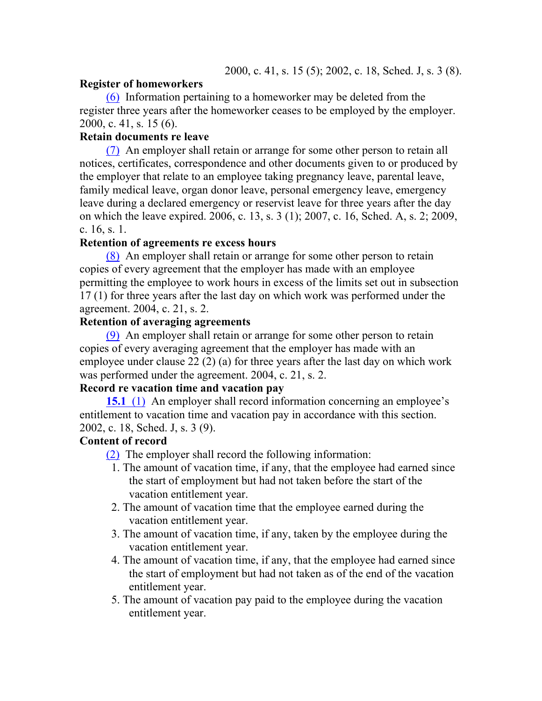#### **Register of homeworkers**

(6) Information pertaining to a homeworker may be deleted from the register three years after the homeworker ceases to be employed by the employer. 2000, c. 41, s. 15 (6).

#### **Retain documents re leave**

(7) An employer shall retain or arrange for some other person to retain all notices, certificates, correspondence and other documents given to or produced by the employer that relate to an employee taking pregnancy leave, parental leave, family medical leave, organ donor leave, personal emergency leave, emergency leave during a declared emergency or reservist leave for three years after the day on which the leave expired. 2006, c. 13, s. 3 (1); 2007, c. 16, Sched. A, s. 2; 2009, c. 16, s. 1.

#### **Retention of agreements re excess hours**

(8) An employer shall retain or arrange for some other person to retain copies of every agreement that the employer has made with an employee permitting the employee to work hours in excess of the limits set out in subsection 17 (1) for three years after the last day on which work was performed under the agreement. 2004, c. 21, s. 2.

# **Retention of averaging agreements**

(9) An employer shall retain or arrange for some other person to retain copies of every averaging agreement that the employer has made with an employee under clause 22 (2) (a) for three years after the last day on which work was performed under the agreement. 2004, c. 21, s. 2.

#### **Record re vacation time and vacation pay**

**15.1** (1) An employer shall record information concerning an employee's entitlement to vacation time and vacation pay in accordance with this section. 2002, c. 18, Sched. J, s. 3 (9).

#### **Content of record**

(2) The employer shall record the following information:

- 1. The amount of vacation time, if any, that the employee had earned since the start of employment but had not taken before the start of the vacation entitlement year.
- 2. The amount of vacation time that the employee earned during the vacation entitlement year.
- 3. The amount of vacation time, if any, taken by the employee during the vacation entitlement year.
- 4. The amount of vacation time, if any, that the employee had earned since the start of employment but had not taken as of the end of the vacation entitlement year.
- 5. The amount of vacation pay paid to the employee during the vacation entitlement year.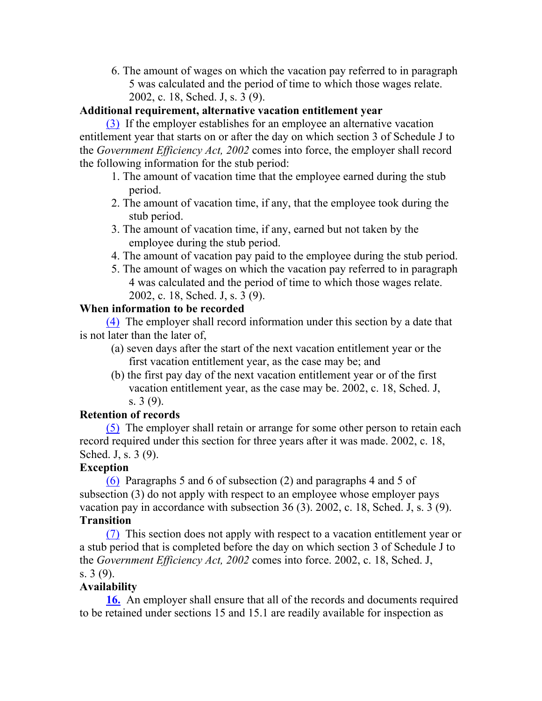6. The amount of wages on which the vacation pay referred to in paragraph 5 was calculated and the period of time to which those wages relate. 2002, c. 18, Sched. J, s. 3 (9).

# **Additional requirement, alternative vacation entitlement year**

(3) If the employer establishes for an employee an alternative vacation entitlement year that starts on or after the day on which section 3 of Schedule J to the *Government Efficiency Act, 2002* comes into force, the employer shall record the following information for the stub period:

- 1. The amount of vacation time that the employee earned during the stub period.
- 2. The amount of vacation time, if any, that the employee took during the stub period.
- 3. The amount of vacation time, if any, earned but not taken by the employee during the stub period.
- 4. The amount of vacation pay paid to the employee during the stub period.
- 5. The amount of wages on which the vacation pay referred to in paragraph 4 was calculated and the period of time to which those wages relate. 2002, c. 18, Sched. J, s. 3 (9).

# **When information to be recorded**

(4) The employer shall record information under this section by a date that is not later than the later of,

- (a) seven days after the start of the next vacation entitlement year or the first vacation entitlement year, as the case may be; and
- (b) the first pay day of the next vacation entitlement year or of the first vacation entitlement year, as the case may be. 2002, c. 18, Sched. J, s. 3 (9).

# **Retention of records**

(5) The employer shall retain or arrange for some other person to retain each record required under this section for three years after it was made. 2002, c. 18, Sched. J, s. 3 (9).

# **Exception**

(6) Paragraphs 5 and 6 of subsection (2) and paragraphs 4 and 5 of subsection (3) do not apply with respect to an employee whose employer pays vacation pay in accordance with subsection 36 (3). 2002, c. 18, Sched. J, s. 3 (9). **Transition**

# (7) This section does not apply with respect to a vacation entitlement year or a stub period that is completed before the day on which section 3 of Schedule J to the *Government Efficiency Act, 2002* comes into force. 2002, c. 18, Sched. J, s. 3 (9).

# **Availability**

**16.** An employer shall ensure that all of the records and documents required to be retained under sections 15 and 15.1 are readily available for inspection as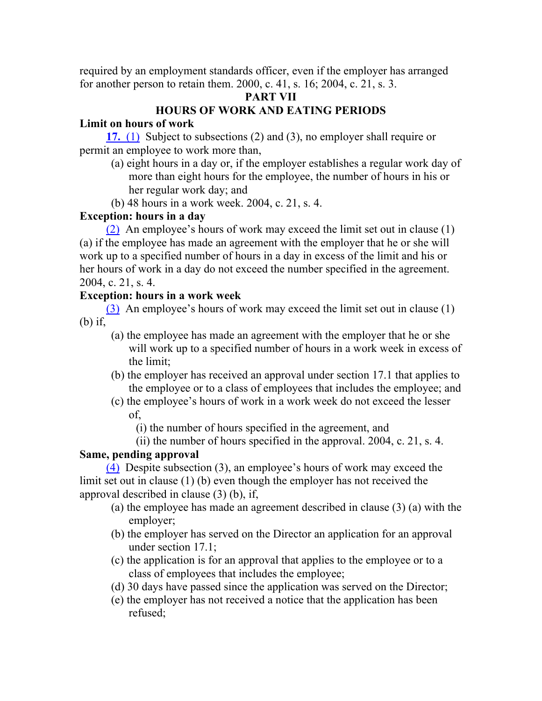required by an employment standards officer, even if the employer has arranged for another person to retain them. 2000, c. 41, s. 16; 2004, c. 21, s. 3.

# **PART VII**

# **HOURS OF WORK AND EATING PERIODS**

# **Limit on hours of work**

**17.** (1) Subject to subsections (2) and (3), no employer shall require or permit an employee to work more than,

- (a) eight hours in a day or, if the employer establishes a regular work day of more than eight hours for the employee, the number of hours in his or her regular work day; and
- (b) 48 hours in a work week. 2004, c. 21, s. 4.

# **Exception: hours in a day**

(2) An employee's hours of work may exceed the limit set out in clause (1) (a) if the employee has made an agreement with the employer that he or she will work up to a specified number of hours in a day in excess of the limit and his or her hours of work in a day do not exceed the number specified in the agreement. 2004, c. 21, s. 4.

# **Exception: hours in a work week**

(3) An employee's hours of work may exceed the limit set out in clause (1) (b) if,

- (a) the employee has made an agreement with the employer that he or she will work up to a specified number of hours in a work week in excess of the limit;
- (b) the employer has received an approval under section 17.1 that applies to the employee or to a class of employees that includes the employee; and
- (c) the employee's hours of work in a work week do not exceed the lesser of,

(i) the number of hours specified in the agreement, and

(ii) the number of hours specified in the approval. 2004, c. 21, s. 4.

# **Same, pending approval**

(4) Despite subsection (3), an employee's hours of work may exceed the limit set out in clause (1) (b) even though the employer has not received the approval described in clause (3) (b), if,

- (a) the employee has made an agreement described in clause (3) (a) with the employer;
- (b) the employer has served on the Director an application for an approval under section 17.1;
- (c) the application is for an approval that applies to the employee or to a class of employees that includes the employee;
- (d) 30 days have passed since the application was served on the Director;
- (e) the employer has not received a notice that the application has been refused;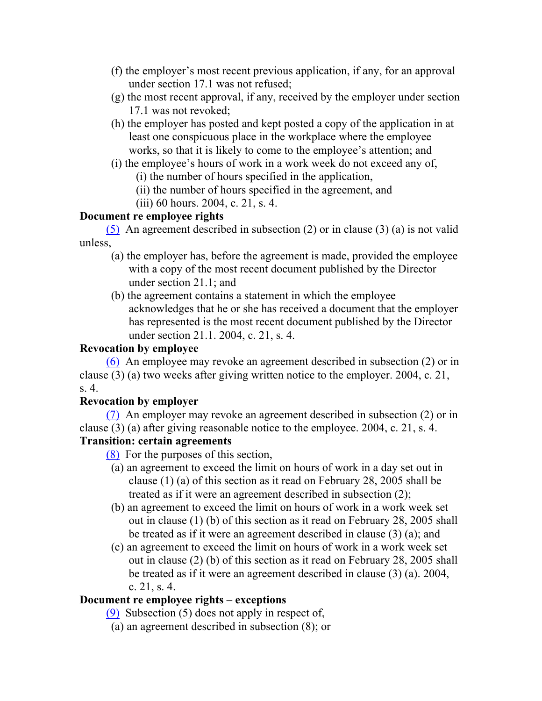- (f) the employer's most recent previous application, if any, for an approval under section 17.1 was not refused;
- (g) the most recent approval, if any, received by the employer under section 17.1 was not revoked;
- (h) the employer has posted and kept posted a copy of the application in at least one conspicuous place in the workplace where the employee works, so that it is likely to come to the employee's attention; and
- (i) the employee's hours of work in a work week do not exceed any of,

(i) the number of hours specified in the application,

- (ii) the number of hours specified in the agreement, and
- (iii) 60 hours. 2004, c. 21, s. 4.

# **Document re employee rights**

(5) An agreement described in subsection (2) or in clause (3) (a) is not valid unless,

- (a) the employer has, before the agreement is made, provided the employee with a copy of the most recent document published by the Director under section 21.1; and
- (b) the agreement contains a statement in which the employee acknowledges that he or she has received a document that the employer has represented is the most recent document published by the Director under section 21.1. 2004, c. 21, s. 4.

# **Revocation by employee**

(6) An employee may revoke an agreement described in subsection (2) or in clause (3) (a) two weeks after giving written notice to the employer. 2004, c. 21, s. 4.

# **Revocation by employer**

(7) An employer may revoke an agreement described in subsection (2) or in clause (3) (a) after giving reasonable notice to the employee. 2004, c. 21, s. 4.

# **Transition: certain agreements**

- (8) For the purposes of this section,
- (a) an agreement to exceed the limit on hours of work in a day set out in clause (1) (a) of this section as it read on February 28, 2005 shall be treated as if it were an agreement described in subsection (2);
- (b) an agreement to exceed the limit on hours of work in a work week set out in clause (1) (b) of this section as it read on February 28, 2005 shall be treated as if it were an agreement described in clause (3) (a); and
- (c) an agreement to exceed the limit on hours of work in a work week set out in clause (2) (b) of this section as it read on February 28, 2005 shall be treated as if it were an agreement described in clause (3) (a). 2004, c. 21, s. 4.

# **Document re employee rights – exceptions**

(9) Subsection (5) does not apply in respect of,

(a) an agreement described in subsection (8); or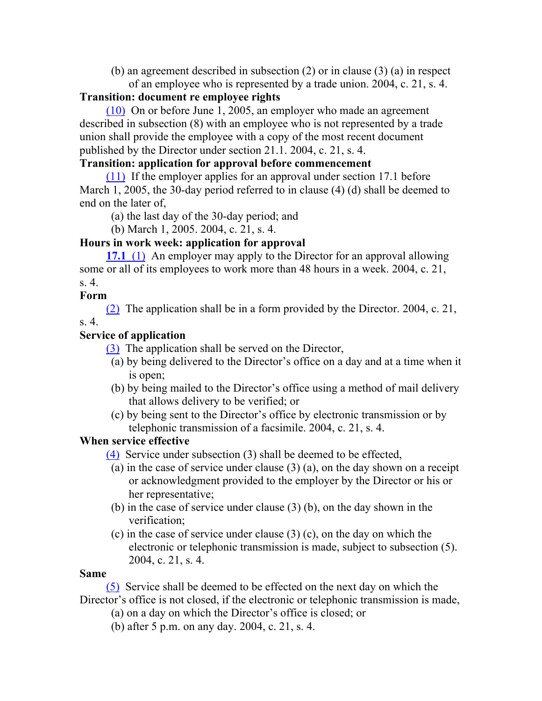(b) an agreement described in subsection (2) or in clause (3) (a) in respect of an employee who is represented by a trade union. 2004, c. 21, s. 4.

#### **Transition: document re employee rights**

(10) On or before June 1, 2005, an employer who made an agreement described in subsection (8) with an employee who is not represented by a trade union shall provide the employee with a copy of the most recent document published by the Director under section 21.1. 2004, c. 21, s. 4.

# **Transition: application for approval before commencement**

(11) If the employer applies for an approval under section 17.1 before March 1, 2005, the 30-day period referred to in clause (4) (d) shall be deemed to end on the later of,

(a) the last day of the 30-day period; and

(b) March 1, 2005. 2004, c. 21, s. 4.

#### **Hours in work week: application for approval**

**17.1** (1) An employer may apply to the Director for an approval allowing some or all of its employees to work more than 48 hours in a week. 2004, c. 21, s. 4.

#### **Form**

(2) The application shall be in a form provided by the Director. 2004, c. 21,

s. 4.

# **Service of application**

(3) The application shall be served on the Director,

- (a) by being delivered to the Director's office on a day and at a time when it is open;
- (b) by being mailed to the Director's office using a method of mail delivery that allows delivery to be verified; or
- (c) by being sent to the Director's office by electronic transmission or by telephonic transmission of a facsimile. 2004, c. 21, s. 4.

# **When service effective**

(4) Service under subsection (3) shall be deemed to be effected,

- (a) in the case of service under clause (3) (a), on the day shown on a receipt or acknowledgment provided to the employer by the Director or his or her representative;
- (b) in the case of service under clause (3) (b), on the day shown in the verification;
- (c) in the case of service under clause (3) (c), on the day on which the electronic or telephonic transmission is made, subject to subsection (5). 2004, c. 21, s. 4.

#### **Same**

(5) Service shall be deemed to be effected on the next day on which the Director's office is not closed, if the electronic or telephonic transmission is made,

- (a) on a day on which the Director's office is closed; or
- (b) after 5 p.m. on any day. 2004, c. 21, s. 4.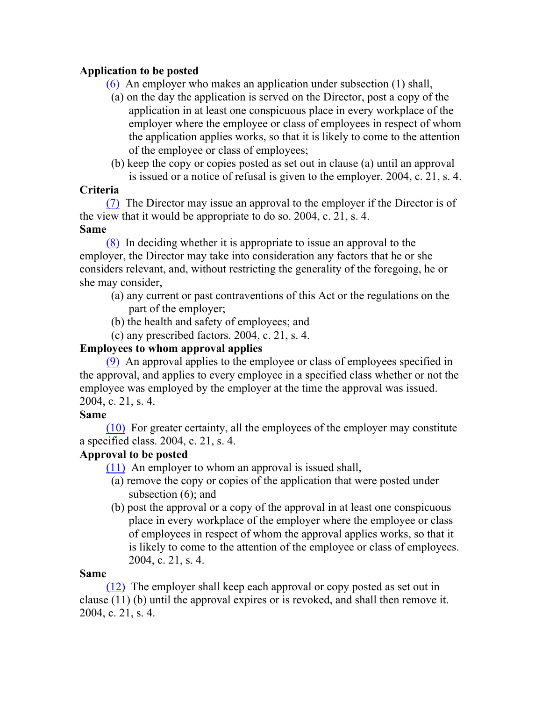# **Application to be posted**

(6) An employer who makes an application under subsection (1) shall,

- (a) on the day the application is served on the Director, post a copy of the application in at least one conspicuous place in every workplace of the employer where the employee or class of employees in respect of whom the application applies works, so that it is likely to come to the attention of the employee or class of employees;
- (b) keep the copy or copies posted as set out in clause (a) until an approval is issued or a notice of refusal is given to the employer. 2004, c. 21, s. 4.

# **Criteria**

(7) The Director may issue an approval to the employer if the Director is of the view that it would be appropriate to do so. 2004, c. 21, s. 4.

# **Same**

(8) In deciding whether it is appropriate to issue an approval to the employer, the Director may take into consideration any factors that he or she considers relevant, and, without restricting the generality of the foregoing, he or she may consider,

- (a) any current or past contraventions of this Act or the regulations on the part of the employer;
- (b) the health and safety of employees; and
- (c) any prescribed factors. 2004, c. 21, s. 4.

# **Employees to whom approval applies**

(9) An approval applies to the employee or class of employees specified in the approval, and applies to every employee in a specified class whether or not the employee was employed by the employer at the time the approval was issued. 2004, c. 21, s. 4.

# **Same**

(10) For greater certainty, all the employees of the employer may constitute a specified class. 2004, c. 21, s. 4.

# **Approval to be posted**

(11) An employer to whom an approval is issued shall,

- (a) remove the copy or copies of the application that were posted under subsection (6); and
- (b) post the approval or a copy of the approval in at least one conspicuous place in every workplace of the employer where the employee or class of employees in respect of whom the approval applies works, so that it is likely to come to the attention of the employee or class of employees. 2004, c. 21, s. 4.

# **Same**

(12) The employer shall keep each approval or copy posted as set out in clause (11) (b) until the approval expires or is revoked, and shall then remove it. 2004, c. 21, s. 4.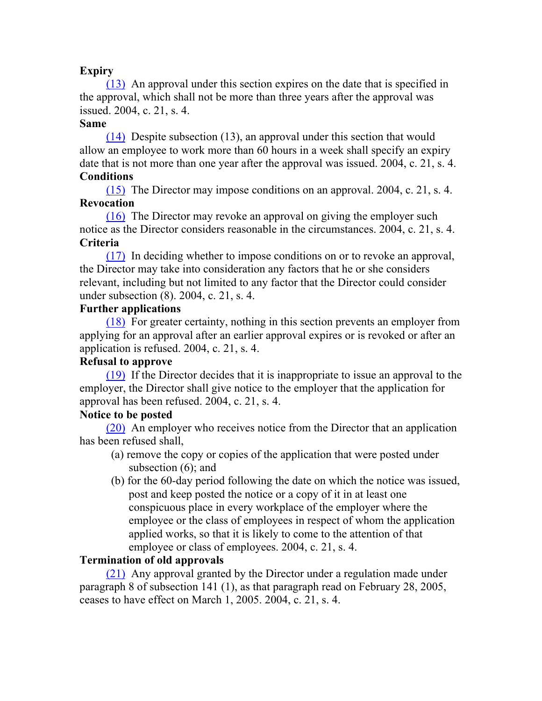#### **Expiry**

(13) An approval under this section expires on the date that is specified in the approval, which shall not be more than three years after the approval was issued. 2004, c. 21, s. 4.

#### **Same**

(14) Despite subsection (13), an approval under this section that would allow an employee to work more than 60 hours in a week shall specify an expiry date that is not more than one year after the approval was issued. 2004, c. 21, s. 4. **Conditions**

(15) The Director may impose conditions on an approval. 2004, c. 21, s. 4. **Revocation**

(16) The Director may revoke an approval on giving the employer such notice as the Director considers reasonable in the circumstances. 2004, c. 21, s. 4. **Criteria**

(17) In deciding whether to impose conditions on or to revoke an approval, the Director may take into consideration any factors that he or she considers relevant, including but not limited to any factor that the Director could consider under subsection (8). 2004, c. 21, s. 4.

#### **Further applications**

(18) For greater certainty, nothing in this section prevents an employer from applying for an approval after an earlier approval expires or is revoked or after an application is refused. 2004, c. 21, s. 4.

# **Refusal to approve**

(19) If the Director decides that it is inappropriate to issue an approval to the employer, the Director shall give notice to the employer that the application for approval has been refused. 2004, c. 21, s. 4.

# **Notice to be posted**

(20) An employer who receives notice from the Director that an application has been refused shall,

- (a) remove the copy or copies of the application that were posted under subsection (6); and
- (b) for the 60-day period following the date on which the notice was issued, post and keep posted the notice or a copy of it in at least one conspicuous place in every workplace of the employer where the employee or the class of employees in respect of whom the application applied works, so that it is likely to come to the attention of that employee or class of employees. 2004, c. 21, s. 4.

# **Termination of old approvals**

(21) Any approval granted by the Director under a regulation made under paragraph 8 of subsection 141 (1), as that paragraph read on February 28, 2005, ceases to have effect on March 1, 2005. 2004, c. 21, s. 4.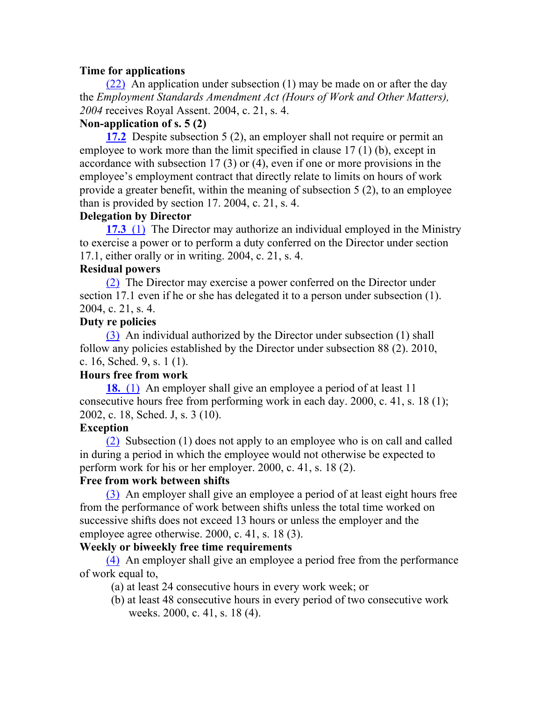#### **Time for applications**

(22) An application under subsection (1) may be made on or after the day the *Employment Standards Amendment Act (Hours of Work and Other Matters), 2004* receives Royal Assent. 2004, c. 21, s. 4.

#### **Non-application of s. 5 (2)**

**17.2** Despite subsection 5 (2), an employer shall not require or permit an employee to work more than the limit specified in clause 17 (1) (b), except in accordance with subsection 17 (3) or (4), even if one or more provisions in the employee's employment contract that directly relate to limits on hours of work provide a greater benefit, within the meaning of subsection 5 (2), to an employee than is provided by section 17. 2004, c. 21, s. 4.

#### **Delegation by Director**

**17.3** (1) The Director may authorize an individual employed in the Ministry to exercise a power or to perform a duty conferred on the Director under section 17.1, either orally or in writing. 2004, c. 21, s. 4.

#### **Residual powers**

(2) The Director may exercise a power conferred on the Director under section 17.1 even if he or she has delegated it to a person under subsection (1). 2004, c. 21, s. 4.

#### **Duty re policies**

(3) An individual authorized by the Director under subsection (1) shall follow any policies established by the Director under subsection 88 (2). 2010, c. 16, Sched. 9, s. 1 (1).

# **Hours free from work**

**18.** (1) An employer shall give an employee a period of at least 11 consecutive hours free from performing work in each day. 2000, c. 41, s. 18 (1); 2002, c. 18, Sched. J, s. 3 (10).

#### **Exception**

(2) Subsection (1) does not apply to an employee who is on call and called in during a period in which the employee would not otherwise be expected to perform work for his or her employer. 2000, c. 41, s. 18 (2).

#### **Free from work between shifts**

(3) An employer shall give an employee a period of at least eight hours free from the performance of work between shifts unless the total time worked on successive shifts does not exceed 13 hours or unless the employer and the employee agree otherwise. 2000, c. 41, s. 18 (3).

#### **Weekly or biweekly free time requirements**

(4) An employer shall give an employee a period free from the performance of work equal to,

- (a) at least 24 consecutive hours in every work week; or
- (b) at least 48 consecutive hours in every period of two consecutive work weeks. 2000, c. 41, s. 18 (4).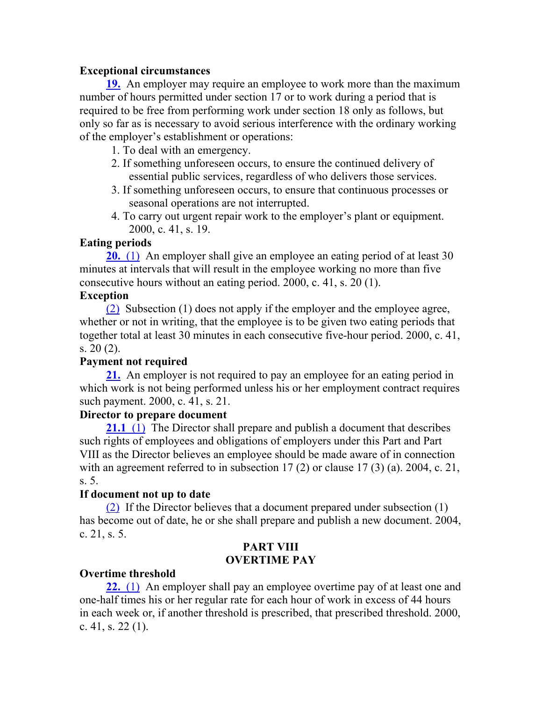#### **Exceptional circumstances**

**19.** An employer may require an employee to work more than the maximum number of hours permitted under section 17 or to work during a period that is required to be free from performing work under section 18 only as follows, but only so far as is necessary to avoid serious interference with the ordinary working of the employer's establishment or operations:

- 1. To deal with an emergency.
- 2. If something unforeseen occurs, to ensure the continued delivery of essential public services, regardless of who delivers those services.
- 3. If something unforeseen occurs, to ensure that continuous processes or seasonal operations are not interrupted.
- 4. To carry out urgent repair work to the employer's plant or equipment. 2000, c. 41, s. 19.

#### **Eating periods**

**20.** (1) An employer shall give an employee an eating period of at least 30 minutes at intervals that will result in the employee working no more than five consecutive hours without an eating period. 2000, c. 41, s. 20 (1).

#### **Exception**

(2) Subsection (1) does not apply if the employer and the employee agree, whether or not in writing, that the employee is to be given two eating periods that together total at least 30 minutes in each consecutive five-hour period. 2000, c. 41, s. 20 (2).

# **Payment not required**

**21.** An employer is not required to pay an employee for an eating period in which work is not being performed unless his or her employment contract requires such payment. 2000, c. 41, s. 21.

#### **Director to prepare document**

**21.1** (1) The Director shall prepare and publish a document that describes such rights of employees and obligations of employers under this Part and Part VIII as the Director believes an employee should be made aware of in connection with an agreement referred to in subsection 17 (2) or clause 17 (3) (a). 2004, c. 21, s. 5.

# **If document not up to date**

(2) If the Director believes that a document prepared under subsection (1) has become out of date, he or she shall prepare and publish a new document. 2004, c. 21, s. 5.

#### **PART VIII OVERTIME PAY**

# **Overtime threshold**

**22.** (1) An employer shall pay an employee overtime pay of at least one and one-half times his or her regular rate for each hour of work in excess of 44 hours in each week or, if another threshold is prescribed, that prescribed threshold. 2000, c. 41, s. 22 (1).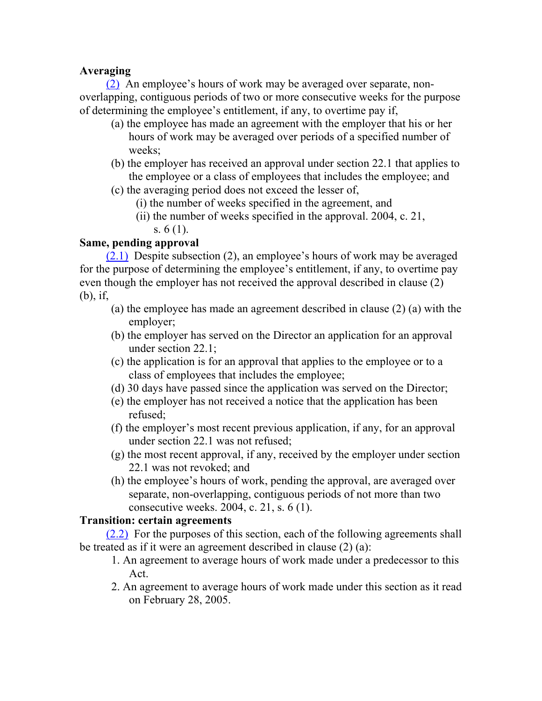# **Averaging**

(2) An employee's hours of work may be averaged over separate, nonoverlapping, contiguous periods of two or more consecutive weeks for the purpose of determining the employee's entitlement, if any, to overtime pay if,

- (a) the employee has made an agreement with the employer that his or her hours of work may be averaged over periods of a specified number of weeks;
- (b) the employer has received an approval under section 22.1 that applies to the employee or a class of employees that includes the employee; and
- (c) the averaging period does not exceed the lesser of,
	- (i) the number of weeks specified in the agreement, and
	- (ii) the number of weeks specified in the approval. 2004, c. 21, s. 6 (1).

# **Same, pending approval**

(2.1) Despite subsection (2), an employee's hours of work may be averaged for the purpose of determining the employee's entitlement, if any, to overtime pay even though the employer has not received the approval described in clause (2) (b), if,

- (a) the employee has made an agreement described in clause (2) (a) with the employer;
- (b) the employer has served on the Director an application for an approval under section 22.1;
- (c) the application is for an approval that applies to the employee or to a class of employees that includes the employee;
- (d) 30 days have passed since the application was served on the Director;
- (e) the employer has not received a notice that the application has been refused;
- (f) the employer's most recent previous application, if any, for an approval under section 22.1 was not refused;
- (g) the most recent approval, if any, received by the employer under section 22.1 was not revoked; and
- (h) the employee's hours of work, pending the approval, are averaged over separate, non-overlapping, contiguous periods of not more than two consecutive weeks. 2004, c. 21, s. 6 (1).

#### **Transition: certain agreements**

(2.2) For the purposes of this section, each of the following agreements shall be treated as if it were an agreement described in clause (2) (a):

- 1. An agreement to average hours of work made under a predecessor to this Act.
- 2. An agreement to average hours of work made under this section as it read on February 28, 2005.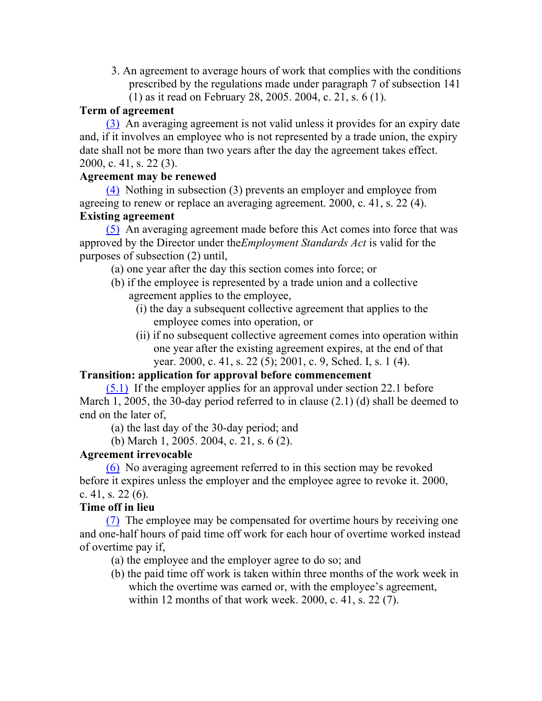- 3. An agreement to average hours of work that complies with the conditions prescribed by the regulations made under paragraph 7 of subsection 141
	- (1) as it read on February 28, 2005. 2004, c. 21, s. 6 (1).

# **Term of agreement**

(3) An averaging agreement is not valid unless it provides for an expiry date and, if it involves an employee who is not represented by a trade union, the expiry date shall not be more than two years after the day the agreement takes effect. 2000, c. 41, s. 22 (3).

# **Agreement may be renewed**

(4) Nothing in subsection (3) prevents an employer and employee from agreeing to renew or replace an averaging agreement. 2000, c. 41, s. 22 (4). **Existing agreement**

(5) An averaging agreement made before this Act comes into force that was approved by the Director under the*Employment Standards Act* is valid for the purposes of subsection (2) until,

- (a) one year after the day this section comes into force; or
- (b) if the employee is represented by a trade union and a collective agreement applies to the employee,
	- (i) the day a subsequent collective agreement that applies to the employee comes into operation, or
	- (ii) if no subsequent collective agreement comes into operation within one year after the existing agreement expires, at the end of that year. 2000, c. 41, s. 22 (5); 2001, c. 9, Sched. I, s. 1 (4).

# **Transition: application for approval before commencement**

(5.1) If the employer applies for an approval under section 22.1 before March 1, 2005, the 30-day period referred to in clause (2.1) (d) shall be deemed to end on the later of,

(a) the last day of the 30-day period; and

(b) March 1, 2005. 2004, c. 21, s. 6 (2).

# **Agreement irrevocable**

(6) No averaging agreement referred to in this section may be revoked before it expires unless the employer and the employee agree to revoke it. 2000, c. 41, s. 22 $(6)$ .

# **Time off in lieu**

(7) The employee may be compensated for overtime hours by receiving one and one-half hours of paid time off work for each hour of overtime worked instead of overtime pay if,

- (a) the employee and the employer agree to do so; and
- (b) the paid time off work is taken within three months of the work week in which the overtime was earned or, with the employee's agreement, within 12 months of that work week. 2000, c. 41, s. 22 (7).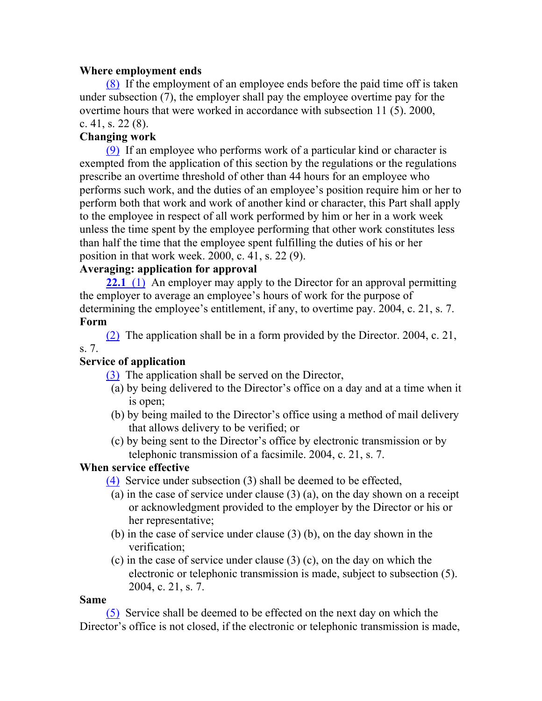#### **Where employment ends**

(8) If the employment of an employee ends before the paid time off is taken under subsection (7), the employer shall pay the employee overtime pay for the overtime hours that were worked in accordance with subsection 11 (5). 2000, c. 41, s.  $22(8)$ .

# **Changing work**

(9) If an employee who performs work of a particular kind or character is exempted from the application of this section by the regulations or the regulations prescribe an overtime threshold of other than 44 hours for an employee who performs such work, and the duties of an employee's position require him or her to perform both that work and work of another kind or character, this Part shall apply to the employee in respect of all work performed by him or her in a work week unless the time spent by the employee performing that other work constitutes less than half the time that the employee spent fulfilling the duties of his or her position in that work week. 2000, c. 41, s. 22 (9).

# **Averaging: application for approval**

**22.1** (1) An employer may apply to the Director for an approval permitting the employer to average an employee's hours of work for the purpose of determining the employee's entitlement, if any, to overtime pay. 2004, c. 21, s. 7. **Form**

(2) The application shall be in a form provided by the Director. 2004, c. 21, s. 7.

# **Service of application**

(3) The application shall be served on the Director,

- (a) by being delivered to the Director's office on a day and at a time when it is open;
- (b) by being mailed to the Director's office using a method of mail delivery that allows delivery to be verified; or
- (c) by being sent to the Director's office by electronic transmission or by telephonic transmission of a facsimile. 2004, c. 21, s. 7.

# **When service effective**

(4) Service under subsection (3) shall be deemed to be effected,

- (a) in the case of service under clause (3) (a), on the day shown on a receipt or acknowledgment provided to the employer by the Director or his or her representative;
- (b) in the case of service under clause (3) (b), on the day shown in the verification;
- (c) in the case of service under clause (3) (c), on the day on which the electronic or telephonic transmission is made, subject to subsection (5). 2004, c. 21, s. 7.

#### **Same**

(5) Service shall be deemed to be effected on the next day on which the Director's office is not closed, if the electronic or telephonic transmission is made,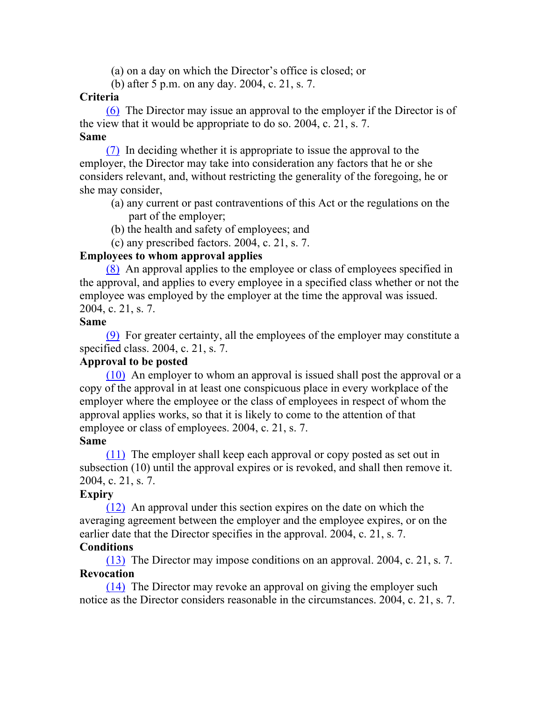(a) on a day on which the Director's office is closed; or

(b) after 5 p.m. on any day. 2004, c. 21, s. 7.

#### **Criteria**

(6) The Director may issue an approval to the employer if the Director is of the view that it would be appropriate to do so. 2004, c. 21, s. 7. **Same**

(7) In deciding whether it is appropriate to issue the approval to the employer, the Director may take into consideration any factors that he or she considers relevant, and, without restricting the generality of the foregoing, he or she may consider,

- (a) any current or past contraventions of this Act or the regulations on the part of the employer;
- (b) the health and safety of employees; and
- (c) any prescribed factors. 2004, c. 21, s. 7.

#### **Employees to whom approval applies**

(8) An approval applies to the employee or class of employees specified in the approval, and applies to every employee in a specified class whether or not the employee was employed by the employer at the time the approval was issued. 2004, c. 21, s. 7.

#### **Same**

(9) For greater certainty, all the employees of the employer may constitute a specified class. 2004, c. 21, s. 7.

# **Approval to be posted**

(10) An employer to whom an approval is issued shall post the approval or a copy of the approval in at least one conspicuous place in every workplace of the employer where the employee or the class of employees in respect of whom the approval applies works, so that it is likely to come to the attention of that employee or class of employees. 2004, c. 21, s. 7.

#### **Same**

(11) The employer shall keep each approval or copy posted as set out in subsection (10) until the approval expires or is revoked, and shall then remove it. 2004, c. 21, s. 7.

# **Expiry**

(12) An approval under this section expires on the date on which the averaging agreement between the employer and the employee expires, or on the earlier date that the Director specifies in the approval. 2004, c. 21, s. 7.

# **Conditions**

(13) The Director may impose conditions on an approval. 2004, c. 21, s. 7. **Revocation**

(14) The Director may revoke an approval on giving the employer such notice as the Director considers reasonable in the circumstances. 2004, c. 21, s. 7.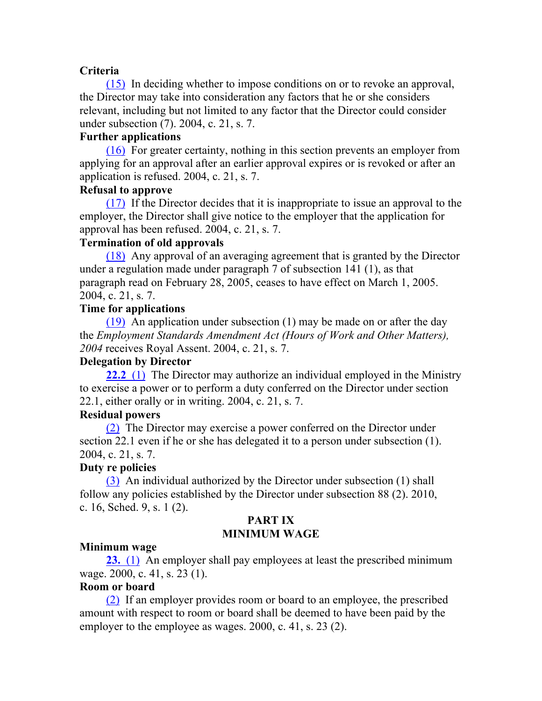#### **Criteria**

(15) In deciding whether to impose conditions on or to revoke an approval, the Director may take into consideration any factors that he or she considers relevant, including but not limited to any factor that the Director could consider under subsection (7). 2004, c. 21, s. 7.

#### **Further applications**

(16) For greater certainty, nothing in this section prevents an employer from applying for an approval after an earlier approval expires or is revoked or after an application is refused. 2004, c. 21, s. 7.

#### **Refusal to approve**

(17) If the Director decides that it is inappropriate to issue an approval to the employer, the Director shall give notice to the employer that the application for approval has been refused. 2004, c. 21, s. 7.

#### **Termination of old approvals**

(18) Any approval of an averaging agreement that is granted by the Director under a regulation made under paragraph 7 of subsection 141 (1), as that paragraph read on February 28, 2005, ceases to have effect on March 1, 2005. 2004, c. 21, s. 7.

# **Time for applications**

(19) An application under subsection (1) may be made on or after the day the *Employment Standards Amendment Act (Hours of Work and Other Matters), 2004* receives Royal Assent. 2004, c. 21, s. 7.

#### **Delegation by Director**

**22.2** (1) The Director may authorize an individual employed in the Ministry to exercise a power or to perform a duty conferred on the Director under section 22.1, either orally or in writing. 2004, c. 21, s. 7.

#### **Residual powers**

(2) The Director may exercise a power conferred on the Director under section 22.1 even if he or she has delegated it to a person under subsection (1). 2004, c. 21, s. 7.

#### **Duty re policies**

(3) An individual authorized by the Director under subsection (1) shall follow any policies established by the Director under subsection 88 (2). 2010, c. 16, Sched. 9, s. 1 (2).

#### **PART IX MINIMUM WAGE**

#### **Minimum wage**

**23.** (1) An employer shall pay employees at least the prescribed minimum wage. 2000, c. 41, s. 23 (1).

#### **Room or board**

(2) If an employer provides room or board to an employee, the prescribed amount with respect to room or board shall be deemed to have been paid by the employer to the employee as wages. 2000, c. 41, s. 23 (2).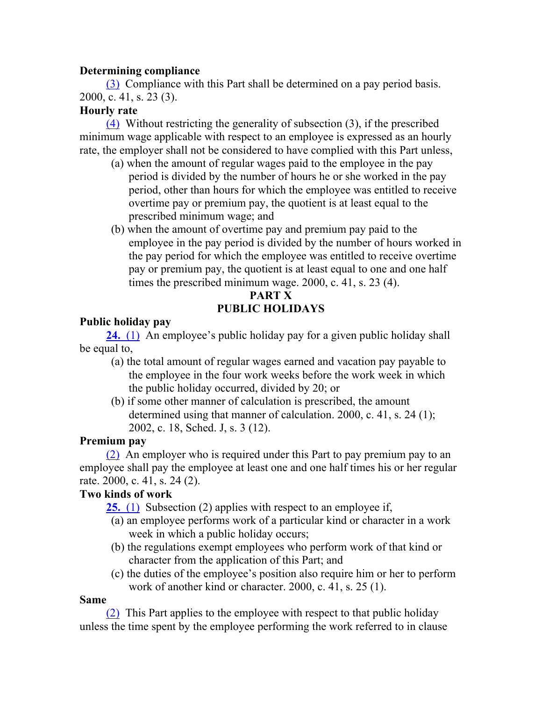#### **Determining compliance**

(3) Compliance with this Part shall be determined on a pay period basis. 2000, c. 41, s. 23 (3).

#### **Hourly rate**

(4) Without restricting the generality of subsection (3), if the prescribed minimum wage applicable with respect to an employee is expressed as an hourly rate, the employer shall not be considered to have complied with this Part unless,

- (a) when the amount of regular wages paid to the employee in the pay period is divided by the number of hours he or she worked in the pay period, other than hours for which the employee was entitled to receive overtime pay or premium pay, the quotient is at least equal to the prescribed minimum wage; and
- (b) when the amount of overtime pay and premium pay paid to the employee in the pay period is divided by the number of hours worked in the pay period for which the employee was entitled to receive overtime pay or premium pay, the quotient is at least equal to one and one half times the prescribed minimum wage. 2000, c. 41, s. 23 (4).

# **PART X PUBLIC HOLIDAYS**

# **Public holiday pay**

**24.** (1) An employee's public holiday pay for a given public holiday shall be equal to,

- (a) the total amount of regular wages earned and vacation pay payable to the employee in the four work weeks before the work week in which the public holiday occurred, divided by 20; or
- (b) if some other manner of calculation is prescribed, the amount determined using that manner of calculation. 2000, c. 41, s. 24 (1); 2002, c. 18, Sched. J, s. 3 (12).

# **Premium pay**

(2) An employer who is required under this Part to pay premium pay to an employee shall pay the employee at least one and one half times his or her regular rate. 2000, c. 41, s. 24 (2).

# **Two kinds of work**

**25.** (1) Subsection (2) applies with respect to an employee if,

- (a) an employee performs work of a particular kind or character in a work week in which a public holiday occurs;
- (b) the regulations exempt employees who perform work of that kind or character from the application of this Part; and
- (c) the duties of the employee's position also require him or her to perform work of another kind or character. 2000, c. 41, s. 25 (1).

# **Same**

(2) This Part applies to the employee with respect to that public holiday unless the time spent by the employee performing the work referred to in clause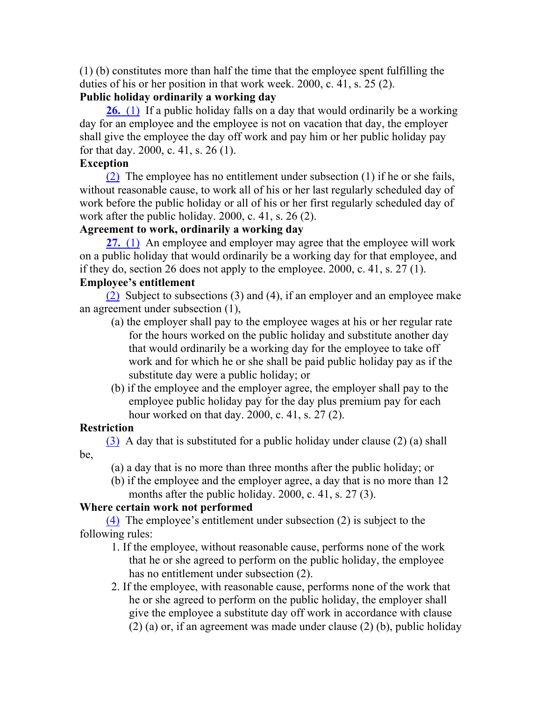(1) (b) constitutes more than half the time that the employee spent fulfilling the duties of his or her position in that work week. 2000, c. 41, s. 25 (2).

# **Public holiday ordinarily a working day**

**26.** (1) If a public holiday falls on a day that would ordinarily be a working day for an employee and the employee is not on vacation that day, the employer shall give the employee the day off work and pay him or her public holiday pay for that day. 2000, c. 41, s. 26 (1).

# **Exception**

(2) The employee has no entitlement under subsection (1) if he or she fails, without reasonable cause, to work all of his or her last regularly scheduled day of work before the public holiday or all of his or her first regularly scheduled day of work after the public holiday. 2000, c. 41, s. 26 (2).

# **Agreement to work, ordinarily a working day**

**27.** (1) An employee and employer may agree that the employee will work on a public holiday that would ordinarily be a working day for that employee, and if they do, section 26 does not apply to the employee. 2000, c. 41, s.  $27(1)$ .

# **Employee's entitlement**

(2) Subject to subsections (3) and (4), if an employer and an employee make an agreement under subsection (1),

- (a) the employer shall pay to the employee wages at his or her regular rate for the hours worked on the public holiday and substitute another day that would ordinarily be a working day for the employee to take off work and for which he or she shall be paid public holiday pay as if the substitute day were a public holiday; or
- (b) if the employee and the employer agree, the employer shall pay to the employee public holiday pay for the day plus premium pay for each hour worked on that day. 2000, c. 41, s. 27 (2).

# **Restriction**

(3) A day that is substituted for a public holiday under clause (2) (a) shall be,

(a) a day that is no more than three months after the public holiday; or

(b) if the employee and the employer agree, a day that is no more than 12 months after the public holiday. 2000, c. 41, s. 27 (3).

# **Where certain work not performed**

(4) The employee's entitlement under subsection (2) is subject to the following rules:

- 1. If the employee, without reasonable cause, performs none of the work that he or she agreed to perform on the public holiday, the employee has no entitlement under subsection (2).
- 2. If the employee, with reasonable cause, performs none of the work that he or she agreed to perform on the public holiday, the employer shall give the employee a substitute day off work in accordance with clause (2) (a) or, if an agreement was made under clause (2) (b), public holiday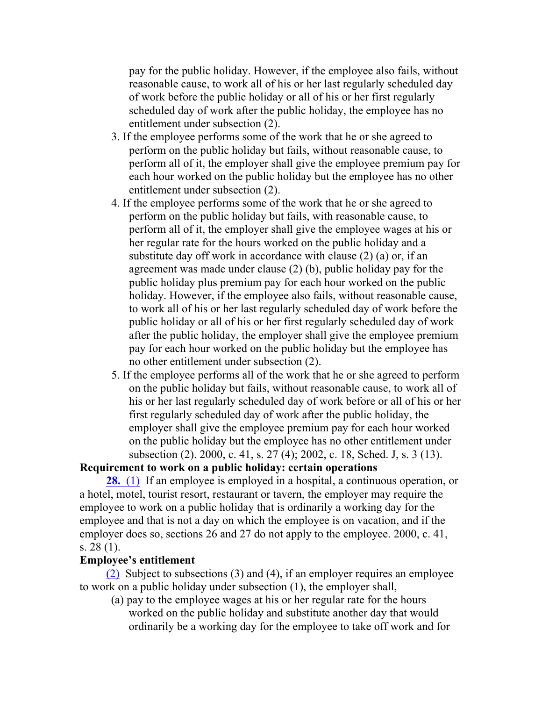pay for the public holiday. However, if the employee also fails, without reasonable cause, to work all of his or her last regularly scheduled day of work before the public holiday or all of his or her first regularly scheduled day of work after the public holiday, the employee has no entitlement under subsection (2).

- 3. If the employee performs some of the work that he or she agreed to perform on the public holiday but fails, without reasonable cause, to perform all of it, the employer shall give the employee premium pay for each hour worked on the public holiday but the employee has no other entitlement under subsection (2).
- 4. If the employee performs some of the work that he or she agreed to perform on the public holiday but fails, with reasonable cause, to perform all of it, the employer shall give the employee wages at his or her regular rate for the hours worked on the public holiday and a substitute day off work in accordance with clause (2) (a) or, if an agreement was made under clause (2) (b), public holiday pay for the public holiday plus premium pay for each hour worked on the public holiday. However, if the employee also fails, without reasonable cause, to work all of his or her last regularly scheduled day of work before the public holiday or all of his or her first regularly scheduled day of work after the public holiday, the employer shall give the employee premium pay for each hour worked on the public holiday but the employee has no other entitlement under subsection (2).
- 5. If the employee performs all of the work that he or she agreed to perform on the public holiday but fails, without reasonable cause, to work all of his or her last regularly scheduled day of work before or all of his or her first regularly scheduled day of work after the public holiday, the employer shall give the employee premium pay for each hour worked on the public holiday but the employee has no other entitlement under subsection (2). 2000, c. 41, s. 27 (4); 2002, c. 18, Sched. J, s. 3 (13).

#### **Requirement to work on a public holiday: certain operations**

**28.** (1) If an employee is employed in a hospital, a continuous operation, or a hotel, motel, tourist resort, restaurant or tavern, the employer may require the employee to work on a public holiday that is ordinarily a working day for the employee and that is not a day on which the employee is on vacation, and if the employer does so, sections 26 and 27 do not apply to the employee. 2000, c. 41, s. 28 (1).

#### **Employee's entitlement**

(2) Subject to subsections (3) and (4), if an employer requires an employee to work on a public holiday under subsection (1), the employer shall,

(a) pay to the employee wages at his or her regular rate for the hours worked on the public holiday and substitute another day that would ordinarily be a working day for the employee to take off work and for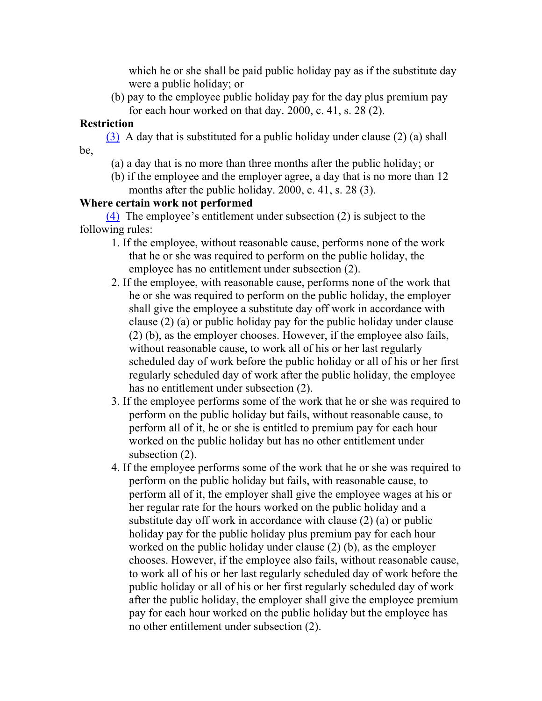which he or she shall be paid public holiday pay as if the substitute day were a public holiday; or

(b) pay to the employee public holiday pay for the day plus premium pay for each hour worked on that day. 2000, c. 41, s. 28 (2).

# **Restriction**

(3) A day that is substituted for a public holiday under clause (2) (a) shall be,

- (a) a day that is no more than three months after the public holiday; or
- (b) if the employee and the employer agree, a day that is no more than 12 months after the public holiday. 2000, c. 41, s. 28 (3).

# **Where certain work not performed**

(4) The employee's entitlement under subsection (2) is subject to the following rules:

- 1. If the employee, without reasonable cause, performs none of the work that he or she was required to perform on the public holiday, the employee has no entitlement under subsection (2).
- 2. If the employee, with reasonable cause, performs none of the work that he or she was required to perform on the public holiday, the employer shall give the employee a substitute day off work in accordance with clause (2) (a) or public holiday pay for the public holiday under clause (2) (b), as the employer chooses. However, if the employee also fails, without reasonable cause, to work all of his or her last regularly scheduled day of work before the public holiday or all of his or her first regularly scheduled day of work after the public holiday, the employee has no entitlement under subsection (2).
- 3. If the employee performs some of the work that he or she was required to perform on the public holiday but fails, without reasonable cause, to perform all of it, he or she is entitled to premium pay for each hour worked on the public holiday but has no other entitlement under subsection  $(2)$ .
- 4. If the employee performs some of the work that he or she was required to perform on the public holiday but fails, with reasonable cause, to perform all of it, the employer shall give the employee wages at his or her regular rate for the hours worked on the public holiday and a substitute day off work in accordance with clause (2) (a) or public holiday pay for the public holiday plus premium pay for each hour worked on the public holiday under clause (2) (b), as the employer chooses. However, if the employee also fails, without reasonable cause, to work all of his or her last regularly scheduled day of work before the public holiday or all of his or her first regularly scheduled day of work after the public holiday, the employer shall give the employee premium pay for each hour worked on the public holiday but the employee has no other entitlement under subsection (2).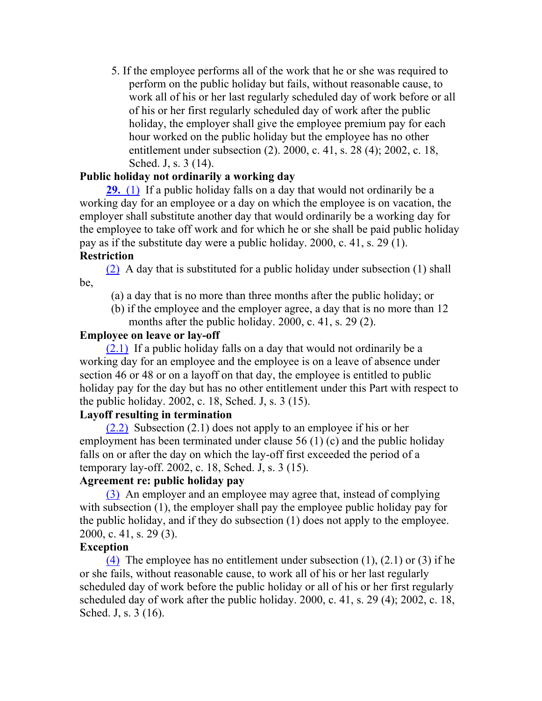5. If the employee performs all of the work that he or she was required to perform on the public holiday but fails, without reasonable cause, to work all of his or her last regularly scheduled day of work before or all of his or her first regularly scheduled day of work after the public holiday, the employer shall give the employee premium pay for each hour worked on the public holiday but the employee has no other entitlement under subsection (2). 2000, c. 41, s. 28 (4); 2002, c. 18, Sched. J, s. 3 (14).

#### **Public holiday not ordinarily a working day**

**29.** (1) If a public holiday falls on a day that would not ordinarily be a working day for an employee or a day on which the employee is on vacation, the employer shall substitute another day that would ordinarily be a working day for the employee to take off work and for which he or she shall be paid public holiday pay as if the substitute day were a public holiday. 2000, c. 41, s. 29 (1).

#### **Restriction**

(2) A day that is substituted for a public holiday under subsection (1) shall be,

- (a) a day that is no more than three months after the public holiday; or
- (b) if the employee and the employer agree, a day that is no more than 12 months after the public holiday. 2000, c. 41, s. 29 (2).

#### **Employee on leave or lay-off**

(2.1) If a public holiday falls on a day that would not ordinarily be a working day for an employee and the employee is on a leave of absence under section 46 or 48 or on a layoff on that day, the employee is entitled to public holiday pay for the day but has no other entitlement under this Part with respect to the public holiday. 2002, c. 18, Sched. J, s. 3 (15).

#### **Layoff resulting in termination**

(2.2) Subsection (2.1) does not apply to an employee if his or her employment has been terminated under clause 56 (1) (c) and the public holiday falls on or after the day on which the lay-off first exceeded the period of a temporary lay-off. 2002, c. 18, Sched. J, s. 3 (15).

#### **Agreement re: public holiday pay**

(3) An employer and an employee may agree that, instead of complying with subsection (1), the employer shall pay the employee public holiday pay for the public holiday, and if they do subsection (1) does not apply to the employee. 2000, c. 41, s. 29 (3).

#### **Exception**

(4) The employee has no entitlement under subsection  $(1)$ ,  $(2.1)$  or  $(3)$  if he or she fails, without reasonable cause, to work all of his or her last regularly scheduled day of work before the public holiday or all of his or her first regularly scheduled day of work after the public holiday.  $2000$ , c.  $41$ , s.  $29$  (4);  $2002$ , c.  $18$ , Sched. J, s. 3 (16).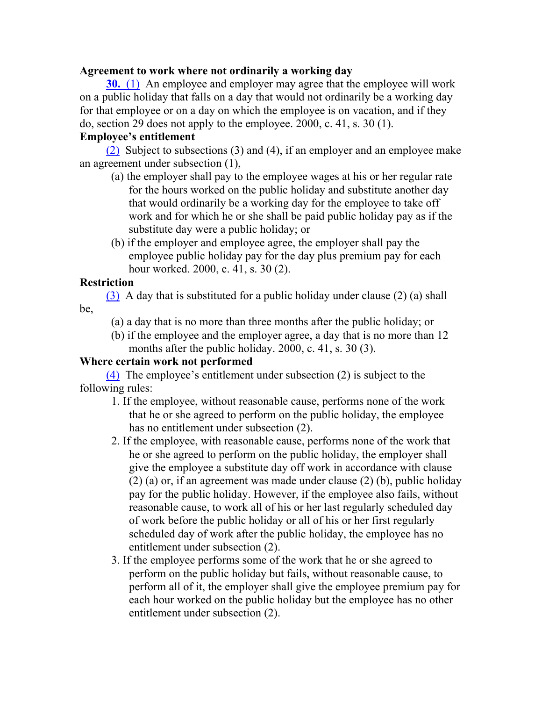#### **Agreement to work where not ordinarily a working day**

**30.** (1) An employee and employer may agree that the employee will work on a public holiday that falls on a day that would not ordinarily be a working day for that employee or on a day on which the employee is on vacation, and if they do, section 29 does not apply to the employee. 2000, c. 41, s. 30 (1).

#### **Employee's entitlement**

(2) Subject to subsections (3) and (4), if an employer and an employee make an agreement under subsection (1),

- (a) the employer shall pay to the employee wages at his or her regular rate for the hours worked on the public holiday and substitute another day that would ordinarily be a working day for the employee to take off work and for which he or she shall be paid public holiday pay as if the substitute day were a public holiday; or
- (b) if the employer and employee agree, the employer shall pay the employee public holiday pay for the day plus premium pay for each hour worked. 2000, c. 41, s. 30 (2).

## **Restriction**

(3) A day that is substituted for a public holiday under clause (2) (a) shall be,

(a) a day that is no more than three months after the public holiday; or

(b) if the employee and the employer agree, a day that is no more than 12 months after the public holiday. 2000, c. 41, s. 30 (3).

## **Where certain work not performed**

(4) The employee's entitlement under subsection (2) is subject to the following rules:

- 1. If the employee, without reasonable cause, performs none of the work that he or she agreed to perform on the public holiday, the employee has no entitlement under subsection (2).
- 2. If the employee, with reasonable cause, performs none of the work that he or she agreed to perform on the public holiday, the employer shall give the employee a substitute day off work in accordance with clause (2) (a) or, if an agreement was made under clause (2) (b), public holiday pay for the public holiday. However, if the employee also fails, without reasonable cause, to work all of his or her last regularly scheduled day of work before the public holiday or all of his or her first regularly scheduled day of work after the public holiday, the employee has no entitlement under subsection (2).
- 3. If the employee performs some of the work that he or she agreed to perform on the public holiday but fails, without reasonable cause, to perform all of it, the employer shall give the employee premium pay for each hour worked on the public holiday but the employee has no other entitlement under subsection (2).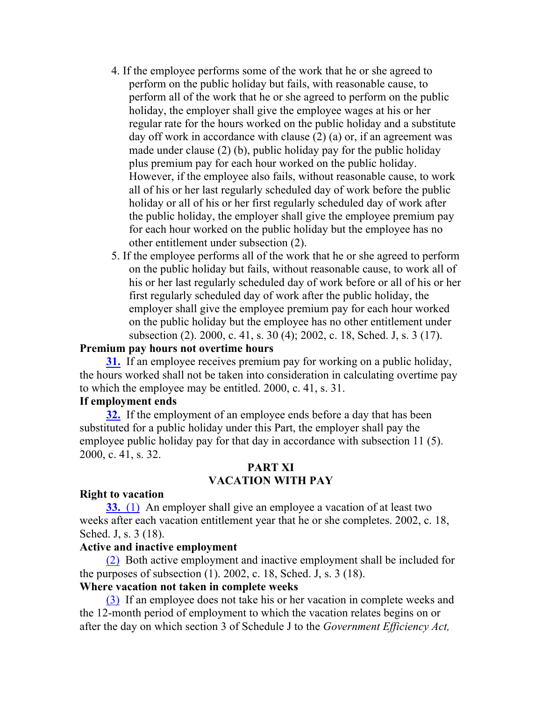- 4. If the employee performs some of the work that he or she agreed to perform on the public holiday but fails, with reasonable cause, to perform all of the work that he or she agreed to perform on the public holiday, the employer shall give the employee wages at his or her regular rate for the hours worked on the public holiday and a substitute day off work in accordance with clause (2) (a) or, if an agreement was made under clause (2) (b), public holiday pay for the public holiday plus premium pay for each hour worked on the public holiday. However, if the employee also fails, without reasonable cause, to work all of his or her last regularly scheduled day of work before the public holiday or all of his or her first regularly scheduled day of work after the public holiday, the employer shall give the employee premium pay for each hour worked on the public holiday but the employee has no other entitlement under subsection (2).
- 5. If the employee performs all of the work that he or she agreed to perform on the public holiday but fails, without reasonable cause, to work all of his or her last regularly scheduled day of work before or all of his or her first regularly scheduled day of work after the public holiday, the employer shall give the employee premium pay for each hour worked on the public holiday but the employee has no other entitlement under subsection (2). 2000, c. 41, s. 30 (4); 2002, c. 18, Sched. J, s. 3 (17).

#### **Premium pay hours not overtime hours**

**31.** If an employee receives premium pay for working on a public holiday, the hours worked shall not be taken into consideration in calculating overtime pay to which the employee may be entitled. 2000, c. 41, s. 31.

#### **If employment ends**

**32.** If the employment of an employee ends before a day that has been substituted for a public holiday under this Part, the employer shall pay the employee public holiday pay for that day in accordance with subsection 11 (5). 2000, c. 41, s. 32.

#### **PART XI VACATION WITH PAY**

#### **Right to vacation**

**33.** (1) An employer shall give an employee a vacation of at least two weeks after each vacation entitlement year that he or she completes. 2002, c. 18, Sched. J, s. 3 (18).

#### **Active and inactive employment**

(2) Both active employment and inactive employment shall be included for the purposes of subsection (1). 2002, c. 18, Sched. J, s. 3 (18).

#### **Where vacation not taken in complete weeks**

(3) If an employee does not take his or her vacation in complete weeks and the 12-month period of employment to which the vacation relates begins on or after the day on which section 3 of Schedule J to the *Government Efficiency Act,*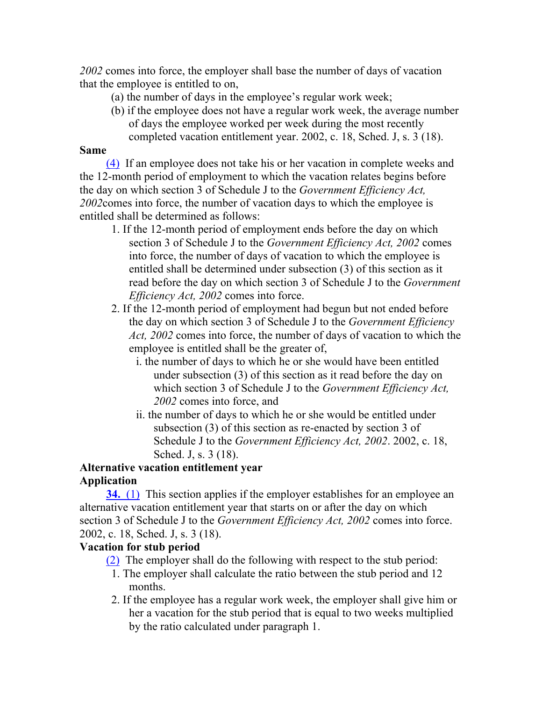*2002* comes into force, the employer shall base the number of days of vacation that the employee is entitled to on,

- (a) the number of days in the employee's regular work week;
- (b) if the employee does not have a regular work week, the average number of days the employee worked per week during the most recently completed vacation entitlement year. 2002, c. 18, Sched. J, s. 3 (18).

#### **Same**

(4) If an employee does not take his or her vacation in complete weeks and the 12-month period of employment to which the vacation relates begins before the day on which section 3 of Schedule J to the *Government Efficiency Act, 2002*comes into force, the number of vacation days to which the employee is entitled shall be determined as follows:

- 1. If the 12-month period of employment ends before the day on which section 3 of Schedule J to the *Government Efficiency Act, 2002* comes into force, the number of days of vacation to which the employee is entitled shall be determined under subsection (3) of this section as it read before the day on which section 3 of Schedule J to the *Government Efficiency Act, 2002* comes into force.
- 2. If the 12-month period of employment had begun but not ended before the day on which section 3 of Schedule J to the *Government Efficiency Act, 2002* comes into force, the number of days of vacation to which the employee is entitled shall be the greater of,
	- i. the number of days to which he or she would have been entitled under subsection (3) of this section as it read before the day on which section 3 of Schedule J to the *Government Efficiency Act, 2002* comes into force, and
	- ii. the number of days to which he or she would be entitled under subsection (3) of this section as re-enacted by section 3 of Schedule J to the *Government Efficiency Act, 2002*. 2002, c. 18, Sched. J, s. 3 (18).

# **Alternative vacation entitlement year Application**

**34.** (1) This section applies if the employer establishes for an employee an alternative vacation entitlement year that starts on or after the day on which section 3 of Schedule J to the *Government Efficiency Act, 2002* comes into force. 2002, c. 18, Sched. J, s. 3 (18).

## **Vacation for stub period**

- (2) The employer shall do the following with respect to the stub period:
- 1. The employer shall calculate the ratio between the stub period and 12 months.
- 2. If the employee has a regular work week, the employer shall give him or her a vacation for the stub period that is equal to two weeks multiplied by the ratio calculated under paragraph 1.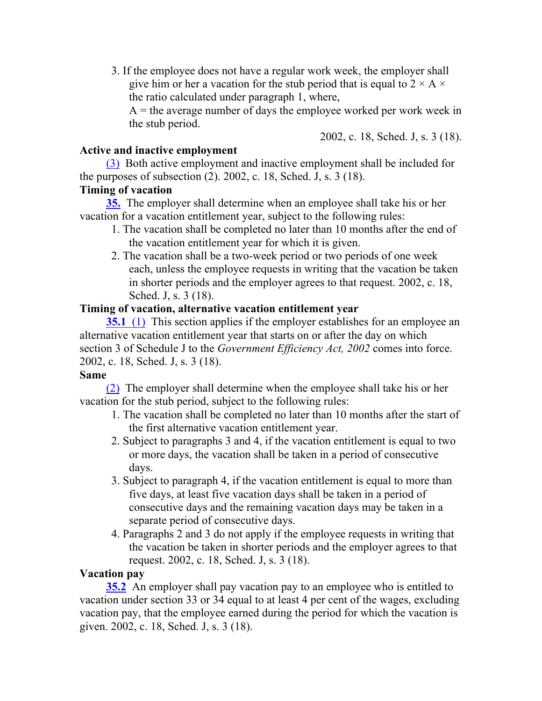3. If the employee does not have a regular work week, the employer shall give him or her a vacation for the stub period that is equal to  $2 \times A \times$ the ratio calculated under paragraph 1, where,

 $A =$  the average number of days the employee worked per work week in the stub period.

2002, c. 18, Sched. J, s. 3 (18).

#### **Active and inactive employment**

(3) Both active employment and inactive employment shall be included for the purposes of subsection (2). 2002, c. 18, Sched. J, s. 3 (18).

## **Timing of vacation**

**35.** The employer shall determine when an employee shall take his or her vacation for a vacation entitlement year, subject to the following rules:

- 1. The vacation shall be completed no later than 10 months after the end of the vacation entitlement year for which it is given.
- 2. The vacation shall be a two-week period or two periods of one week each, unless the employee requests in writing that the vacation be taken in shorter periods and the employer agrees to that request. 2002, c. 18, Sched. J, s. 3 (18).

#### **Timing of vacation, alternative vacation entitlement year**

**35.1** (1) This section applies if the employer establishes for an employee an alternative vacation entitlement year that starts on or after the day on which section 3 of Schedule J to the *Government Efficiency Act, 2002* comes into force. 2002, c. 18, Sched. J, s. 3 (18).

#### **Same**

(2) The employer shall determine when the employee shall take his or her vacation for the stub period, subject to the following rules:

- 1. The vacation shall be completed no later than 10 months after the start of the first alternative vacation entitlement year.
- 2. Subject to paragraphs 3 and 4, if the vacation entitlement is equal to two or more days, the vacation shall be taken in a period of consecutive days.
- 3. Subject to paragraph 4, if the vacation entitlement is equal to more than five days, at least five vacation days shall be taken in a period of consecutive days and the remaining vacation days may be taken in a separate period of consecutive days.
- 4. Paragraphs 2 and 3 do not apply if the employee requests in writing that the vacation be taken in shorter periods and the employer agrees to that request. 2002, c. 18, Sched. J, s. 3 (18).

## **Vacation pay**

**35.2** An employer shall pay vacation pay to an employee who is entitled to vacation under section 33 or 34 equal to at least 4 per cent of the wages, excluding vacation pay, that the employee earned during the period for which the vacation is given. 2002, c. 18, Sched. J, s. 3 (18).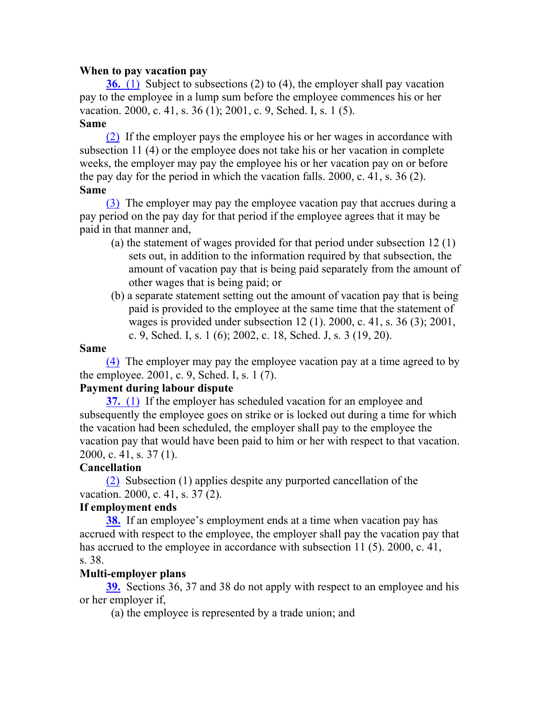#### **When to pay vacation pay**

**36.** (1) Subject to subsections (2) to (4), the employer shall pay vacation pay to the employee in a lump sum before the employee commences his or her vacation. 2000, c. 41, s. 36 (1); 2001, c. 9, Sched. I, s. 1 (5).

#### **Same**

(2) If the employer pays the employee his or her wages in accordance with subsection 11 (4) or the employee does not take his or her vacation in complete weeks, the employer may pay the employee his or her vacation pay on or before the pay day for the period in which the vacation falls. 2000, c. 41, s. 36 (2). **Same**

(3) The employer may pay the employee vacation pay that accrues during a pay period on the pay day for that period if the employee agrees that it may be paid in that manner and,

- (a) the statement of wages provided for that period under subsection 12 (1) sets out, in addition to the information required by that subsection, the amount of vacation pay that is being paid separately from the amount of other wages that is being paid; or
- (b) a separate statement setting out the amount of vacation pay that is being paid is provided to the employee at the same time that the statement of wages is provided under subsection 12 (1). 2000, c. 41, s. 36 (3); 2001, c. 9, Sched. I, s. 1 (6); 2002, c. 18, Sched. J, s. 3 (19, 20).

#### **Same**

(4) The employer may pay the employee vacation pay at a time agreed to by the employee. 2001, c. 9, Sched. I, s. 1 (7).

#### **Payment during labour dispute**

**37.** (1) If the employer has scheduled vacation for an employee and subsequently the employee goes on strike or is locked out during a time for which the vacation had been scheduled, the employer shall pay to the employee the vacation pay that would have been paid to him or her with respect to that vacation. 2000, c. 41, s. 37 (1).

## **Cancellation**

(2) Subsection (1) applies despite any purported cancellation of the vacation. 2000, c. 41, s. 37 (2).

## **If employment ends**

**38.** If an employee's employment ends at a time when vacation pay has accrued with respect to the employee, the employer shall pay the vacation pay that has accrued to the employee in accordance with subsection 11 (5). 2000, c. 41, s. 38.

#### **Multi-employer plans**

**39.** Sections 36, 37 and 38 do not apply with respect to an employee and his or her employer if,

(a) the employee is represented by a trade union; and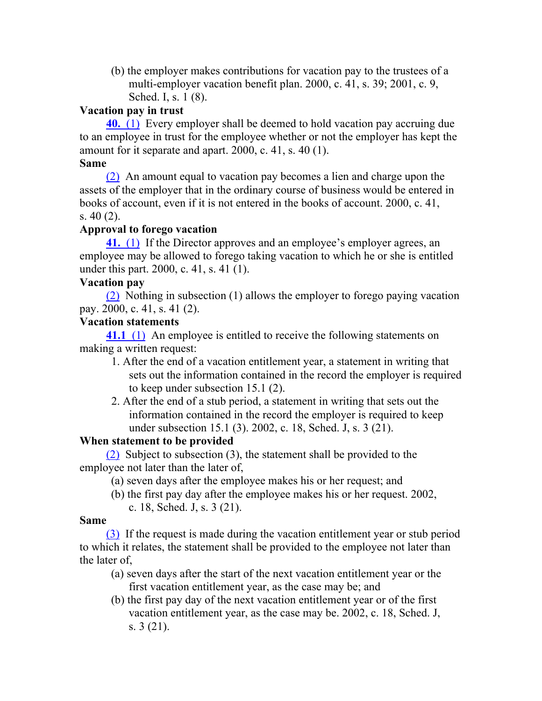(b) the employer makes contributions for vacation pay to the trustees of a multi-employer vacation benefit plan. 2000, c. 41, s. 39; 2001, c. 9, Sched. I, s. 1 (8).

## **Vacation pay in trust**

**40.** (1) Every employer shall be deemed to hold vacation pay accruing due to an employee in trust for the employee whether or not the employer has kept the amount for it separate and apart. 2000, c. 41, s. 40 (1).

## **Same**

(2) An amount equal to vacation pay becomes a lien and charge upon the assets of the employer that in the ordinary course of business would be entered in books of account, even if it is not entered in the books of account. 2000, c. 41, s. 40 (2).

## **Approval to forego vacation**

**41.** (1) If the Director approves and an employee's employer agrees, an employee may be allowed to forego taking vacation to which he or she is entitled under this part. 2000, c. 41, s. 41 (1).

## **Vacation pay**

(2) Nothing in subsection (1) allows the employer to forego paying vacation pay. 2000, c. 41, s. 41 (2).

## **Vacation statements**

**41.1** (1) An employee is entitled to receive the following statements on making a written request:

- 1. After the end of a vacation entitlement year, a statement in writing that sets out the information contained in the record the employer is required to keep under subsection 15.1 (2).
- 2. After the end of a stub period, a statement in writing that sets out the information contained in the record the employer is required to keep under subsection 15.1 (3). 2002, c. 18, Sched. J, s. 3 (21).

# **When statement to be provided**

(2) Subject to subsection (3), the statement shall be provided to the employee not later than the later of,

- (a) seven days after the employee makes his or her request; and
- (b) the first pay day after the employee makes his or her request. 2002, c. 18, Sched. J, s. 3 (21).

## **Same**

(3) If the request is made during the vacation entitlement year or stub period to which it relates, the statement shall be provided to the employee not later than the later of,

- (a) seven days after the start of the next vacation entitlement year or the first vacation entitlement year, as the case may be; and
- (b) the first pay day of the next vacation entitlement year or of the first vacation entitlement year, as the case may be. 2002, c. 18, Sched. J, s. 3 (21).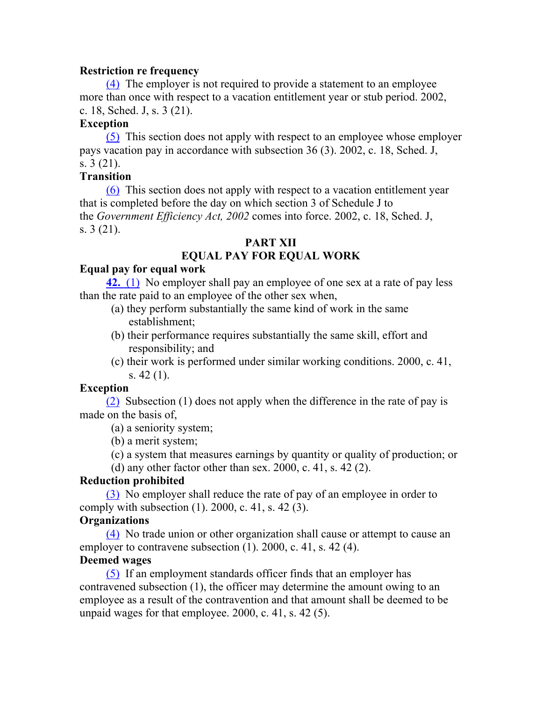#### **Restriction re frequency**

(4) The employer is not required to provide a statement to an employee more than once with respect to a vacation entitlement year or stub period. 2002, c. 18, Sched. J, s. 3 (21).

## **Exception**

(5) This section does not apply with respect to an employee whose employer pays vacation pay in accordance with subsection 36 (3). 2002, c. 18, Sched. J, s. 3 (21).

## **Transition**

(6) This section does not apply with respect to a vacation entitlement year that is completed before the day on which section 3 of Schedule J to the *Government Efficiency Act, 2002* comes into force. 2002, c. 18, Sched. J, s. 3 (21).

## **PART XII**

# **EQUAL PAY FOR EQUAL WORK**

#### **Equal pay for equal work**

**42.** (1) No employer shall pay an employee of one sex at a rate of pay less than the rate paid to an employee of the other sex when,

- (a) they perform substantially the same kind of work in the same establishment;
- (b) their performance requires substantially the same skill, effort and responsibility; and
- (c) their work is performed under similar working conditions. 2000, c. 41, s. 42 (1).

## **Exception**

(2) Subsection (1) does not apply when the difference in the rate of pay is made on the basis of,

(a) a seniority system;

(b) a merit system;

(c) a system that measures earnings by quantity or quality of production; or

(d) any other factor other than sex.  $2000$ , c.  $41$ , s.  $42$  (2).

## **Reduction prohibited**

(3) No employer shall reduce the rate of pay of an employee in order to comply with subsection  $(1)$ . 2000, c. 41, s. 42 $(3)$ .

# **Organizations**

(4) No trade union or other organization shall cause or attempt to cause an employer to contravene subsection (1). 2000, c. 41, s. 42 (4).

## **Deemed wages**

(5) If an employment standards officer finds that an employer has contravened subsection (1), the officer may determine the amount owing to an employee as a result of the contravention and that amount shall be deemed to be unpaid wages for that employee. 2000, c. 41, s. 42 (5).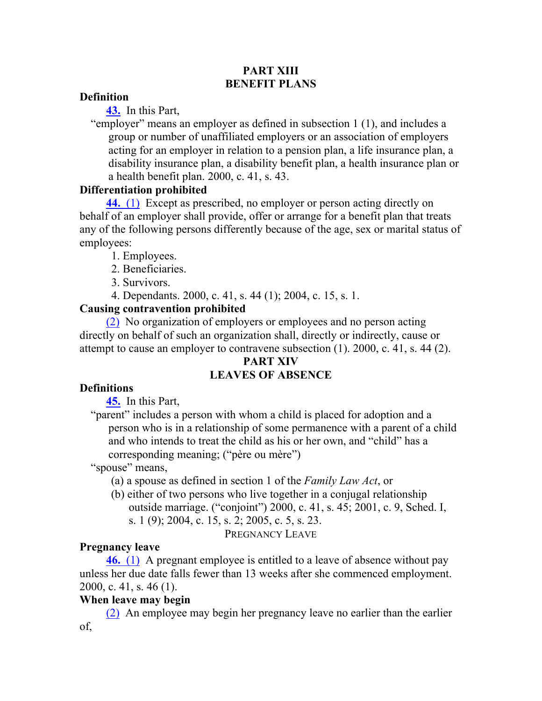#### **PART XIII BENEFIT PLANS**

#### **Definition**

**43.** In this Part,

"employer" means an employer as defined in subsection 1 (1), and includes a group or number of unaffiliated employers or an association of employers acting for an employer in relation to a pension plan, a life insurance plan, a disability insurance plan, a disability benefit plan, a health insurance plan or a health benefit plan. 2000, c. 41, s. 43.

## **Differentiation prohibited**

**44.** (1) Except as prescribed, no employer or person acting directly on behalf of an employer shall provide, offer or arrange for a benefit plan that treats any of the following persons differently because of the age, sex or marital status of employees:

1. Employees.

2. Beneficiaries.

3. Survivors.

4. Dependants. 2000, c. 41, s. 44 (1); 2004, c. 15, s. 1.

# **Causing contravention prohibited**

(2) No organization of employers or employees and no person acting directly on behalf of such an organization shall, directly or indirectly, cause or attempt to cause an employer to contravene subsection (1). 2000, c. 41, s. 44 (2).

## **PART XIV**

# **LEAVES OF ABSENCE**

# **Definitions**

**45.** In this Part,

"parent" includes a person with whom a child is placed for adoption and a person who is in a relationship of some permanence with a parent of a child and who intends to treat the child as his or her own, and "child" has a corresponding meaning; ("père ou mère")

"spouse" means,

(a) a spouse as defined in section 1 of the *Family Law Act*, or

(b) either of two persons who live together in a conjugal relationship outside marriage. ("conjoint") 2000, c. 41, s. 45; 2001, c. 9, Sched. I, s. 1 (9); 2004, c. 15, s. 2; 2005, c. 5, s. 23.

PREGNANCY LEAVE

# **Pregnancy leave**

**46.** (1) A pregnant employee is entitled to a leave of absence without pay unless her due date falls fewer than 13 weeks after she commenced employment. 2000, c. 41, s. 46 (1).

# **When leave may begin**

(2) An employee may begin her pregnancy leave no earlier than the earlier of,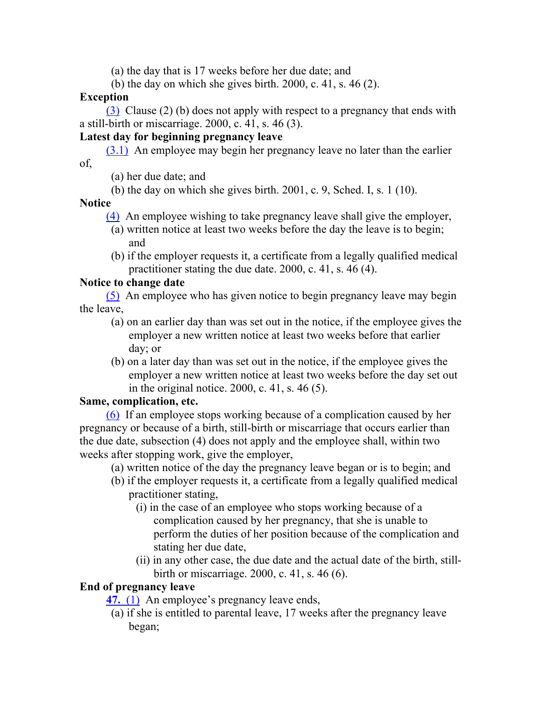(a) the day that is 17 weeks before her due date; and

(b) the day on which she gives birth. 2000, c. 41, s. 46 (2).

## **Exception**

(3) Clause (2) (b) does not apply with respect to a pregnancy that ends with a still-birth or miscarriage. 2000, c. 41, s. 46 (3).

# **Latest day for beginning pregnancy leave**

(3.1) An employee may begin her pregnancy leave no later than the earlier of,

- (a) her due date; and
- (b) the day on which she gives birth. 2001, c. 9, Sched. I, s. 1 (10).

## **Notice**

- (4) An employee wishing to take pregnancy leave shall give the employer, (a) written notice at least two weeks before the day the leave is to begin; and
- (b) if the employer requests it, a certificate from a legally qualified medical practitioner stating the due date. 2000, c. 41, s. 46 (4).

# **Notice to change date**

(5) An employee who has given notice to begin pregnancy leave may begin the leave,

- (a) on an earlier day than was set out in the notice, if the employee gives the employer a new written notice at least two weeks before that earlier day; or
- (b) on a later day than was set out in the notice, if the employee gives the employer a new written notice at least two weeks before the day set out in the original notice. 2000, c. 41, s. 46 (5).

# **Same, complication, etc.**

(6) If an employee stops working because of a complication caused by her pregnancy or because of a birth, still-birth or miscarriage that occurs earlier than the due date, subsection (4) does not apply and the employee shall, within two weeks after stopping work, give the employer,

(a) written notice of the day the pregnancy leave began or is to begin; and

- (b) if the employer requests it, a certificate from a legally qualified medical practitioner stating,
	- (i) in the case of an employee who stops working because of a complication caused by her pregnancy, that she is unable to perform the duties of her position because of the complication and stating her due date,
	- (ii) in any other case, the due date and the actual date of the birth, stillbirth or miscarriage. 2000, c. 41, s. 46 (6).

# **End of pregnancy leave**

**47.** (1) An employee's pregnancy leave ends,

(a) if she is entitled to parental leave, 17 weeks after the pregnancy leave began;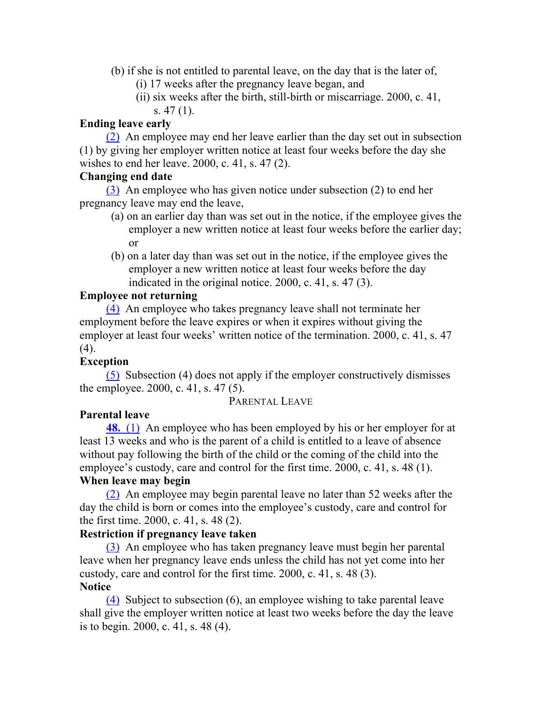- (b) if she is not entitled to parental leave, on the day that is the later of,
	- (i) 17 weeks after the pregnancy leave began, and
	- (ii) six weeks after the birth, still-birth or miscarriage. 2000, c. 41, s. 47 (1).

#### **Ending leave early**

(2) An employee may end her leave earlier than the day set out in subsection (1) by giving her employer written notice at least four weeks before the day she wishes to end her leave. 2000, c. 41, s. 47 (2).

#### **Changing end date**

(3) An employee who has given notice under subsection (2) to end her pregnancy leave may end the leave,

- (a) on an earlier day than was set out in the notice, if the employee gives the employer a new written notice at least four weeks before the earlier day; or
- (b) on a later day than was set out in the notice, if the employee gives the employer a new written notice at least four weeks before the day indicated in the original notice. 2000, c. 41, s. 47 (3).

#### **Employee not returning**

(4) An employee who takes pregnancy leave shall not terminate her employment before the leave expires or when it expires without giving the employer at least four weeks' written notice of the termination. 2000, c. 41, s. 47 (4).

## **Exception**

(5) Subsection (4) does not apply if the employer constructively dismisses the employee. 2000, c. 41, s. 47 (5).

## PARENTAL LEAVE

## **Parental leave**

**48.** (1) An employee who has been employed by his or her employer for at least 13 weeks and who is the parent of a child is entitled to a leave of absence without pay following the birth of the child or the coming of the child into the employee's custody, care and control for the first time. 2000, c. 41, s. 48 (1).

# **When leave may begin**

(2) An employee may begin parental leave no later than 52 weeks after the day the child is born or comes into the employee's custody, care and control for the first time. 2000, c. 41, s. 48 (2).

## **Restriction if pregnancy leave taken**

(3) An employee who has taken pregnancy leave must begin her parental leave when her pregnancy leave ends unless the child has not yet come into her custody, care and control for the first time. 2000, c. 41, s. 48 (3). **Notice**

(4) Subject to subsection (6), an employee wishing to take parental leave shall give the employer written notice at least two weeks before the day the leave is to begin. 2000, c. 41, s. 48 (4).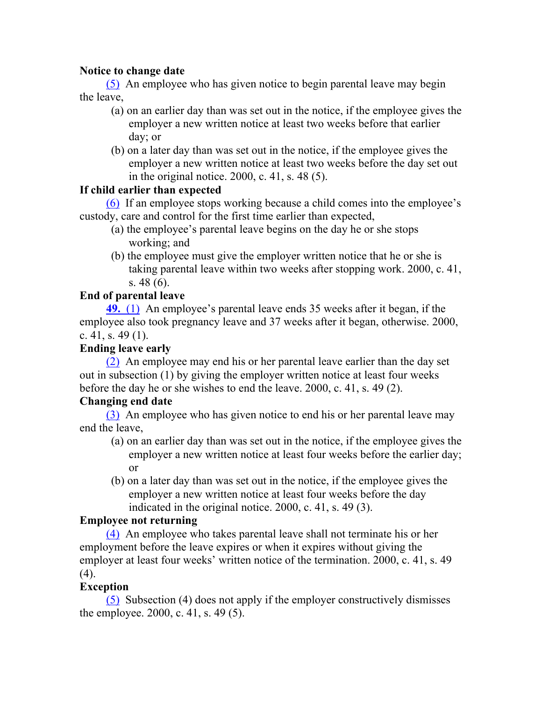## **Notice to change date**

(5) An employee who has given notice to begin parental leave may begin the leave,

- (a) on an earlier day than was set out in the notice, if the employee gives the employer a new written notice at least two weeks before that earlier day; or
- (b) on a later day than was set out in the notice, if the employee gives the employer a new written notice at least two weeks before the day set out in the original notice. 2000, c. 41, s. 48 (5).

## **If child earlier than expected**

(6) If an employee stops working because a child comes into the employee's custody, care and control for the first time earlier than expected,

- (a) the employee's parental leave begins on the day he or she stops working; and
- (b) the employee must give the employer written notice that he or she is taking parental leave within two weeks after stopping work. 2000, c. 41, s. 48 (6).

# **End of parental leave**

**49.** (1) An employee's parental leave ends 35 weeks after it began, if the employee also took pregnancy leave and 37 weeks after it began, otherwise. 2000, c. 41, s. 49 $(1)$ .

# **Ending leave early**

(2) An employee may end his or her parental leave earlier than the day set out in subsection (1) by giving the employer written notice at least four weeks before the day he or she wishes to end the leave. 2000, c. 41, s. 49 (2).

# **Changing end date**

(3) An employee who has given notice to end his or her parental leave may end the leave,

- (a) on an earlier day than was set out in the notice, if the employee gives the employer a new written notice at least four weeks before the earlier day; or
- (b) on a later day than was set out in the notice, if the employee gives the employer a new written notice at least four weeks before the day indicated in the original notice. 2000, c. 41, s. 49 (3).

# **Employee not returning**

(4) An employee who takes parental leave shall not terminate his or her employment before the leave expires or when it expires without giving the employer at least four weeks' written notice of the termination. 2000, c. 41, s. 49 (4).

# **Exception**

(5) Subsection (4) does not apply if the employer constructively dismisses the employee. 2000, c. 41, s. 49 (5).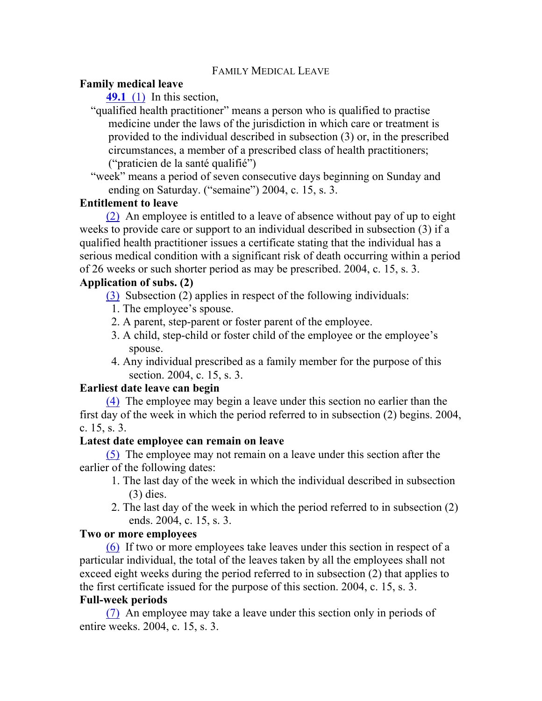#### **Family medical leave**

**49.1** (1) In this section,

"qualified health practitioner" means a person who is qualified to practise medicine under the laws of the jurisdiction in which care or treatment is provided to the individual described in subsection (3) or, in the prescribed circumstances, a member of a prescribed class of health practitioners; ("praticien de la santé qualifié")

"week" means a period of seven consecutive days beginning on Sunday and ending on Saturday. ("semaine") 2004, c. 15, s. 3.

#### **Entitlement to leave**

(2) An employee is entitled to a leave of absence without pay of up to eight weeks to provide care or support to an individual described in subsection (3) if a qualified health practitioner issues a certificate stating that the individual has a serious medical condition with a significant risk of death occurring within a period of 26 weeks or such shorter period as may be prescribed. 2004, c. 15, s. 3.

## **Application of subs. (2)**

(3) Subsection (2) applies in respect of the following individuals:

- 1. The employee's spouse.
- 2. A parent, step-parent or foster parent of the employee.
- 3. A child, step-child or foster child of the employee or the employee's spouse.
- 4. Any individual prescribed as a family member for the purpose of this section. 2004, c. 15, s. 3.

## **Earliest date leave can begin**

(4) The employee may begin a leave under this section no earlier than the first day of the week in which the period referred to in subsection (2) begins. 2004, c. 15, s. 3.

#### **Latest date employee can remain on leave**

(5) The employee may not remain on a leave under this section after the earlier of the following dates:

- 1. The last day of the week in which the individual described in subsection (3) dies.
- 2. The last day of the week in which the period referred to in subsection (2) ends. 2004, c. 15, s. 3.

#### **Two or more employees**

(6) If two or more employees take leaves under this section in respect of a particular individual, the total of the leaves taken by all the employees shall not exceed eight weeks during the period referred to in subsection (2) that applies to the first certificate issued for the purpose of this section. 2004, c. 15, s. 3.

## **Full-week periods**

(7) An employee may take a leave under this section only in periods of entire weeks. 2004, c. 15, s. 3.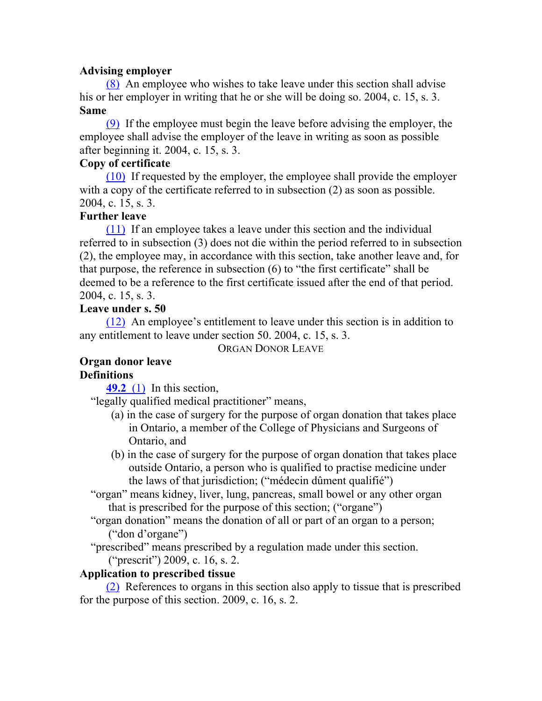#### **Advising employer**

(8) An employee who wishes to take leave under this section shall advise his or her employer in writing that he or she will be doing so. 2004, c. 15, s. 3. **Same**

(9) If the employee must begin the leave before advising the employer, the employee shall advise the employer of the leave in writing as soon as possible after beginning it. 2004, c. 15, s. 3.

#### **Copy of certificate**

(10) If requested by the employer, the employee shall provide the employer with a copy of the certificate referred to in subsection (2) as soon as possible. 2004, c. 15, s. 3.

#### **Further leave**

(11) If an employee takes a leave under this section and the individual referred to in subsection (3) does not die within the period referred to in subsection (2), the employee may, in accordance with this section, take another leave and, for that purpose, the reference in subsection (6) to "the first certificate" shall be deemed to be a reference to the first certificate issued after the end of that period. 2004, c. 15, s. 3.

## **Leave under s. 50**

(12) An employee's entitlement to leave under this section is in addition to any entitlement to leave under section 50. 2004, c. 15, s. 3.

ORGAN DONOR LEAVE

## **Organ donor leave Definitions**

**49.2** (1) In this section,

"legally qualified medical practitioner" means,

- (a) in the case of surgery for the purpose of organ donation that takes place in Ontario, a member of the College of Physicians and Surgeons of Ontario, and
- (b) in the case of surgery for the purpose of organ donation that takes place outside Ontario, a person who is qualified to practise medicine under the laws of that jurisdiction; ("médecin dûment qualifié")

"organ" means kidney, liver, lung, pancreas, small bowel or any other organ that is prescribed for the purpose of this section; ("organe")

"organ donation" means the donation of all or part of an organ to a person; ("don d'organe")

"prescribed" means prescribed by a regulation made under this section.

("prescrit") 2009, c. 16, s. 2.

## **Application to prescribed tissue**

(2) References to organs in this section also apply to tissue that is prescribed for the purpose of this section. 2009, c. 16, s. 2.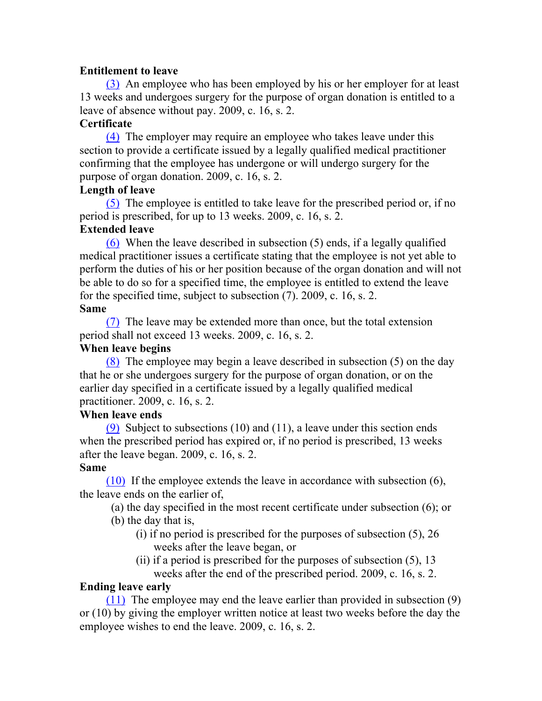#### **Entitlement to leave**

(3) An employee who has been employed by his or her employer for at least 13 weeks and undergoes surgery for the purpose of organ donation is entitled to a leave of absence without pay. 2009, c. 16, s. 2.

## **Certificate**

(4) The employer may require an employee who takes leave under this section to provide a certificate issued by a legally qualified medical practitioner confirming that the employee has undergone or will undergo surgery for the purpose of organ donation. 2009, c. 16, s. 2.

#### **Length of leave**

(5) The employee is entitled to take leave for the prescribed period or, if no period is prescribed, for up to 13 weeks. 2009, c. 16, s. 2.

## **Extended leave**

(6) When the leave described in subsection (5) ends, if a legally qualified medical practitioner issues a certificate stating that the employee is not yet able to perform the duties of his or her position because of the organ donation and will not be able to do so for a specified time, the employee is entitled to extend the leave for the specified time, subject to subsection (7). 2009, c. 16, s. 2. **Same**

(7) The leave may be extended more than once, but the total extension period shall not exceed 13 weeks. 2009, c. 16, s. 2.

#### **When leave begins**

(8) The employee may begin a leave described in subsection (5) on the day that he or she undergoes surgery for the purpose of organ donation, or on the earlier day specified in a certificate issued by a legally qualified medical practitioner. 2009, c. 16, s. 2.

## **When leave ends**

(9) Subject to subsections (10) and (11), a leave under this section ends when the prescribed period has expired or, if no period is prescribed, 13 weeks after the leave began. 2009, c. 16, s. 2.

## **Same**

(10) If the employee extends the leave in accordance with subsection (6), the leave ends on the earlier of,

(a) the day specified in the most recent certificate under subsection (6); or

- (b) the day that is,
	- (i) if no period is prescribed for the purposes of subsection (5), 26 weeks after the leave began, or
	- (ii) if a period is prescribed for the purposes of subsection (5), 13 weeks after the end of the prescribed period. 2009, c. 16, s. 2.

## **Ending leave early**

(11) The employee may end the leave earlier than provided in subsection (9) or (10) by giving the employer written notice at least two weeks before the day the employee wishes to end the leave. 2009, c. 16, s. 2.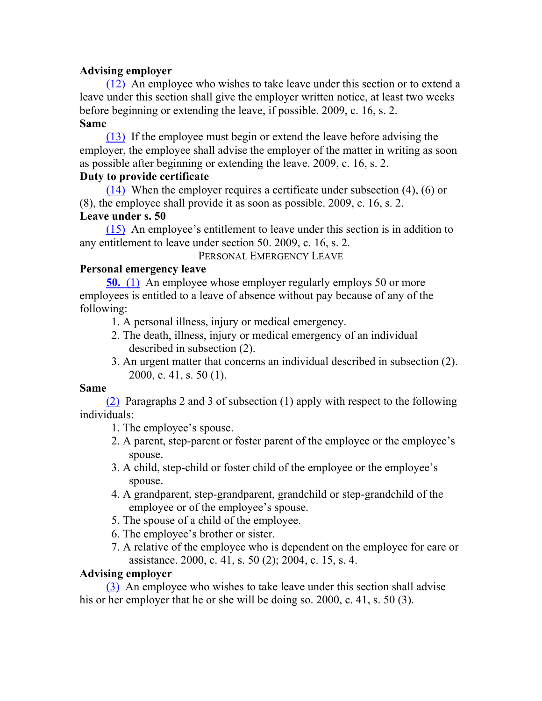#### **Advising employer**

(12) An employee who wishes to take leave under this section or to extend a leave under this section shall give the employer written notice, at least two weeks before beginning or extending the leave, if possible. 2009, c. 16, s. 2. **Same**

(13) If the employee must begin or extend the leave before advising the employer, the employee shall advise the employer of the matter in writing as soon as possible after beginning or extending the leave. 2009, c. 16, s. 2.

#### **Duty to provide certificate**

(14) When the employer requires a certificate under subsection (4), (6) or (8), the employee shall provide it as soon as possible. 2009, c. 16, s. 2. **Leave under s. 50**

(15) An employee's entitlement to leave under this section is in addition to any entitlement to leave under section 50. 2009, c. 16, s. 2.

PERSONAL EMERGENCY LEAVE

## **Personal emergency leave**

**50.** (1) An employee whose employer regularly employs 50 or more employees is entitled to a leave of absence without pay because of any of the following:

1. A personal illness, injury or medical emergency.

- 2. The death, illness, injury or medical emergency of an individual described in subsection (2).
- 3. An urgent matter that concerns an individual described in subsection (2). 2000, c. 41, s. 50 (1).

#### **Same**

(2) Paragraphs 2 and 3 of subsection (1) apply with respect to the following individuals:

- 1. The employee's spouse.
- 2. A parent, step-parent or foster parent of the employee or the employee's spouse.
- 3. A child, step-child or foster child of the employee or the employee's spouse.
- 4. A grandparent, step-grandparent, grandchild or step-grandchild of the employee or of the employee's spouse.
- 5. The spouse of a child of the employee.
- 6. The employee's brother or sister.
- 7. A relative of the employee who is dependent on the employee for care or assistance. 2000, c. 41, s. 50 (2); 2004, c. 15, s. 4.

#### **Advising employer**

(3) An employee who wishes to take leave under this section shall advise his or her employer that he or she will be doing so. 2000, c. 41, s. 50 (3).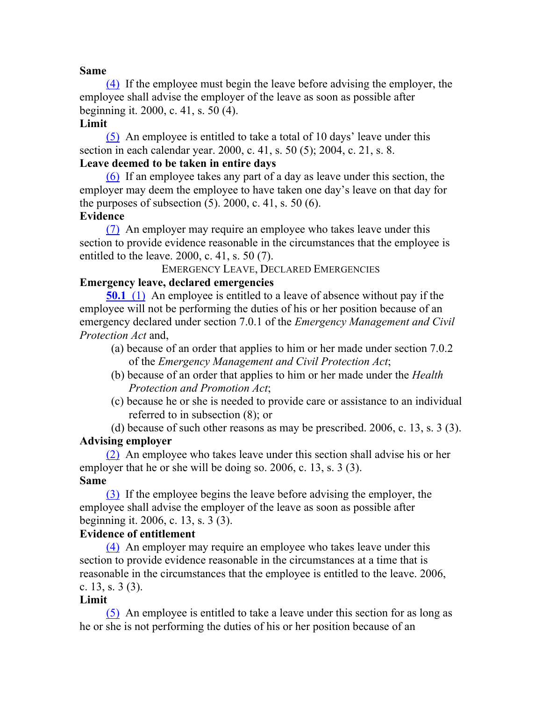#### **Same**

(4) If the employee must begin the leave before advising the employer, the employee shall advise the employer of the leave as soon as possible after beginning it. 2000, c. 41, s. 50 (4).

#### **Limit**

(5) An employee is entitled to take a total of 10 days' leave under this section in each calendar year. 2000, c. 41, s. 50 (5); 2004, c. 21, s. 8.

# **Leave deemed to be taken in entire days**

(6) If an employee takes any part of a day as leave under this section, the employer may deem the employee to have taken one day's leave on that day for the purposes of subsection  $(5)$ . 2000, c. 41, s. 50  $(6)$ .

## **Evidence**

(7) An employer may require an employee who takes leave under this section to provide evidence reasonable in the circumstances that the employee is entitled to the leave. 2000, c. 41, s. 50 (7).

EMERGENCY LEAVE, DECLARED EMERGENCIES

## **Emergency leave, declared emergencies**

**50.1** (1) An employee is entitled to a leave of absence without pay if the employee will not be performing the duties of his or her position because of an emergency declared under section 7.0.1 of the *Emergency Management and Civil Protection Act* and,

- (a) because of an order that applies to him or her made under section 7.0.2 of the *Emergency Management and Civil Protection Act*;
- (b) because of an order that applies to him or her made under the *Health Protection and Promotion Act*;
- (c) because he or she is needed to provide care or assistance to an individual referred to in subsection (8); or

(d) because of such other reasons as may be prescribed. 2006, c. 13, s. 3 (3). **Advising employer**

(2) An employee who takes leave under this section shall advise his or her employer that he or she will be doing so. 2006, c. 13, s. 3 (3). **Same**

(3) If the employee begins the leave before advising the employer, the employee shall advise the employer of the leave as soon as possible after beginning it. 2006, c. 13, s. 3 (3).

#### **Evidence of entitlement**

(4) An employer may require an employee who takes leave under this section to provide evidence reasonable in the circumstances at a time that is reasonable in the circumstances that the employee is entitled to the leave. 2006, c. 13, s. 3 (3).

#### **Limit**

(5) An employee is entitled to take a leave under this section for as long as he or she is not performing the duties of his or her position because of an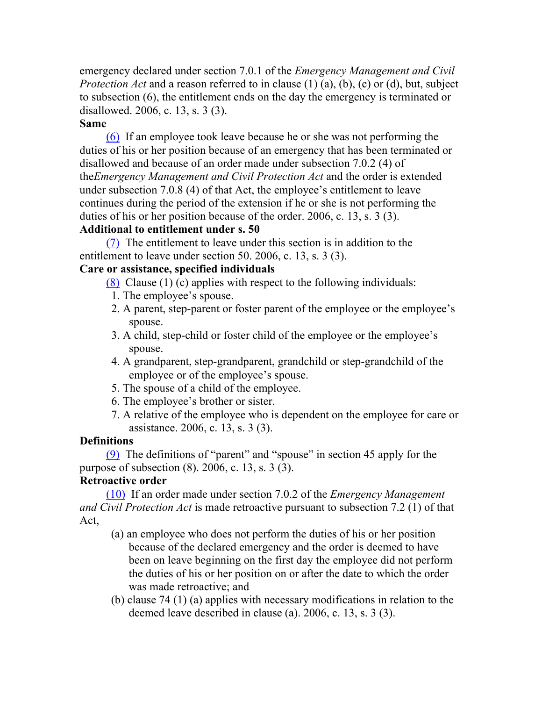emergency declared under section 7.0.1 of the *Emergency Management and Civil Protection Act* and a reason referred to in clause (1) (a), (b), (c) or (d), but, subject to subsection (6), the entitlement ends on the day the emergency is terminated or disallowed. 2006, c. 13, s. 3 (3).

#### **Same**

(6) If an employee took leave because he or she was not performing the duties of his or her position because of an emergency that has been terminated or disallowed and because of an order made under subsection 7.0.2 (4) of the*Emergency Management and Civil Protection Act* and the order is extended under subsection 7.0.8 (4) of that Act, the employee's entitlement to leave continues during the period of the extension if he or she is not performing the duties of his or her position because of the order. 2006, c. 13, s. 3 (3).

#### **Additional to entitlement under s. 50**

(7) The entitlement to leave under this section is in addition to the entitlement to leave under section 50. 2006, c. 13, s. 3 (3).

#### **Care or assistance, specified individuals**

(8) Clause (1) (c) applies with respect to the following individuals:

- 1. The employee's spouse.
- 2. A parent, step-parent or foster parent of the employee or the employee's spouse.
- 3. A child, step-child or foster child of the employee or the employee's spouse.
- 4. A grandparent, step-grandparent, grandchild or step-grandchild of the employee or of the employee's spouse.
- 5. The spouse of a child of the employee.
- 6. The employee's brother or sister.
- 7. A relative of the employee who is dependent on the employee for care or assistance. 2006, c. 13, s. 3 (3).

## **Definitions**

(9) The definitions of "parent" and "spouse" in section 45 apply for the purpose of subsection (8). 2006, c. 13, s. 3 (3).

## **Retroactive order**

(10) If an order made under section 7.0.2 of the *Emergency Management and Civil Protection Act* is made retroactive pursuant to subsection 7.2 (1) of that Act,

- (a) an employee who does not perform the duties of his or her position because of the declared emergency and the order is deemed to have been on leave beginning on the first day the employee did not perform the duties of his or her position on or after the date to which the order was made retroactive; and
- (b) clause 74 (1) (a) applies with necessary modifications in relation to the deemed leave described in clause (a). 2006, c. 13, s. 3 (3).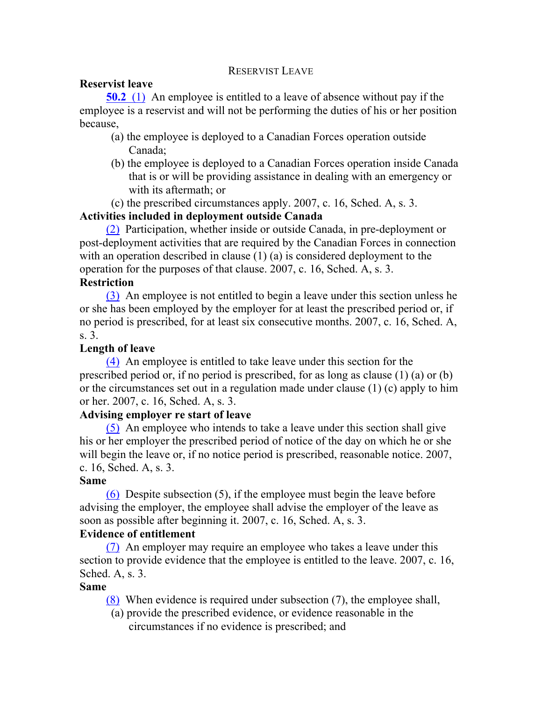#### RESERVIST LEAVE

#### **Reservist leave**

**50.2** (1) An employee is entitled to a leave of absence without pay if the employee is a reservist and will not be performing the duties of his or her position because,

- (a) the employee is deployed to a Canadian Forces operation outside Canada;
- (b) the employee is deployed to a Canadian Forces operation inside Canada that is or will be providing assistance in dealing with an emergency or with its aftermath; or
- (c) the prescribed circumstances apply. 2007, c. 16, Sched. A, s. 3.

## **Activities included in deployment outside Canada**

(2) Participation, whether inside or outside Canada, in pre-deployment or post-deployment activities that are required by the Canadian Forces in connection with an operation described in clause (1) (a) is considered deployment to the operation for the purposes of that clause. 2007, c. 16, Sched. A, s. 3.

## **Restriction**

(3) An employee is not entitled to begin a leave under this section unless he or she has been employed by the employer for at least the prescribed period or, if no period is prescribed, for at least six consecutive months. 2007, c. 16, Sched. A, s. 3.

#### **Length of leave**

(4) An employee is entitled to take leave under this section for the prescribed period or, if no period is prescribed, for as long as clause (1) (a) or (b) or the circumstances set out in a regulation made under clause (1) (c) apply to him or her. 2007, c. 16, Sched. A, s. 3.

## **Advising employer re start of leave**

(5) An employee who intends to take a leave under this section shall give his or her employer the prescribed period of notice of the day on which he or she will begin the leave or, if no notice period is prescribed, reasonable notice. 2007, c. 16, Sched. A, s. 3.

#### **Same**

(6) Despite subsection (5), if the employee must begin the leave before advising the employer, the employee shall advise the employer of the leave as soon as possible after beginning it. 2007, c. 16, Sched. A, s. 3.

## **Evidence of entitlement**

(7) An employer may require an employee who takes a leave under this section to provide evidence that the employee is entitled to the leave. 2007, c. 16, Sched. A, s. 3.

## **Same**

(8) When evidence is required under subsection (7), the employee shall,

(a) provide the prescribed evidence, or evidence reasonable in the circumstances if no evidence is prescribed; and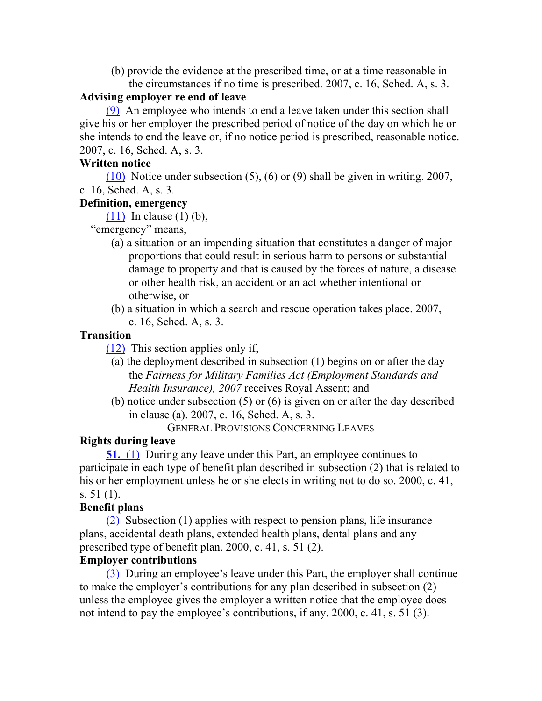(b) provide the evidence at the prescribed time, or at a time reasonable in the circumstances if no time is prescribed. 2007, c. 16, Sched. A, s. 3.

#### **Advising employer re end of leave**

(9) An employee who intends to end a leave taken under this section shall give his or her employer the prescribed period of notice of the day on which he or she intends to end the leave or, if no notice period is prescribed, reasonable notice. 2007, c. 16, Sched. A, s. 3.

#### **Written notice**

(10) Notice under subsection (5), (6) or (9) shall be given in writing. 2007, c. 16, Sched. A, s. 3.

## **Definition, emergency**

(11) In clause (1) (b),

"emergency" means,

- (a) a situation or an impending situation that constitutes a danger of major proportions that could result in serious harm to persons or substantial damage to property and that is caused by the forces of nature, a disease or other health risk, an accident or an act whether intentional or otherwise, or
- (b) a situation in which a search and rescue operation takes place. 2007, c. 16, Sched. A, s. 3.

#### **Transition**

(12) This section applies only if,

- (a) the deployment described in subsection (1) begins on or after the day the *Fairness for Military Families Act (Employment Standards and Health Insurance), 2007* receives Royal Assent; and
- (b) notice under subsection (5) or (6) is given on or after the day described in clause (a). 2007, c. 16, Sched. A, s. 3.

GENERAL PROVISIONS CONCERNING LEAVES

## **Rights during leave**

**51.** (1) During any leave under this Part, an employee continues to participate in each type of benefit plan described in subsection (2) that is related to his or her employment unless he or she elects in writing not to do so. 2000, c. 41, s. 51 (1).

## **Benefit plans**

(2) Subsection (1) applies with respect to pension plans, life insurance plans, accidental death plans, extended health plans, dental plans and any prescribed type of benefit plan. 2000, c. 41, s. 51 (2).

## **Employer contributions**

(3) During an employee's leave under this Part, the employer shall continue to make the employer's contributions for any plan described in subsection (2) unless the employee gives the employer a written notice that the employee does not intend to pay the employee's contributions, if any. 2000, c. 41, s. 51 (3).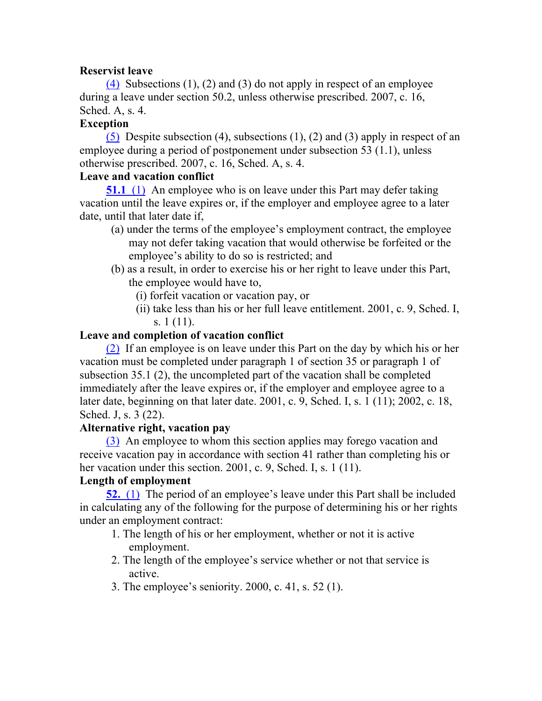#### **Reservist leave**

(4) Subsections  $(1)$ ,  $(2)$  and  $(3)$  do not apply in respect of an employee during a leave under section 50.2, unless otherwise prescribed. 2007, c. 16, Sched. A, s. 4.

#### **Exception**

(5) Despite subsection (4), subsections (1), (2) and (3) apply in respect of an employee during a period of postponement under subsection 53 (1.1), unless otherwise prescribed. 2007, c. 16, Sched. A, s. 4.

#### **Leave and vacation conflict**

**51.1** (1) An employee who is on leave under this Part may defer taking vacation until the leave expires or, if the employer and employee agree to a later date, until that later date if,

- (a) under the terms of the employee's employment contract, the employee may not defer taking vacation that would otherwise be forfeited or the employee's ability to do so is restricted; and
- (b) as a result, in order to exercise his or her right to leave under this Part, the employee would have to,
	- (i) forfeit vacation or vacation pay, or
	- (ii) take less than his or her full leave entitlement. 2001, c. 9, Sched. I, s. 1 (11).

## **Leave and completion of vacation conflict**

(2) If an employee is on leave under this Part on the day by which his or her vacation must be completed under paragraph 1 of section 35 or paragraph 1 of subsection 35.1 (2), the uncompleted part of the vacation shall be completed immediately after the leave expires or, if the employer and employee agree to a later date, beginning on that later date. 2001, c. 9, Sched. I, s. 1 (11); 2002, c. 18, Sched. J, s. 3 (22).

## **Alternative right, vacation pay**

(3) An employee to whom this section applies may forego vacation and receive vacation pay in accordance with section 41 rather than completing his or her vacation under this section. 2001, c. 9, Sched. I, s. 1 (11).

## **Length of employment**

**52.** (1) The period of an employee's leave under this Part shall be included in calculating any of the following for the purpose of determining his or her rights under an employment contract:

- 1. The length of his or her employment, whether or not it is active employment.
- 2. The length of the employee's service whether or not that service is active.
- 3. The employee's seniority. 2000, c. 41, s. 52 (1).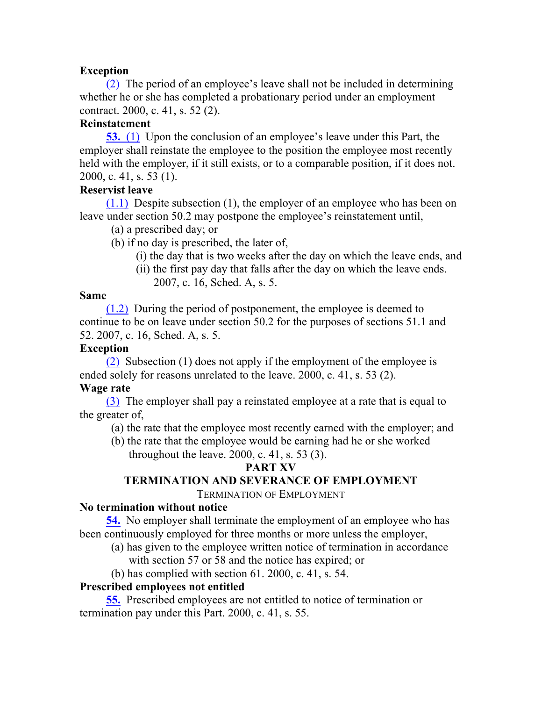## **Exception**

(2) The period of an employee's leave shall not be included in determining whether he or she has completed a probationary period under an employment contract. 2000, c. 41, s. 52 (2).

## **Reinstatement**

**53.** (1) Upon the conclusion of an employee's leave under this Part, the employer shall reinstate the employee to the position the employee most recently held with the employer, if it still exists, or to a comparable position, if it does not. 2000, c. 41, s. 53 (1).

#### **Reservist leave**

(1.1) Despite subsection (1), the employer of an employee who has been on leave under section 50.2 may postpone the employee's reinstatement until,

- (a) a prescribed day; or
- (b) if no day is prescribed, the later of,
	- (i) the day that is two weeks after the day on which the leave ends, and
	- (ii) the first pay day that falls after the day on which the leave ends. 2007, c. 16, Sched. A, s. 5.

#### **Same**

(1.2) During the period of postponement, the employee is deemed to continue to be on leave under section 50.2 for the purposes of sections 51.1 and 52. 2007, c. 16, Sched. A, s. 5.

#### **Exception**

(2) Subsection (1) does not apply if the employment of the employee is ended solely for reasons unrelated to the leave. 2000, c. 41, s. 53 (2).

## **Wage rate**

(3) The employer shall pay a reinstated employee at a rate that is equal to the greater of,

(a) the rate that the employee most recently earned with the employer; and

(b) the rate that the employee would be earning had he or she worked throughout the leave. 2000, c. 41, s. 53 (3).

## **PART XV**

## **TERMINATION AND SEVERANCE OF EMPLOYMENT**

TERMINATION OF EMPLOYMENT

## **No termination without notice**

**54.** No employer shall terminate the employment of an employee who has been continuously employed for three months or more unless the employer,

- (a) has given to the employee written notice of termination in accordance with section 57 or 58 and the notice has expired; or
- (b) has complied with section 61. 2000, c. 41, s. 54.

## **Prescribed employees not entitled**

**55.** Prescribed employees are not entitled to notice of termination or termination pay under this Part. 2000, c. 41, s. 55.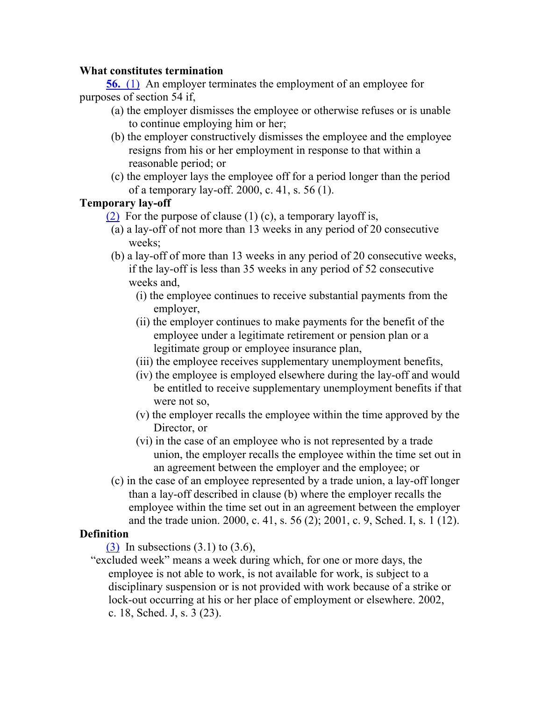#### **What constitutes termination**

**56.** (1) An employer terminates the employment of an employee for purposes of section 54 if,

- (a) the employer dismisses the employee or otherwise refuses or is unable to continue employing him or her;
- (b) the employer constructively dismisses the employee and the employee resigns from his or her employment in response to that within a reasonable period; or
- (c) the employer lays the employee off for a period longer than the period of a temporary lay-off. 2000, c. 41, s. 56 (1).

## **Temporary lay-off**

(2) For the purpose of clause (1) (c), a temporary layoff is,

- (a) a lay-off of not more than 13 weeks in any period of 20 consecutive weeks;
- (b) a lay-off of more than 13 weeks in any period of 20 consecutive weeks, if the lay-off is less than 35 weeks in any period of 52 consecutive weeks and,
	- (i) the employee continues to receive substantial payments from the employer,
	- (ii) the employer continues to make payments for the benefit of the employee under a legitimate retirement or pension plan or a legitimate group or employee insurance plan,
	- (iii) the employee receives supplementary unemployment benefits,
	- (iv) the employee is employed elsewhere during the lay-off and would be entitled to receive supplementary unemployment benefits if that were not so,
	- (v) the employer recalls the employee within the time approved by the Director, or
	- (vi) in the case of an employee who is not represented by a trade union, the employer recalls the employee within the time set out in an agreement between the employer and the employee; or
- (c) in the case of an employee represented by a trade union, a lay-off longer than a lay-off described in clause (b) where the employer recalls the employee within the time set out in an agreement between the employer and the trade union. 2000, c. 41, s. 56 (2); 2001, c. 9, Sched. I, s. 1 (12).

## **Definition**

 $(3)$  In subsections  $(3.1)$  to  $(3.6)$ ,

"excluded week" means a week during which, for one or more days, the employee is not able to work, is not available for work, is subject to a disciplinary suspension or is not provided with work because of a strike or lock-out occurring at his or her place of employment or elsewhere. 2002, c. 18, Sched. J, s. 3 (23).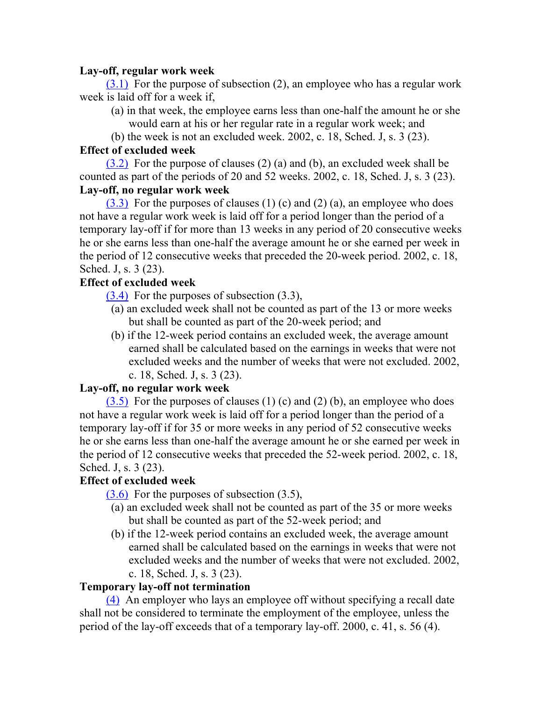## **Lay-off, regular work week**

 $(3.1)$  For the purpose of subsection (2), an employee who has a regular work week is laid off for a week if,

- (a) in that week, the employee earns less than one-half the amount he or she would earn at his or her regular rate in a regular work week; and
- (b) the week is not an excluded week. 2002, c. 18, Sched. J, s. 3 (23).

## **Effect of excluded week**

(3.2) For the purpose of clauses (2) (a) and (b), an excluded week shall be counted as part of the periods of 20 and 52 weeks. 2002, c. 18, Sched. J, s. 3 (23). **Lay-off, no regular work week**

 $(3.3)$  For the purposes of clauses (1) (c) and (2) (a), an employee who does not have a regular work week is laid off for a period longer than the period of a temporary lay-off if for more than 13 weeks in any period of 20 consecutive weeks he or she earns less than one-half the average amount he or she earned per week in the period of 12 consecutive weeks that preceded the 20-week period. 2002, c. 18, Sched. J, s. 3 (23).

## **Effect of excluded week**

(3.4) For the purposes of subsection (3.3),

- (a) an excluded week shall not be counted as part of the 13 or more weeks but shall be counted as part of the 20-week period; and
- (b) if the 12-week period contains an excluded week, the average amount earned shall be calculated based on the earnings in weeks that were not excluded weeks and the number of weeks that were not excluded. 2002,
	- c. 18, Sched. J, s. 3 (23).

## **Lay-off, no regular work week**

 $(3.5)$  For the purposes of clauses (1) (c) and (2) (b), an employee who does not have a regular work week is laid off for a period longer than the period of a temporary lay-off if for 35 or more weeks in any period of 52 consecutive weeks he or she earns less than one-half the average amount he or she earned per week in the period of 12 consecutive weeks that preceded the 52-week period. 2002, c. 18, Sched. J, s. 3 (23).

# **Effect of excluded week**

 $(3.6)$  For the purposes of subsection  $(3.5)$ ,

- (a) an excluded week shall not be counted as part of the 35 or more weeks but shall be counted as part of the 52-week period; and
- (b) if the 12-week period contains an excluded week, the average amount earned shall be calculated based on the earnings in weeks that were not excluded weeks and the number of weeks that were not excluded. 2002, c. 18, Sched. J, s. 3 (23).

## **Temporary lay-off not termination**

(4) An employer who lays an employee off without specifying a recall date shall not be considered to terminate the employment of the employee, unless the period of the lay-off exceeds that of a temporary lay-off. 2000, c. 41, s. 56 (4).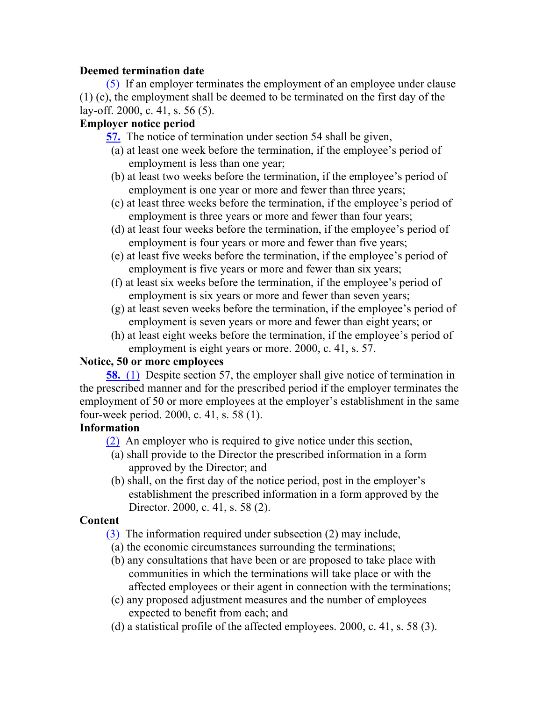## **Deemed termination date**

(5) If an employer terminates the employment of an employee under clause (1) (c), the employment shall be deemed to be terminated on the first day of the lay-off. 2000, c. 41, s. 56 (5).

#### **Employer notice period**

**57.** The notice of termination under section 54 shall be given,

- (a) at least one week before the termination, if the employee's period of employment is less than one year;
- (b) at least two weeks before the termination, if the employee's period of employment is one year or more and fewer than three years;
- (c) at least three weeks before the termination, if the employee's period of employment is three years or more and fewer than four years;
- (d) at least four weeks before the termination, if the employee's period of employment is four years or more and fewer than five years;
- (e) at least five weeks before the termination, if the employee's period of employment is five years or more and fewer than six years;
- (f) at least six weeks before the termination, if the employee's period of employment is six years or more and fewer than seven years;
- (g) at least seven weeks before the termination, if the employee's period of employment is seven years or more and fewer than eight years; or
- (h) at least eight weeks before the termination, if the employee's period of employment is eight years or more. 2000, c. 41, s. 57.

## **Notice, 50 or more employees**

**58.** (1) Despite section 57, the employer shall give notice of termination in the prescribed manner and for the prescribed period if the employer terminates the employment of 50 or more employees at the employer's establishment in the same four-week period. 2000, c. 41, s. 58 (1).

## **Information**

(2) An employer who is required to give notice under this section,

- (a) shall provide to the Director the prescribed information in a form approved by the Director; and
- (b) shall, on the first day of the notice period, post in the employer's establishment the prescribed information in a form approved by the Director. 2000, c. 41, s. 58 (2).

## **Content**

- (3) The information required under subsection (2) may include,
- (a) the economic circumstances surrounding the terminations;
- (b) any consultations that have been or are proposed to take place with communities in which the terminations will take place or with the affected employees or their agent in connection with the terminations;
- (c) any proposed adjustment measures and the number of employees expected to benefit from each; and
- (d) a statistical profile of the affected employees. 2000, c. 41, s. 58 (3).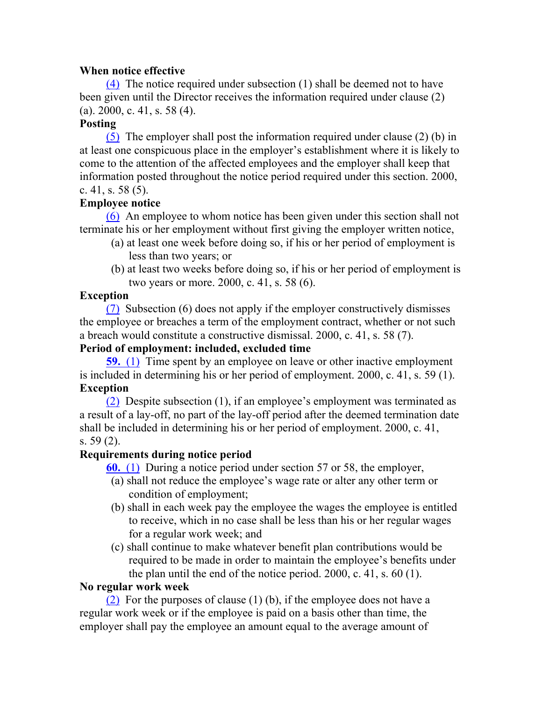#### **When notice effective**

(4) The notice required under subsection (1) shall be deemed not to have been given until the Director receives the information required under clause (2) (a). 2000, c. 41, s. 58 (4).

## **Posting**

(5) The employer shall post the information required under clause (2) (b) in at least one conspicuous place in the employer's establishment where it is likely to come to the attention of the affected employees and the employer shall keep that information posted throughout the notice period required under this section. 2000, c. 41, s. 58 (5).

## **Employee notice**

(6) An employee to whom notice has been given under this section shall not terminate his or her employment without first giving the employer written notice,

- (a) at least one week before doing so, if his or her period of employment is less than two years; or
- (b) at least two weeks before doing so, if his or her period of employment is two years or more. 2000, c. 41, s. 58 (6).

## **Exception**

(7) Subsection (6) does not apply if the employer constructively dismisses the employee or breaches a term of the employment contract, whether or not such a breach would constitute a constructive dismissal. 2000, c. 41, s. 58 (7).

## **Period of employment: included, excluded time**

**59.** (1) Time spent by an employee on leave or other inactive employment is included in determining his or her period of employment. 2000, c. 41, s. 59 (1). **Exception**

(2) Despite subsection (1), if an employee's employment was terminated as a result of a lay-off, no part of the lay-off period after the deemed termination date shall be included in determining his or her period of employment. 2000, c. 41, s. 59 (2).

# **Requirements during notice period**

**60.** (1) During a notice period under section 57 or 58, the employer,

- (a) shall not reduce the employee's wage rate or alter any other term or condition of employment;
- (b) shall in each week pay the employee the wages the employee is entitled to receive, which in no case shall be less than his or her regular wages for a regular work week; and
- (c) shall continue to make whatever benefit plan contributions would be required to be made in order to maintain the employee's benefits under the plan until the end of the notice period. 2000, c. 41, s. 60 (1).

## **No regular work week**

(2) For the purposes of clause (1) (b), if the employee does not have a regular work week or if the employee is paid on a basis other than time, the employer shall pay the employee an amount equal to the average amount of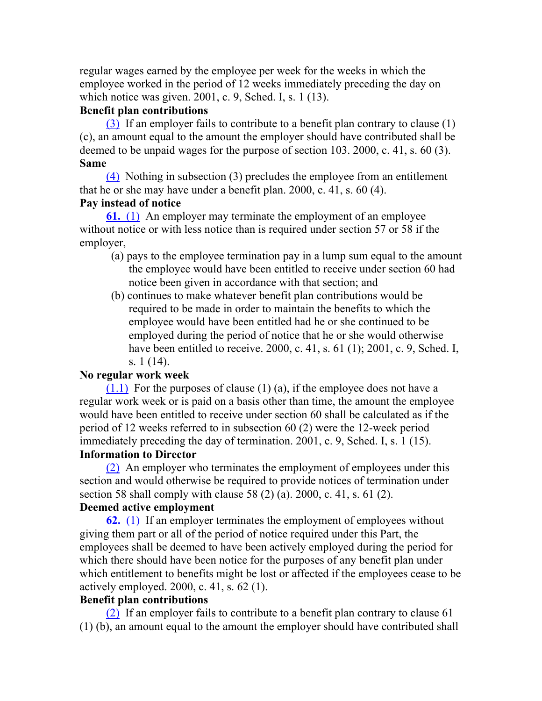regular wages earned by the employee per week for the weeks in which the employee worked in the period of 12 weeks immediately preceding the day on which notice was given. 2001, c. 9, Sched. I, s. 1 (13).

#### **Benefit plan contributions**

(3) If an employer fails to contribute to a benefit plan contrary to clause (1) (c), an amount equal to the amount the employer should have contributed shall be deemed to be unpaid wages for the purpose of section 103. 2000, c. 41, s. 60 (3). **Same**

(4) Nothing in subsection (3) precludes the employee from an entitlement that he or she may have under a benefit plan. 2000, c. 41, s. 60 (4). **Pay instead of notice**

**61.** (1) An employer may terminate the employment of an employee without notice or with less notice than is required under section 57 or 58 if the employer,

- (a) pays to the employee termination pay in a lump sum equal to the amount the employee would have been entitled to receive under section 60 had notice been given in accordance with that section; and
- (b) continues to make whatever benefit plan contributions would be required to be made in order to maintain the benefits to which the employee would have been entitled had he or she continued to be employed during the period of notice that he or she would otherwise have been entitled to receive. 2000, c. 41, s. 61 (1); 2001, c. 9, Sched. I, s. 1 (14).

#### **No regular work week**

 $(1.1)$  For the purposes of clause  $(1)$  (a), if the employee does not have a regular work week or is paid on a basis other than time, the amount the employee would have been entitled to receive under section 60 shall be calculated as if the period of 12 weeks referred to in subsection 60 (2) were the 12-week period immediately preceding the day of termination. 2001, c. 9, Sched. I, s. 1 (15).

#### **Information to Director**

(2) An employer who terminates the employment of employees under this section and would otherwise be required to provide notices of termination under section 58 shall comply with clause 58 (2) (a). 2000, c. 41, s. 61 (2).

#### **Deemed active employment**

**62.** (1) If an employer terminates the employment of employees without giving them part or all of the period of notice required under this Part, the employees shall be deemed to have been actively employed during the period for which there should have been notice for the purposes of any benefit plan under which entitlement to benefits might be lost or affected if the employees cease to be actively employed. 2000, c. 41, s. 62 (1).

#### **Benefit plan contributions**

(2) If an employer fails to contribute to a benefit plan contrary to clause 61 (1) (b), an amount equal to the amount the employer should have contributed shall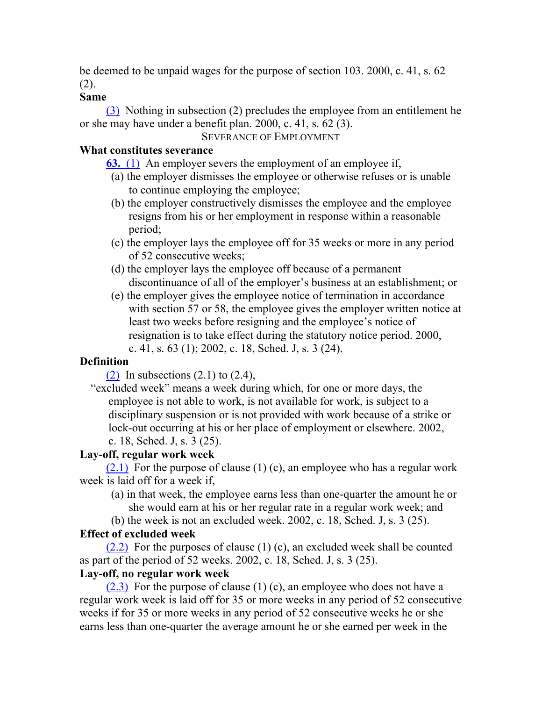be deemed to be unpaid wages for the purpose of section 103. 2000, c. 41, s. 62 (2).

#### **Same**

(3) Nothing in subsection (2) precludes the employee from an entitlement he or she may have under a benefit plan. 2000, c. 41, s. 62 (3).

#### SEVERANCE OF EMPLOYMENT

#### **What constitutes severance**

**63.** (1) An employer severs the employment of an employee if,

- (a) the employer dismisses the employee or otherwise refuses or is unable to continue employing the employee;
- (b) the employer constructively dismisses the employee and the employee resigns from his or her employment in response within a reasonable period;
- (c) the employer lays the employee off for 35 weeks or more in any period of 52 consecutive weeks;
- (d) the employer lays the employee off because of a permanent discontinuance of all of the employer's business at an establishment; or
- (e) the employer gives the employee notice of termination in accordance with section 57 or 58, the employee gives the employer written notice at least two weeks before resigning and the employee's notice of resignation is to take effect during the statutory notice period. 2000, c. 41, s. 63 (1); 2002, c. 18, Sched. J, s. 3 (24).

# **Definition**

(2) In subsections  $(2.1)$  to  $(2.4)$ ,

"excluded week" means a week during which, for one or more days, the employee is not able to work, is not available for work, is subject to a disciplinary suspension or is not provided with work because of a strike or lock-out occurring at his or her place of employment or elsewhere. 2002, c. 18, Sched. J, s. 3 (25).

## **Lay-off, regular work week**

 $(2.1)$  For the purpose of clause (1) (c), an employee who has a regular work week is laid off for a week if,

- (a) in that week, the employee earns less than one-quarter the amount he or she would earn at his or her regular rate in a regular work week; and
- (b) the week is not an excluded week. 2002, c. 18, Sched. J, s. 3 (25).

# **Effect of excluded week**

 $(2.2)$  For the purposes of clause (1) (c), an excluded week shall be counted as part of the period of 52 weeks. 2002, c. 18, Sched. J, s. 3 (25).

## **Lay-off, no regular work week**

(2.3) For the purpose of clause (1) (c), an employee who does not have a regular work week is laid off for 35 or more weeks in any period of 52 consecutive weeks if for 35 or more weeks in any period of 52 consecutive weeks he or she earns less than one-quarter the average amount he or she earned per week in the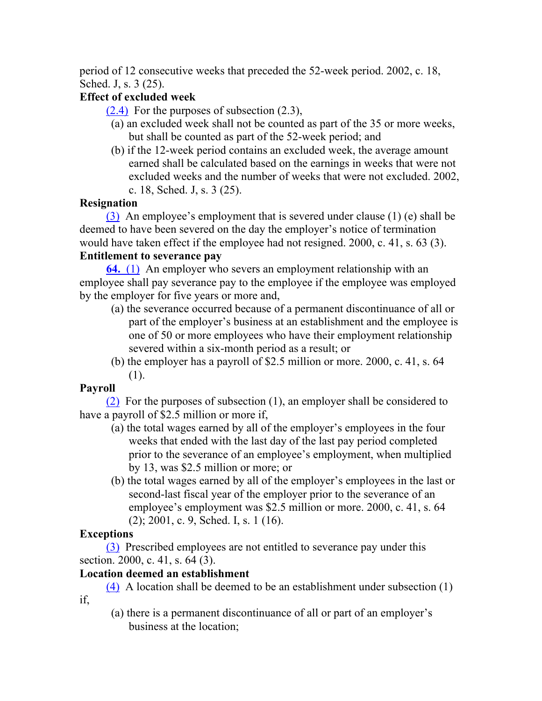period of 12 consecutive weeks that preceded the 52-week period. 2002, c. 18, Sched. J, s. 3 (25).

# **Effect of excluded week**

 $(2.4)$  For the purposes of subsection  $(2.3)$ ,

- (a) an excluded week shall not be counted as part of the 35 or more weeks, but shall be counted as part of the 52-week period; and
- (b) if the 12-week period contains an excluded week, the average amount earned shall be calculated based on the earnings in weeks that were not excluded weeks and the number of weeks that were not excluded. 2002, c. 18, Sched. J, s. 3 (25).

# **Resignation**

(3) An employee's employment that is severed under clause (1) (e) shall be deemed to have been severed on the day the employer's notice of termination would have taken effect if the employee had not resigned. 2000, c. 41, s. 63 (3).

# **Entitlement to severance pay**

**64.** (1) An employer who severs an employment relationship with an employee shall pay severance pay to the employee if the employee was employed by the employer for five years or more and,

- (a) the severance occurred because of a permanent discontinuance of all or part of the employer's business at an establishment and the employee is one of 50 or more employees who have their employment relationship severed within a six-month period as a result; or
- (b) the employer has a payroll of \$2.5 million or more. 2000, c. 41, s. 64 (1).

# **Payroll**

(2) For the purposes of subsection (1), an employer shall be considered to have a payroll of \$2.5 million or more if,

- (a) the total wages earned by all of the employer's employees in the four weeks that ended with the last day of the last pay period completed prior to the severance of an employee's employment, when multiplied by 13, was \$2.5 million or more; or
- (b) the total wages earned by all of the employer's employees in the last or second-last fiscal year of the employer prior to the severance of an employee's employment was \$2.5 million or more. 2000, c. 41, s. 64 (2); 2001, c. 9, Sched. I, s. 1 (16).

# **Exceptions**

if,

(3) Prescribed employees are not entitled to severance pay under this section. 2000, c. 41, s. 64 (3).

# **Location deemed an establishment**

(4) A location shall be deemed to be an establishment under subsection (1)

(a) there is a permanent discontinuance of all or part of an employer's business at the location;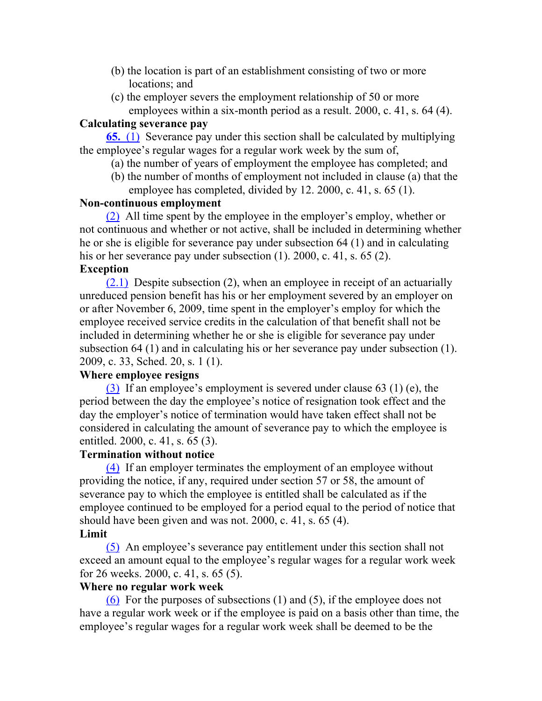- (b) the location is part of an establishment consisting of two or more locations; and
- (c) the employer severs the employment relationship of 50 or more employees within a six-month period as a result. 2000, c. 41, s. 64 (4).

#### **Calculating severance pay**

**65.** (1) Severance pay under this section shall be calculated by multiplying the employee's regular wages for a regular work week by the sum of,

- (a) the number of years of employment the employee has completed; and
- (b) the number of months of employment not included in clause (a) that the employee has completed, divided by 12. 2000, c. 41, s. 65 (1).

#### **Non-continuous employment**

(2) All time spent by the employee in the employer's employ, whether or not continuous and whether or not active, shall be included in determining whether he or she is eligible for severance pay under subsection 64 (1) and in calculating his or her severance pay under subsection (1). 2000, c. 41, s. 65 (2).

#### **Exception**

(2.1) Despite subsection (2), when an employee in receipt of an actuarially unreduced pension benefit has his or her employment severed by an employer on or after November 6, 2009, time spent in the employer's employ for which the employee received service credits in the calculation of that benefit shall not be included in determining whether he or she is eligible for severance pay under subsection 64 (1) and in calculating his or her severance pay under subsection (1). 2009, c. 33, Sched. 20, s. 1 (1).

#### **Where employee resigns**

(3) If an employee's employment is severed under clause 63 (1) (e), the period between the day the employee's notice of resignation took effect and the day the employer's notice of termination would have taken effect shall not be considered in calculating the amount of severance pay to which the employee is entitled. 2000, c. 41, s. 65 (3).

#### **Termination without notice**

(4) If an employer terminates the employment of an employee without providing the notice, if any, required under section 57 or 58, the amount of severance pay to which the employee is entitled shall be calculated as if the employee continued to be employed for a period equal to the period of notice that should have been given and was not. 2000, c. 41, s. 65 (4).

#### **Limit**

(5) An employee's severance pay entitlement under this section shall not exceed an amount equal to the employee's regular wages for a regular work week for 26 weeks. 2000, c. 41, s. 65 (5).

#### **Where no regular work week**

(6) For the purposes of subsections (1) and (5), if the employee does not have a regular work week or if the employee is paid on a basis other than time, the employee's regular wages for a regular work week shall be deemed to be the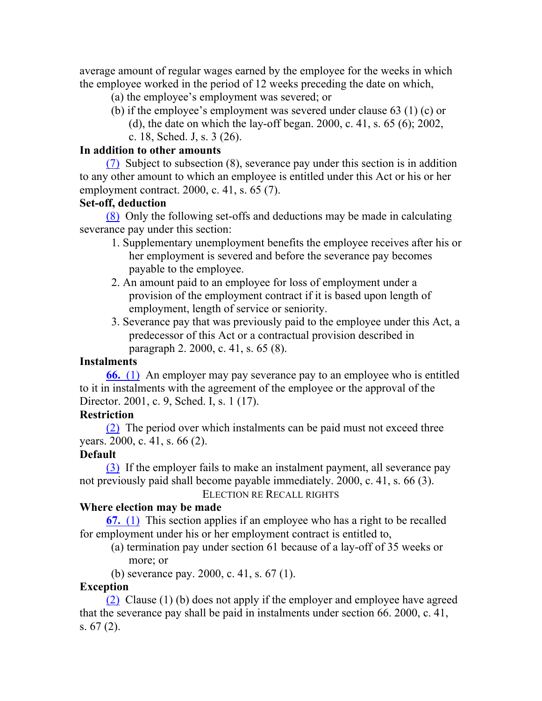average amount of regular wages earned by the employee for the weeks in which the employee worked in the period of 12 weeks preceding the date on which,

- (a) the employee's employment was severed; or
- (b) if the employee's employment was severed under clause 63 (1) (c) or
	- (d), the date on which the lay-off began. 2000, c. 41, s. 65 (6); 2002,
	- c. 18, Sched. J, s. 3 (26).

#### **In addition to other amounts**

(7) Subject to subsection (8), severance pay under this section is in addition to any other amount to which an employee is entitled under this Act or his or her employment contract. 2000, c. 41, s. 65 (7).

## **Set-off, deduction**

(8) Only the following set-offs and deductions may be made in calculating severance pay under this section:

- 1. Supplementary unemployment benefits the employee receives after his or her employment is severed and before the severance pay becomes payable to the employee.
- 2. An amount paid to an employee for loss of employment under a provision of the employment contract if it is based upon length of employment, length of service or seniority.
- 3. Severance pay that was previously paid to the employee under this Act, a predecessor of this Act or a contractual provision described in paragraph 2. 2000, c. 41, s. 65 (8).

## **Instalments**

**66.** (1) An employer may pay severance pay to an employee who is entitled to it in instalments with the agreement of the employee or the approval of the Director. 2001, c. 9, Sched. I, s. 1 (17).

## **Restriction**

(2) The period over which instalments can be paid must not exceed three years. 2000, c. 41, s. 66 (2).

# **Default**

(3) If the employer fails to make an instalment payment, all severance pay not previously paid shall become payable immediately. 2000, c. 41, s. 66 (3).

ELECTION RE RECALL RIGHTS

# **Where election may be made**

**67.** (1) This section applies if an employee who has a right to be recalled for employment under his or her employment contract is entitled to,

- (a) termination pay under section 61 because of a lay-off of 35 weeks or more; or
- (b) severance pay. 2000, c. 41, s. 67 (1).

## **Exception**

(2) Clause (1) (b) does not apply if the employer and employee have agreed that the severance pay shall be paid in instalments under section 66. 2000, c. 41, s. 67 (2).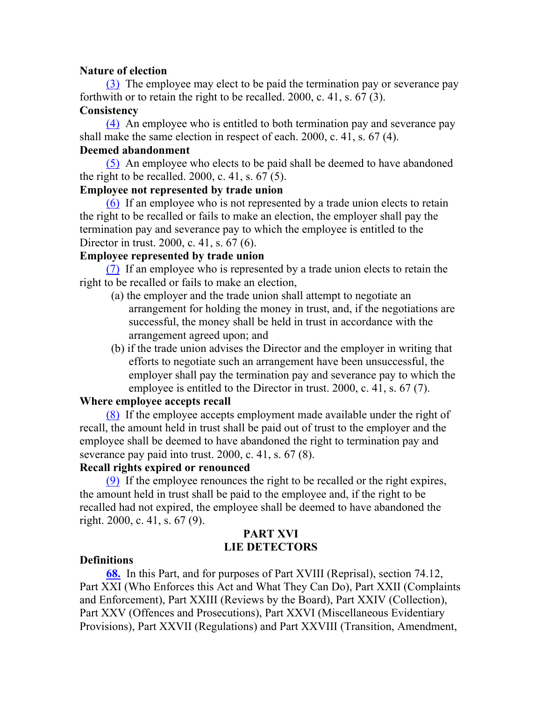#### **Nature of election**

(3) The employee may elect to be paid the termination pay or severance pay forthwith or to retain the right to be recalled. 2000, c. 41, s. 67 (3).

#### **Consistency**

(4) An employee who is entitled to both termination pay and severance pay shall make the same election in respect of each. 2000, c. 41, s. 67 (4).

#### **Deemed abandonment**

(5) An employee who elects to be paid shall be deemed to have abandoned the right to be recalled.  $2000$ , c. 41, s. 67 (5).

#### **Employee not represented by trade union**

(6) If an employee who is not represented by a trade union elects to retain the right to be recalled or fails to make an election, the employer shall pay the termination pay and severance pay to which the employee is entitled to the Director in trust. 2000, c. 41, s. 67 (6).

#### **Employee represented by trade union**

(7) If an employee who is represented by a trade union elects to retain the right to be recalled or fails to make an election,

- (a) the employer and the trade union shall attempt to negotiate an arrangement for holding the money in trust, and, if the negotiations are successful, the money shall be held in trust in accordance with the arrangement agreed upon; and
- (b) if the trade union advises the Director and the employer in writing that efforts to negotiate such an arrangement have been unsuccessful, the employer shall pay the termination pay and severance pay to which the employee is entitled to the Director in trust. 2000, c. 41, s. 67 (7).

#### **Where employee accepts recall**

(8) If the employee accepts employment made available under the right of recall, the amount held in trust shall be paid out of trust to the employer and the employee shall be deemed to have abandoned the right to termination pay and severance pay paid into trust. 2000, c. 41, s. 67 (8).

#### **Recall rights expired or renounced**

(9) If the employee renounces the right to be recalled or the right expires, the amount held in trust shall be paid to the employee and, if the right to be recalled had not expired, the employee shall be deemed to have abandoned the right. 2000, c. 41, s. 67 (9).

#### **PART XVI LIE DETECTORS**

#### **Definitions**

**68.** In this Part, and for purposes of Part XVIII (Reprisal), section 74.12, Part XXI (Who Enforces this Act and What They Can Do), Part XXII (Complaints and Enforcement), Part XXIII (Reviews by the Board), Part XXIV (Collection), Part XXV (Offences and Prosecutions), Part XXVI (Miscellaneous Evidentiary Provisions), Part XXVII (Regulations) and Part XXVIII (Transition, Amendment,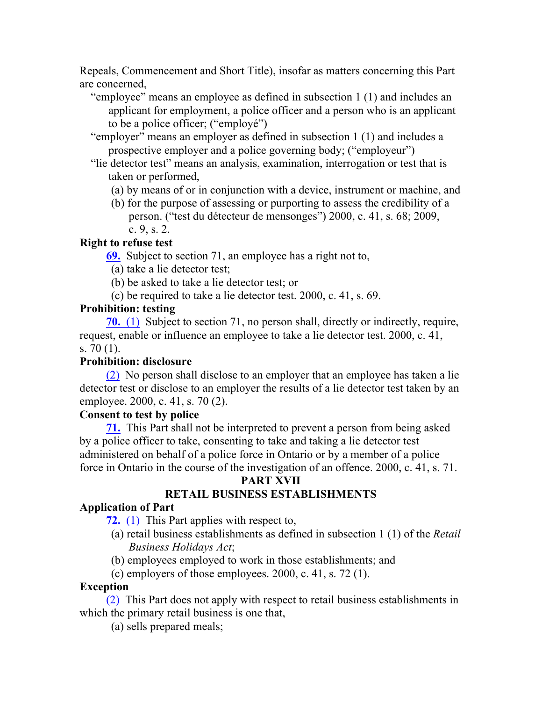Repeals, Commencement and Short Title), insofar as matters concerning this Part are concerned,

- "employee" means an employee as defined in subsection 1 (1) and includes an applicant for employment, a police officer and a person who is an applicant to be a police officer; ("employé")
- "employer" means an employer as defined in subsection 1 (1) and includes a prospective employer and a police governing body; ("employeur")
- "lie detector test" means an analysis, examination, interrogation or test that is taken or performed,
	- (a) by means of or in conjunction with a device, instrument or machine, and
	- (b) for the purpose of assessing or purporting to assess the credibility of a person. ("test du détecteur de mensonges") 2000, c. 41, s. 68; 2009, c. 9, s. 2.

## **Right to refuse test**

**69.** Subject to section 71, an employee has a right not to,

- (a) take a lie detector test;
- (b) be asked to take a lie detector test; or
- (c) be required to take a lie detector test. 2000, c. 41, s. 69.

## **Prohibition: testing**

**70.** (1) Subject to section 71, no person shall, directly or indirectly, require, request, enable or influence an employee to take a lie detector test. 2000, c. 41, s. 70 (1).

# **Prohibition: disclosure**

(2) No person shall disclose to an employer that an employee has taken a lie detector test or disclose to an employer the results of a lie detector test taken by an employee. 2000, c. 41, s. 70 (2).

## **Consent to test by police**

**71.** This Part shall not be interpreted to prevent a person from being asked by a police officer to take, consenting to take and taking a lie detector test administered on behalf of a police force in Ontario or by a member of a police force in Ontario in the course of the investigation of an offence. 2000, c. 41, s. 71.

## **PART XVII**

# **RETAIL BUSINESS ESTABLISHMENTS**

# **Application of Part**

**72.** (1) This Part applies with respect to,

- (a) retail business establishments as defined in subsection 1 (1) of the *Retail Business Holidays Act*;
- (b) employees employed to work in those establishments; and
- (c) employers of those employees. 2000, c. 41, s. 72 (1).

# **Exception**

(2) This Part does not apply with respect to retail business establishments in which the primary retail business is one that,

(a) sells prepared meals;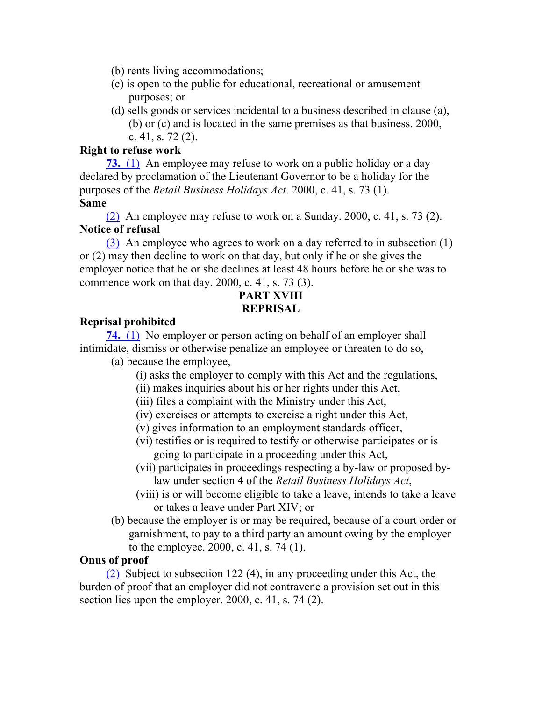- (b) rents living accommodations;
- (c) is open to the public for educational, recreational or amusement purposes; or
- (d) sells goods or services incidental to a business described in clause (a), (b) or (c) and is located in the same premises as that business. 2000, c. 41, s. 72 (2).

#### **Right to refuse work**

**73.** (1) An employee may refuse to work on a public holiday or a day declared by proclamation of the Lieutenant Governor to be a holiday for the purposes of the *Retail Business Holidays Act*. 2000, c. 41, s. 73 (1). **Same**

(2) An employee may refuse to work on a Sunday. 2000, c. 41, s. 73 (2). **Notice of refusal**

(3) An employee who agrees to work on a day referred to in subsection (1) or (2) may then decline to work on that day, but only if he or she gives the employer notice that he or she declines at least 48 hours before he or she was to commence work on that day. 2000, c. 41, s. 73 (3).

# **PART XVIII REPRISAL**

#### **Reprisal prohibited**

**74.** (1) No employer or person acting on behalf of an employer shall intimidate, dismiss or otherwise penalize an employee or threaten to do so, (a) because the employee,

- (i) asks the employer to comply with this Act and the regulations,
- (ii) makes inquiries about his or her rights under this Act,
- (iii) files a complaint with the Ministry under this Act,
- (iv) exercises or attempts to exercise a right under this Act,
- (v) gives information to an employment standards officer,
- (vi) testifies or is required to testify or otherwise participates or is going to participate in a proceeding under this Act,
- (vii) participates in proceedings respecting a by-law or proposed bylaw under section 4 of the *Retail Business Holidays Act*,
- (viii) is or will become eligible to take a leave, intends to take a leave or takes a leave under Part XIV; or
- (b) because the employer is or may be required, because of a court order or garnishment, to pay to a third party an amount owing by the employer to the employee. 2000, c. 41, s. 74 (1).

## **Onus of proof**

(2) Subject to subsection 122 (4), in any proceeding under this Act, the burden of proof that an employer did not contravene a provision set out in this section lies upon the employer. 2000, c. 41, s. 74 (2).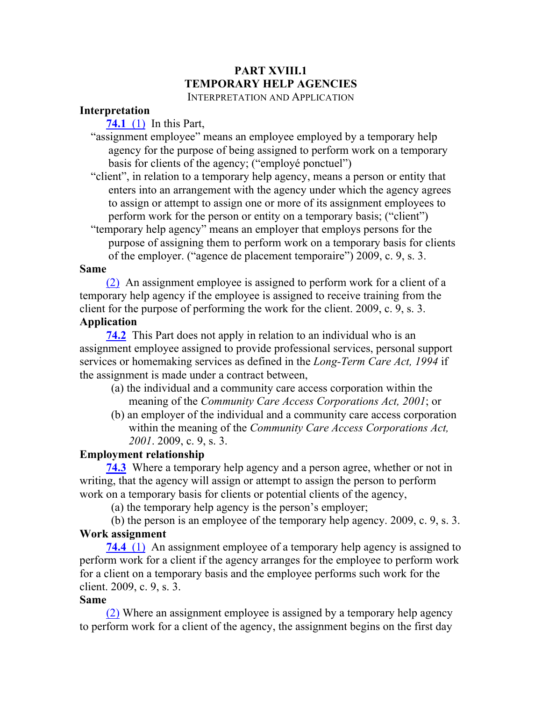# **PART XVIII.1 TEMPORARY HELP AGENCIES**

#### INTERPRETATION AND APPLICATION

#### **Interpretation**

**74.1** (1) In this Part,

"assignment employee" means an employee employed by a temporary help agency for the purpose of being assigned to perform work on a temporary basis for clients of the agency; ("employé ponctuel")

"client", in relation to a temporary help agency, means a person or entity that enters into an arrangement with the agency under which the agency agrees to assign or attempt to assign one or more of its assignment employees to perform work for the person or entity on a temporary basis; ("client")

"temporary help agency" means an employer that employs persons for the purpose of assigning them to perform work on a temporary basis for clients of the employer. ("agence de placement temporaire") 2009, c. 9, s. 3.

#### **Same**

(2) An assignment employee is assigned to perform work for a client of a temporary help agency if the employee is assigned to receive training from the client for the purpose of performing the work for the client. 2009, c. 9, s. 3. **Application**

**74.2** This Part does not apply in relation to an individual who is an assignment employee assigned to provide professional services, personal support services or homemaking services as defined in the *Long-Term Care Act, 1994* if the assignment is made under a contract between,

- (a) the individual and a community care access corporation within the meaning of the *Community Care Access Corporations Act, 2001*; or
- (b) an employer of the individual and a community care access corporation within the meaning of the *Community Care Access Corporations Act, 2001*. 2009, c. 9, s. 3.

#### **Employment relationship**

**74.3** Where a temporary help agency and a person agree, whether or not in writing, that the agency will assign or attempt to assign the person to perform work on a temporary basis for clients or potential clients of the agency,

(a) the temporary help agency is the person's employer;

(b) the person is an employee of the temporary help agency. 2009, c. 9, s. 3. **Work assignment**

**74.4** (1) An assignment employee of a temporary help agency is assigned to perform work for a client if the agency arranges for the employee to perform work for a client on a temporary basis and the employee performs such work for the client. 2009, c. 9, s. 3.

#### **Same**

(2) Where an assignment employee is assigned by a temporary help agency to perform work for a client of the agency, the assignment begins on the first day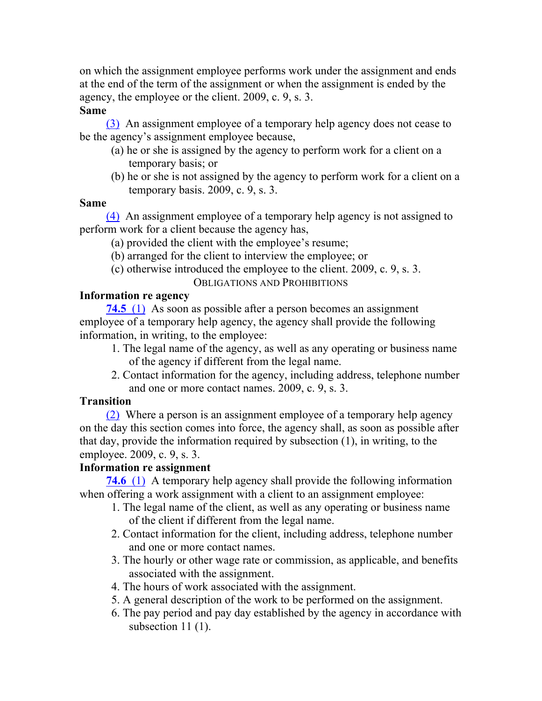on which the assignment employee performs work under the assignment and ends at the end of the term of the assignment or when the assignment is ended by the agency, the employee or the client. 2009, c. 9, s. 3.

#### **Same**

(3) An assignment employee of a temporary help agency does not cease to be the agency's assignment employee because,

- (a) he or she is assigned by the agency to perform work for a client on a temporary basis; or
- (b) he or she is not assigned by the agency to perform work for a client on a temporary basis. 2009, c. 9, s. 3.

#### **Same**

(4) An assignment employee of a temporary help agency is not assigned to perform work for a client because the agency has,

- (a) provided the client with the employee's resume;
- (b) arranged for the client to interview the employee; or
- (c) otherwise introduced the employee to the client. 2009, c. 9, s. 3.

OBLIGATIONS AND PROHIBITIONS

## **Information re agency**

**74.5** (1) As soon as possible after a person becomes an assignment employee of a temporary help agency, the agency shall provide the following information, in writing, to the employee:

- 1. The legal name of the agency, as well as any operating or business name of the agency if different from the legal name.
- 2. Contact information for the agency, including address, telephone number and one or more contact names. 2009, c. 9, s. 3.

## **Transition**

(2) Where a person is an assignment employee of a temporary help agency on the day this section comes into force, the agency shall, as soon as possible after that day, provide the information required by subsection (1), in writing, to the employee. 2009, c. 9, s. 3.

# **Information re assignment**

**74.6** (1) A temporary help agency shall provide the following information when offering a work assignment with a client to an assignment employee:

- 1. The legal name of the client, as well as any operating or business name of the client if different from the legal name.
- 2. Contact information for the client, including address, telephone number and one or more contact names.
- 3. The hourly or other wage rate or commission, as applicable, and benefits associated with the assignment.
- 4. The hours of work associated with the assignment.
- 5. A general description of the work to be performed on the assignment.
- 6. The pay period and pay day established by the agency in accordance with subsection 11 (1).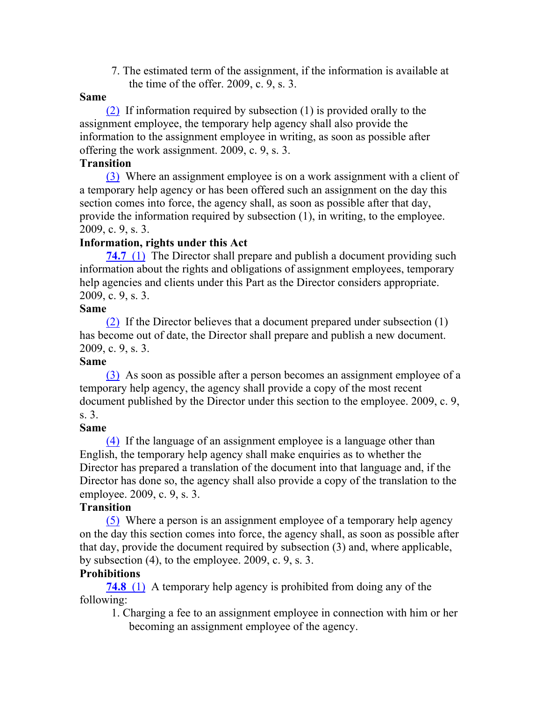7. The estimated term of the assignment, if the information is available at the time of the offer. 2009, c. 9, s. 3.

## **Same**

(2) If information required by subsection (1) is provided orally to the assignment employee, the temporary help agency shall also provide the information to the assignment employee in writing, as soon as possible after offering the work assignment. 2009, c. 9, s. 3.

#### **Transition**

(3) Where an assignment employee is on a work assignment with a client of a temporary help agency or has been offered such an assignment on the day this section comes into force, the agency shall, as soon as possible after that day, provide the information required by subsection (1), in writing, to the employee. 2009, c. 9, s. 3.

## **Information, rights under this Act**

**74.7** (1) The Director shall prepare and publish a document providing such information about the rights and obligations of assignment employees, temporary help agencies and clients under this Part as the Director considers appropriate. 2009, c. 9, s. 3.

#### **Same**

(2) If the Director believes that a document prepared under subsection (1) has become out of date, the Director shall prepare and publish a new document. 2009, c. 9, s. 3.

## **Same**

(3) As soon as possible after a person becomes an assignment employee of a temporary help agency, the agency shall provide a copy of the most recent document published by the Director under this section to the employee. 2009, c. 9, s. 3.

## **Same**

(4) If the language of an assignment employee is a language other than English, the temporary help agency shall make enquiries as to whether the Director has prepared a translation of the document into that language and, if the Director has done so, the agency shall also provide a copy of the translation to the employee. 2009, c. 9, s. 3.

## **Transition**

(5) Where a person is an assignment employee of a temporary help agency on the day this section comes into force, the agency shall, as soon as possible after that day, provide the document required by subsection (3) and, where applicable, by subsection (4), to the employee. 2009, c. 9, s. 3.

# **Prohibitions**

**74.8** (1) A temporary help agency is prohibited from doing any of the following:

1. Charging a fee to an assignment employee in connection with him or her becoming an assignment employee of the agency.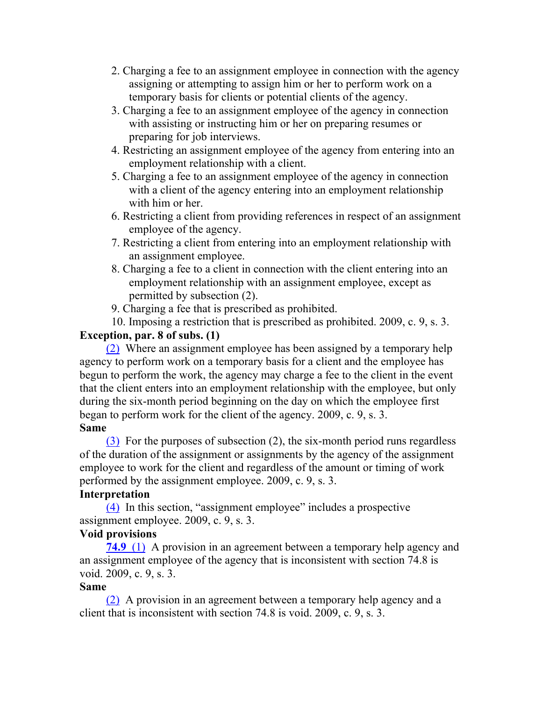- 2. Charging a fee to an assignment employee in connection with the agency assigning or attempting to assign him or her to perform work on a temporary basis for clients or potential clients of the agency.
- 3. Charging a fee to an assignment employee of the agency in connection with assisting or instructing him or her on preparing resumes or preparing for job interviews.
- 4. Restricting an assignment employee of the agency from entering into an employment relationship with a client.
- 5. Charging a fee to an assignment employee of the agency in connection with a client of the agency entering into an employment relationship with him or her.
- 6. Restricting a client from providing references in respect of an assignment employee of the agency.
- 7. Restricting a client from entering into an employment relationship with an assignment employee.
- 8. Charging a fee to a client in connection with the client entering into an employment relationship with an assignment employee, except as permitted by subsection (2).
- 9. Charging a fee that is prescribed as prohibited.

10. Imposing a restriction that is prescribed as prohibited. 2009, c. 9, s. 3.

# **Exception, par. 8 of subs. (1)**

(2) Where an assignment employee has been assigned by a temporary help agency to perform work on a temporary basis for a client and the employee has begun to perform the work, the agency may charge a fee to the client in the event that the client enters into an employment relationship with the employee, but only during the six-month period beginning on the day on which the employee first began to perform work for the client of the agency. 2009, c. 9, s. 3. **Same**

(3) For the purposes of subsection (2), the six-month period runs regardless of the duration of the assignment or assignments by the agency of the assignment employee to work for the client and regardless of the amount or timing of work performed by the assignment employee. 2009, c. 9, s. 3.

# **Interpretation**

(4) In this section, "assignment employee" includes a prospective assignment employee. 2009, c. 9, s. 3.

# **Void provisions**

**74.9** (1) A provision in an agreement between a temporary help agency and an assignment employee of the agency that is inconsistent with section 74.8 is void. 2009, c. 9, s. 3.

# **Same**

(2) A provision in an agreement between a temporary help agency and a client that is inconsistent with section 74.8 is void. 2009, c. 9, s. 3.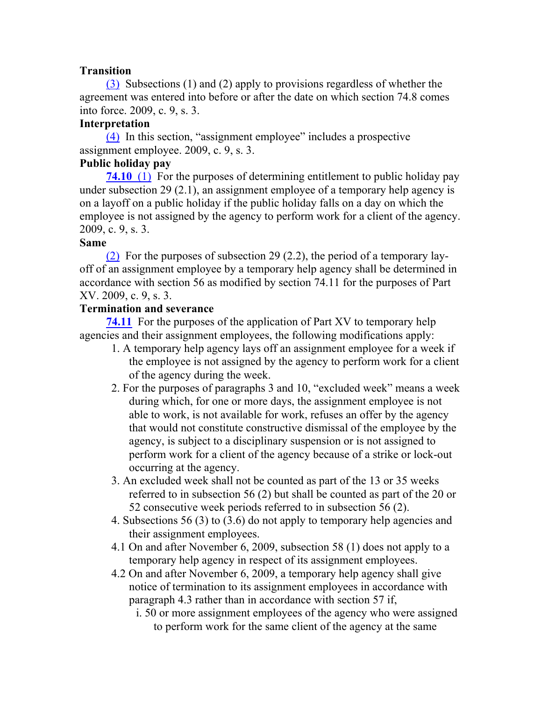## **Transition**

(3) Subsections (1) and (2) apply to provisions regardless of whether the agreement was entered into before or after the date on which section 74.8 comes into force. 2009, c. 9, s. 3.

## **Interpretation**

(4) In this section, "assignment employee" includes a prospective assignment employee. 2009, c. 9, s. 3.

## **Public holiday pay**

**74.10** (1) For the purposes of determining entitlement to public holiday pay under subsection 29 (2.1), an assignment employee of a temporary help agency is on a layoff on a public holiday if the public holiday falls on a day on which the employee is not assigned by the agency to perform work for a client of the agency. 2009, c. 9, s. 3.

## **Same**

(2) For the purposes of subsection 29 (2.2), the period of a temporary layoff of an assignment employee by a temporary help agency shall be determined in accordance with section 56 as modified by section 74.11 for the purposes of Part XV. 2009, c. 9, s. 3.

## **Termination and severance**

**74.11** For the purposes of the application of Part XV to temporary help agencies and their assignment employees, the following modifications apply:

- 1. A temporary help agency lays off an assignment employee for a week if the employee is not assigned by the agency to perform work for a client of the agency during the week.
- 2. For the purposes of paragraphs 3 and 10, "excluded week" means a week during which, for one or more days, the assignment employee is not able to work, is not available for work, refuses an offer by the agency that would not constitute constructive dismissal of the employee by the agency, is subject to a disciplinary suspension or is not assigned to perform work for a client of the agency because of a strike or lock-out occurring at the agency.
- 3. An excluded week shall not be counted as part of the 13 or 35 weeks referred to in subsection 56 (2) but shall be counted as part of the 20 or 52 consecutive week periods referred to in subsection 56 (2).
- 4. Subsections 56 (3) to (3.6) do not apply to temporary help agencies and their assignment employees.
- 4.1 On and after November 6, 2009, subsection 58 (1) does not apply to a temporary help agency in respect of its assignment employees.
- 4.2 On and after November 6, 2009, a temporary help agency shall give notice of termination to its assignment employees in accordance with paragraph 4.3 rather than in accordance with section 57 if,
	- i. 50 or more assignment employees of the agency who were assigned to perform work for the same client of the agency at the same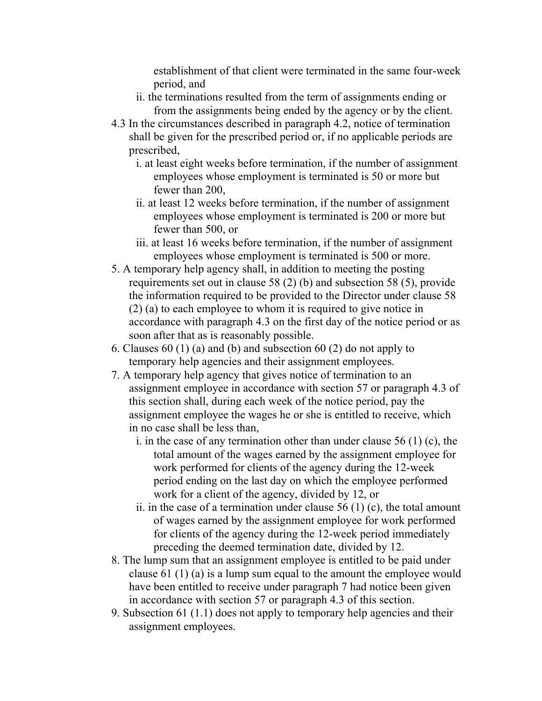establishment of that client were terminated in the same four-week period, and

- ii. the terminations resulted from the term of assignments ending or from the assignments being ended by the agency or by the client.
- 4.3 In the circumstances described in paragraph 4.2, notice of termination shall be given for the prescribed period or, if no applicable periods are prescribed,
	- i. at least eight weeks before termination, if the number of assignment employees whose employment is terminated is 50 or more but fewer than 200,
	- ii. at least 12 weeks before termination, if the number of assignment employees whose employment is terminated is 200 or more but fewer than 500, or
	- iii. at least 16 weeks before termination, if the number of assignment employees whose employment is terminated is 500 or more.
- 5. A temporary help agency shall, in addition to meeting the posting requirements set out in clause 58 (2) (b) and subsection 58 (5), provide the information required to be provided to the Director under clause 58 (2) (a) to each employee to whom it is required to give notice in accordance with paragraph 4.3 on the first day of the notice period or as soon after that as is reasonably possible.
- 6. Clauses 60 (1) (a) and (b) and subsection 60 (2) do not apply to temporary help agencies and their assignment employees.
- 7. A temporary help agency that gives notice of termination to an assignment employee in accordance with section 57 or paragraph 4.3 of this section shall, during each week of the notice period, pay the assignment employee the wages he or she is entitled to receive, which in no case shall be less than,
	- i. in the case of any termination other than under clause 56 (1) (c), the total amount of the wages earned by the assignment employee for work performed for clients of the agency during the 12-week period ending on the last day on which the employee performed work for a client of the agency, divided by 12, or
	- ii. in the case of a termination under clause  $56(1)(c)$ , the total amount of wages earned by the assignment employee for work performed for clients of the agency during the 12-week period immediately preceding the deemed termination date, divided by 12.
- 8. The lump sum that an assignment employee is entitled to be paid under clause 61 (1) (a) is a lump sum equal to the amount the employee would have been entitled to receive under paragraph 7 had notice been given in accordance with section 57 or paragraph 4.3 of this section.
- 9. Subsection 61 (1.1) does not apply to temporary help agencies and their assignment employees.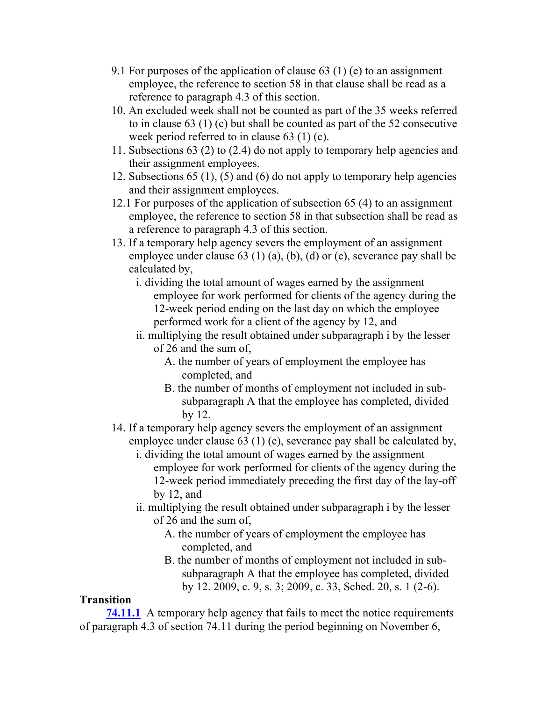- 9.1 For purposes of the application of clause 63 (1) (e) to an assignment employee, the reference to section 58 in that clause shall be read as a reference to paragraph 4.3 of this section.
- 10. An excluded week shall not be counted as part of the 35 weeks referred to in clause 63 (1) (c) but shall be counted as part of the 52 consecutive week period referred to in clause 63 (1) (c).
- 11. Subsections 63 (2) to (2.4) do not apply to temporary help agencies and their assignment employees.
- 12. Subsections 65 (1), (5) and (6) do not apply to temporary help agencies and their assignment employees.
- 12.1 For purposes of the application of subsection 65 (4) to an assignment employee, the reference to section 58 in that subsection shall be read as a reference to paragraph 4.3 of this section.
- 13. If a temporary help agency severs the employment of an assignment employee under clause 63 (1) (a), (b), (d) or (e), severance pay shall be calculated by,
	- i. dividing the total amount of wages earned by the assignment employee for work performed for clients of the agency during the 12-week period ending on the last day on which the employee performed work for a client of the agency by 12, and
	- ii. multiplying the result obtained under subparagraph i by the lesser of 26 and the sum of,
		- A. the number of years of employment the employee has completed, and
		- B. the number of months of employment not included in subsubparagraph A that the employee has completed, divided by 12.
- 14. If a temporary help agency severs the employment of an assignment employee under clause 63 (1) (c), severance pay shall be calculated by,
	- i. dividing the total amount of wages earned by the assignment employee for work performed for clients of the agency during the 12-week period immediately preceding the first day of the lay-off by 12, and
	- ii. multiplying the result obtained under subparagraph i by the lesser of 26 and the sum of,
		- A. the number of years of employment the employee has completed, and
		- B. the number of months of employment not included in subsubparagraph A that the employee has completed, divided by 12. 2009, c. 9, s. 3; 2009, c. 33, Sched. 20, s. 1 (2-6).

# **Transition**

**74.11.1** A temporary help agency that fails to meet the notice requirements of paragraph 4.3 of section 74.11 during the period beginning on November 6,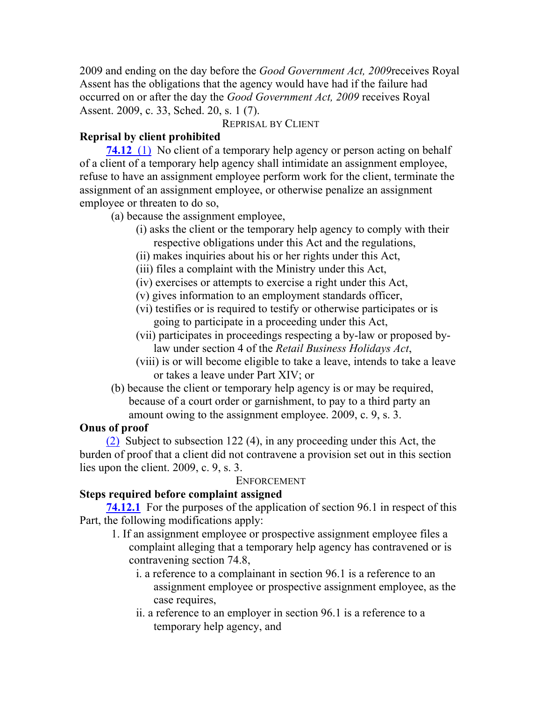2009 and ending on the day before the *Good Government Act, 2009*receives Royal Assent has the obligations that the agency would have had if the failure had occurred on or after the day the *Good Government Act, 2009* receives Royal Assent. 2009, c. 33, Sched. 20, s. 1 (7).

# REPRISAL BY CLIENT

# **Reprisal by client prohibited**

**74.12** (1) No client of a temporary help agency or person acting on behalf of a client of a temporary help agency shall intimidate an assignment employee, refuse to have an assignment employee perform work for the client, terminate the assignment of an assignment employee, or otherwise penalize an assignment employee or threaten to do so,

(a) because the assignment employee,

- (i) asks the client or the temporary help agency to comply with their respective obligations under this Act and the regulations,
- (ii) makes inquiries about his or her rights under this Act,
- (iii) files a complaint with the Ministry under this Act,
- (iv) exercises or attempts to exercise a right under this Act,
- (v) gives information to an employment standards officer,
- (vi) testifies or is required to testify or otherwise participates or is going to participate in a proceeding under this Act,
- (vii) participates in proceedings respecting a by-law or proposed bylaw under section 4 of the *Retail Business Holidays Act*,
- (viii) is or will become eligible to take a leave, intends to take a leave or takes a leave under Part XIV; or
- (b) because the client or temporary help agency is or may be required, because of a court order or garnishment, to pay to a third party an amount owing to the assignment employee. 2009, c. 9, s. 3.

# **Onus of proof**

(2) Subject to subsection 122 (4), in any proceeding under this Act, the burden of proof that a client did not contravene a provision set out in this section lies upon the client. 2009, c. 9, s. 3.

# ENFORCEMENT

# **Steps required before complaint assigned**

**74.12.1** For the purposes of the application of section 96.1 in respect of this Part, the following modifications apply:

- 1. If an assignment employee or prospective assignment employee files a complaint alleging that a temporary help agency has contravened or is contravening section 74.8,
	- i. a reference to a complainant in section 96.1 is a reference to an assignment employee or prospective assignment employee, as the case requires,
	- ii. a reference to an employer in section 96.1 is a reference to a temporary help agency, and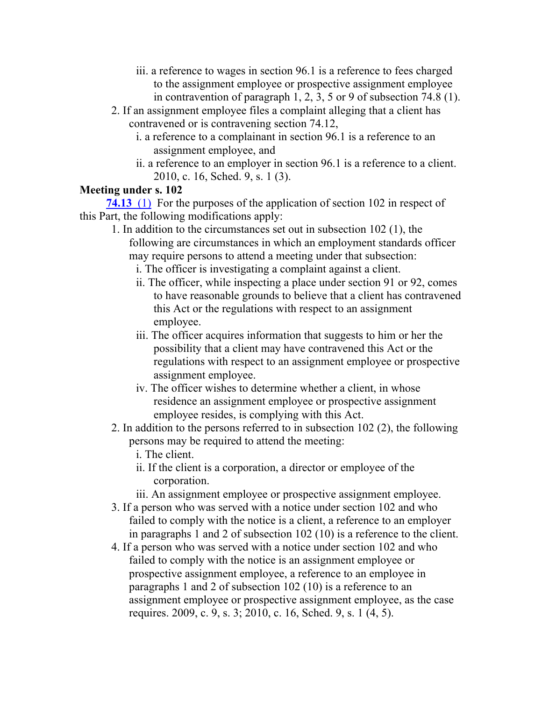- iii. a reference to wages in section 96.1 is a reference to fees charged to the assignment employee or prospective assignment employee in contravention of paragraph 1, 2, 3, 5 or 9 of subsection 74.8 (1).
- 2. If an assignment employee files a complaint alleging that a client has contravened or is contravening section 74.12,
	- i. a reference to a complainant in section 96.1 is a reference to an assignment employee, and
	- ii. a reference to an employer in section 96.1 is a reference to a client. 2010, c. 16, Sched. 9, s. 1 (3).

# **Meeting under s. 102**

**74.13** (1) For the purposes of the application of section 102 in respect of this Part, the following modifications apply:

- 1. In addition to the circumstances set out in subsection 102 (1), the following are circumstances in which an employment standards officer may require persons to attend a meeting under that subsection:
	- i. The officer is investigating a complaint against a client.
	- ii. The officer, while inspecting a place under section 91 or 92, comes to have reasonable grounds to believe that a client has contravened this Act or the regulations with respect to an assignment employee.
	- iii. The officer acquires information that suggests to him or her the possibility that a client may have contravened this Act or the regulations with respect to an assignment employee or prospective assignment employee.
	- iv. The officer wishes to determine whether a client, in whose residence an assignment employee or prospective assignment employee resides, is complying with this Act.
- 2. In addition to the persons referred to in subsection 102 (2), the following persons may be required to attend the meeting:
	- i. The client.
	- ii. If the client is a corporation, a director or employee of the corporation.
	- iii. An assignment employee or prospective assignment employee.
- 3. If a person who was served with a notice under section 102 and who failed to comply with the notice is a client, a reference to an employer in paragraphs 1 and 2 of subsection 102 (10) is a reference to the client.
- 4. If a person who was served with a notice under section 102 and who failed to comply with the notice is an assignment employee or prospective assignment employee, a reference to an employee in paragraphs 1 and 2 of subsection 102 (10) is a reference to an assignment employee or prospective assignment employee, as the case requires. 2009, c. 9, s. 3; 2010, c. 16, Sched. 9, s. 1 (4, 5).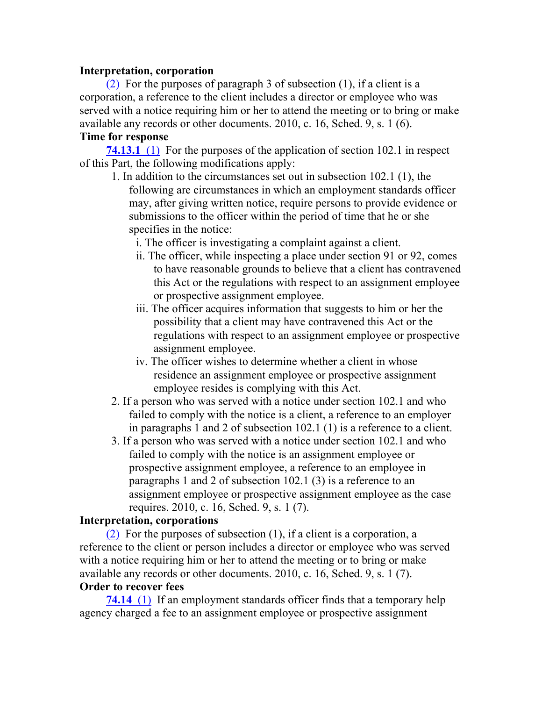## **Interpretation, corporation**

(2) For the purposes of paragraph 3 of subsection (1), if a client is a corporation, a reference to the client includes a director or employee who was served with a notice requiring him or her to attend the meeting or to bring or make available any records or other documents. 2010, c. 16, Sched. 9, s. 1 (6).

## **Time for response**

**74.13.1** (1) For the purposes of the application of section 102.1 in respect of this Part, the following modifications apply:

- 1. In addition to the circumstances set out in subsection 102.1 (1), the following are circumstances in which an employment standards officer may, after giving written notice, require persons to provide evidence or submissions to the officer within the period of time that he or she specifies in the notice:
	- i. The officer is investigating a complaint against a client.
	- ii. The officer, while inspecting a place under section 91 or 92, comes to have reasonable grounds to believe that a client has contravened this Act or the regulations with respect to an assignment employee or prospective assignment employee.
	- iii. The officer acquires information that suggests to him or her the possibility that a client may have contravened this Act or the regulations with respect to an assignment employee or prospective assignment employee.
	- iv. The officer wishes to determine whether a client in whose residence an assignment employee or prospective assignment employee resides is complying with this Act.
- 2. If a person who was served with a notice under section 102.1 and who failed to comply with the notice is a client, a reference to an employer in paragraphs 1 and 2 of subsection 102.1 (1) is a reference to a client.
- 3. If a person who was served with a notice under section 102.1 and who failed to comply with the notice is an assignment employee or prospective assignment employee, a reference to an employee in paragraphs 1 and 2 of subsection 102.1 (3) is a reference to an assignment employee or prospective assignment employee as the case requires. 2010, c. 16, Sched. 9, s. 1 (7).

# **Interpretation, corporations**

(2) For the purposes of subsection (1), if a client is a corporation, a reference to the client or person includes a director or employee who was served with a notice requiring him or her to attend the meeting or to bring or make available any records or other documents. 2010, c. 16, Sched. 9, s. 1 (7). **Order to recover fees**

**74.14** (1) If an employment standards officer finds that a temporary help agency charged a fee to an assignment employee or prospective assignment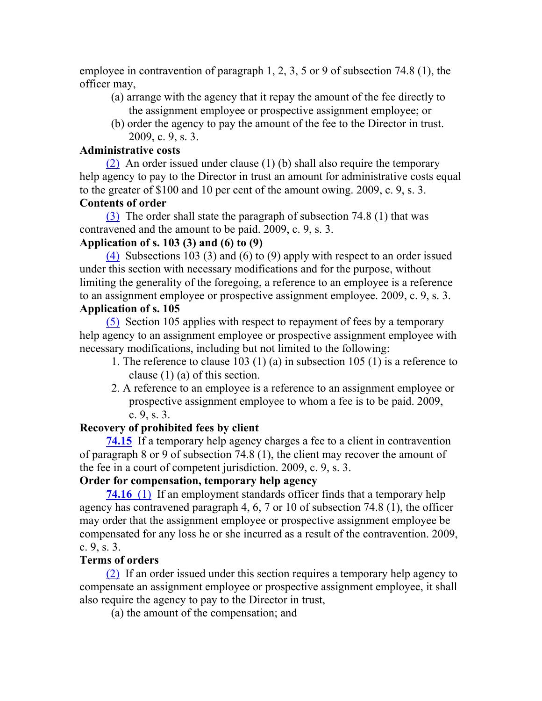employee in contravention of paragraph 1, 2, 3, 5 or 9 of subsection 74.8 (1), the officer may,

- (a) arrange with the agency that it repay the amount of the fee directly to the assignment employee or prospective assignment employee; or
- (b) order the agency to pay the amount of the fee to the Director in trust. 2009, c. 9, s. 3.

## **Administrative costs**

(2) An order issued under clause (1) (b) shall also require the temporary help agency to pay to the Director in trust an amount for administrative costs equal to the greater of \$100 and 10 per cent of the amount owing. 2009, c. 9, s. 3. **Contents of order**

(3) The order shall state the paragraph of subsection 74.8 (1) that was contravened and the amount to be paid. 2009, c. 9, s. 3.

# **Application of s. 103 (3) and (6) to (9)**

(4) Subsections 103 (3) and (6) to (9) apply with respect to an order issued under this section with necessary modifications and for the purpose, without limiting the generality of the foregoing, a reference to an employee is a reference to an assignment employee or prospective assignment employee. 2009, c. 9, s. 3.

# **Application of s. 105**

(5) Section 105 applies with respect to repayment of fees by a temporary help agency to an assignment employee or prospective assignment employee with necessary modifications, including but not limited to the following:

- 1. The reference to clause 103 (1) (a) in subsection 105 (1) is a reference to clause (1) (a) of this section.
- 2. A reference to an employee is a reference to an assignment employee or prospective assignment employee to whom a fee is to be paid. 2009, c. 9, s. 3.

# **Recovery of prohibited fees by client**

**74.15** If a temporary help agency charges a fee to a client in contravention of paragraph 8 or 9 of subsection 74.8 (1), the client may recover the amount of the fee in a court of competent jurisdiction. 2009, c. 9, s. 3.

# **Order for compensation, temporary help agency**

**74.16** (1) If an employment standards officer finds that a temporary help agency has contravened paragraph 4, 6, 7 or 10 of subsection 74.8 (1), the officer may order that the assignment employee or prospective assignment employee be compensated for any loss he or she incurred as a result of the contravention. 2009, c. 9, s. 3.

# **Terms of orders**

(2) If an order issued under this section requires a temporary help agency to compensate an assignment employee or prospective assignment employee, it shall also require the agency to pay to the Director in trust,

(a) the amount of the compensation; and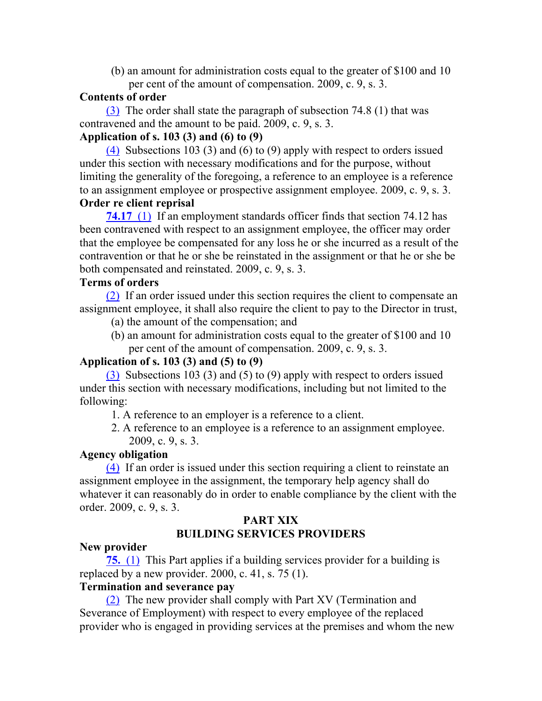(b) an amount for administration costs equal to the greater of \$100 and 10 per cent of the amount of compensation. 2009, c. 9, s. 3.

#### **Contents of order**

(3) The order shall state the paragraph of subsection 74.8 (1) that was contravened and the amount to be paid. 2009, c. 9, s. 3.

# **Application of s. 103 (3) and (6) to (9)**

(4) Subsections 103 (3) and (6) to (9) apply with respect to orders issued under this section with necessary modifications and for the purpose, without limiting the generality of the foregoing, a reference to an employee is a reference to an assignment employee or prospective assignment employee. 2009, c. 9, s. 3. **Order re client reprisal**

**74.17** (1) If an employment standards officer finds that section 74.12 has been contravened with respect to an assignment employee, the officer may order that the employee be compensated for any loss he or she incurred as a result of the contravention or that he or she be reinstated in the assignment or that he or she be both compensated and reinstated. 2009, c. 9, s. 3.

## **Terms of orders**

(2) If an order issued under this section requires the client to compensate an assignment employee, it shall also require the client to pay to the Director in trust,

(a) the amount of the compensation; and

(b) an amount for administration costs equal to the greater of \$100 and 10 per cent of the amount of compensation. 2009, c. 9, s. 3.

## **Application of s. 103 (3) and (5) to (9)**

(3) Subsections 103 (3) and (5) to (9) apply with respect to orders issued under this section with necessary modifications, including but not limited to the following:

- 1. A reference to an employer is a reference to a client.
- 2. A reference to an employee is a reference to an assignment employee. 2009, c. 9, s. 3.

## **Agency obligation**

(4) If an order is issued under this section requiring a client to reinstate an assignment employee in the assignment, the temporary help agency shall do whatever it can reasonably do in order to enable compliance by the client with the order. 2009, c. 9, s. 3.

## **PART XIX BUILDING SERVICES PROVIDERS**

## **New provider**

**75.** (1) This Part applies if a building services provider for a building is replaced by a new provider.  $2000$ , c. 41, s. 75 (1).

## **Termination and severance pay**

(2) The new provider shall comply with Part XV (Termination and Severance of Employment) with respect to every employee of the replaced provider who is engaged in providing services at the premises and whom the new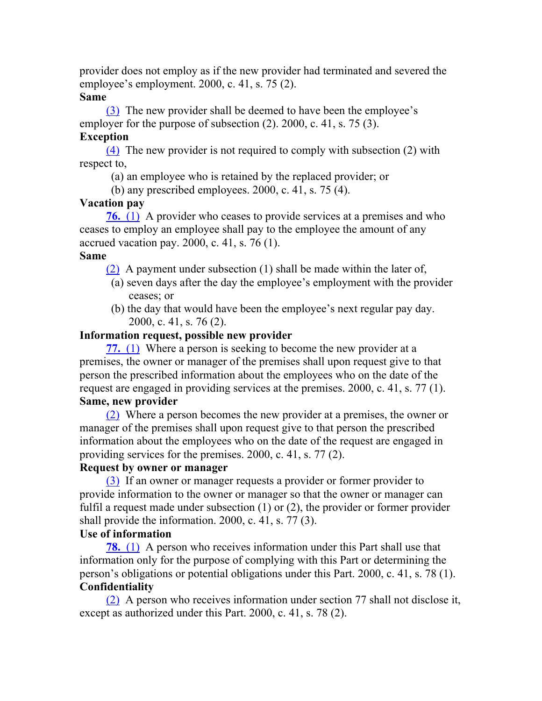provider does not employ as if the new provider had terminated and severed the employee's employment. 2000, c. 41, s. 75 (2).

## **Same**

(3) The new provider shall be deemed to have been the employee's employer for the purpose of subsection (2). 2000, c. 41, s. 75 (3).

## **Exception**

(4) The new provider is not required to comply with subsection (2) with respect to,

- (a) an employee who is retained by the replaced provider; or
- (b) any prescribed employees. 2000, c. 41, s. 75 (4).

# **Vacation pay**

**76.** (1) A provider who ceases to provide services at a premises and who ceases to employ an employee shall pay to the employee the amount of any accrued vacation pay. 2000, c. 41, s. 76 (1).

## **Same**

(2) A payment under subsection (1) shall be made within the later of,

- (a) seven days after the day the employee's employment with the provider ceases; or
- (b) the day that would have been the employee's next regular pay day. 2000, c. 41, s. 76 (2).

## **Information request, possible new provider**

**77.** (1) Where a person is seeking to become the new provider at a premises, the owner or manager of the premises shall upon request give to that person the prescribed information about the employees who on the date of the request are engaged in providing services at the premises. 2000, c. 41, s. 77 (1). **Same, new provider**

(2) Where a person becomes the new provider at a premises, the owner or manager of the premises shall upon request give to that person the prescribed information about the employees who on the date of the request are engaged in providing services for the premises. 2000, c. 41, s. 77 (2).

# **Request by owner or manager**

(3) If an owner or manager requests a provider or former provider to provide information to the owner or manager so that the owner or manager can fulfil a request made under subsection (1) or (2), the provider or former provider shall provide the information. 2000, c. 41, s. 77 (3).

# **Use of information**

**78.** (1) A person who receives information under this Part shall use that information only for the purpose of complying with this Part or determining the person's obligations or potential obligations under this Part. 2000, c. 41, s. 78 (1). **Confidentiality**

(2) A person who receives information under section 77 shall not disclose it, except as authorized under this Part. 2000, c. 41, s. 78 (2).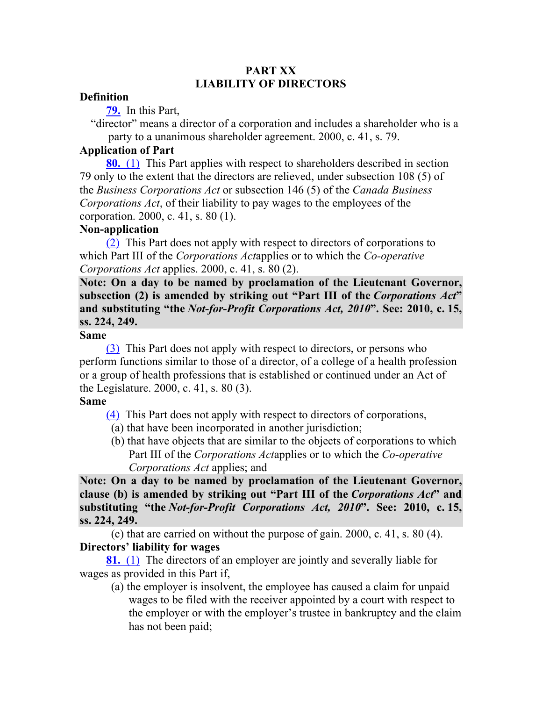## **PART XX LIABILITY OF DIRECTORS**

#### **Definition**

**79.** In this Part,

"director" means a director of a corporation and includes a shareholder who is a party to a unanimous shareholder agreement. 2000, c. 41, s. 79.

#### **Application of Part**

**80.** (1) This Part applies with respect to shareholders described in section 79 only to the extent that the directors are relieved, under subsection 108 (5) of the *Business Corporations Act* or subsection 146 (5) of the *Canada Business Corporations Act*, of their liability to pay wages to the employees of the corporation. 2000, c. 41, s. 80 (1).

#### **Non-application**

(2) This Part does not apply with respect to directors of corporations to which Part III of the *Corporations Act*applies or to which the *Co-operative Corporations Act* applies. 2000, c. 41, s. 80 (2).

**Note: On a day to be named by proclamation of the Lieutenant Governor, subsection (2) is amended by striking out "Part III of the** *Corporations Act***" and substituting "the** *Not-for-Profit Corporations Act, 2010***". See: 2010, c. 15, ss. 224, 249.**

#### **Same**

(3) This Part does not apply with respect to directors, or persons who perform functions similar to those of a director, of a college of a health profession or a group of health professions that is established or continued under an Act of the Legislature. 2000, c. 41, s. 80 (3).

#### **Same**

(4) This Part does not apply with respect to directors of corporations,

- (a) that have been incorporated in another jurisdiction;
- (b) that have objects that are similar to the objects of corporations to which Part III of the *Corporations Act*applies or to which the *Co-operative Corporations Act* applies; and

**Note: On a day to be named by proclamation of the Lieutenant Governor, clause (b) is amended by striking out "Part III of the** *Corporations Act***" and substituting "the** *Not-for-Profit Corporations Act, 2010***". See: 2010, c. 15, ss. 224, 249.**

(c) that are carried on without the purpose of gain. 2000, c. 41, s. 80 (4). **Directors' liability for wages**

**81.** (1) The directors of an employer are jointly and severally liable for wages as provided in this Part if,

(a) the employer is insolvent, the employee has caused a claim for unpaid wages to be filed with the receiver appointed by a court with respect to the employer or with the employer's trustee in bankruptcy and the claim has not been paid;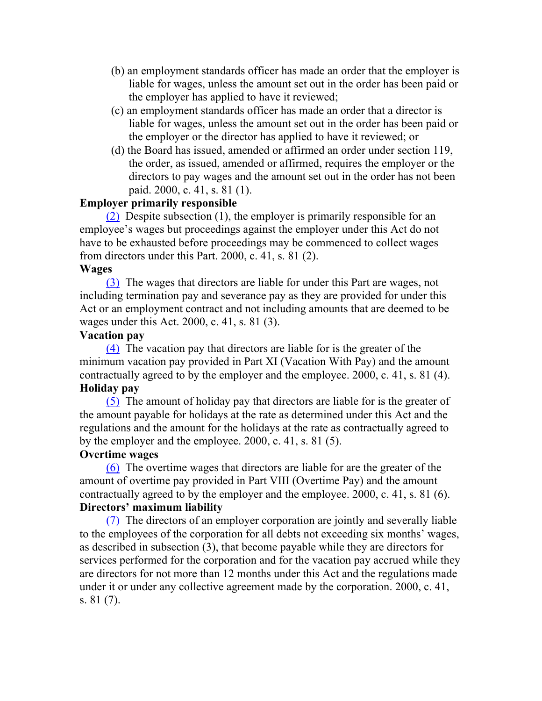- (b) an employment standards officer has made an order that the employer is liable for wages, unless the amount set out in the order has been paid or the employer has applied to have it reviewed;
- (c) an employment standards officer has made an order that a director is liable for wages, unless the amount set out in the order has been paid or the employer or the director has applied to have it reviewed; or
- (d) the Board has issued, amended or affirmed an order under section 119, the order, as issued, amended or affirmed, requires the employer or the directors to pay wages and the amount set out in the order has not been paid. 2000, c. 41, s. 81 (1).

#### **Employer primarily responsible**

(2) Despite subsection (1), the employer is primarily responsible for an employee's wages but proceedings against the employer under this Act do not have to be exhausted before proceedings may be commenced to collect wages from directors under this Part. 2000, c. 41, s. 81 (2).

#### **Wages**

(3) The wages that directors are liable for under this Part are wages, not including termination pay and severance pay as they are provided for under this Act or an employment contract and not including amounts that are deemed to be wages under this Act. 2000, c. 41, s. 81 (3).

#### **Vacation pay**

(4) The vacation pay that directors are liable for is the greater of the minimum vacation pay provided in Part XI (Vacation With Pay) and the amount contractually agreed to by the employer and the employee. 2000, c. 41, s. 81 (4). **Holiday pay**

(5) The amount of holiday pay that directors are liable for is the greater of the amount payable for holidays at the rate as determined under this Act and the regulations and the amount for the holidays at the rate as contractually agreed to by the employer and the employee. 2000, c. 41, s. 81 (5).

#### **Overtime wages**

(6) The overtime wages that directors are liable for are the greater of the amount of overtime pay provided in Part VIII (Overtime Pay) and the amount contractually agreed to by the employer and the employee. 2000, c. 41, s. 81 (6). **Directors' maximum liability**

(7) The directors of an employer corporation are jointly and severally liable to the employees of the corporation for all debts not exceeding six months' wages, as described in subsection (3), that become payable while they are directors for services performed for the corporation and for the vacation pay accrued while they are directors for not more than 12 months under this Act and the regulations made under it or under any collective agreement made by the corporation. 2000, c. 41, s. 81 (7).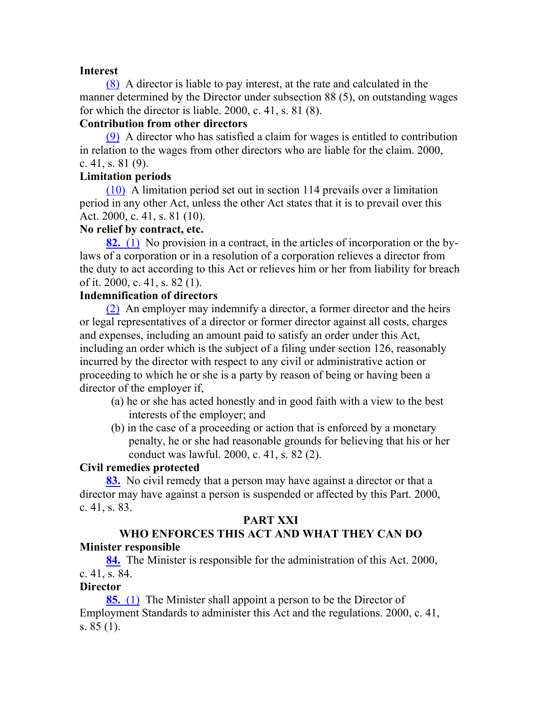#### **Interest**

(8) A director is liable to pay interest, at the rate and calculated in the manner determined by the Director under subsection 88 (5), on outstanding wages for which the director is liable. 2000, c. 41, s. 81 (8).

#### **Contribution from other directors**

(9) A director who has satisfied a claim for wages is entitled to contribution in relation to the wages from other directors who are liable for the claim. 2000, c. 41, s. 81 (9).

## **Limitation periods**

(10) A limitation period set out in section 114 prevails over a limitation period in any other Act, unless the other Act states that it is to prevail over this Act. 2000, c. 41, s. 81 (10).

#### **No relief by contract, etc.**

**82.** (1) No provision in a contract, in the articles of incorporation or the bylaws of a corporation or in a resolution of a corporation relieves a director from the duty to act according to this Act or relieves him or her from liability for breach of it. 2000, c. 41, s. 82 (1).

#### **Indemnification of directors**

(2) An employer may indemnify a director, a former director and the heirs or legal representatives of a director or former director against all costs, charges and expenses, including an amount paid to satisfy an order under this Act, including an order which is the subject of a filing under section 126, reasonably incurred by the director with respect to any civil or administrative action or proceeding to which he or she is a party by reason of being or having been a director of the employer if,

- (a) he or she has acted honestly and in good faith with a view to the best interests of the employer; and
- (b) in the case of a proceeding or action that is enforced by a monetary penalty, he or she had reasonable grounds for believing that his or her conduct was lawful. 2000, c. 41, s. 82 (2).

## **Civil remedies protected**

**83.** No civil remedy that a person may have against a director or that a director may have against a person is suspended or affected by this Part. 2000, c. 41, s. 83.

## **PART XXI**

# **WHO ENFORCES THIS ACT AND WHAT THEY CAN DO Minister responsible**

**84.** The Minister is responsible for the administration of this Act. 2000, c. 41, s. 84.

## **Director**

**85.** (1) The Minister shall appoint a person to be the Director of Employment Standards to administer this Act and the regulations. 2000, c. 41, s. 85 (1).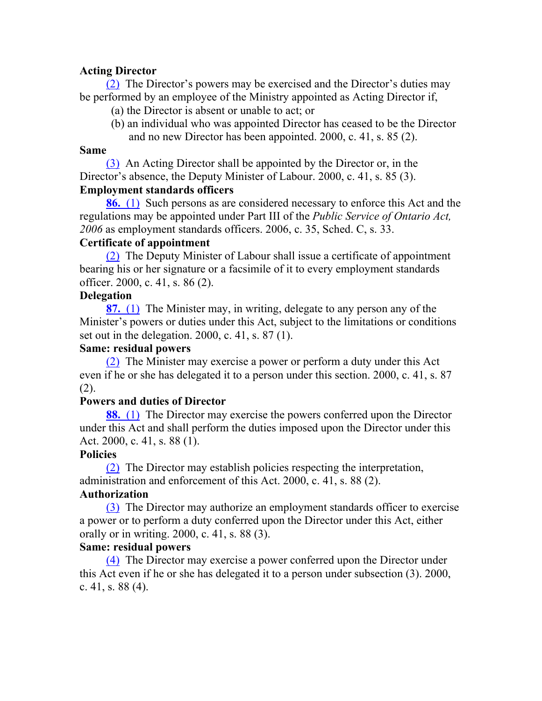## **Acting Director**

(2) The Director's powers may be exercised and the Director's duties may be performed by an employee of the Ministry appointed as Acting Director if,

- (a) the Director is absent or unable to act; or
- (b) an individual who was appointed Director has ceased to be the Director and no new Director has been appointed. 2000, c. 41, s. 85 (2).

#### **Same**

(3) An Acting Director shall be appointed by the Director or, in the Director's absence, the Deputy Minister of Labour. 2000, c. 41, s. 85 (3).

# **Employment standards officers**

**86.** (1) Such persons as are considered necessary to enforce this Act and the regulations may be appointed under Part III of the *Public Service of Ontario Act, 2006* as employment standards officers. 2006, c. 35, Sched. C, s. 33.

## **Certificate of appointment**

(2) The Deputy Minister of Labour shall issue a certificate of appointment bearing his or her signature or a facsimile of it to every employment standards officer. 2000, c. 41, s. 86 (2).

## **Delegation**

**87.** (1) The Minister may, in writing, delegate to any person any of the Minister's powers or duties under this Act, subject to the limitations or conditions set out in the delegation. 2000, c. 41, s. 87 (1).

## **Same: residual powers**

(2) The Minister may exercise a power or perform a duty under this Act even if he or she has delegated it to a person under this section. 2000, c. 41, s. 87 (2).

# **Powers and duties of Director**

**88.** (1) The Director may exercise the powers conferred upon the Director under this Act and shall perform the duties imposed upon the Director under this Act. 2000, c. 41, s. 88 (1).

## **Policies**

(2) The Director may establish policies respecting the interpretation, administration and enforcement of this Act. 2000, c. 41, s. 88 (2).

# **Authorization**

(3) The Director may authorize an employment standards officer to exercise a power or to perform a duty conferred upon the Director under this Act, either orally or in writing. 2000, c. 41, s. 88 (3).

## **Same: residual powers**

(4) The Director may exercise a power conferred upon the Director under this Act even if he or she has delegated it to a person under subsection (3). 2000, c. 41, s. 88 (4).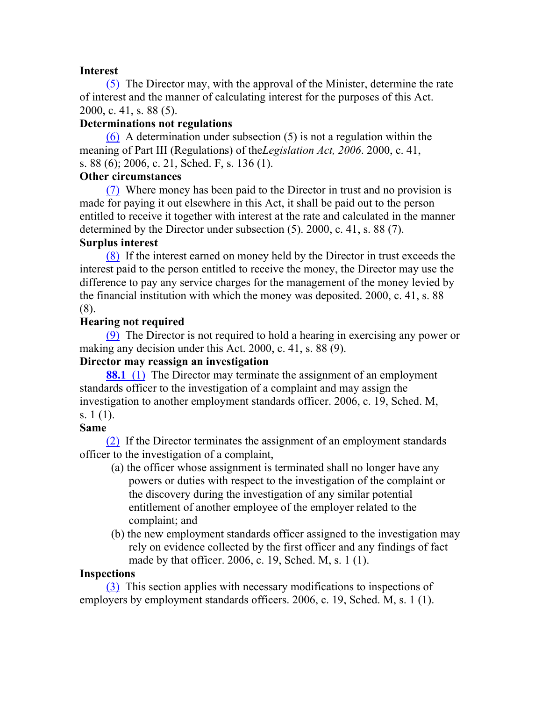## **Interest**

(5) The Director may, with the approval of the Minister, determine the rate of interest and the manner of calculating interest for the purposes of this Act. 2000, c. 41, s. 88 (5).

## **Determinations not regulations**

(6) A determination under subsection (5) is not a regulation within the meaning of Part III (Regulations) of the*Legislation Act, 2006*. 2000, c. 41, s. 88 (6); 2006, c. 21, Sched. F, s. 136 (1).

## **Other circumstances**

(7) Where money has been paid to the Director in trust and no provision is made for paying it out elsewhere in this Act, it shall be paid out to the person entitled to receive it together with interest at the rate and calculated in the manner determined by the Director under subsection (5). 2000, c. 41, s. 88 (7).

## **Surplus interest**

(8) If the interest earned on money held by the Director in trust exceeds the interest paid to the person entitled to receive the money, the Director may use the difference to pay any service charges for the management of the money levied by the financial institution with which the money was deposited. 2000, c. 41, s. 88 (8).

## **Hearing not required**

(9) The Director is not required to hold a hearing in exercising any power or making any decision under this Act. 2000, c. 41, s. 88 (9).

# **Director may reassign an investigation**

**88.1** (1) The Director may terminate the assignment of an employment standards officer to the investigation of a complaint and may assign the investigation to another employment standards officer. 2006, c. 19, Sched. M, s. 1 (1).

## **Same**

(2) If the Director terminates the assignment of an employment standards officer to the investigation of a complaint,

- (a) the officer whose assignment is terminated shall no longer have any powers or duties with respect to the investigation of the complaint or the discovery during the investigation of any similar potential entitlement of another employee of the employer related to the complaint; and
- (b) the new employment standards officer assigned to the investigation may rely on evidence collected by the first officer and any findings of fact made by that officer. 2006, c. 19, Sched. M, s. 1 (1).

## **Inspections**

(3) This section applies with necessary modifications to inspections of employers by employment standards officers. 2006, c. 19, Sched. M, s. 1 (1).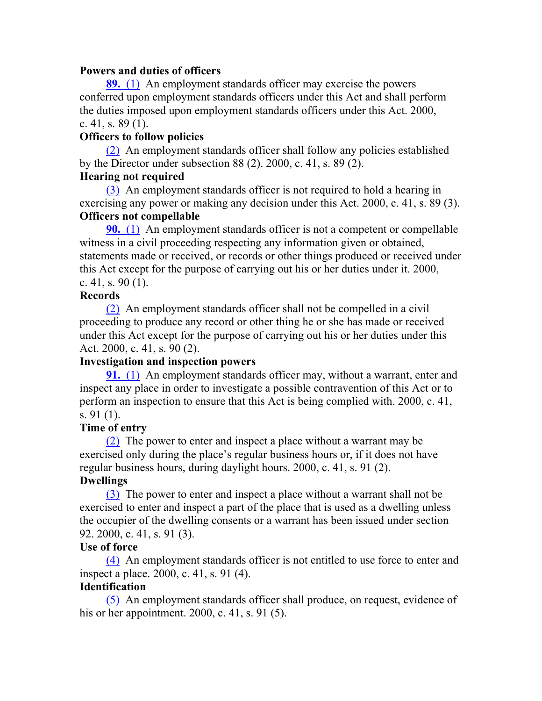#### **Powers and duties of officers**

**89.** (1) An employment standards officer may exercise the powers conferred upon employment standards officers under this Act and shall perform the duties imposed upon employment standards officers under this Act. 2000, c. 41, s.  $89(1)$ .

## **Officers to follow policies**

(2) An employment standards officer shall follow any policies established by the Director under subsection 88 (2). 2000, c. 41, s. 89 (2).

## **Hearing not required**

(3) An employment standards officer is not required to hold a hearing in exercising any power or making any decision under this Act. 2000, c. 41, s. 89 (3). **Officers not compellable**

**90.** (1) An employment standards officer is not a competent or compellable witness in a civil proceeding respecting any information given or obtained, statements made or received, or records or other things produced or received under this Act except for the purpose of carrying out his or her duties under it. 2000, c. 41, s. 90 $(1)$ .

## **Records**

(2) An employment standards officer shall not be compelled in a civil proceeding to produce any record or other thing he or she has made or received under this Act except for the purpose of carrying out his or her duties under this Act. 2000, c. 41, s. 90 (2).

# **Investigation and inspection powers**

**91.** (1) An employment standards officer may, without a warrant, enter and inspect any place in order to investigate a possible contravention of this Act or to perform an inspection to ensure that this Act is being complied with. 2000, c. 41, s. 91 (1).

# **Time of entry**

(2) The power to enter and inspect a place without a warrant may be exercised only during the place's regular business hours or, if it does not have regular business hours, during daylight hours. 2000, c. 41, s. 91 (2).

# **Dwellings**

(3) The power to enter and inspect a place without a warrant shall not be exercised to enter and inspect a part of the place that is used as a dwelling unless the occupier of the dwelling consents or a warrant has been issued under section 92. 2000, c. 41, s. 91 (3).

## **Use of force**

(4) An employment standards officer is not entitled to use force to enter and inspect a place. 2000, c. 41, s. 91 (4).

# **Identification**

(5) An employment standards officer shall produce, on request, evidence of his or her appointment. 2000, c. 41, s. 91 (5).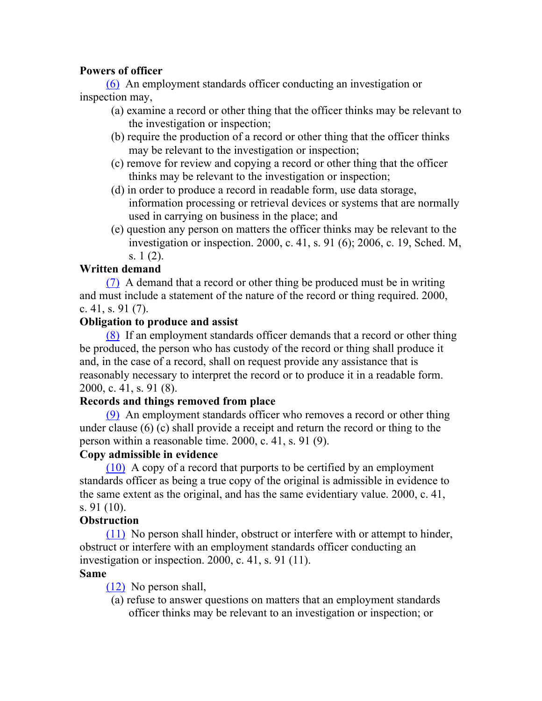# **Powers of officer**

(6) An employment standards officer conducting an investigation or inspection may,

- (a) examine a record or other thing that the officer thinks may be relevant to the investigation or inspection;
- (b) require the production of a record or other thing that the officer thinks may be relevant to the investigation or inspection;
- (c) remove for review and copying a record or other thing that the officer thinks may be relevant to the investigation or inspection;
- (d) in order to produce a record in readable form, use data storage, information processing or retrieval devices or systems that are normally used in carrying on business in the place; and
- (e) question any person on matters the officer thinks may be relevant to the investigation or inspection. 2000, c. 41, s. 91 (6); 2006, c. 19, Sched. M, s. 1 (2).

# **Written demand**

(7) A demand that a record or other thing be produced must be in writing and must include a statement of the nature of the record or thing required. 2000, c. 41, s. 91 (7).

# **Obligation to produce and assist**

(8) If an employment standards officer demands that a record or other thing be produced, the person who has custody of the record or thing shall produce it and, in the case of a record, shall on request provide any assistance that is reasonably necessary to interpret the record or to produce it in a readable form. 2000, c. 41, s. 91 (8).

# **Records and things removed from place**

(9) An employment standards officer who removes a record or other thing under clause (6) (c) shall provide a receipt and return the record or thing to the person within a reasonable time. 2000, c. 41, s. 91 (9).

# **Copy admissible in evidence**

(10) A copy of a record that purports to be certified by an employment standards officer as being a true copy of the original is admissible in evidence to the same extent as the original, and has the same evidentiary value. 2000, c. 41, s. 91 (10).

# **Obstruction**

(11) No person shall hinder, obstruct or interfere with or attempt to hinder, obstruct or interfere with an employment standards officer conducting an investigation or inspection. 2000, c. 41, s. 91 (11).

# **Same**

(12) No person shall,

(a) refuse to answer questions on matters that an employment standards officer thinks may be relevant to an investigation or inspection; or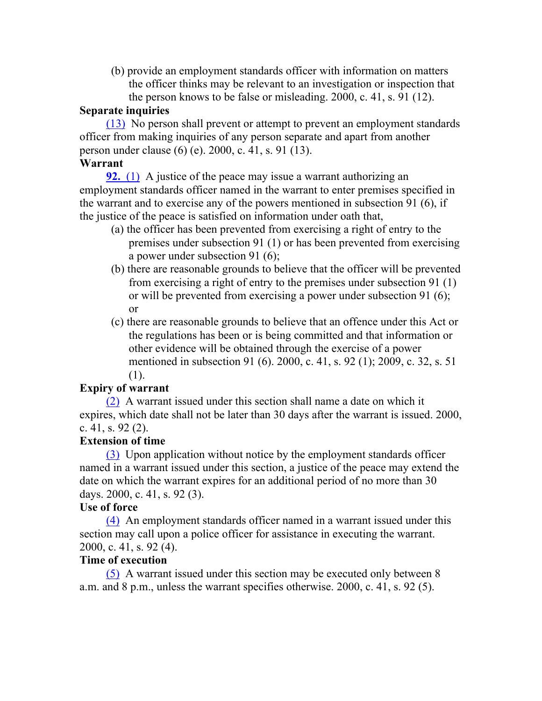(b) provide an employment standards officer with information on matters the officer thinks may be relevant to an investigation or inspection that the person knows to be false or misleading. 2000, c. 41, s. 91 (12).

#### **Separate inquiries**

(13) No person shall prevent or attempt to prevent an employment standards officer from making inquiries of any person separate and apart from another person under clause (6) (e). 2000, c. 41, s. 91 (13).

#### **Warrant**

**92.** (1) A justice of the peace may issue a warrant authorizing an employment standards officer named in the warrant to enter premises specified in the warrant and to exercise any of the powers mentioned in subsection 91 (6), if the justice of the peace is satisfied on information under oath that,

- (a) the officer has been prevented from exercising a right of entry to the premises under subsection 91 (1) or has been prevented from exercising a power under subsection 91 (6);
- (b) there are reasonable grounds to believe that the officer will be prevented from exercising a right of entry to the premises under subsection 91 (1) or will be prevented from exercising a power under subsection 91 (6); or
- (c) there are reasonable grounds to believe that an offence under this Act or the regulations has been or is being committed and that information or other evidence will be obtained through the exercise of a power mentioned in subsection 91 (6). 2000, c. 41, s. 92 (1); 2009, c. 32, s. 51 (1).

# **Expiry of warrant**

(2) A warrant issued under this section shall name a date on which it expires, which date shall not be later than 30 days after the warrant is issued. 2000, c. 41, s. 92 (2).

## **Extension of time**

(3) Upon application without notice by the employment standards officer named in a warrant issued under this section, a justice of the peace may extend the date on which the warrant expires for an additional period of no more than 30 days. 2000, c. 41, s. 92 (3).

## **Use of force**

(4) An employment standards officer named in a warrant issued under this section may call upon a police officer for assistance in executing the warrant. 2000, c. 41, s. 92 (4).

#### **Time of execution**

(5) A warrant issued under this section may be executed only between 8 a.m. and 8 p.m., unless the warrant specifies otherwise. 2000, c. 41, s. 92 (5).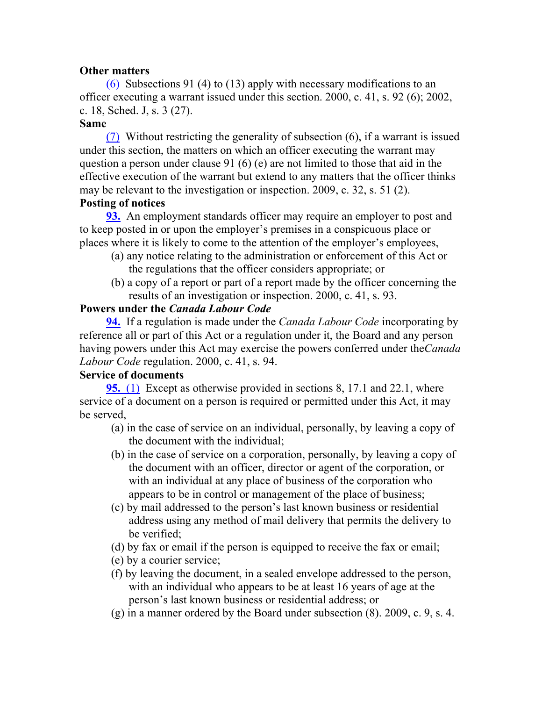## **Other matters**

(6) Subsections 91 (4) to (13) apply with necessary modifications to an officer executing a warrant issued under this section. 2000, c. 41, s. 92 (6); 2002, c. 18, Sched. J, s. 3 (27).

#### **Same**

(7) Without restricting the generality of subsection (6), if a warrant is issued under this section, the matters on which an officer executing the warrant may question a person under clause 91 (6) (e) are not limited to those that aid in the effective execution of the warrant but extend to any matters that the officer thinks may be relevant to the investigation or inspection. 2009, c. 32, s. 51 (2).

## **Posting of notices**

**93.** An employment standards officer may require an employer to post and to keep posted in or upon the employer's premises in a conspicuous place or places where it is likely to come to the attention of the employer's employees,

- (a) any notice relating to the administration or enforcement of this Act or the regulations that the officer considers appropriate; or
- (b) a copy of a report or part of a report made by the officer concerning the results of an investigation or inspection. 2000, c. 41, s. 93.

## **Powers under the** *Canada Labour Code*

**94.** If a regulation is made under the *Canada Labour Code* incorporating by reference all or part of this Act or a regulation under it, the Board and any person having powers under this Act may exercise the powers conferred under the*Canada Labour Code* regulation. 2000, c. 41, s. 94.

# **Service of documents**

**95.** (1) Except as otherwise provided in sections 8, 17.1 and 22.1, where service of a document on a person is required or permitted under this Act, it may be served,

- (a) in the case of service on an individual, personally, by leaving a copy of the document with the individual;
- (b) in the case of service on a corporation, personally, by leaving a copy of the document with an officer, director or agent of the corporation, or with an individual at any place of business of the corporation who appears to be in control or management of the place of business;
- (c) by mail addressed to the person's last known business or residential address using any method of mail delivery that permits the delivery to be verified;
- (d) by fax or email if the person is equipped to receive the fax or email;
- (e) by a courier service;
- (f) by leaving the document, in a sealed envelope addressed to the person, with an individual who appears to be at least 16 years of age at the person's last known business or residential address; or
- (g) in a manner ordered by the Board under subsection (8). 2009, c. 9, s. 4.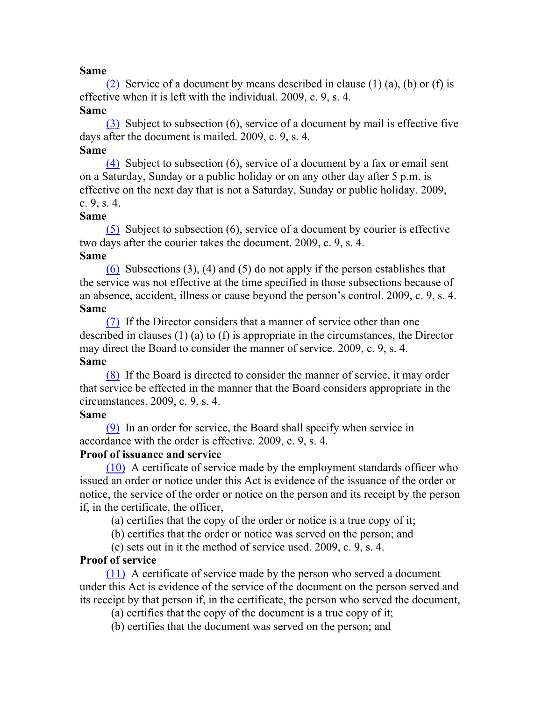#### **Same**

(2) Service of a document by means described in clause (1) (a), (b) or (f) is effective when it is left with the individual. 2009, c. 9, s. 4.

# **Same**

(3) Subject to subsection (6), service of a document by mail is effective five days after the document is mailed. 2009, c. 9, s. 4. **Same**

(4) Subject to subsection (6), service of a document by a fax or email sent on a Saturday, Sunday or a public holiday or on any other day after 5 p.m. is effective on the next day that is not a Saturday, Sunday or public holiday. 2009, c. 9, s. 4.

#### **Same**

(5) Subject to subsection (6), service of a document by courier is effective two days after the courier takes the document. 2009, c. 9, s. 4.

## **Same**

(6) Subsections (3), (4) and (5) do not apply if the person establishes that the service was not effective at the time specified in those subsections because of an absence, accident, illness or cause beyond the person's control. 2009, c. 9, s. 4. **Same**

(7) If the Director considers that a manner of service other than one described in clauses (1) (a) to (f) is appropriate in the circumstances, the Director may direct the Board to consider the manner of service. 2009, c. 9, s. 4. **Same**

(8) If the Board is directed to consider the manner of service, it may order that service be effected in the manner that the Board considers appropriate in the circumstances. 2009, c. 9, s. 4.

#### **Same**

(9) In an order for service, the Board shall specify when service in accordance with the order is effective. 2009, c. 9, s. 4.

## **Proof of issuance and service**

(10) A certificate of service made by the employment standards officer who issued an order or notice under this Act is evidence of the issuance of the order or notice, the service of the order or notice on the person and its receipt by the person if, in the certificate, the officer,

(a) certifies that the copy of the order or notice is a true copy of it;

(b) certifies that the order or notice was served on the person; and

(c) sets out in it the method of service used. 2009, c. 9, s. 4.

# **Proof of service**

(11) A certificate of service made by the person who served a document under this Act is evidence of the service of the document on the person served and its receipt by that person if, in the certificate, the person who served the document,

(a) certifies that the copy of the document is a true copy of it;

(b) certifies that the document was served on the person; and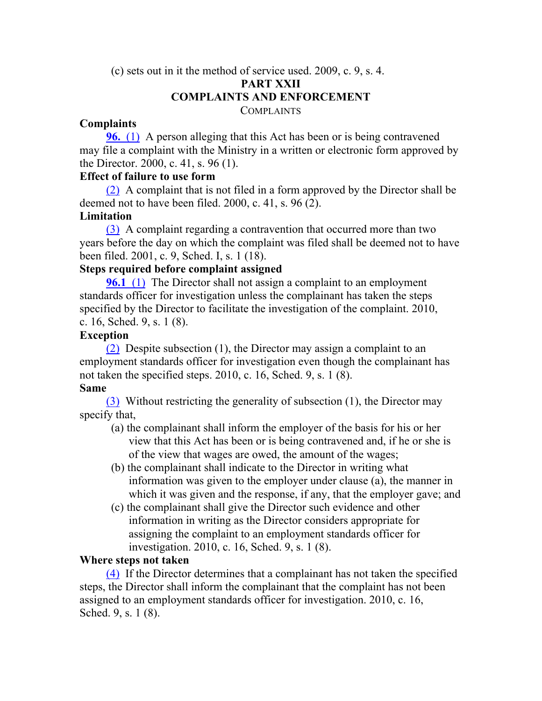# (c) sets out in it the method of service used. 2009, c. 9, s. 4. **PART XXII COMPLAINTS AND ENFORCEMENT**

**COMPLAINTS** 

## **Complaints**

**96.** (1) A person alleging that this Act has been or is being contravened may file a complaint with the Ministry in a written or electronic form approved by the Director. 2000, c. 41, s. 96 (1).

## **Effect of failure to use form**

(2) A complaint that is not filed in a form approved by the Director shall be deemed not to have been filed. 2000, c. 41, s. 96 (2).

# **Limitation**

(3) A complaint regarding a contravention that occurred more than two years before the day on which the complaint was filed shall be deemed not to have been filed. 2001, c. 9, Sched. I, s. 1 (18).

# **Steps required before complaint assigned**

**96.1** (1) The Director shall not assign a complaint to an employment standards officer for investigation unless the complainant has taken the steps specified by the Director to facilitate the investigation of the complaint. 2010, c. 16, Sched. 9, s. 1 (8).

## **Exception**

(2) Despite subsection (1), the Director may assign a complaint to an employment standards officer for investigation even though the complainant has not taken the specified steps. 2010, c. 16, Sched. 9, s. 1 (8).

## **Same**

(3) Without restricting the generality of subsection (1), the Director may specify that,

- (a) the complainant shall inform the employer of the basis for his or her view that this Act has been or is being contravened and, if he or she is of the view that wages are owed, the amount of the wages;
- (b) the complainant shall indicate to the Director in writing what information was given to the employer under clause (a), the manner in which it was given and the response, if any, that the employer gave; and
- (c) the complainant shall give the Director such evidence and other information in writing as the Director considers appropriate for assigning the complaint to an employment standards officer for investigation. 2010, c. 16, Sched. 9, s. 1 (8).

# **Where steps not taken**

(4) If the Director determines that a complainant has not taken the specified steps, the Director shall inform the complainant that the complaint has not been assigned to an employment standards officer for investigation. 2010, c. 16, Sched. 9, s. 1 (8).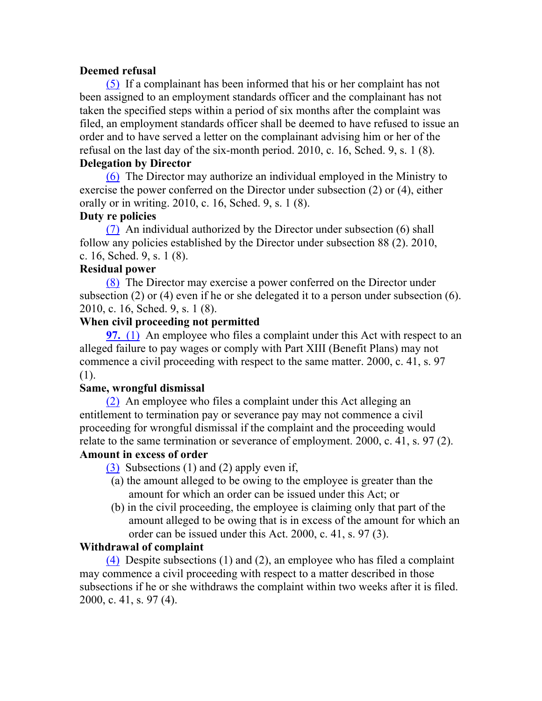## **Deemed refusal**

(5) If a complainant has been informed that his or her complaint has not been assigned to an employment standards officer and the complainant has not taken the specified steps within a period of six months after the complaint was filed, an employment standards officer shall be deemed to have refused to issue an order and to have served a letter on the complainant advising him or her of the refusal on the last day of the six-month period. 2010, c. 16, Sched. 9, s. 1 (8). **Delegation by Director**

(6) The Director may authorize an individual employed in the Ministry to exercise the power conferred on the Director under subsection (2) or (4), either orally or in writing. 2010, c. 16, Sched. 9, s. 1 (8).

## **Duty re policies**

(7) An individual authorized by the Director under subsection (6) shall follow any policies established by the Director under subsection 88 (2). 2010, c. 16, Sched. 9, s. 1 (8).

## **Residual power**

(8) The Director may exercise a power conferred on the Director under subsection (2) or (4) even if he or she delegated it to a person under subsection (6). 2010, c. 16, Sched. 9, s. 1 (8).

#### **When civil proceeding not permitted**

**97.** (1) An employee who files a complaint under this Act with respect to an alleged failure to pay wages or comply with Part XIII (Benefit Plans) may not commence a civil proceeding with respect to the same matter. 2000, c. 41, s. 97 (1).

## **Same, wrongful dismissal**

(2) An employee who files a complaint under this Act alleging an entitlement to termination pay or severance pay may not commence a civil proceeding for wrongful dismissal if the complaint and the proceeding would relate to the same termination or severance of employment. 2000, c. 41, s. 97 (2).

#### **Amount in excess of order**

(3) Subsections (1) and (2) apply even if,

- (a) the amount alleged to be owing to the employee is greater than the amount for which an order can be issued under this Act; or
- (b) in the civil proceeding, the employee is claiming only that part of the amount alleged to be owing that is in excess of the amount for which an order can be issued under this Act. 2000, c. 41, s. 97 (3).

## **Withdrawal of complaint**

(4) Despite subsections (1) and (2), an employee who has filed a complaint may commence a civil proceeding with respect to a matter described in those subsections if he or she withdraws the complaint within two weeks after it is filed. 2000, c. 41, s. 97 (4).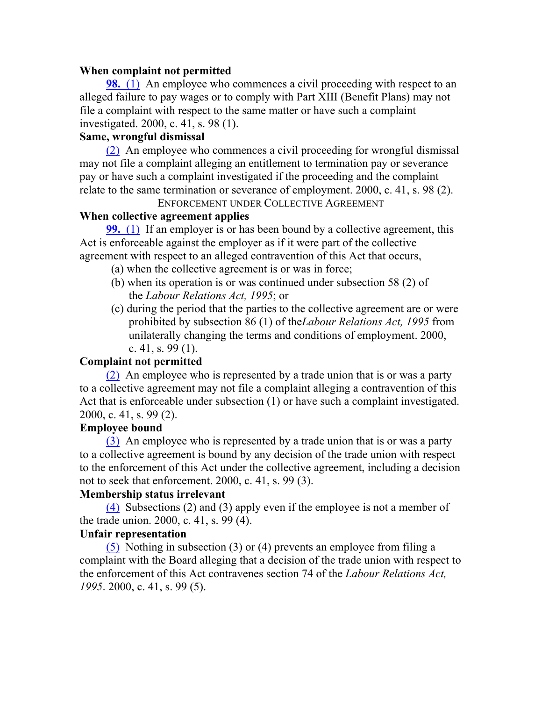#### **When complaint not permitted**

**98.** (1) An employee who commences a civil proceeding with respect to an alleged failure to pay wages or to comply with Part XIII (Benefit Plans) may not file a complaint with respect to the same matter or have such a complaint investigated. 2000, c. 41, s. 98 (1).

## **Same, wrongful dismissal**

(2) An employee who commences a civil proceeding for wrongful dismissal may not file a complaint alleging an entitlement to termination pay or severance pay or have such a complaint investigated if the proceeding and the complaint relate to the same termination or severance of employment. 2000, c. 41, s. 98 (2).

# ENFORCEMENT UNDER COLLECTIVE AGREEMENT

# **When collective agreement applies**

**99.** (1) If an employer is or has been bound by a collective agreement, this Act is enforceable against the employer as if it were part of the collective agreement with respect to an alleged contravention of this Act that occurs,

- (a) when the collective agreement is or was in force;
- (b) when its operation is or was continued under subsection 58 (2) of the *Labour Relations Act, 1995*; or
- (c) during the period that the parties to the collective agreement are or were prohibited by subsection 86 (1) of the*Labour Relations Act, 1995* from unilaterally changing the terms and conditions of employment. 2000, c. 41, s. 99 $(1)$ .

## **Complaint not permitted**

(2) An employee who is represented by a trade union that is or was a party to a collective agreement may not file a complaint alleging a contravention of this Act that is enforceable under subsection (1) or have such a complaint investigated. 2000, c. 41, s. 99 (2).

## **Employee bound**

(3) An employee who is represented by a trade union that is or was a party to a collective agreement is bound by any decision of the trade union with respect to the enforcement of this Act under the collective agreement, including a decision not to seek that enforcement. 2000, c. 41, s. 99 (3).

## **Membership status irrelevant**

(4) Subsections (2) and (3) apply even if the employee is not a member of the trade union. 2000, c. 41, s. 99 (4).

#### **Unfair representation**

(5) Nothing in subsection (3) or (4) prevents an employee from filing a complaint with the Board alleging that a decision of the trade union with respect to the enforcement of this Act contravenes section 74 of the *Labour Relations Act, 1995*. 2000, c. 41, s. 99 (5).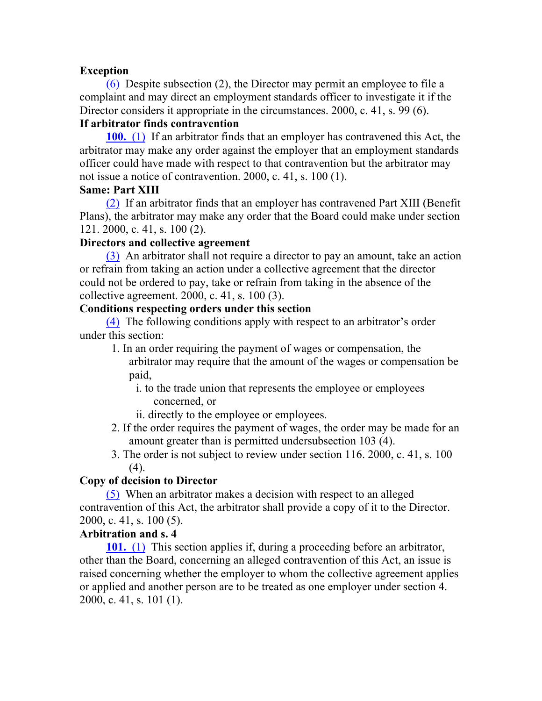## **Exception**

(6) Despite subsection (2), the Director may permit an employee to file a complaint and may direct an employment standards officer to investigate it if the Director considers it appropriate in the circumstances. 2000, c. 41, s. 99 (6).

# **If arbitrator finds contravention**

**100.** (1) If an arbitrator finds that an employer has contravened this Act, the arbitrator may make any order against the employer that an employment standards officer could have made with respect to that contravention but the arbitrator may not issue a notice of contravention. 2000, c. 41, s. 100 (1).

## **Same: Part XIII**

(2) If an arbitrator finds that an employer has contravened Part XIII (Benefit Plans), the arbitrator may make any order that the Board could make under section 121. 2000, c. 41, s. 100 (2).

## **Directors and collective agreement**

(3) An arbitrator shall not require a director to pay an amount, take an action or refrain from taking an action under a collective agreement that the director could not be ordered to pay, take or refrain from taking in the absence of the collective agreement. 2000, c. 41, s. 100 (3).

## **Conditions respecting orders under this section**

(4) The following conditions apply with respect to an arbitrator's order under this section:

- 1. In an order requiring the payment of wages or compensation, the arbitrator may require that the amount of the wages or compensation be paid,
	- i. to the trade union that represents the employee or employees concerned, or
	- ii. directly to the employee or employees.
- 2. If the order requires the payment of wages, the order may be made for an amount greater than is permitted undersubsection 103 (4).
- 3. The order is not subject to review under section 116. 2000, c. 41, s. 100 (4).

# **Copy of decision to Director**

(5) When an arbitrator makes a decision with respect to an alleged contravention of this Act, the arbitrator shall provide a copy of it to the Director. 2000, c. 41, s. 100 (5).

# **Arbitration and s. 4**

**101.** (1) This section applies if, during a proceeding before an arbitrator, other than the Board, concerning an alleged contravention of this Act, an issue is raised concerning whether the employer to whom the collective agreement applies or applied and another person are to be treated as one employer under section 4. 2000, c. 41, s. 101 (1).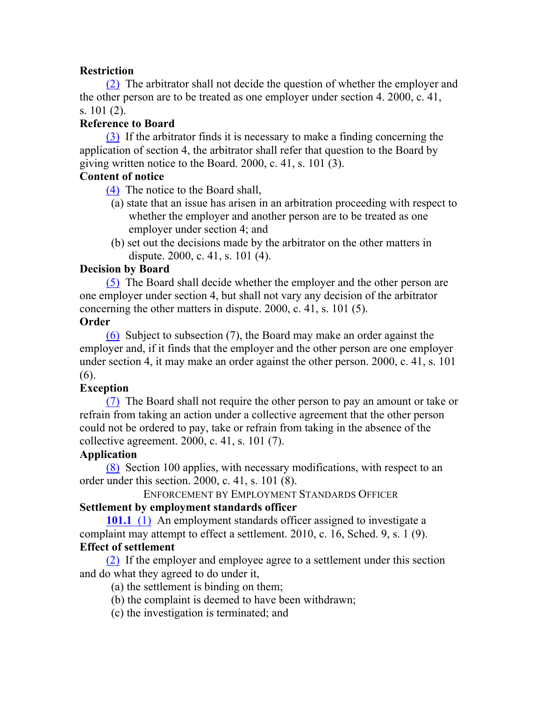# **Restriction**

(2) The arbitrator shall not decide the question of whether the employer and the other person are to be treated as one employer under section 4. 2000, c. 41, s. 101 (2).

## **Reference to Board**

(3) If the arbitrator finds it is necessary to make a finding concerning the application of section 4, the arbitrator shall refer that question to the Board by giving written notice to the Board. 2000, c. 41, s. 101 (3).

# **Content of notice**

(4) The notice to the Board shall,

- (a) state that an issue has arisen in an arbitration proceeding with respect to whether the employer and another person are to be treated as one employer under section 4; and
- (b) set out the decisions made by the arbitrator on the other matters in dispute. 2000, c. 41, s. 101 (4).

## **Decision by Board**

(5) The Board shall decide whether the employer and the other person are one employer under section 4, but shall not vary any decision of the arbitrator concerning the other matters in dispute. 2000, c. 41, s. 101 (5).

# **Order**

(6) Subject to subsection (7), the Board may make an order against the employer and, if it finds that the employer and the other person are one employer under section 4, it may make an order against the other person. 2000, c. 41, s. 101 (6).

# **Exception**

(7) The Board shall not require the other person to pay an amount or take or refrain from taking an action under a collective agreement that the other person could not be ordered to pay, take or refrain from taking in the absence of the collective agreement. 2000, c. 41, s. 101 (7).

## **Application**

(8) Section 100 applies, with necessary modifications, with respect to an order under this section. 2000, c. 41, s. 101 (8).

ENFORCEMENT BY EMPLOYMENT STANDARDS OFFICER

# **Settlement by employment standards officer**

**101.1** (1) An employment standards officer assigned to investigate a complaint may attempt to effect a settlement. 2010, c. 16, Sched. 9, s. 1 (9). **Effect of settlement**

(2) If the employer and employee agree to a settlement under this section and do what they agreed to do under it,

(a) the settlement is binding on them;

(b) the complaint is deemed to have been withdrawn;

(c) the investigation is terminated; and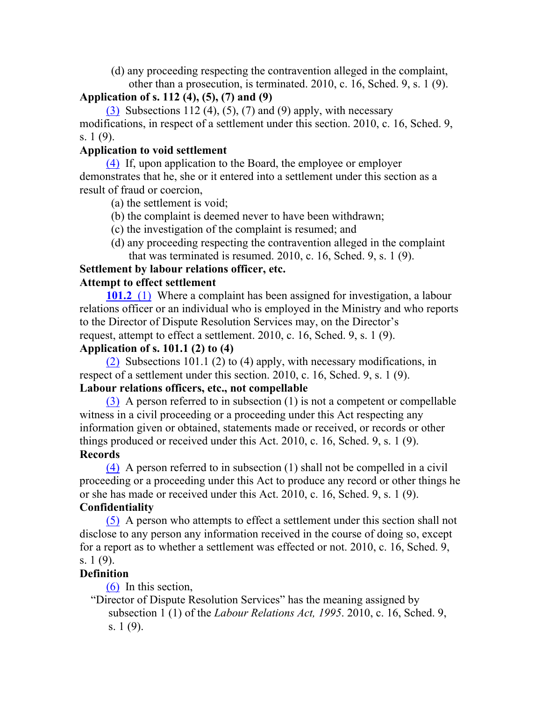(d) any proceeding respecting the contravention alleged in the complaint, other than a prosecution, is terminated. 2010, c. 16, Sched. 9, s. 1 (9).

# **Application of s. 112 (4), (5), (7) and (9)**

 $(3)$  Subsections 112 (4), (5), (7) and (9) apply, with necessary modifications, in respect of a settlement under this section. 2010, c. 16, Sched. 9, s. 1 (9).

# **Application to void settlement**

(4) If, upon application to the Board, the employee or employer demonstrates that he, she or it entered into a settlement under this section as a result of fraud or coercion,

- (a) the settlement is void;
- (b) the complaint is deemed never to have been withdrawn;
- (c) the investigation of the complaint is resumed; and
- (d) any proceeding respecting the contravention alleged in the complaint that was terminated is resumed. 2010, c. 16, Sched. 9, s. 1 (9).

# **Settlement by labour relations officer, etc.**

# **Attempt to effect settlement**

**101.2** (1) Where a complaint has been assigned for investigation, a labour relations officer or an individual who is employed in the Ministry and who reports to the Director of Dispute Resolution Services may, on the Director's request, attempt to effect a settlement. 2010, c. 16, Sched. 9, s. 1 (9).

# **Application of s. 101.1 (2) to (4)**

(2) Subsections 101.1 (2) to (4) apply, with necessary modifications, in respect of a settlement under this section. 2010, c. 16, Sched. 9, s. 1 (9). **Labour relations officers, etc., not compellable**

# (3) A person referred to in subsection (1) is not a competent or compellable witness in a civil proceeding or a proceeding under this Act respecting any information given or obtained, statements made or received, or records or other things produced or received under this Act. 2010, c. 16, Sched. 9, s. 1 (9). **Records**

(4) A person referred to in subsection (1) shall not be compelled in a civil proceeding or a proceeding under this Act to produce any record or other things he or she has made or received under this Act. 2010, c. 16, Sched. 9, s. 1 (9). **Confidentiality**

(5) A person who attempts to effect a settlement under this section shall not disclose to any person any information received in the course of doing so, except for a report as to whether a settlement was effected or not. 2010, c. 16, Sched. 9, s. 1 (9).

# **Definition**

(6) In this section,

"Director of Dispute Resolution Services" has the meaning assigned by subsection 1 (1) of the *Labour Relations Act, 1995*. 2010, c. 16, Sched. 9, s. 1 (9).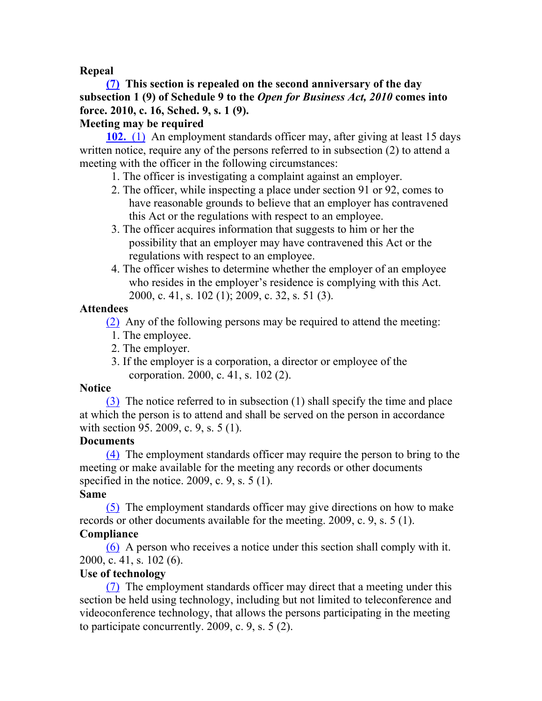## **Repeal**

# **(7) This section is repealed on the second anniversary of the day subsection 1 (9) of Schedule 9 to the** *Open for Business Act, 2010* **comes into force. 2010, c. 16, Sched. 9, s. 1 (9).**

## **Meeting may be required**

**102.** (1) An employment standards officer may, after giving at least 15 days written notice, require any of the persons referred to in subsection (2) to attend a meeting with the officer in the following circumstances:

- 1. The officer is investigating a complaint against an employer.
- 2. The officer, while inspecting a place under section 91 or 92, comes to have reasonable grounds to believe that an employer has contravened this Act or the regulations with respect to an employee.
- 3. The officer acquires information that suggests to him or her the possibility that an employer may have contravened this Act or the regulations with respect to an employee.
- 4. The officer wishes to determine whether the employer of an employee who resides in the employer's residence is complying with this Act. 2000, c. 41, s. 102 (1); 2009, c. 32, s. 51 (3).

# **Attendees**

(2) Any of the following persons may be required to attend the meeting:

- 1. The employee.
- 2. The employer.
- 3. If the employer is a corporation, a director or employee of the corporation. 2000, c. 41, s. 102 (2).

# **Notice**

(3) The notice referred to in subsection (1) shall specify the time and place at which the person is to attend and shall be served on the person in accordance with section 95. 2009, c. 9, s. 5 (1).

# **Documents**

(4) The employment standards officer may require the person to bring to the meeting or make available for the meeting any records or other documents specified in the notice. 2009, c. 9, s.  $5(1)$ .

# **Same**

(5) The employment standards officer may give directions on how to make records or other documents available for the meeting. 2009, c. 9, s. 5 (1). **Compliance**

(6) A person who receives a notice under this section shall comply with it. 2000, c. 41, s. 102 (6).

# **Use of technology**

(7) The employment standards officer may direct that a meeting under this section be held using technology, including but not limited to teleconference and videoconference technology, that allows the persons participating in the meeting to participate concurrently. 2009, c. 9, s. 5 (2).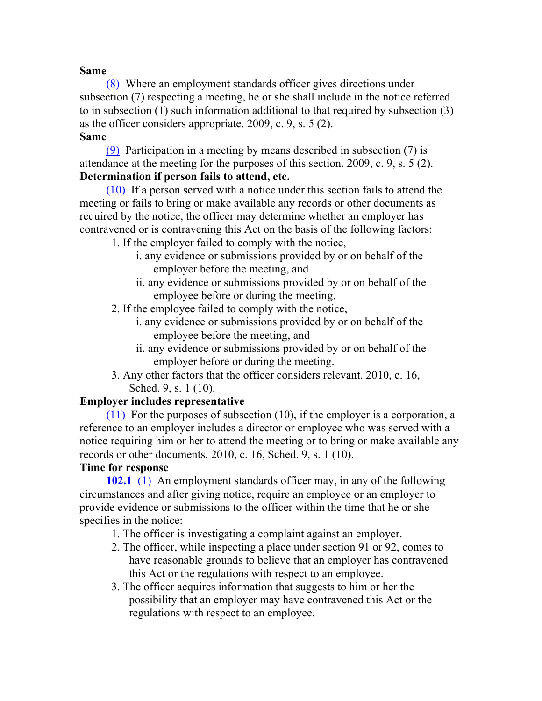#### **Same**

(8) Where an employment standards officer gives directions under subsection (7) respecting a meeting, he or she shall include in the notice referred to in subsection (1) such information additional to that required by subsection (3) as the officer considers appropriate. 2009, c. 9, s. 5 (2). **Same**

(9) Participation in a meeting by means described in subsection (7) is attendance at the meeting for the purposes of this section. 2009, c. 9, s. 5 (2). **Determination if person fails to attend, etc.**

(10) If a person served with a notice under this section fails to attend the meeting or fails to bring or make available any records or other documents as required by the notice, the officer may determine whether an employer has contravened or is contravening this Act on the basis of the following factors:

- 1. If the employer failed to comply with the notice,
	- i. any evidence or submissions provided by or on behalf of the employer before the meeting, and
	- ii. any evidence or submissions provided by or on behalf of the employee before or during the meeting.
- 2. If the employee failed to comply with the notice,
	- i. any evidence or submissions provided by or on behalf of the employee before the meeting, and
	- ii. any evidence or submissions provided by or on behalf of the employer before or during the meeting.
- 3. Any other factors that the officer considers relevant. 2010, c. 16, Sched. 9, s. 1 (10).

## **Employer includes representative**

(11) For the purposes of subsection (10), if the employer is a corporation, a reference to an employer includes a director or employee who was served with a notice requiring him or her to attend the meeting or to bring or make available any records or other documents. 2010, c. 16, Sched. 9, s. 1 (10).

# **Time for response**

**102.1** (1) An employment standards officer may, in any of the following circumstances and after giving notice, require an employee or an employer to provide evidence or submissions to the officer within the time that he or she specifies in the notice:

- 1. The officer is investigating a complaint against an employer.
- 2. The officer, while inspecting a place under section 91 or 92, comes to have reasonable grounds to believe that an employer has contravened this Act or the regulations with respect to an employee.
- 3. The officer acquires information that suggests to him or her the possibility that an employer may have contravened this Act or the regulations with respect to an employee.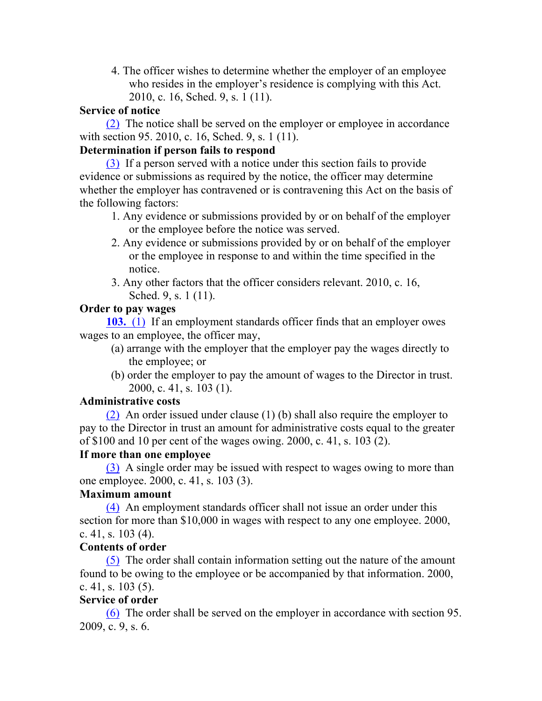4. The officer wishes to determine whether the employer of an employee who resides in the employer's residence is complying with this Act. 2010, c. 16, Sched. 9, s. 1 (11).

#### **Service of notice**

(2) The notice shall be served on the employer or employee in accordance with section 95. 2010, c. 16, Sched. 9, s. 1 (11).

## **Determination if person fails to respond**

(3) If a person served with a notice under this section fails to provide evidence or submissions as required by the notice, the officer may determine whether the employer has contravened or is contravening this Act on the basis of the following factors:

- 1. Any evidence or submissions provided by or on behalf of the employer or the employee before the notice was served.
- 2. Any evidence or submissions provided by or on behalf of the employer or the employee in response to and within the time specified in the notice.
- 3. Any other factors that the officer considers relevant. 2010, c. 16, Sched. 9, s. 1 (11).

#### **Order to pay wages**

**103.** (1) If an employment standards officer finds that an employer owes wages to an employee, the officer may,

- (a) arrange with the employer that the employer pay the wages directly to the employee; or
- (b) order the employer to pay the amount of wages to the Director in trust. 2000, c. 41, s. 103 (1).

#### **Administrative costs**

(2) An order issued under clause (1) (b) shall also require the employer to pay to the Director in trust an amount for administrative costs equal to the greater of \$100 and 10 per cent of the wages owing. 2000, c. 41, s. 103 (2).

## **If more than one employee**

(3) A single order may be issued with respect to wages owing to more than one employee. 2000, c. 41, s. 103 (3).

# **Maximum amount**

(4) An employment standards officer shall not issue an order under this section for more than \$10,000 in wages with respect to any one employee. 2000, c. 41, s.  $103(4)$ .

## **Contents of order**

(5) The order shall contain information setting out the nature of the amount found to be owing to the employee or be accompanied by that information. 2000, c. 41, s. 103 (5).

## **Service of order**

(6) The order shall be served on the employer in accordance with section 95. 2009, c. 9, s. 6.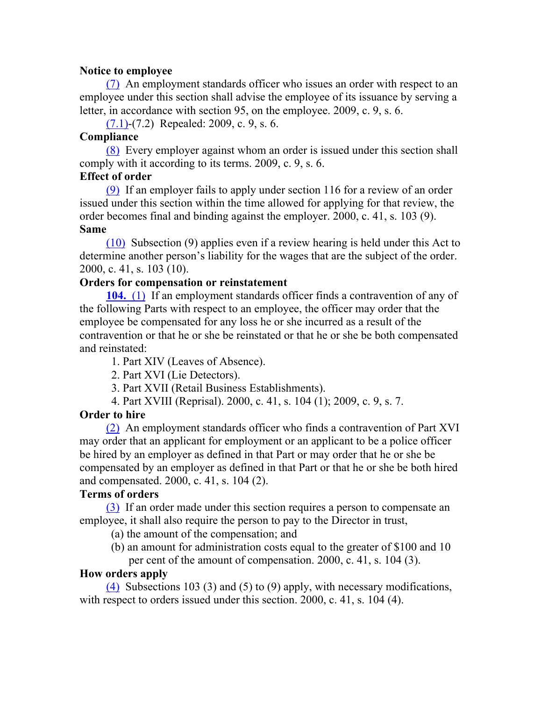## **Notice to employee**

(7) An employment standards officer who issues an order with respect to an employee under this section shall advise the employee of its issuance by serving a letter, in accordance with section 95, on the employee. 2009, c. 9, s. 6.

(7.1)-(7.2) Repealed: 2009, c. 9, s. 6.

## **Compliance**

(8) Every employer against whom an order is issued under this section shall comply with it according to its terms. 2009, c. 9, s. 6.

## **Effect of order**

(9) If an employer fails to apply under section 116 for a review of an order issued under this section within the time allowed for applying for that review, the order becomes final and binding against the employer. 2000, c. 41, s. 103 (9). **Same**

(10) Subsection (9) applies even if a review hearing is held under this Act to determine another person's liability for the wages that are the subject of the order. 2000, c. 41, s. 103 (10).

## **Orders for compensation or reinstatement**

**104.** (1) If an employment standards officer finds a contravention of any of the following Parts with respect to an employee, the officer may order that the employee be compensated for any loss he or she incurred as a result of the contravention or that he or she be reinstated or that he or she be both compensated and reinstated:

1. Part XIV (Leaves of Absence).

2. Part XVI (Lie Detectors).

3. Part XVII (Retail Business Establishments).

4. Part XVIII (Reprisal). 2000, c. 41, s. 104 (1); 2009, c. 9, s. 7.

# **Order to hire**

(2) An employment standards officer who finds a contravention of Part XVI may order that an applicant for employment or an applicant to be a police officer be hired by an employer as defined in that Part or may order that he or she be compensated by an employer as defined in that Part or that he or she be both hired and compensated. 2000, c. 41, s. 104 (2).

# **Terms of orders**

(3) If an order made under this section requires a person to compensate an employee, it shall also require the person to pay to the Director in trust,

(a) the amount of the compensation; and

(b) an amount for administration costs equal to the greater of \$100 and 10

per cent of the amount of compensation. 2000, c. 41, s. 104 (3).

# **How orders apply**

(4) Subsections 103 (3) and (5) to (9) apply, with necessary modifications, with respect to orders issued under this section. 2000, c. 41, s. 104 (4).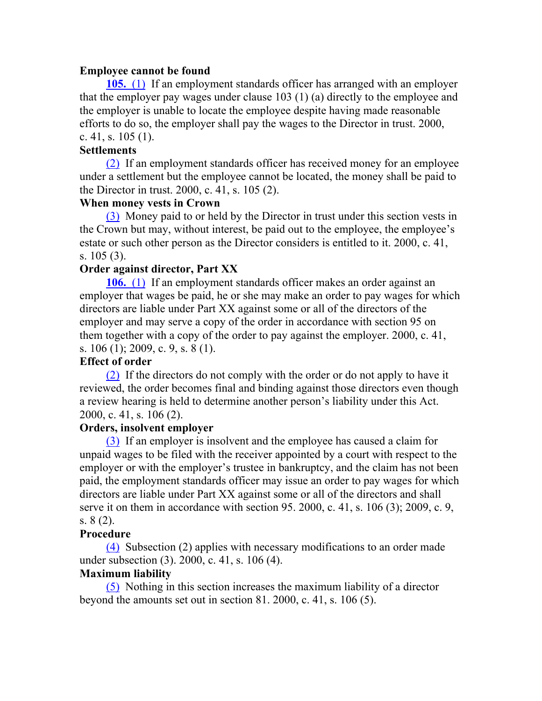#### **Employee cannot be found**

**105.** (1) If an employment standards officer has arranged with an employer that the employer pay wages under clause 103 (1) (a) directly to the employee and the employer is unable to locate the employee despite having made reasonable efforts to do so, the employer shall pay the wages to the Director in trust. 2000, c. 41, s.  $105(1)$ .

#### **Settlements**

(2) If an employment standards officer has received money for an employee under a settlement but the employee cannot be located, the money shall be paid to the Director in trust. 2000, c. 41, s. 105 (2).

#### **When money vests in Crown**

(3) Money paid to or held by the Director in trust under this section vests in the Crown but may, without interest, be paid out to the employee, the employee's estate or such other person as the Director considers is entitled to it. 2000, c. 41, s. 105 (3).

## **Order against director, Part XX**

**106.** (1) If an employment standards officer makes an order against an employer that wages be paid, he or she may make an order to pay wages for which directors are liable under Part XX against some or all of the directors of the employer and may serve a copy of the order in accordance with section 95 on them together with a copy of the order to pay against the employer. 2000, c. 41, s. 106 (1); 2009, c. 9, s. 8 (1).

## **Effect of order**

(2) If the directors do not comply with the order or do not apply to have it reviewed, the order becomes final and binding against those directors even though a review hearing is held to determine another person's liability under this Act. 2000, c. 41, s. 106 (2).

## **Orders, insolvent employer**

(3) If an employer is insolvent and the employee has caused a claim for unpaid wages to be filed with the receiver appointed by a court with respect to the employer or with the employer's trustee in bankruptcy, and the claim has not been paid, the employment standards officer may issue an order to pay wages for which directors are liable under Part XX against some or all of the directors and shall serve it on them in accordance with section 95. 2000, c. 41, s. 106 (3); 2009, c. 9, s. 8 (2).

## **Procedure**

(4) Subsection (2) applies with necessary modifications to an order made under subsection (3). 2000, c. 41, s. 106 (4).

## **Maximum liability**

(5) Nothing in this section increases the maximum liability of a director beyond the amounts set out in section 81. 2000, c. 41, s. 106 (5).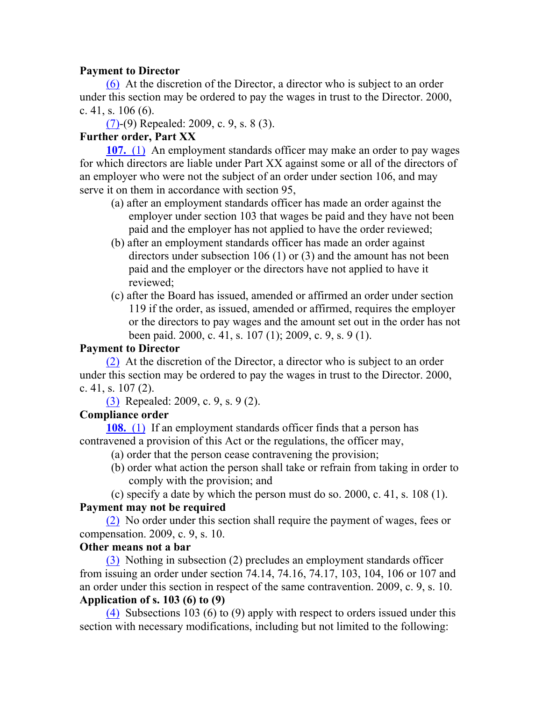## **Payment to Director**

(6) At the discretion of the Director, a director who is subject to an order under this section may be ordered to pay the wages in trust to the Director. 2000, c. 41, s.  $106(6)$ .

(7)-(9) Repealed: 2009, c. 9, s. 8 (3).

# **Further order, Part XX**

**107.** (1) An employment standards officer may make an order to pay wages for which directors are liable under Part XX against some or all of the directors of an employer who were not the subject of an order under section 106, and may serve it on them in accordance with section 95,

- (a) after an employment standards officer has made an order against the employer under section 103 that wages be paid and they have not been paid and the employer has not applied to have the order reviewed;
- (b) after an employment standards officer has made an order against directors under subsection 106 (1) or (3) and the amount has not been paid and the employer or the directors have not applied to have it reviewed;
- (c) after the Board has issued, amended or affirmed an order under section 119 if the order, as issued, amended or affirmed, requires the employer or the directors to pay wages and the amount set out in the order has not been paid. 2000, c. 41, s. 107 (1); 2009, c. 9, s. 9 (1).

# **Payment to Director**

(2) At the discretion of the Director, a director who is subject to an order under this section may be ordered to pay the wages in trust to the Director. 2000, c. 41, s. 107 (2).

(3) Repealed: 2009, c. 9, s. 9 (2).

# **Compliance order**

**108.** (1) If an employment standards officer finds that a person has contravened a provision of this Act or the regulations, the officer may,

- (a) order that the person cease contravening the provision;
- (b) order what action the person shall take or refrain from taking in order to comply with the provision; and

(c) specify a date by which the person must do so. 2000, c. 41, s. 108 (1).

# **Payment may not be required**

(2) No order under this section shall require the payment of wages, fees or compensation. 2009, c. 9, s. 10.

# **Other means not a bar**

(3) Nothing in subsection (2) precludes an employment standards officer from issuing an order under section 74.14, 74.16, 74.17, 103, 104, 106 or 107 and an order under this section in respect of the same contravention. 2009, c. 9, s. 10. **Application of s. 103 (6) to (9)**

(4) Subsections 103 (6) to (9) apply with respect to orders issued under this section with necessary modifications, including but not limited to the following: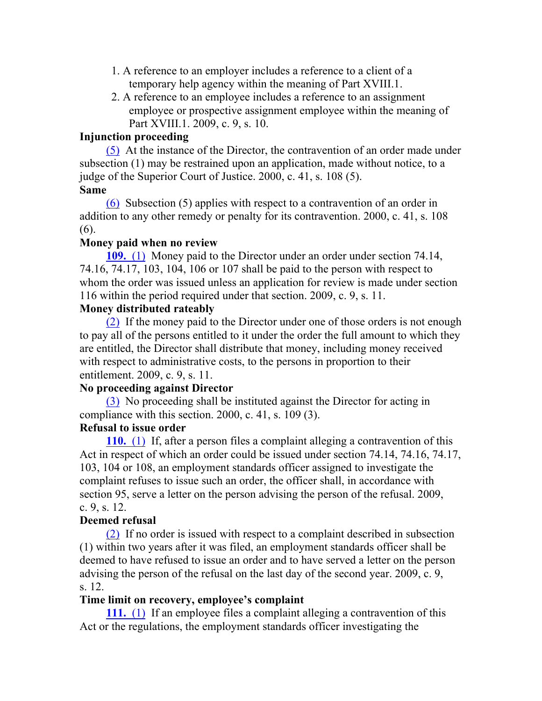- 1. A reference to an employer includes a reference to a client of a temporary help agency within the meaning of Part XVIII.1.
- 2. A reference to an employee includes a reference to an assignment employee or prospective assignment employee within the meaning of Part XVIII.1. 2009, c. 9, s. 10.

#### **Injunction proceeding**

(5) At the instance of the Director, the contravention of an order made under subsection (1) may be restrained upon an application, made without notice, to a judge of the Superior Court of Justice. 2000, c. 41, s. 108 (5). **Same**

(6) Subsection (5) applies with respect to a contravention of an order in addition to any other remedy or penalty for its contravention. 2000, c. 41, s. 108 (6).

#### **Money paid when no review**

**109.** (1) Money paid to the Director under an order under section 74.14, 74.16, 74.17, 103, 104, 106 or 107 shall be paid to the person with respect to whom the order was issued unless an application for review is made under section 116 within the period required under that section. 2009, c. 9, s. 11.

#### **Money distributed rateably**

(2) If the money paid to the Director under one of those orders is not enough to pay all of the persons entitled to it under the order the full amount to which they are entitled, the Director shall distribute that money, including money received with respect to administrative costs, to the persons in proportion to their entitlement. 2009, c. 9, s. 11.

## **No proceeding against Director**

(3) No proceeding shall be instituted against the Director for acting in compliance with this section. 2000, c. 41, s. 109 (3).

## **Refusal to issue order**

**110.** (1) If, after a person files a complaint alleging a contravention of this Act in respect of which an order could be issued under section 74.14, 74.16, 74.17, 103, 104 or 108, an employment standards officer assigned to investigate the complaint refuses to issue such an order, the officer shall, in accordance with section 95, serve a letter on the person advising the person of the refusal. 2009, c. 9, s. 12.

## **Deemed refusal**

(2) If no order is issued with respect to a complaint described in subsection (1) within two years after it was filed, an employment standards officer shall be deemed to have refused to issue an order and to have served a letter on the person advising the person of the refusal on the last day of the second year. 2009, c. 9, s. 12.

## **Time limit on recovery, employee's complaint**

**111.** (1) If an employee files a complaint alleging a contravention of this Act or the regulations, the employment standards officer investigating the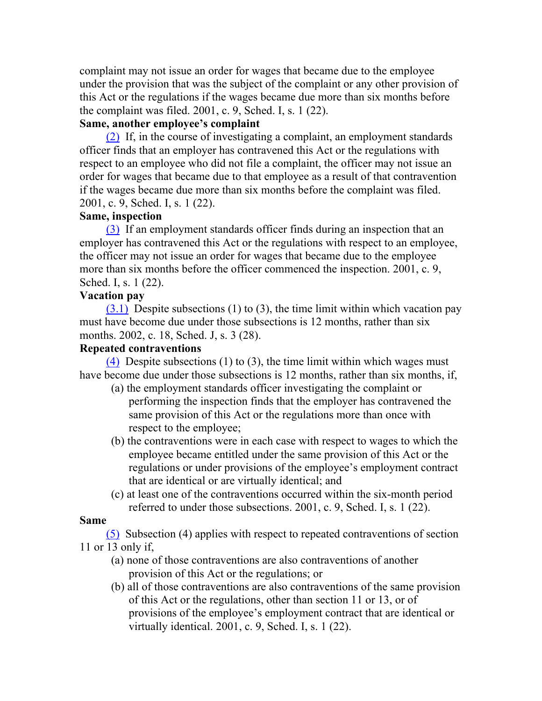complaint may not issue an order for wages that became due to the employee under the provision that was the subject of the complaint or any other provision of this Act or the regulations if the wages became due more than six months before the complaint was filed. 2001, c. 9, Sched. I, s. 1 (22).

## **Same, another employee's complaint**

(2) If, in the course of investigating a complaint, an employment standards officer finds that an employer has contravened this Act or the regulations with respect to an employee who did not file a complaint, the officer may not issue an order for wages that became due to that employee as a result of that contravention if the wages became due more than six months before the complaint was filed. 2001, c. 9, Sched. I, s. 1 (22).

# **Same, inspection**

(3) If an employment standards officer finds during an inspection that an employer has contravened this Act or the regulations with respect to an employee, the officer may not issue an order for wages that became due to the employee more than six months before the officer commenced the inspection. 2001, c. 9, Sched. I, s. 1 (22).

# **Vacation pay**

 $(3.1)$  Despite subsections (1) to (3), the time limit within which vacation pay must have become due under those subsections is 12 months, rather than six months. 2002, c. 18, Sched. J, s. 3 (28).

# **Repeated contraventions**

(4) Despite subsections (1) to (3), the time limit within which wages must have become due under those subsections is 12 months, rather than six months, if,

- (a) the employment standards officer investigating the complaint or performing the inspection finds that the employer has contravened the same provision of this Act or the regulations more than once with respect to the employee;
- (b) the contraventions were in each case with respect to wages to which the employee became entitled under the same provision of this Act or the regulations or under provisions of the employee's employment contract that are identical or are virtually identical; and
- (c) at least one of the contraventions occurred within the six-month period referred to under those subsections. 2001, c. 9, Sched. I, s. 1 (22).

# **Same**

(5) Subsection (4) applies with respect to repeated contraventions of section 11 or 13 only if,

- (a) none of those contraventions are also contraventions of another provision of this Act or the regulations; or
- (b) all of those contraventions are also contraventions of the same provision of this Act or the regulations, other than section 11 or 13, or of provisions of the employee's employment contract that are identical or virtually identical. 2001, c. 9, Sched. I, s. 1 (22).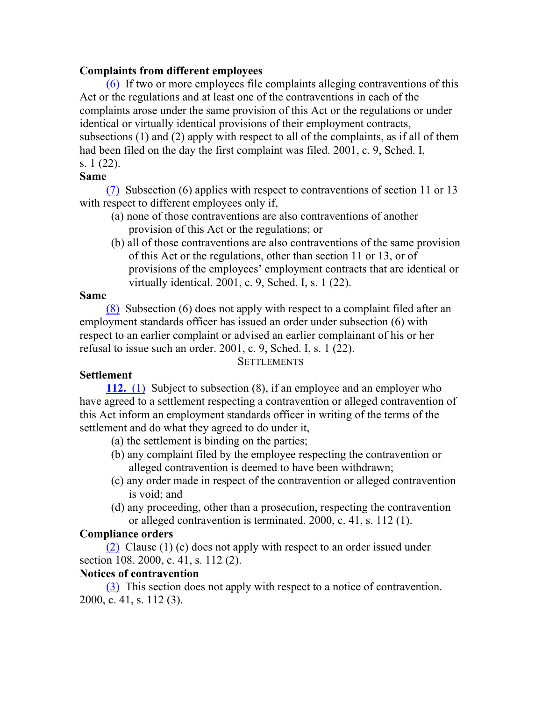## **Complaints from different employees**

(6) If two or more employees file complaints alleging contraventions of this Act or the regulations and at least one of the contraventions in each of the complaints arose under the same provision of this Act or the regulations or under identical or virtually identical provisions of their employment contracts, subsections (1) and (2) apply with respect to all of the complaints, as if all of them had been filed on the day the first complaint was filed. 2001, c. 9, Sched. I, s. 1 (22).

## **Same**

(7) Subsection (6) applies with respect to contraventions of section 11 or 13 with respect to different employees only if,

- (a) none of those contraventions are also contraventions of another provision of this Act or the regulations; or
- (b) all of those contraventions are also contraventions of the same provision of this Act or the regulations, other than section 11 or 13, or of provisions of the employees' employment contracts that are identical or virtually identical. 2001, c. 9, Sched. I, s. 1 (22).

## **Same**

(8) Subsection (6) does not apply with respect to a complaint filed after an employment standards officer has issued an order under subsection (6) with respect to an earlier complaint or advised an earlier complainant of his or her refusal to issue such an order. 2001, c. 9, Sched. I, s. 1 (22).

**SETTLEMENTS** 

# **Settlement**

**112.** (1) Subject to subsection (8), if an employee and an employer who have agreed to a settlement respecting a contravention or alleged contravention of this Act inform an employment standards officer in writing of the terms of the settlement and do what they agreed to do under it,

- (a) the settlement is binding on the parties;
- (b) any complaint filed by the employee respecting the contravention or alleged contravention is deemed to have been withdrawn;
- (c) any order made in respect of the contravention or alleged contravention is void; and
- (d) any proceeding, other than a prosecution, respecting the contravention or alleged contravention is terminated. 2000, c. 41, s. 112 (1).

# **Compliance orders**

(2) Clause (1) (c) does not apply with respect to an order issued under section 108. 2000, c. 41, s. 112 (2).

# **Notices of contravention**

(3) This section does not apply with respect to a notice of contravention. 2000, c. 41, s. 112 (3).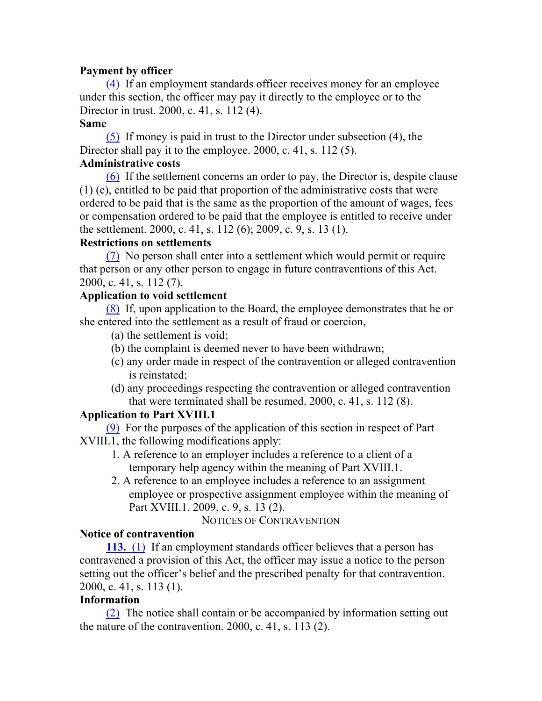## **Payment by officer**

(4) If an employment standards officer receives money for an employee under this section, the officer may pay it directly to the employee or to the Director in trust. 2000, c. 41, s. 112 (4).

## **Same**

(5) If money is paid in trust to the Director under subsection (4), the Director shall pay it to the employee. 2000, c. 41, s. 112 (5).

## **Administrative costs**

(6) If the settlement concerns an order to pay, the Director is, despite clause (1) (c), entitled to be paid that proportion of the administrative costs that were ordered to be paid that is the same as the proportion of the amount of wages, fees or compensation ordered to be paid that the employee is entitled to receive under the settlement. 2000, c. 41, s. 112 (6); 2009, c. 9, s. 13 (1).

## **Restrictions on settlements**

(7) No person shall enter into a settlement which would permit or require that person or any other person to engage in future contraventions of this Act. 2000, c. 41, s. 112 (7).

## **Application to void settlement**

(8) If, upon application to the Board, the employee demonstrates that he or she entered into the settlement as a result of fraud or coercion,

- (a) the settlement is void;
- (b) the complaint is deemed never to have been withdrawn;
- (c) any order made in respect of the contravention or alleged contravention is reinstated;
- (d) any proceedings respecting the contravention or alleged contravention that were terminated shall be resumed. 2000, c. 41, s. 112 (8).

## **Application to Part XVIII.1**

(9) For the purposes of the application of this section in respect of Part XVIII.1, the following modifications apply:

- 1. A reference to an employer includes a reference to a client of a temporary help agency within the meaning of Part XVIII.1.
- 2. A reference to an employee includes a reference to an assignment employee or prospective assignment employee within the meaning of Part XVIII.1. 2009, c. 9, s. 13 (2).

NOTICES OF CONTRAVENTION

## **Notice of contravention**

**113.** (1) If an employment standards officer believes that a person has contravened a provision of this Act, the officer may issue a notice to the person setting out the officer's belief and the prescribed penalty for that contravention. 2000, c. 41, s. 113 (1).

## **Information**

(2) The notice shall contain or be accompanied by information setting out the nature of the contravention. 2000, c. 41, s. 113 (2).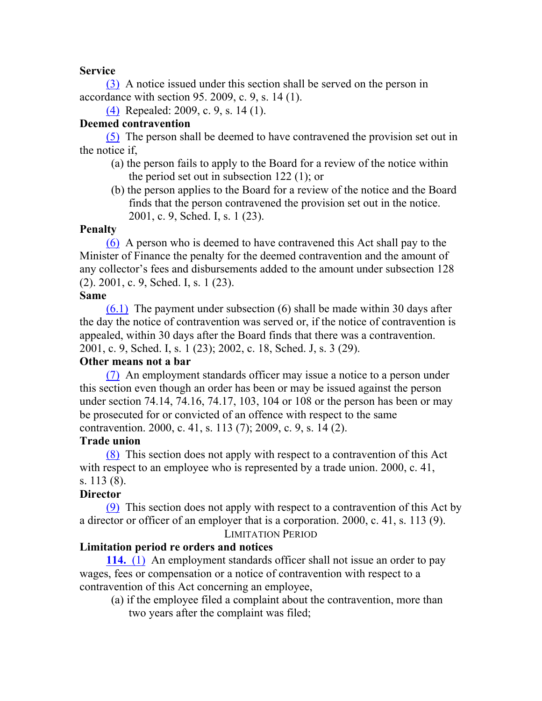## **Service**

(3) A notice issued under this section shall be served on the person in accordance with section 95. 2009, c. 9, s. 14 (1).

(4) Repealed: 2009, c. 9, s. 14 (1).

## **Deemed contravention**

(5) The person shall be deemed to have contravened the provision set out in the notice if,

- (a) the person fails to apply to the Board for a review of the notice within the period set out in subsection 122 (1); or
- (b) the person applies to the Board for a review of the notice and the Board finds that the person contravened the provision set out in the notice. 2001, c. 9, Sched. I, s. 1 (23).

#### **Penalty**

(6) A person who is deemed to have contravened this Act shall pay to the Minister of Finance the penalty for the deemed contravention and the amount of any collector's fees and disbursements added to the amount under subsection 128 (2). 2001, c. 9, Sched. I, s. 1 (23).

#### **Same**

(6.1) The payment under subsection (6) shall be made within 30 days after the day the notice of contravention was served or, if the notice of contravention is appealed, within 30 days after the Board finds that there was a contravention. 2001, c. 9, Sched. I, s. 1 (23); 2002, c. 18, Sched. J, s. 3 (29).

## **Other means not a bar**

(7) An employment standards officer may issue a notice to a person under this section even though an order has been or may be issued against the person under section 74.14, 74.16, 74.17, 103, 104 or 108 or the person has been or may be prosecuted for or convicted of an offence with respect to the same contravention. 2000, c. 41, s. 113 (7); 2009, c. 9, s. 14 (2).

## **Trade union**

(8) This section does not apply with respect to a contravention of this Act with respect to an employee who is represented by a trade union. 2000, c. 41, s. 113 (8).

## **Director**

(9) This section does not apply with respect to a contravention of this Act by a director or officer of an employer that is a corporation. 2000, c. 41, s. 113 (9). LIMITATION PERIOD

## **Limitation period re orders and notices**

**114.** (1) An employment standards officer shall not issue an order to pay wages, fees or compensation or a notice of contravention with respect to a contravention of this Act concerning an employee,

(a) if the employee filed a complaint about the contravention, more than two years after the complaint was filed;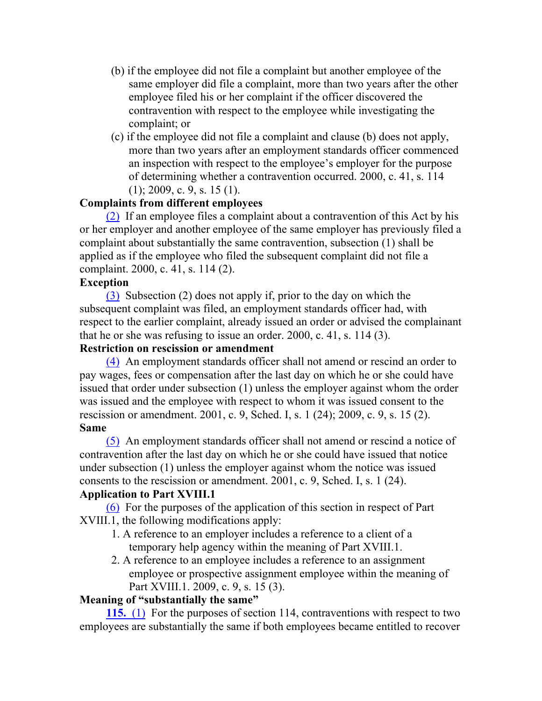- (b) if the employee did not file a complaint but another employee of the same employer did file a complaint, more than two years after the other employee filed his or her complaint if the officer discovered the contravention with respect to the employee while investigating the complaint; or
- (c) if the employee did not file a complaint and clause (b) does not apply, more than two years after an employment standards officer commenced an inspection with respect to the employee's employer for the purpose of determining whether a contravention occurred. 2000, c. 41, s. 114  $(1)$ ; 2009, c. 9, s. 15 (1).

## **Complaints from different employees**

(2) If an employee files a complaint about a contravention of this Act by his or her employer and another employee of the same employer has previously filed a complaint about substantially the same contravention, subsection (1) shall be applied as if the employee who filed the subsequent complaint did not file a complaint. 2000, c. 41, s. 114 (2).

#### **Exception**

(3) Subsection (2) does not apply if, prior to the day on which the subsequent complaint was filed, an employment standards officer had, with respect to the earlier complaint, already issued an order or advised the complainant that he or she was refusing to issue an order. 2000, c. 41, s. 114 (3).

## **Restriction on rescission or amendment**

(4) An employment standards officer shall not amend or rescind an order to pay wages, fees or compensation after the last day on which he or she could have issued that order under subsection (1) unless the employer against whom the order was issued and the employee with respect to whom it was issued consent to the rescission or amendment. 2001, c. 9, Sched. I, s. 1 (24); 2009, c. 9, s. 15 (2). **Same**

(5) An employment standards officer shall not amend or rescind a notice of contravention after the last day on which he or she could have issued that notice under subsection (1) unless the employer against whom the notice was issued consents to the rescission or amendment. 2001, c. 9, Sched. I, s. 1 (24).

#### **Application to Part XVIII.1**

(6) For the purposes of the application of this section in respect of Part XVIII.1, the following modifications apply:

- 1. A reference to an employer includes a reference to a client of a temporary help agency within the meaning of Part XVIII.1.
- 2. A reference to an employee includes a reference to an assignment employee or prospective assignment employee within the meaning of Part XVIII.1. 2009, c. 9, s. 15 (3).

## **Meaning of "substantially the same"**

**115.** (1) For the purposes of section 114, contraventions with respect to two employees are substantially the same if both employees became entitled to recover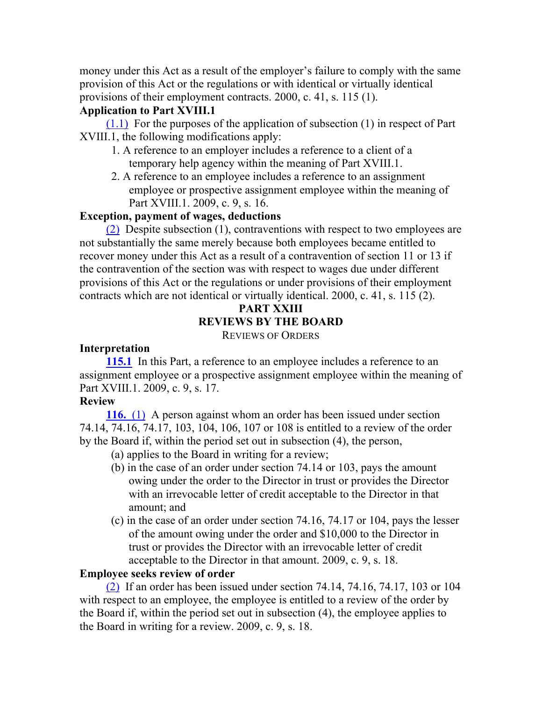money under this Act as a result of the employer's failure to comply with the same provision of this Act or the regulations or with identical or virtually identical provisions of their employment contracts. 2000, c. 41, s. 115 (1).

## **Application to Part XVIII.1**

 $(1.1)$  For the purposes of the application of subsection  $(1)$  in respect of Part XVIII.1, the following modifications apply:

- 1. A reference to an employer includes a reference to a client of a temporary help agency within the meaning of Part XVIII.1.
- 2. A reference to an employee includes a reference to an assignment employee or prospective assignment employee within the meaning of Part XVIII.1. 2009, c. 9, s. 16.

## **Exception, payment of wages, deductions**

(2) Despite subsection (1), contraventions with respect to two employees are not substantially the same merely because both employees became entitled to recover money under this Act as a result of a contravention of section 11 or 13 if the contravention of the section was with respect to wages due under different provisions of this Act or the regulations or under provisions of their employment contracts which are not identical or virtually identical. 2000, c. 41, s. 115 (2).

# **PART XXIII REVIEWS BY THE BOARD**

REVIEWS OF ORDERS

## **Interpretation**

**115.1** In this Part, a reference to an employee includes a reference to an assignment employee or a prospective assignment employee within the meaning of Part XVIII.1. 2009, c. 9, s. 17.

## **Review**

**116.** (1) A person against whom an order has been issued under section 74.14, 74.16, 74.17, 103, 104, 106, 107 or 108 is entitled to a review of the order by the Board if, within the period set out in subsection (4), the person,

- (a) applies to the Board in writing for a review;
- (b) in the case of an order under section 74.14 or 103, pays the amount owing under the order to the Director in trust or provides the Director with an irrevocable letter of credit acceptable to the Director in that amount; and
- (c) in the case of an order under section 74.16, 74.17 or 104, pays the lesser of the amount owing under the order and \$10,000 to the Director in trust or provides the Director with an irrevocable letter of credit acceptable to the Director in that amount. 2009, c. 9, s. 18.

## **Employee seeks review of order**

(2) If an order has been issued under section 74.14, 74.16, 74.17, 103 or 104 with respect to an employee, the employee is entitled to a review of the order by the Board if, within the period set out in subsection (4), the employee applies to the Board in writing for a review. 2009, c. 9, s. 18.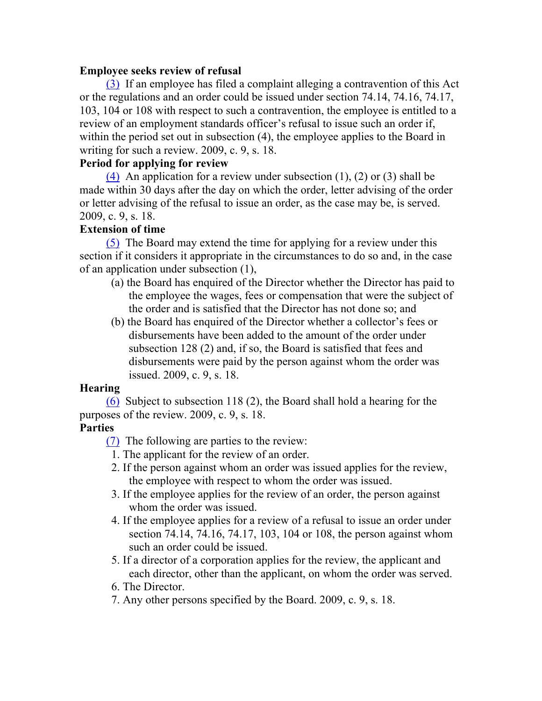## **Employee seeks review of refusal**

(3) If an employee has filed a complaint alleging a contravention of this Act or the regulations and an order could be issued under section 74.14, 74.16, 74.17, 103, 104 or 108 with respect to such a contravention, the employee is entitled to a review of an employment standards officer's refusal to issue such an order if, within the period set out in subsection (4), the employee applies to the Board in writing for such a review. 2009, c. 9, s. 18.

## **Period for applying for review**

(4) An application for a review under subsection (1), (2) or (3) shall be made within 30 days after the day on which the order, letter advising of the order or letter advising of the refusal to issue an order, as the case may be, is served. 2009, c. 9, s. 18.

## **Extension of time**

(5) The Board may extend the time for applying for a review under this section if it considers it appropriate in the circumstances to do so and, in the case of an application under subsection (1),

- (a) the Board has enquired of the Director whether the Director has paid to the employee the wages, fees or compensation that were the subject of the order and is satisfied that the Director has not done so; and
- (b) the Board has enquired of the Director whether a collector's fees or disbursements have been added to the amount of the order under subsection 128 (2) and, if so, the Board is satisfied that fees and disbursements were paid by the person against whom the order was issued. 2009, c. 9, s. 18.

## **Hearing**

(6) Subject to subsection 118 (2), the Board shall hold a hearing for the purposes of the review. 2009, c. 9, s. 18.

## **Parties**

(7) The following are parties to the review:

- 1. The applicant for the review of an order.
- 2. If the person against whom an order was issued applies for the review, the employee with respect to whom the order was issued.
- 3. If the employee applies for the review of an order, the person against whom the order was issued.
- 4. If the employee applies for a review of a refusal to issue an order under section 74.14, 74.16, 74.17, 103, 104 or 108, the person against whom such an order could be issued.
- 5. If a director of a corporation applies for the review, the applicant and each director, other than the applicant, on whom the order was served.
- 6. The Director.
- 7. Any other persons specified by the Board. 2009, c. 9, s. 18.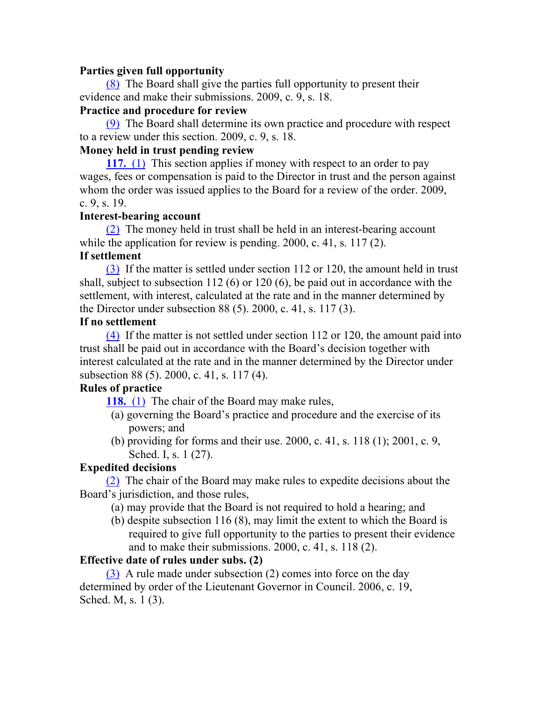#### **Parties given full opportunity**

(8) The Board shall give the parties full opportunity to present their evidence and make their submissions. 2009, c. 9, s. 18.

## **Practice and procedure for review**

(9) The Board shall determine its own practice and procedure with respect to a review under this section. 2009, c. 9, s. 18.

## **Money held in trust pending review**

**117.** (1) This section applies if money with respect to an order to pay wages, fees or compensation is paid to the Director in trust and the person against whom the order was issued applies to the Board for a review of the order. 2009, c. 9, s. 19.

## **Interest-bearing account**

(2) The money held in trust shall be held in an interest-bearing account while the application for review is pending. 2000, c. 41, s. 117 (2).

## **If settlement**

(3) If the matter is settled under section 112 or 120, the amount held in trust shall, subject to subsection 112 (6) or 120 (6), be paid out in accordance with the settlement, with interest, calculated at the rate and in the manner determined by the Director under subsection 88 (5). 2000, c. 41, s. 117 (3).

## **If no settlement**

(4) If the matter is not settled under section 112 or 120, the amount paid into trust shall be paid out in accordance with the Board's decision together with interest calculated at the rate and in the manner determined by the Director under subsection 88 (5). 2000, c. 41, s. 117 (4).

## **Rules of practice**

**118.** (1) The chair of the Board may make rules,

- (a) governing the Board's practice and procedure and the exercise of its powers; and
- (b) providing for forms and their use. 2000, c. 41, s. 118 (1); 2001, c. 9, Sched. I, s. 1 (27).

## **Expedited decisions**

(2) The chair of the Board may make rules to expedite decisions about the Board's jurisdiction, and those rules,

- (a) may provide that the Board is not required to hold a hearing; and
- (b) despite subsection 116 (8), may limit the extent to which the Board is required to give full opportunity to the parties to present their evidence and to make their submissions. 2000, c. 41, s. 118 (2).

## **Effective date of rules under subs. (2)**

(3) A rule made under subsection (2) comes into force on the day determined by order of the Lieutenant Governor in Council. 2006, c. 19, Sched. M, s. 1 (3).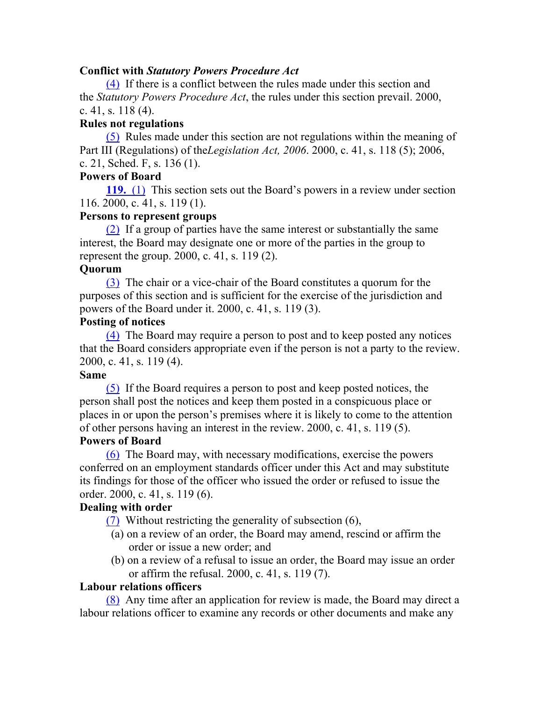#### **Conflict with** *Statutory Powers Procedure Act*

(4) If there is a conflict between the rules made under this section and the *Statutory Powers Procedure Act*, the rules under this section prevail. 2000, c. 41, s. 118 (4).

## **Rules not regulations**

(5) Rules made under this section are not regulations within the meaning of Part III (Regulations) of the*Legislation Act, 2006*. 2000, c. 41, s. 118 (5); 2006, c. 21, Sched. F, s. 136 (1).

#### **Powers of Board**

**119.** (1) This section sets out the Board's powers in a review under section 116. 2000, c. 41, s. 119 (1).

## **Persons to represent groups**

(2) If a group of parties have the same interest or substantially the same interest, the Board may designate one or more of the parties in the group to represent the group. 2000, c. 41, s. 119 (2).

#### **Quorum**

(3) The chair or a vice-chair of the Board constitutes a quorum for the purposes of this section and is sufficient for the exercise of the jurisdiction and powers of the Board under it. 2000, c. 41, s. 119 (3).

#### **Posting of notices**

(4) The Board may require a person to post and to keep posted any notices that the Board considers appropriate even if the person is not a party to the review. 2000, c. 41, s. 119 (4).

#### **Same**

(5) If the Board requires a person to post and keep posted notices, the person shall post the notices and keep them posted in a conspicuous place or places in or upon the person's premises where it is likely to come to the attention of other persons having an interest in the review. 2000, c. 41, s. 119 (5).

## **Powers of Board**

(6) The Board may, with necessary modifications, exercise the powers conferred on an employment standards officer under this Act and may substitute its findings for those of the officer who issued the order or refused to issue the order. 2000, c. 41, s. 119 (6).

#### **Dealing with order**

(7) Without restricting the generality of subsection (6),

- (a) on a review of an order, the Board may amend, rescind or affirm the order or issue a new order; and
- (b) on a review of a refusal to issue an order, the Board may issue an order or affirm the refusal. 2000, c. 41, s. 119 (7).

#### **Labour relations officers**

(8) Any time after an application for review is made, the Board may direct a labour relations officer to examine any records or other documents and make any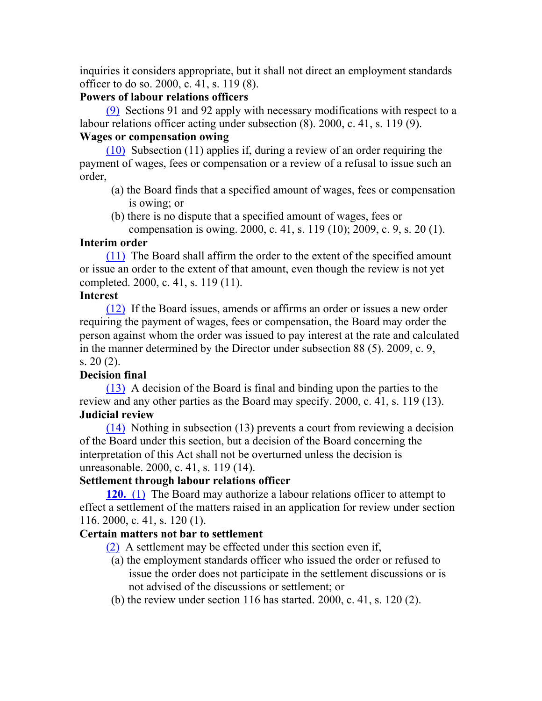inquiries it considers appropriate, but it shall not direct an employment standards officer to do so. 2000, c. 41, s. 119 (8).

## **Powers of labour relations officers**

(9) Sections 91 and 92 apply with necessary modifications with respect to a labour relations officer acting under subsection (8). 2000, c. 41, s. 119 (9).

## **Wages or compensation owing**

(10) Subsection (11) applies if, during a review of an order requiring the payment of wages, fees or compensation or a review of a refusal to issue such an order,

- (a) the Board finds that a specified amount of wages, fees or compensation is owing; or
- (b) there is no dispute that a specified amount of wages, fees or compensation is owing. 2000, c. 41, s. 119 (10); 2009, c. 9, s. 20 (1).

## **Interim order**

(11) The Board shall affirm the order to the extent of the specified amount or issue an order to the extent of that amount, even though the review is not yet completed. 2000, c. 41, s. 119 (11).

## **Interest**

(12) If the Board issues, amends or affirms an order or issues a new order requiring the payment of wages, fees or compensation, the Board may order the person against whom the order was issued to pay interest at the rate and calculated in the manner determined by the Director under subsection 88 (5). 2009, c. 9, s. 20 (2).

# **Decision final**

(13) A decision of the Board is final and binding upon the parties to the review and any other parties as the Board may specify. 2000, c. 41, s. 119 (13). **Judicial review**

(14) Nothing in subsection (13) prevents a court from reviewing a decision of the Board under this section, but a decision of the Board concerning the interpretation of this Act shall not be overturned unless the decision is unreasonable. 2000, c. 41, s. 119 (14).

## **Settlement through labour relations officer**

**120.** (1) The Board may authorize a labour relations officer to attempt to effect a settlement of the matters raised in an application for review under section 116. 2000, c. 41, s. 120 (1).

## **Certain matters not bar to settlement**

(2) A settlement may be effected under this section even if,

- (a) the employment standards officer who issued the order or refused to issue the order does not participate in the settlement discussions or is not advised of the discussions or settlement; or
- (b) the review under section 116 has started. 2000, c. 41, s. 120 (2).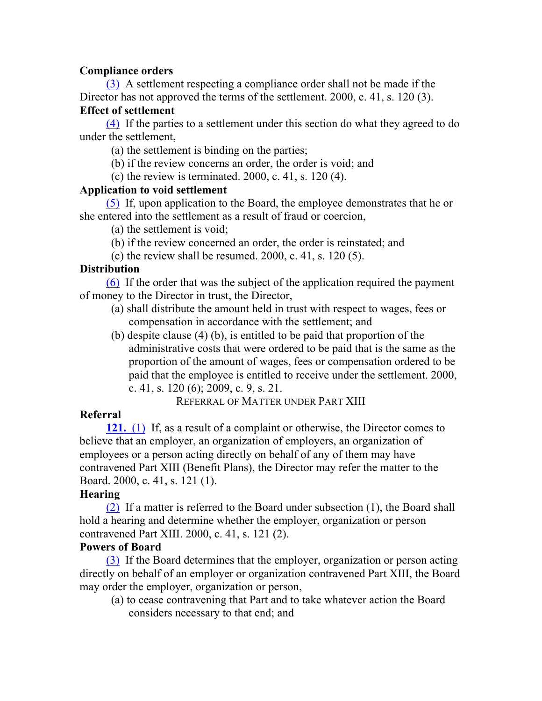## **Compliance orders**

(3) A settlement respecting a compliance order shall not be made if the Director has not approved the terms of the settlement. 2000, c. 41, s. 120 (3).

## **Effect of settlement**

(4) If the parties to a settlement under this section do what they agreed to do under the settlement,

(a) the settlement is binding on the parties;

(b) if the review concerns an order, the order is void; and

(c) the review is terminated. 2000, c. 41, s. 120 (4).

## **Application to void settlement**

(5) If, upon application to the Board, the employee demonstrates that he or she entered into the settlement as a result of fraud or coercion,

(a) the settlement is void;

- (b) if the review concerned an order, the order is reinstated; and
- (c) the review shall be resumed.  $2000$ , c. 41, s. 120 (5).

## **Distribution**

(6) If the order that was the subject of the application required the payment of money to the Director in trust, the Director,

- (a) shall distribute the amount held in trust with respect to wages, fees or compensation in accordance with the settlement; and
- (b) despite clause (4) (b), is entitled to be paid that proportion of the administrative costs that were ordered to be paid that is the same as the proportion of the amount of wages, fees or compensation ordered to be paid that the employee is entitled to receive under the settlement. 2000, c. 41, s. 120 (6); 2009, c. 9, s. 21.

REFERRAL OF MATTER UNDER PART XIII

# **Referral**

**121.** (1) If, as a result of a complaint or otherwise, the Director comes to believe that an employer, an organization of employers, an organization of employees or a person acting directly on behalf of any of them may have contravened Part XIII (Benefit Plans), the Director may refer the matter to the Board. 2000, c. 41, s. 121 (1).

# **Hearing**

(2) If a matter is referred to the Board under subsection (1), the Board shall hold a hearing and determine whether the employer, organization or person contravened Part XIII. 2000, c. 41, s. 121 (2).

## **Powers of Board**

(3) If the Board determines that the employer, organization or person acting directly on behalf of an employer or organization contravened Part XIII, the Board may order the employer, organization or person,

(a) to cease contravening that Part and to take whatever action the Board considers necessary to that end; and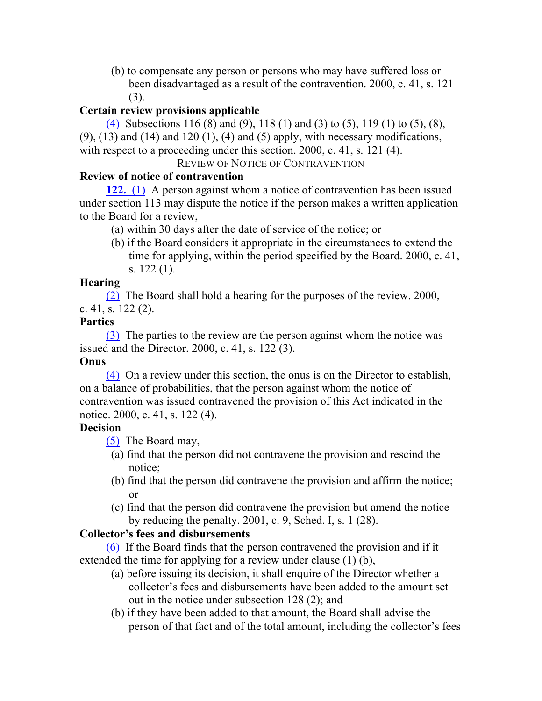(b) to compensate any person or persons who may have suffered loss or been disadvantaged as a result of the contravention. 2000, c. 41, s. 121 (3).

## **Certain review provisions applicable**

(4) Subsections 116 (8) and (9), 118 (1) and (3) to (5), 119 (1) to (5), (8),  $(9)$ ,  $(13)$  and  $(14)$  and  $120$   $(1)$ ,  $(4)$  and  $(5)$  apply, with necessary modifications, with respect to a proceeding under this section. 2000, c. 41, s. 121 (4).

REVIEW OF NOTICE OF CONTRAVENTION

## **Review of notice of contravention**

**122.** (1) A person against whom a notice of contravention has been issued under section 113 may dispute the notice if the person makes a written application to the Board for a review,

- (a) within 30 days after the date of service of the notice; or
- (b) if the Board considers it appropriate in the circumstances to extend the time for applying, within the period specified by the Board. 2000, c. 41, s. 122 (1).

## **Hearing**

(2) The Board shall hold a hearing for the purposes of the review. 2000, c. 41, s.  $122(2)$ .

## **Parties**

(3) The parties to the review are the person against whom the notice was issued and the Director. 2000, c. 41, s. 122 (3).

# **Onus**

(4) On a review under this section, the onus is on the Director to establish, on a balance of probabilities, that the person against whom the notice of contravention was issued contravened the provision of this Act indicated in the notice. 2000, c. 41, s. 122 (4).

## **Decision**

(5) The Board may,

- (a) find that the person did not contravene the provision and rescind the notice;
- (b) find that the person did contravene the provision and affirm the notice; or
- (c) find that the person did contravene the provision but amend the notice by reducing the penalty. 2001, c. 9, Sched. I, s. 1 (28).

# **Collector's fees and disbursements**

(6) If the Board finds that the person contravened the provision and if it extended the time for applying for a review under clause (1) (b),

- (a) before issuing its decision, it shall enquire of the Director whether a collector's fees and disbursements have been added to the amount set out in the notice under subsection 128 (2); and
- (b) if they have been added to that amount, the Board shall advise the person of that fact and of the total amount, including the collector's fees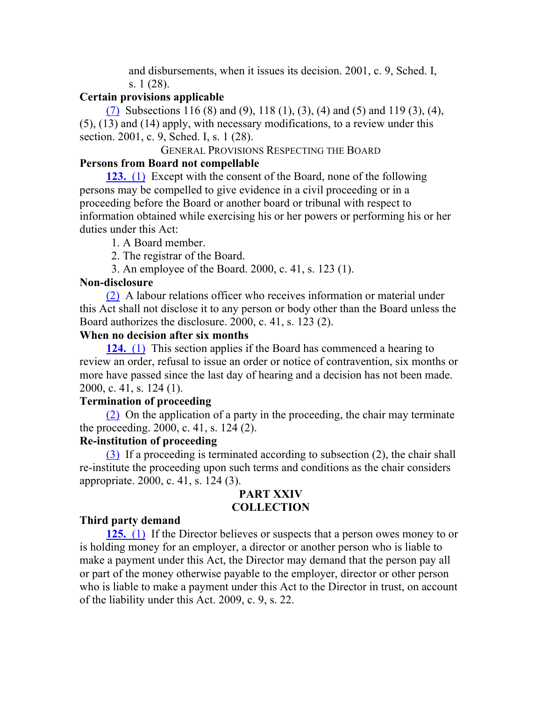and disbursements, when it issues its decision. 2001, c. 9, Sched. I, s. 1 (28).

#### **Certain provisions applicable**

(7) Subsections 116 (8) and (9), 118 (1), (3), (4) and (5) and 119 (3), (4), (5), (13) and (14) apply, with necessary modifications, to a review under this section. 2001, c. 9, Sched. I, s. 1 (28).

#### GENERAL PROVISIONS RESPECTING THE BOARD

#### **Persons from Board not compellable**

**123.** (1) Except with the consent of the Board, none of the following persons may be compelled to give evidence in a civil proceeding or in a proceeding before the Board or another board or tribunal with respect to information obtained while exercising his or her powers or performing his or her duties under this Act:

1. A Board member.

2. The registrar of the Board.

3. An employee of the Board. 2000, c. 41, s. 123 (1).

#### **Non-disclosure**

(2) A labour relations officer who receives information or material under this Act shall not disclose it to any person or body other than the Board unless the Board authorizes the disclosure. 2000, c. 41, s. 123 (2).

#### **When no decision after six months**

**124.** (1) This section applies if the Board has commenced a hearing to review an order, refusal to issue an order or notice of contravention, six months or more have passed since the last day of hearing and a decision has not been made. 2000, c. 41, s. 124 (1).

#### **Termination of proceeding**

(2) On the application of a party in the proceeding, the chair may terminate the proceeding. 2000, c. 41, s. 124 (2).

#### **Re-institution of proceeding**

(3) If a proceeding is terminated according to subsection (2), the chair shall re-institute the proceeding upon such terms and conditions as the chair considers appropriate. 2000, c. 41, s. 124 (3).

## **PART XXIV COLLECTION**

#### **Third party demand**

**125.** (1) If the Director believes or suspects that a person owes money to or is holding money for an employer, a director or another person who is liable to make a payment under this Act, the Director may demand that the person pay all or part of the money otherwise payable to the employer, director or other person who is liable to make a payment under this Act to the Director in trust, on account of the liability under this Act. 2009, c. 9, s. 22.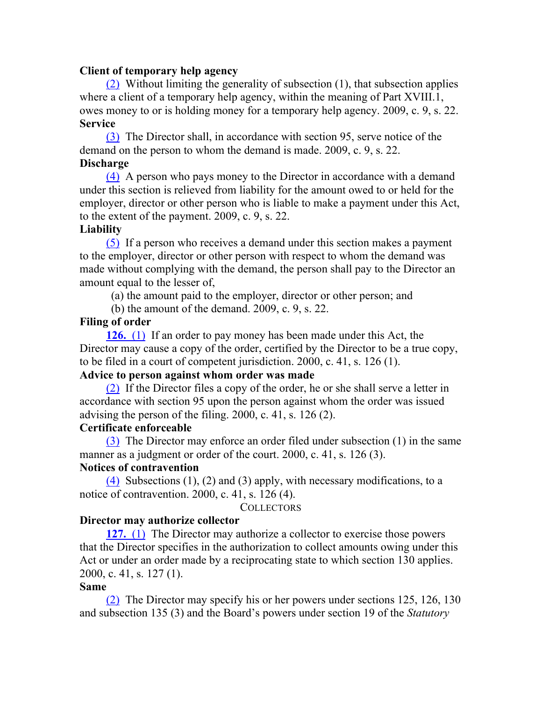#### **Client of temporary help agency**

(2) Without limiting the generality of subsection (1), that subsection applies where a client of a temporary help agency, within the meaning of Part XVIII.1, owes money to or is holding money for a temporary help agency. 2009, c. 9, s. 22. **Service**

(3) The Director shall, in accordance with section 95, serve notice of the demand on the person to whom the demand is made. 2009, c. 9, s. 22. **Discharge**

(4) A person who pays money to the Director in accordance with a demand under this section is relieved from liability for the amount owed to or held for the employer, director or other person who is liable to make a payment under this Act, to the extent of the payment. 2009, c. 9, s. 22.

#### **Liability**

(5) If a person who receives a demand under this section makes a payment to the employer, director or other person with respect to whom the demand was made without complying with the demand, the person shall pay to the Director an amount equal to the lesser of,

(a) the amount paid to the employer, director or other person; and

(b) the amount of the demand. 2009, c. 9, s. 22.

#### **Filing of order**

**126.** (1) If an order to pay money has been made under this Act, the Director may cause a copy of the order, certified by the Director to be a true copy, to be filed in a court of competent jurisdiction. 2000, c. 41, s. 126 (1).

## **Advice to person against whom order was made**

(2) If the Director files a copy of the order, he or she shall serve a letter in accordance with section 95 upon the person against whom the order was issued advising the person of the filing. 2000, c. 41, s. 126 (2).

#### **Certificate enforceable**

(3) The Director may enforce an order filed under subsection (1) in the same manner as a judgment or order of the court. 2000, c. 41, s. 126 (3). **Notices of contravention**

(4) Subsections  $(1)$ ,  $(2)$  and  $(3)$  apply, with necessary modifications, to a notice of contravention. 2000, c. 41, s. 126 (4).

#### **COLLECTORS**

#### **Director may authorize collector**

**127.** (1) The Director may authorize a collector to exercise those powers that the Director specifies in the authorization to collect amounts owing under this Act or under an order made by a reciprocating state to which section 130 applies. 2000, c. 41, s. 127 (1).

#### **Same**

(2) The Director may specify his or her powers under sections 125, 126, 130 and subsection 135 (3) and the Board's powers under section 19 of the *Statutory*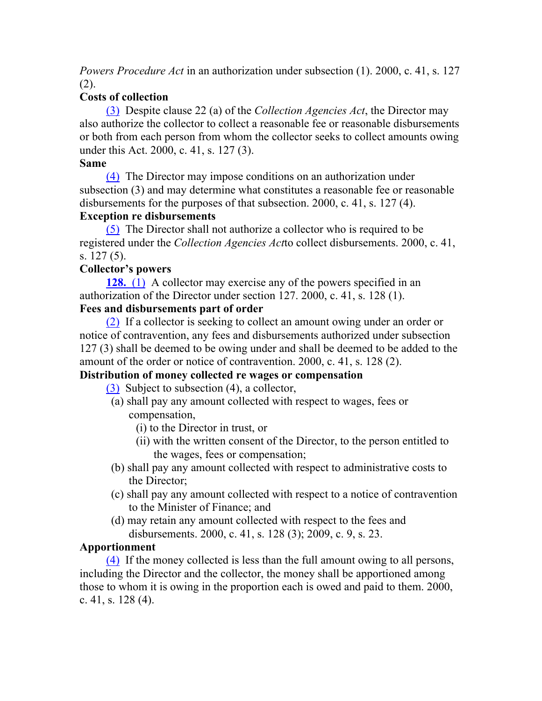*Powers Procedure Act* in an authorization under subsection (1). 2000, c. 41, s. 127 (2).

# **Costs of collection**

(3) Despite clause 22 (a) of the *Collection Agencies Act*, the Director may also authorize the collector to collect a reasonable fee or reasonable disbursements or both from each person from whom the collector seeks to collect amounts owing under this Act. 2000, c. 41, s. 127 (3).

## **Same**

(4) The Director may impose conditions on an authorization under subsection (3) and may determine what constitutes a reasonable fee or reasonable disbursements for the purposes of that subsection. 2000, c. 41, s. 127 (4).

## **Exception re disbursements**

(5) The Director shall not authorize a collector who is required to be registered under the *Collection Agencies Act*to collect disbursements. 2000, c. 41, s. 127 (5).

# **Collector's powers**

**128.** (1) A collector may exercise any of the powers specified in an authorization of the Director under section 127. 2000, c. 41, s. 128 (1).

# **Fees and disbursements part of order**

(2) If a collector is seeking to collect an amount owing under an order or notice of contravention, any fees and disbursements authorized under subsection 127 (3) shall be deemed to be owing under and shall be deemed to be added to the amount of the order or notice of contravention. 2000, c. 41, s. 128 (2).

# **Distribution of money collected re wages or compensation**

- (3) Subject to subsection (4), a collector,
- (a) shall pay any amount collected with respect to wages, fees or compensation,
	- (i) to the Director in trust, or
	- (ii) with the written consent of the Director, to the person entitled to the wages, fees or compensation;
- (b) shall pay any amount collected with respect to administrative costs to the Director;
- (c) shall pay any amount collected with respect to a notice of contravention to the Minister of Finance; and
- (d) may retain any amount collected with respect to the fees and disbursements. 2000, c. 41, s. 128 (3); 2009, c. 9, s. 23.

# **Apportionment**

(4) If the money collected is less than the full amount owing to all persons, including the Director and the collector, the money shall be apportioned among those to whom it is owing in the proportion each is owed and paid to them. 2000, c. 41, s. 128 (4).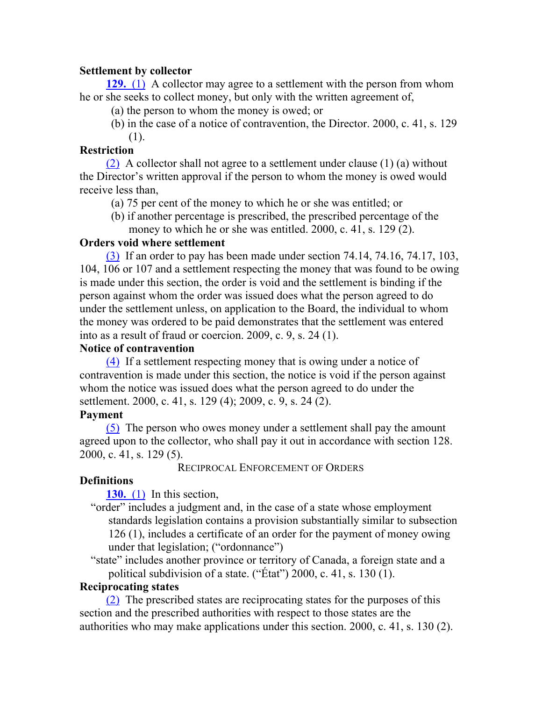## **Settlement by collector**

**129.** (1) A collector may agree to a settlement with the person from whom he or she seeks to collect money, but only with the written agreement of,

- (a) the person to whom the money is owed; or
- (b) in the case of a notice of contravention, the Director. 2000, c. 41, s. 129 (1).

## **Restriction**

(2) A collector shall not agree to a settlement under clause (1) (a) without the Director's written approval if the person to whom the money is owed would receive less than,

- (a) 75 per cent of the money to which he or she was entitled; or
- (b) if another percentage is prescribed, the prescribed percentage of the money to which he or she was entitled. 2000, c. 41, s. 129 (2).

## **Orders void where settlement**

(3) If an order to pay has been made under section 74.14, 74.16, 74.17, 103, 104, 106 or 107 and a settlement respecting the money that was found to be owing is made under this section, the order is void and the settlement is binding if the person against whom the order was issued does what the person agreed to do under the settlement unless, on application to the Board, the individual to whom the money was ordered to be paid demonstrates that the settlement was entered into as a result of fraud or coercion. 2009, c. 9, s. 24 (1).

## **Notice of contravention**

(4) If a settlement respecting money that is owing under a notice of contravention is made under this section, the notice is void if the person against whom the notice was issued does what the person agreed to do under the settlement. 2000, c. 41, s. 129 (4); 2009, c. 9, s. 24 (2).

## **Payment**

(5) The person who owes money under a settlement shall pay the amount agreed upon to the collector, who shall pay it out in accordance with section 128. 2000, c. 41, s. 129 (5).

RECIPROCAL ENFORCEMENT OF ORDERS

## **Definitions**

**130.** (1) In this section,

"order" includes a judgment and, in the case of a state whose employment standards legislation contains a provision substantially similar to subsection 126 (1), includes a certificate of an order for the payment of money owing under that legislation; ("ordonnance")

"state" includes another province or territory of Canada, a foreign state and a political subdivision of a state. ("État") 2000, c. 41, s. 130 (1).

## **Reciprocating states**

(2) The prescribed states are reciprocating states for the purposes of this section and the prescribed authorities with respect to those states are the authorities who may make applications under this section. 2000, c. 41, s. 130 (2).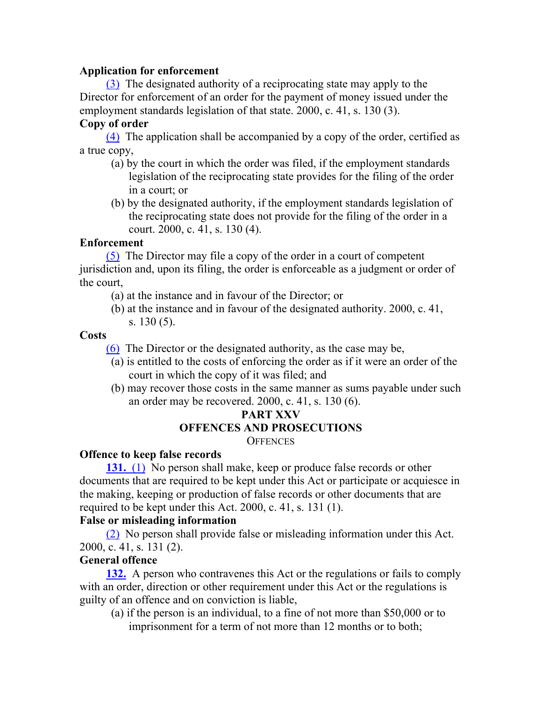## **Application for enforcement**

(3) The designated authority of a reciprocating state may apply to the Director for enforcement of an order for the payment of money issued under the employment standards legislation of that state. 2000, c. 41, s. 130 (3).

## **Copy of order**

(4) The application shall be accompanied by a copy of the order, certified as a true copy,

- (a) by the court in which the order was filed, if the employment standards legislation of the reciprocating state provides for the filing of the order in a court; or
- (b) by the designated authority, if the employment standards legislation of the reciprocating state does not provide for the filing of the order in a court. 2000, c. 41, s. 130 (4).

## **Enforcement**

(5) The Director may file a copy of the order in a court of competent jurisdiction and, upon its filing, the order is enforceable as a judgment or order of the court,

- (a) at the instance and in favour of the Director; or
- (b) at the instance and in favour of the designated authority. 2000, c. 41, s. 130 (5).

#### **Costs**

(6) The Director or the designated authority, as the case may be,

- (a) is entitled to the costs of enforcing the order as if it were an order of the court in which the copy of it was filed; and
- (b) may recover those costs in the same manner as sums payable under such an order may be recovered. 2000, c. 41, s. 130 (6).

# **PART XXV OFFENCES AND PROSECUTIONS**

**OFFENCES** 

#### **Offence to keep false records**

**131.** (1) No person shall make, keep or produce false records or other documents that are required to be kept under this Act or participate or acquiesce in the making, keeping or production of false records or other documents that are required to be kept under this Act. 2000, c. 41, s. 131 (1).

#### **False or misleading information**

(2) No person shall provide false or misleading information under this Act. 2000, c. 41, s. 131 (2).

## **General offence**

**132.** A person who contravenes this Act or the regulations or fails to comply with an order, direction or other requirement under this Act or the regulations is guilty of an offence and on conviction is liable,

(a) if the person is an individual, to a fine of not more than \$50,000 or to imprisonment for a term of not more than 12 months or to both;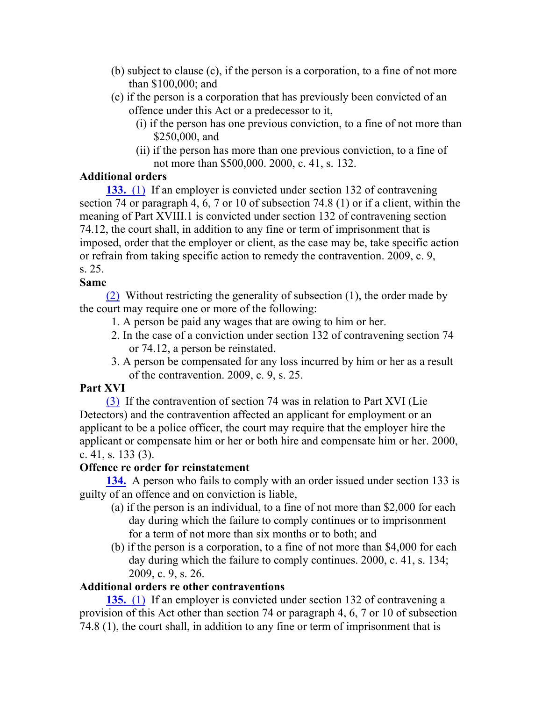- (b) subject to clause (c), if the person is a corporation, to a fine of not more than \$100,000; and
- (c) if the person is a corporation that has previously been convicted of an offence under this Act or a predecessor to it,
	- (i) if the person has one previous conviction, to a fine of not more than \$250,000, and
	- (ii) if the person has more than one previous conviction, to a fine of not more than \$500,000. 2000, c. 41, s. 132.

## **Additional orders**

**133.** (1) If an employer is convicted under section 132 of contravening section 74 or paragraph 4, 6, 7 or 10 of subsection 74.8 (1) or if a client, within the meaning of Part XVIII.1 is convicted under section 132 of contravening section 74.12, the court shall, in addition to any fine or term of imprisonment that is imposed, order that the employer or client, as the case may be, take specific action or refrain from taking specific action to remedy the contravention. 2009, c. 9, s. 25.

## **Same**

(2) Without restricting the generality of subsection (1), the order made by the court may require one or more of the following:

- 1. A person be paid any wages that are owing to him or her.
- 2. In the case of a conviction under section 132 of contravening section 74 or 74.12, a person be reinstated.
- 3. A person be compensated for any loss incurred by him or her as a result of the contravention. 2009, c. 9, s. 25.

## **Part XVI**

(3) If the contravention of section 74 was in relation to Part XVI (Lie Detectors) and the contravention affected an applicant for employment or an applicant to be a police officer, the court may require that the employer hire the applicant or compensate him or her or both hire and compensate him or her. 2000, c. 41, s. 133 (3).

## **Offence re order for reinstatement**

**134.** A person who fails to comply with an order issued under section 133 is guilty of an offence and on conviction is liable,

- (a) if the person is an individual, to a fine of not more than \$2,000 for each day during which the failure to comply continues or to imprisonment for a term of not more than six months or to both; and
- (b) if the person is a corporation, to a fine of not more than \$4,000 for each day during which the failure to comply continues. 2000, c. 41, s. 134; 2009, c. 9, s. 26.

## **Additional orders re other contraventions**

**135.** (1) If an employer is convicted under section 132 of contravening a provision of this Act other than section 74 or paragraph 4, 6, 7 or 10 of subsection 74.8 (1), the court shall, in addition to any fine or term of imprisonment that is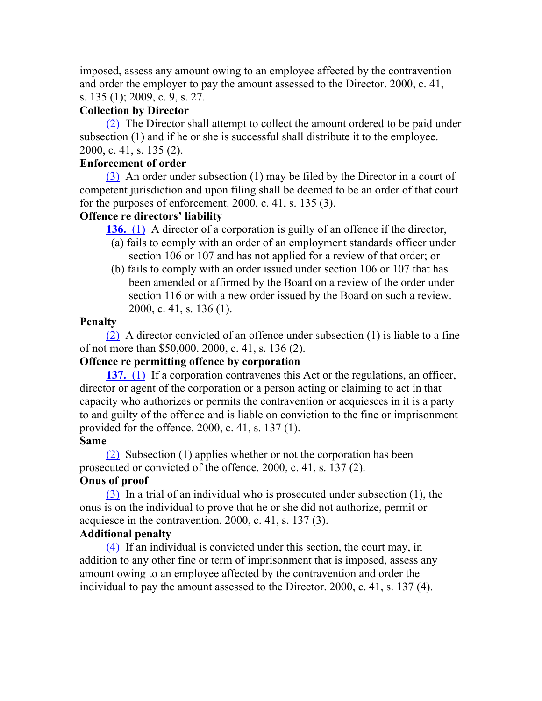imposed, assess any amount owing to an employee affected by the contravention and order the employer to pay the amount assessed to the Director. 2000, c. 41, s. 135 (1); 2009, c. 9, s. 27.

## **Collection by Director**

(2) The Director shall attempt to collect the amount ordered to be paid under subsection (1) and if he or she is successful shall distribute it to the employee. 2000, c. 41, s. 135 (2).

## **Enforcement of order**

(3) An order under subsection (1) may be filed by the Director in a court of competent jurisdiction and upon filing shall be deemed to be an order of that court for the purposes of enforcement. 2000, c. 41, s. 135 (3).

## **Offence re directors' liability**

**136.** (1) A director of a corporation is guilty of an offence if the director,

- (a) fails to comply with an order of an employment standards officer under section 106 or 107 and has not applied for a review of that order; or
- (b) fails to comply with an order issued under section 106 or 107 that has been amended or affirmed by the Board on a review of the order under section 116 or with a new order issued by the Board on such a review. 2000, c. 41, s. 136 (1).

#### **Penalty**

 $(2)$  A director convicted of an offence under subsection (1) is liable to a fine of not more than \$50,000. 2000, c. 41, s. 136 (2).

## **Offence re permitting offence by corporation**

**137.** (1) If a corporation contravenes this Act or the regulations, an officer, director or agent of the corporation or a person acting or claiming to act in that capacity who authorizes or permits the contravention or acquiesces in it is a party to and guilty of the offence and is liable on conviction to the fine or imprisonment provided for the offence. 2000, c. 41, s. 137 (1).

#### **Same**

(2) Subsection (1) applies whether or not the corporation has been prosecuted or convicted of the offence. 2000, c. 41, s. 137 (2). **Onus of proof**

(3) In a trial of an individual who is prosecuted under subsection (1), the onus is on the individual to prove that he or she did not authorize, permit or acquiesce in the contravention. 2000, c. 41, s. 137 (3).

## **Additional penalty**

(4) If an individual is convicted under this section, the court may, in addition to any other fine or term of imprisonment that is imposed, assess any amount owing to an employee affected by the contravention and order the individual to pay the amount assessed to the Director. 2000, c. 41, s. 137 (4).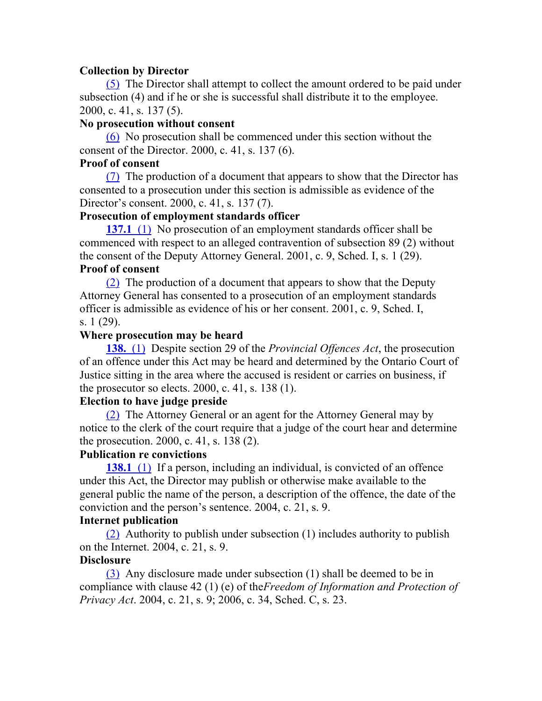#### **Collection by Director**

(5) The Director shall attempt to collect the amount ordered to be paid under subsection (4) and if he or she is successful shall distribute it to the employee. 2000, c. 41, s. 137 (5).

#### **No prosecution without consent**

(6) No prosecution shall be commenced under this section without the consent of the Director. 2000, c. 41, s. 137 (6).

#### **Proof of consent**

(7) The production of a document that appears to show that the Director has consented to a prosecution under this section is admissible as evidence of the Director's consent. 2000, c. 41, s. 137 (7).

### **Prosecution of employment standards officer**

**137.1** (1) No prosecution of an employment standards officer shall be commenced with respect to an alleged contravention of subsection 89 (2) without the consent of the Deputy Attorney General. 2001, c. 9, Sched. I, s. 1 (29).

#### **Proof of consent**

(2) The production of a document that appears to show that the Deputy Attorney General has consented to a prosecution of an employment standards officer is admissible as evidence of his or her consent. 2001, c. 9, Sched. I, s. 1 (29).

#### **Where prosecution may be heard**

**138.** (1) Despite section 29 of the *Provincial Offences Act*, the prosecution of an offence under this Act may be heard and determined by the Ontario Court of Justice sitting in the area where the accused is resident or carries on business, if the prosecutor so elects. 2000, c. 41, s. 138 (1).

#### **Election to have judge preside**

(2) The Attorney General or an agent for the Attorney General may by notice to the clerk of the court require that a judge of the court hear and determine the prosecution. 2000, c. 41, s. 138 (2).

#### **Publication re convictions**

**138.1** (1) If a person, including an individual, is convicted of an offence under this Act, the Director may publish or otherwise make available to the general public the name of the person, a description of the offence, the date of the conviction and the person's sentence. 2004, c. 21, s. 9.

#### **Internet publication**

(2) Authority to publish under subsection (1) includes authority to publish on the Internet. 2004, c. 21, s. 9.

#### **Disclosure**

(3) Any disclosure made under subsection (1) shall be deemed to be in compliance with clause 42 (1) (e) of the*Freedom of Information and Protection of Privacy Act*. 2004, c. 21, s. 9; 2006, c. 34, Sched. C, s. 23.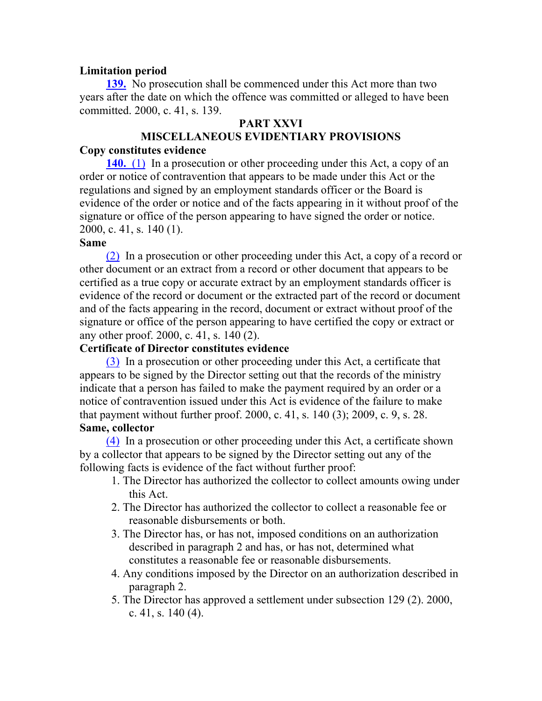#### **Limitation period**

**139.** No prosecution shall be commenced under this Act more than two years after the date on which the offence was committed or alleged to have been committed. 2000, c. 41, s. 139.

#### **PART XXVI**

# **MISCELLANEOUS EVIDENTIARY PROVISIONS**

#### **Copy constitutes evidence**

**140.** (1) In a prosecution or other proceeding under this Act, a copy of an order or notice of contravention that appears to be made under this Act or the regulations and signed by an employment standards officer or the Board is evidence of the order or notice and of the facts appearing in it without proof of the signature or office of the person appearing to have signed the order or notice. 2000, c. 41, s. 140 (1).

#### **Same**

(2) In a prosecution or other proceeding under this Act, a copy of a record or other document or an extract from a record or other document that appears to be certified as a true copy or accurate extract by an employment standards officer is evidence of the record or document or the extracted part of the record or document and of the facts appearing in the record, document or extract without proof of the signature or office of the person appearing to have certified the copy or extract or any other proof. 2000, c. 41, s. 140 (2).

#### **Certificate of Director constitutes evidence**

(3) In a prosecution or other proceeding under this Act, a certificate that appears to be signed by the Director setting out that the records of the ministry indicate that a person has failed to make the payment required by an order or a notice of contravention issued under this Act is evidence of the failure to make that payment without further proof. 2000, c. 41, s. 140 (3); 2009, c. 9, s. 28. **Same, collector**

(4) In a prosecution or other proceeding under this Act, a certificate shown by a collector that appears to be signed by the Director setting out any of the following facts is evidence of the fact without further proof:

- 1. The Director has authorized the collector to collect amounts owing under this Act.
- 2. The Director has authorized the collector to collect a reasonable fee or reasonable disbursements or both.
- 3. The Director has, or has not, imposed conditions on an authorization described in paragraph 2 and has, or has not, determined what constitutes a reasonable fee or reasonable disbursements.
- 4. Any conditions imposed by the Director on an authorization described in paragraph 2.
- 5. The Director has approved a settlement under subsection 129 (2). 2000, c. 41, s. 140 (4).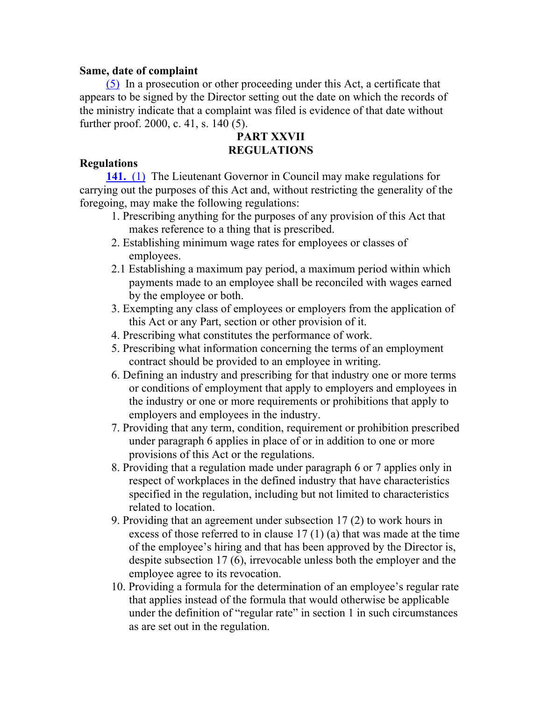#### **Same, date of complaint**

(5) In a prosecution or other proceeding under this Act, a certificate that appears to be signed by the Director setting out the date on which the records of the ministry indicate that a complaint was filed is evidence of that date without further proof. 2000, c. 41, s. 140 (5).

## **PART XXVII REGULATIONS**

#### **Regulations**

**141.** (1) The Lieutenant Governor in Council may make regulations for carrying out the purposes of this Act and, without restricting the generality of the foregoing, may make the following regulations:

- 1. Prescribing anything for the purposes of any provision of this Act that makes reference to a thing that is prescribed.
- 2. Establishing minimum wage rates for employees or classes of employees.
- 2.1 Establishing a maximum pay period, a maximum period within which payments made to an employee shall be reconciled with wages earned by the employee or both.
- 3. Exempting any class of employees or employers from the application of this Act or any Part, section or other provision of it.
- 4. Prescribing what constitutes the performance of work.
- 5. Prescribing what information concerning the terms of an employment contract should be provided to an employee in writing.
- 6. Defining an industry and prescribing for that industry one or more terms or conditions of employment that apply to employers and employees in the industry or one or more requirements or prohibitions that apply to employers and employees in the industry.
- 7. Providing that any term, condition, requirement or prohibition prescribed under paragraph 6 applies in place of or in addition to one or more provisions of this Act or the regulations.
- 8. Providing that a regulation made under paragraph 6 or 7 applies only in respect of workplaces in the defined industry that have characteristics specified in the regulation, including but not limited to characteristics related to location.
- 9. Providing that an agreement under subsection 17 (2) to work hours in excess of those referred to in clause 17 (1) (a) that was made at the time of the employee's hiring and that has been approved by the Director is, despite subsection 17 (6), irrevocable unless both the employer and the employee agree to its revocation.
- 10. Providing a formula for the determination of an employee's regular rate that applies instead of the formula that would otherwise be applicable under the definition of "regular rate" in section 1 in such circumstances as are set out in the regulation.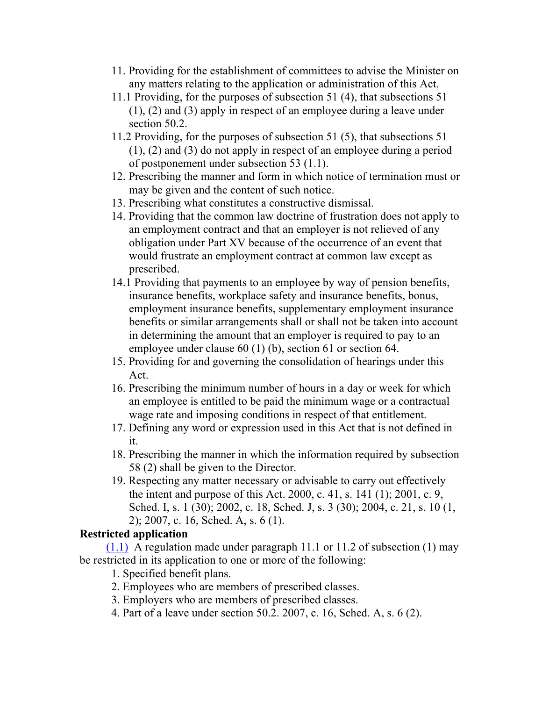- 11. Providing for the establishment of committees to advise the Minister on any matters relating to the application or administration of this Act.
- 11.1 Providing, for the purposes of subsection 51 (4), that subsections 51 (1), (2) and (3) apply in respect of an employee during a leave under section 50.2.
- 11.2 Providing, for the purposes of subsection 51 (5), that subsections 51 (1), (2) and (3) do not apply in respect of an employee during a period of postponement under subsection 53 (1.1).
- 12. Prescribing the manner and form in which notice of termination must or may be given and the content of such notice.
- 13. Prescribing what constitutes a constructive dismissal.
- 14. Providing that the common law doctrine of frustration does not apply to an employment contract and that an employer is not relieved of any obligation under Part XV because of the occurrence of an event that would frustrate an employment contract at common law except as prescribed.
- 14.1 Providing that payments to an employee by way of pension benefits, insurance benefits, workplace safety and insurance benefits, bonus, employment insurance benefits, supplementary employment insurance benefits or similar arrangements shall or shall not be taken into account in determining the amount that an employer is required to pay to an employee under clause 60 (1) (b), section 61 or section 64.
- 15. Providing for and governing the consolidation of hearings under this Act.
- 16. Prescribing the minimum number of hours in a day or week for which an employee is entitled to be paid the minimum wage or a contractual wage rate and imposing conditions in respect of that entitlement.
- 17. Defining any word or expression used in this Act that is not defined in it.
- 18. Prescribing the manner in which the information required by subsection 58 (2) shall be given to the Director.
- 19. Respecting any matter necessary or advisable to carry out effectively the intent and purpose of this Act. 2000, c. 41, s. 141 (1); 2001, c. 9, Sched. I, s. 1 (30); 2002, c. 18, Sched. J, s. 3 (30); 2004, c. 21, s. 10 (1, 2); 2007, c. 16, Sched. A, s. 6 (1).

## **Restricted application**

 $(1.1)$  A regulation made under paragraph 11.1 or 11.2 of subsection (1) may be restricted in its application to one or more of the following:

- 1. Specified benefit plans.
- 2. Employees who are members of prescribed classes.
- 3. Employers who are members of prescribed classes.
- 4. Part of a leave under section 50.2. 2007, c. 16, Sched. A, s. 6 (2).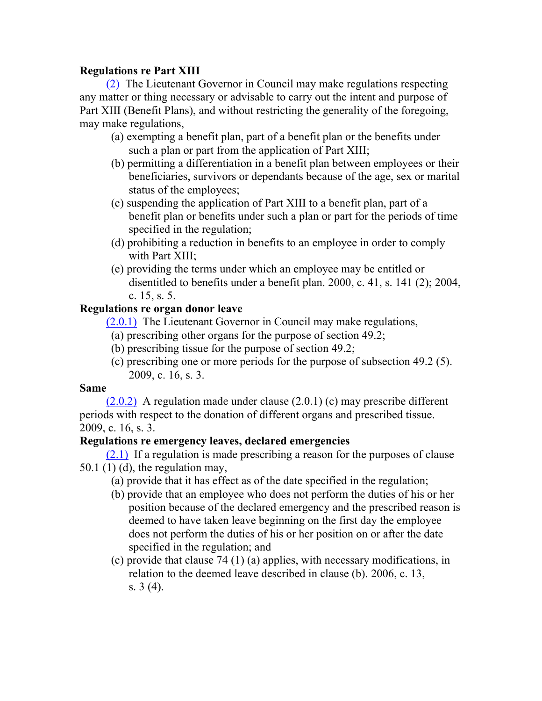## **Regulations re Part XIII**

(2) The Lieutenant Governor in Council may make regulations respecting any matter or thing necessary or advisable to carry out the intent and purpose of Part XIII (Benefit Plans), and without restricting the generality of the foregoing, may make regulations,

- (a) exempting a benefit plan, part of a benefit plan or the benefits under such a plan or part from the application of Part XIII;
- (b) permitting a differentiation in a benefit plan between employees or their beneficiaries, survivors or dependants because of the age, sex or marital status of the employees;
- (c) suspending the application of Part XIII to a benefit plan, part of a benefit plan or benefits under such a plan or part for the periods of time specified in the regulation;
- (d) prohibiting a reduction in benefits to an employee in order to comply with Part XIII;
- (e) providing the terms under which an employee may be entitled or disentitled to benefits under a benefit plan. 2000, c. 41, s. 141 (2); 2004, c. 15, s. 5.

## **Regulations re organ donor leave**

(2.0.1) The Lieutenant Governor in Council may make regulations,

- (a) prescribing other organs for the purpose of section 49.2;
- (b) prescribing tissue for the purpose of section 49.2;
- (c) prescribing one or more periods for the purpose of subsection 49.2 (5). 2009, c. 16, s. 3.

#### **Same**

 $(2.0.2)$  A regulation made under clause  $(2.0.1)$  (c) may prescribe different periods with respect to the donation of different organs and prescribed tissue. 2009, c. 16, s. 3.

#### **Regulations re emergency leaves, declared emergencies**

(2.1) If a regulation is made prescribing a reason for the purposes of clause  $50.1$  (1) (d), the regulation may,

- (a) provide that it has effect as of the date specified in the regulation;
- (b) provide that an employee who does not perform the duties of his or her position because of the declared emergency and the prescribed reason is deemed to have taken leave beginning on the first day the employee does not perform the duties of his or her position on or after the date specified in the regulation; and
- (c) provide that clause 74 (1) (a) applies, with necessary modifications, in relation to the deemed leave described in clause (b). 2006, c. 13, s. 3 (4).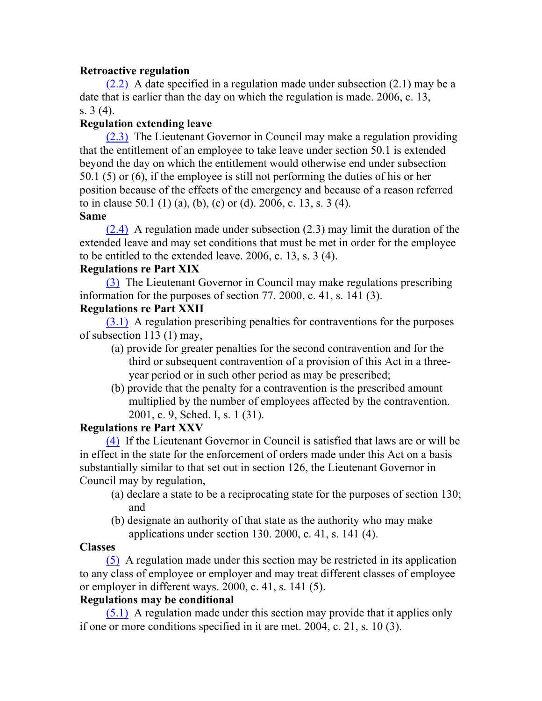## **Retroactive regulation**

(2.2) A date specified in a regulation made under subsection (2.1) may be a date that is earlier than the day on which the regulation is made. 2006, c. 13, s. 3 (4).

## **Regulation extending leave**

(2.3) The Lieutenant Governor in Council may make a regulation providing that the entitlement of an employee to take leave under section 50.1 is extended beyond the day on which the entitlement would otherwise end under subsection 50.1 (5) or (6), if the employee is still not performing the duties of his or her position because of the effects of the emergency and because of a reason referred to in clause 50.1 (1) (a), (b), (c) or (d). 2006, c. 13, s. 3 (4).

## **Same**

(2.4) A regulation made under subsection (2.3) may limit the duration of the extended leave and may set conditions that must be met in order for the employee to be entitled to the extended leave. 2006, c. 13, s. 3 (4).

## **Regulations re Part XIX**

(3) The Lieutenant Governor in Council may make regulations prescribing information for the purposes of section 77. 2000, c. 41, s. 141 (3).

## **Regulations re Part XXII**

(3.1) A regulation prescribing penalties for contraventions for the purposes of subsection 113 (1) may,

- (a) provide for greater penalties for the second contravention and for the third or subsequent contravention of a provision of this Act in a threeyear period or in such other period as may be prescribed;
- (b) provide that the penalty for a contravention is the prescribed amount multiplied by the number of employees affected by the contravention. 2001, c. 9, Sched. I, s. 1 (31).

## **Regulations re Part XXV**

(4) If the Lieutenant Governor in Council is satisfied that laws are or will be in effect in the state for the enforcement of orders made under this Act on a basis substantially similar to that set out in section 126, the Lieutenant Governor in Council may by regulation,

- (a) declare a state to be a reciprocating state for the purposes of section 130; and
- (b) designate an authority of that state as the authority who may make applications under section 130. 2000, c. 41, s. 141 (4).

#### **Classes**

(5) A regulation made under this section may be restricted in its application to any class of employee or employer and may treat different classes of employee or employer in different ways. 2000, c. 41, s. 141 (5).

## **Regulations may be conditional**

(5.1) A regulation made under this section may provide that it applies only if one or more conditions specified in it are met. 2004, c. 21, s. 10 (3).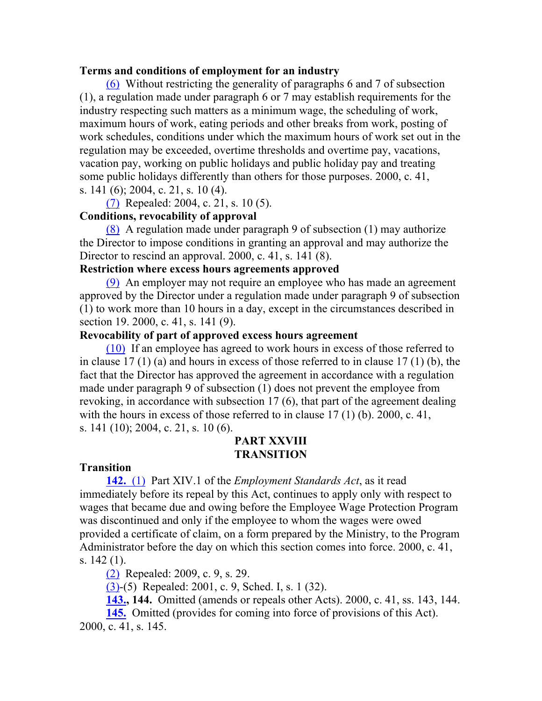#### **Terms and conditions of employment for an industry**

(6) Without restricting the generality of paragraphs 6 and 7 of subsection (1), a regulation made under paragraph 6 or 7 may establish requirements for the industry respecting such matters as a minimum wage, the scheduling of work, maximum hours of work, eating periods and other breaks from work, posting of work schedules, conditions under which the maximum hours of work set out in the regulation may be exceeded, overtime thresholds and overtime pay, vacations, vacation pay, working on public holidays and public holiday pay and treating some public holidays differently than others for those purposes. 2000, c. 41, s. 141 (6); 2004, c. 21, s. 10 (4).

(7) Repealed: 2004, c. 21, s. 10 (5).

## **Conditions, revocability of approval**

(8) A regulation made under paragraph 9 of subsection (1) may authorize the Director to impose conditions in granting an approval and may authorize the Director to rescind an approval. 2000, c. 41, s. 141 (8).

#### **Restriction where excess hours agreements approved**

(9) An employer may not require an employee who has made an agreement approved by the Director under a regulation made under paragraph 9 of subsection (1) to work more than 10 hours in a day, except in the circumstances described in section 19. 2000, c. 41, s. 141 (9).

#### **Revocability of part of approved excess hours agreement**

(10) If an employee has agreed to work hours in excess of those referred to in clause 17 (1) (a) and hours in excess of those referred to in clause 17 (1) (b), the fact that the Director has approved the agreement in accordance with a regulation made under paragraph 9 of subsection (1) does not prevent the employee from revoking, in accordance with subsection 17 (6), that part of the agreement dealing with the hours in excess of those referred to in clause 17 (1) (b). 2000, c. 41, s. 141 (10); 2004, c. 21, s. 10 (6).

## **PART XXVIII TRANSITION**

#### **Transition**

**142.** (1) Part XIV.1 of the *Employment Standards Act*, as it read immediately before its repeal by this Act, continues to apply only with respect to wages that became due and owing before the Employee Wage Protection Program was discontinued and only if the employee to whom the wages were owed provided a certificate of claim, on a form prepared by the Ministry, to the Program Administrator before the day on which this section comes into force. 2000, c. 41, s. 142 (1).

(2) Repealed: 2009, c. 9, s. 29.

(3)-(5) Repealed: 2001, c. 9, Sched. I, s. 1 (32).

**143., 144.** Omitted (amends or repeals other Acts). 2000, c. 41, ss. 143, 144.

**145.** Omitted (provides for coming into force of provisions of this Act). 2000, c. 41, s. 145.